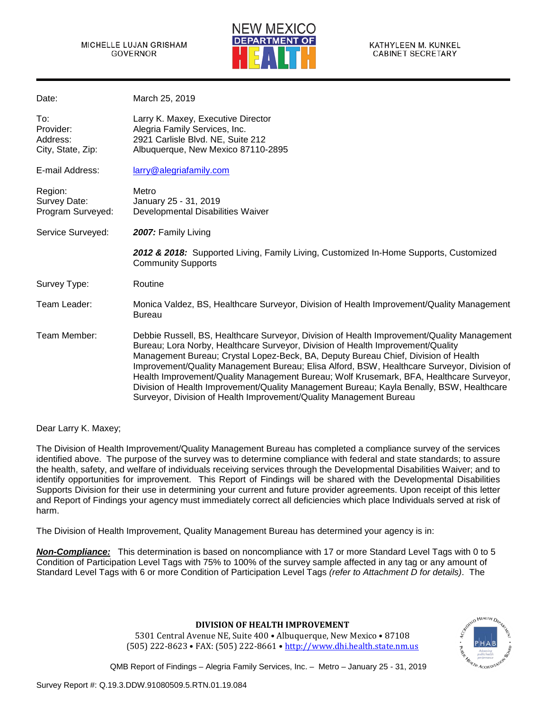

| Date:                                             | March 25, 2019                                                                                                                                                                                                                                                                                                                                                                                                                                                                                                                                                                                                                 |
|---------------------------------------------------|--------------------------------------------------------------------------------------------------------------------------------------------------------------------------------------------------------------------------------------------------------------------------------------------------------------------------------------------------------------------------------------------------------------------------------------------------------------------------------------------------------------------------------------------------------------------------------------------------------------------------------|
| To:<br>Provider:<br>Address:<br>City, State, Zip: | Larry K. Maxey, Executive Director<br>Alegria Family Services, Inc.<br>2921 Carlisle Blvd. NE, Suite 212<br>Albuquerque, New Mexico 87110-2895                                                                                                                                                                                                                                                                                                                                                                                                                                                                                 |
| E-mail Address:                                   | larry@alegriafamily.com                                                                                                                                                                                                                                                                                                                                                                                                                                                                                                                                                                                                        |
| Region:<br>Survey Date:<br>Program Surveyed:      | Metro<br>January 25 - 31, 2019<br>Developmental Disabilities Waiver                                                                                                                                                                                                                                                                                                                                                                                                                                                                                                                                                            |
| Service Surveyed:                                 | 2007: Family Living                                                                                                                                                                                                                                                                                                                                                                                                                                                                                                                                                                                                            |
|                                                   | 2012 & 2018: Supported Living, Family Living, Customized In-Home Supports, Customized<br><b>Community Supports</b>                                                                                                                                                                                                                                                                                                                                                                                                                                                                                                             |
| Survey Type:                                      | Routine                                                                                                                                                                                                                                                                                                                                                                                                                                                                                                                                                                                                                        |
| Team Leader:                                      | Monica Valdez, BS, Healthcare Surveyor, Division of Health Improvement/Quality Management<br><b>Bureau</b>                                                                                                                                                                                                                                                                                                                                                                                                                                                                                                                     |
| Team Member:                                      | Debbie Russell, BS, Healthcare Surveyor, Division of Health Improvement/Quality Management<br>Bureau; Lora Norby, Healthcare Surveyor, Division of Health Improvement/Quality<br>Management Bureau; Crystal Lopez-Beck, BA, Deputy Bureau Chief, Division of Health<br>Improvement/Quality Management Bureau; Elisa Alford, BSW, Healthcare Surveyor, Division of<br>Health Improvement/Quality Management Bureau; Wolf Krusemark, BFA, Healthcare Surveyor,<br>Division of Health Improvement/Quality Management Bureau; Kayla Benally, BSW, Healthcare<br>Surveyor, Division of Health Improvement/Quality Management Bureau |

Dear Larry K. Maxey;

The Division of Health Improvement/Quality Management Bureau has completed a compliance survey of the services identified above. The purpose of the survey was to determine compliance with federal and state standards; to assure the health, safety, and welfare of individuals receiving services through the Developmental Disabilities Waiver; and to identify opportunities for improvement. This Report of Findings will be shared with the Developmental Disabilities Supports Division for their use in determining your current and future provider agreements. Upon receipt of this letter and Report of Findings your agency must immediately correct all deficiencies which place Individuals served at risk of harm.

The Division of Health Improvement, Quality Management Bureau has determined your agency is in:

*Non-Compliance:* This determination is based on noncompliance with 17 or more Standard Level Tags with 0 to 5 Condition of Participation Level Tags with 75% to 100% of the survey sample affected in any tag or any amount of Standard Level Tags with 6 or more Condition of Participation Level Tags *(refer to Attachment D for details)*. The

**DIVISION OF HEALTH IMPROVEMENT**

**HEALTH DE HEALTH ACCREDI** 

5301 Central Avenue NE, Suite 400 • Albuquerque, New Mexico • 87108 (505) 222-8623 • FAX: (505) 222-8661 • [http://www.dhi.health.state.nm.us](http://www.dhi.health.state.nm.us/)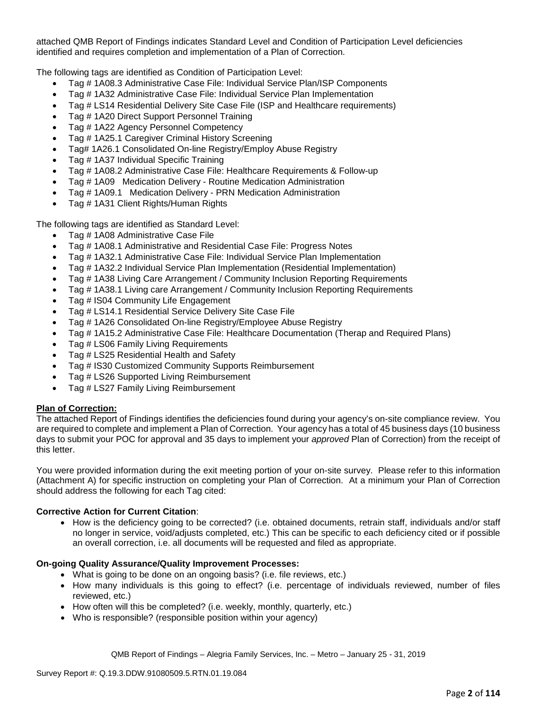attached QMB Report of Findings indicates Standard Level and Condition of Participation Level deficiencies identified and requires completion and implementation of a Plan of Correction.

The following tags are identified as Condition of Participation Level:

- Tag # 1A08.3 Administrative Case File: Individual Service Plan/ISP Components
- Tag # 1A32 Administrative Case File: Individual Service Plan Implementation
- Tag # LS14 Residential Delivery Site Case File (ISP and Healthcare requirements)
- Tag # 1A20 Direct Support Personnel Training
- Tag # 1A22 Agency Personnel Competency
- Tag # 1A25.1 Caregiver Criminal History Screening
- Tag# 1A26.1 Consolidated On-line Registry/Employ Abuse Registry
- Tag # 1A37 Individual Specific Training
- Tag # 1A08.2 Administrative Case File: Healthcare Requirements & Follow-up
- Tag # 1A09 Medication Delivery Routine Medication Administration
- Tag # 1A09.1 Medication Delivery PRN Medication Administration
- Tag # 1A31 Client Rights/Human Rights

The following tags are identified as Standard Level:

- Tag # 1A08 Administrative Case File
- Tag # 1A08.1 Administrative and Residential Case File: Progress Notes
- Tag # 1A32.1 Administrative Case File: Individual Service Plan Implementation
- Tag # 1A32.2 Individual Service Plan Implementation (Residential Implementation)
- Tag # 1A38 Living Care Arrangement / Community Inclusion Reporting Requirements
- Tag # 1A38.1 Living care Arrangement / Community Inclusion Reporting Requirements
- Tag # IS04 Community Life Engagement
- Tag # LS14.1 Residential Service Delivery Site Case File
- Tag # 1A26 Consolidated On-line Registry/Employee Abuse Registry
- Tag # 1A15.2 Administrative Case File: Healthcare Documentation (Therap and Required Plans)
- Tag # LS06 Family Living Requirements
- Tag # LS25 Residential Health and Safety
- Tag # IS30 Customized Community Supports Reimbursement
- Tag # LS26 Supported Living Reimbursement
- Tag # LS27 Family Living Reimbursement

### **Plan of Correction:**

The attached Report of Findings identifies the deficiencies found during your agency's on-site compliance review. You are required to complete and implement a Plan of Correction. Your agency has a total of 45 business days (10 business days to submit your POC for approval and 35 days to implement your *approved* Plan of Correction) from the receipt of this letter.

You were provided information during the exit meeting portion of your on-site survey. Please refer to this information (Attachment A) for specific instruction on completing your Plan of Correction. At a minimum your Plan of Correction should address the following for each Tag cited:

### **Corrective Action for Current Citation**:

• How is the deficiency going to be corrected? (i.e. obtained documents, retrain staff, individuals and/or staff no longer in service, void/adjusts completed, etc.) This can be specific to each deficiency cited or if possible an overall correction, i.e. all documents will be requested and filed as appropriate.

### **On-going Quality Assurance/Quality Improvement Processes:**

- What is going to be done on an ongoing basis? (i.e. file reviews, etc.)
- How many individuals is this going to effect? (i.e. percentage of individuals reviewed, number of files reviewed, etc.)
- How often will this be completed? (i.e. weekly, monthly, quarterly, etc.)
- Who is responsible? (responsible position within your agency)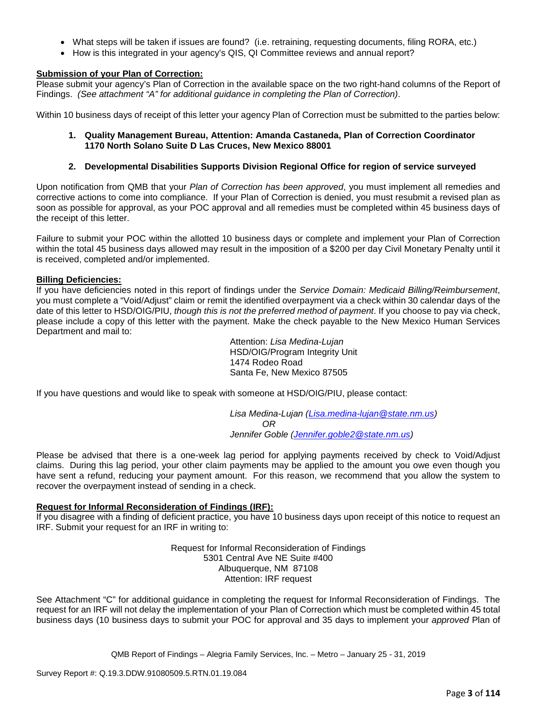- What steps will be taken if issues are found? (i.e. retraining, requesting documents, filing RORA, etc.)
- How is this integrated in your agency's QIS, QI Committee reviews and annual report?

### **Submission of your Plan of Correction:**

Please submit your agency's Plan of Correction in the available space on the two right-hand columns of the Report of Findings. *(See attachment "A" for additional guidance in completing the Plan of Correction)*.

Within 10 business days of receipt of this letter your agency Plan of Correction must be submitted to the parties below:

### **1. Quality Management Bureau, Attention: Amanda Castaneda, Plan of Correction Coordinator 1170 North Solano Suite D Las Cruces, New Mexico 88001**

#### **2. Developmental Disabilities Supports Division Regional Office for region of service surveyed**

Upon notification from QMB that your *Plan of Correction has been approved*, you must implement all remedies and corrective actions to come into compliance. If your Plan of Correction is denied, you must resubmit a revised plan as soon as possible for approval, as your POC approval and all remedies must be completed within 45 business days of the receipt of this letter.

Failure to submit your POC within the allotted 10 business days or complete and implement your Plan of Correction within the total 45 business days allowed may result in the imposition of a \$200 per day Civil Monetary Penalty until it is received, completed and/or implemented.

#### **Billing Deficiencies:**

If you have deficiencies noted in this report of findings under the *Service Domain: Medicaid Billing/Reimbursement*, you must complete a "Void/Adjust" claim or remit the identified overpayment via a check within 30 calendar days of the date of this letter to HSD/OIG/PIU, *though this is not the preferred method of payment*. If you choose to pay via check, please include a copy of this letter with the payment. Make the check payable to the New Mexico Human Services Department and mail to:

> Attention: *Lisa Medina-Lujan* HSD/OIG/Program Integrity Unit 1474 Rodeo Road Santa Fe, New Mexico 87505

If you have questions and would like to speak with someone at HSD/OIG/PIU, please contact:

*Lisa Medina-Lujan [\(Lisa.medina-lujan@state.nm.us\)](mailto:Lisa.medina-lujan@state.nm.us) OR Jennifer Goble [\(Jennifer.goble2@state.nm.us\)](mailto:Jennifer.goble2@state.nm.us)*

Please be advised that there is a one-week lag period for applying payments received by check to Void/Adjust claims. During this lag period, your other claim payments may be applied to the amount you owe even though you have sent a refund, reducing your payment amount. For this reason, we recommend that you allow the system to recover the overpayment instead of sending in a check.

### **Request for Informal Reconsideration of Findings (IRF):**

If you disagree with a finding of deficient practice, you have 10 business days upon receipt of this notice to request an IRF. Submit your request for an IRF in writing to:

> Request for Informal Reconsideration of Findings 5301 Central Ave NE Suite #400 Albuquerque, NM 87108 Attention: IRF request

See Attachment "C" for additional guidance in completing the request for Informal Reconsideration of Findings. The request for an IRF will not delay the implementation of your Plan of Correction which must be completed within 45 total business days (10 business days to submit your POC for approval and 35 days to implement your *approved* Plan of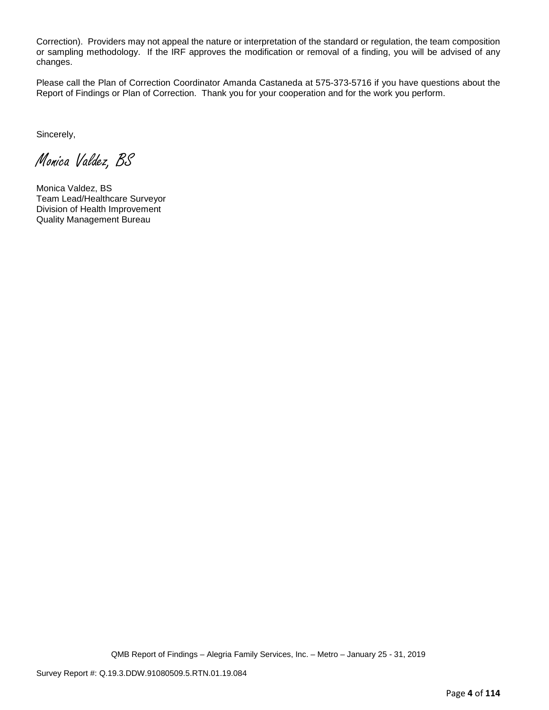Correction). Providers may not appeal the nature or interpretation of the standard or regulation, the team composition or sampling methodology. If the IRF approves the modification or removal of a finding, you will be advised of any changes.

Please call the Plan of Correction Coordinator Amanda Castaneda at 575-373-5716 if you have questions about the Report of Findings or Plan of Correction. Thank you for your cooperation and for the work you perform.

Sincerely,

Monica Valdez, BS

Monica Valdez, BS Team Lead/Healthcare Surveyor Division of Health Improvement Quality Management Bureau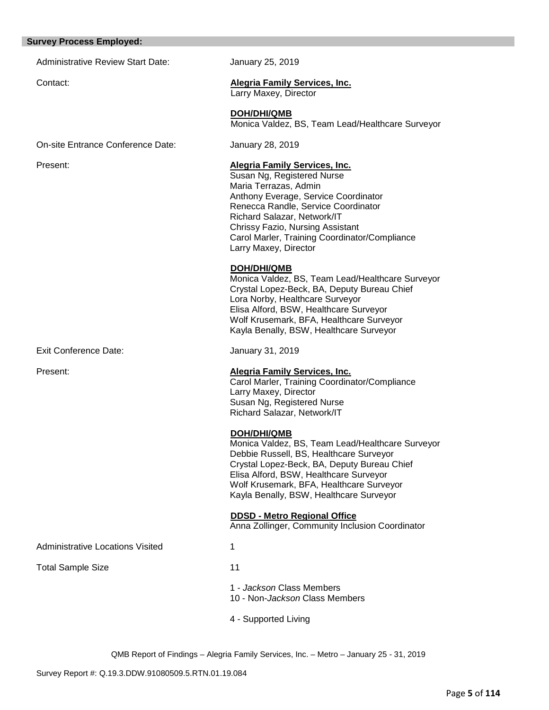#### **Survey Process Employed:**

Administrative Review Start Date: January 25, 2019

# Contact: **Alegria Family Services, Inc.**

Larry Maxey, Director

**DOH/DHI/QMB** Monica Valdez, BS, Team Lead/Healthcare Surveyor

On-site Entrance Conference Date: January 28, 2019

Exit Conference Date: January 31, 2019

Administrative Locations Visited 1

Total Sample Size 11

## Present: **Alegria Family Services, Inc.**

Susan Ng, Registered Nurse Maria Terrazas, Admin Anthony Everage, Service Coordinator Renecca Randle, Service Coordinator Richard Salazar, Network/IT Chrissy Fazio, Nursing Assistant Carol Marler, Training Coordinator/Compliance Larry Maxey, Director

### **DOH/DHI/QMB**

Monica Valdez, BS, Team Lead/Healthcare Surveyor Crystal Lopez-Beck, BA, Deputy Bureau Chief Lora Norby, Healthcare Surveyor Elisa Alford, BSW, Healthcare Surveyor Wolf Krusemark, BFA, Healthcare Surveyor Kayla Benally, BSW, Healthcare Surveyor

### Present: **Alegria Family Services, Inc.**

Carol Marler, Training Coordinator/Compliance Larry Maxey, Director Susan Ng, Registered Nurse Richard Salazar, Network/IT

## **DOH/DHI/QMB**

Monica Valdez, BS, Team Lead/Healthcare Surveyor Debbie Russell, BS, Healthcare Surveyor Crystal Lopez-Beck, BA, Deputy Bureau Chief Elisa Alford, BSW, Healthcare Surveyor Wolf Krusemark, BFA, Healthcare Surveyor Kayla Benally, BSW, Healthcare Surveyor

### **DDSD - Metro Regional Office**

Anna Zollinger, Community Inclusion Coordinator

- 
- 
- 1 *Jackson* Class Members
- 10 Non-*Jackson* Class Members
- 4 Supported Living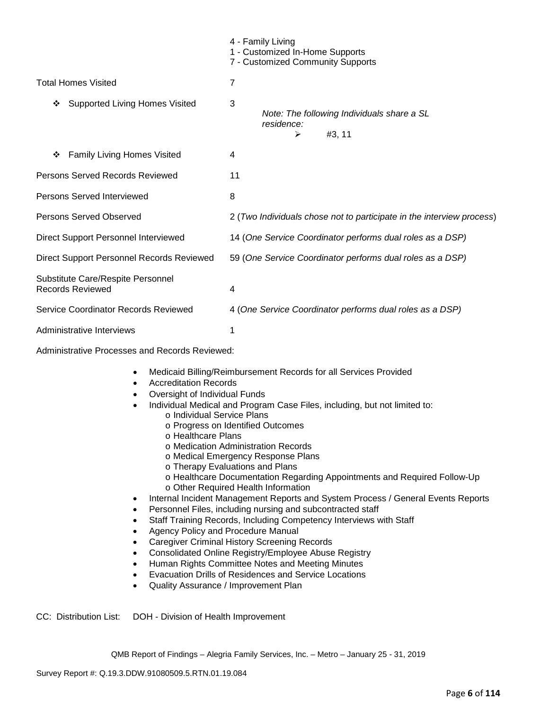|                                                              | 4 - Family Living<br>1 - Customized In-Home Supports<br>7 - Customized Community Supports |
|--------------------------------------------------------------|-------------------------------------------------------------------------------------------|
| <b>Total Homes Visited</b>                                   | $\overline{7}$                                                                            |
| <b>Supported Living Homes Visited</b><br>❖                   | 3<br>Note: The following Individuals share a SL<br>residence:<br>#3, 11<br>⋗              |
| <b>Family Living Homes Visited</b><br>❖                      | 4                                                                                         |
| Persons Served Records Reviewed                              | 11                                                                                        |
| Persons Served Interviewed                                   | 8                                                                                         |
| Persons Served Observed                                      | 2 (Two Individuals chose not to participate in the interview process)                     |
| Direct Support Personnel Interviewed                         | 14 (One Service Coordinator performs dual roles as a DSP)                                 |
| Direct Support Personnel Records Reviewed                    | 59 (One Service Coordinator performs dual roles as a DSP)                                 |
| Substitute Care/Respite Personnel<br><b>Records Reviewed</b> | 4                                                                                         |
| Service Coordinator Records Reviewed                         | 4 (One Service Coordinator performs dual roles as a DSP)                                  |
| Administrative Interviews                                    | 1                                                                                         |
| Administrative Processes and Records Reviewed:               |                                                                                           |

- Medicaid Billing/Reimbursement Records for all Services Provided
- Accreditation Records
- Oversight of Individual Funds
- Individual Medical and Program Case Files, including, but not limited to:
	- o Individual Service Plans
	- o Progress on Identified Outcomes
	- o Healthcare Plans
	- o Medication Administration Records
	- o Medical Emergency Response Plans
	- o Therapy Evaluations and Plans
	- o Healthcare Documentation Regarding Appointments and Required Follow-Up
	- o Other Required Health Information
- Internal Incident Management Reports and System Process / General Events Reports
- Personnel Files, including nursing and subcontracted staff
- Staff Training Records, Including Competency Interviews with Staff
- Agency Policy and Procedure Manual
- Caregiver Criminal History Screening Records
- Consolidated Online Registry/Employee Abuse Registry
- Human Rights Committee Notes and Meeting Minutes
- Evacuation Drills of Residences and Service Locations
- Quality Assurance / Improvement Plan

CC: Distribution List: DOH - Division of Health Improvement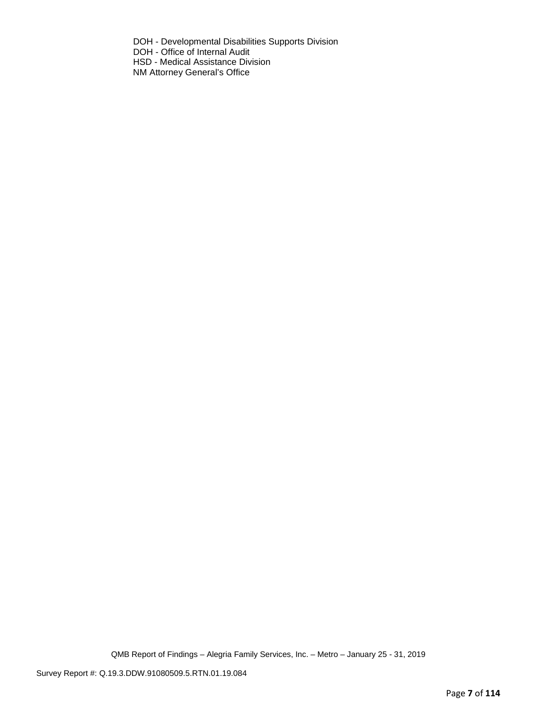DOH - Developmental Disabilities Supports Division DOH - Office of Internal Audit HSD - Medical Assistance Division NM Attorney General's Office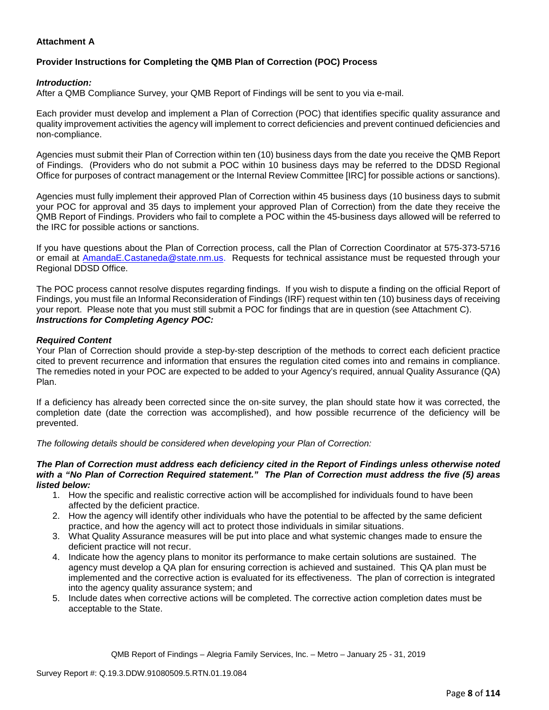## **Attachment A**

# **Provider Instructions for Completing the QMB Plan of Correction (POC) Process**

### *Introduction:*

After a QMB Compliance Survey, your QMB Report of Findings will be sent to you via e-mail.

Each provider must develop and implement a Plan of Correction (POC) that identifies specific quality assurance and quality improvement activities the agency will implement to correct deficiencies and prevent continued deficiencies and non-compliance.

Agencies must submit their Plan of Correction within ten (10) business days from the date you receive the QMB Report of Findings. (Providers who do not submit a POC within 10 business days may be referred to the DDSD Regional Office for purposes of contract management or the Internal Review Committee [IRC] for possible actions or sanctions).

Agencies must fully implement their approved Plan of Correction within 45 business days (10 business days to submit your POC for approval and 35 days to implement your approved Plan of Correction) from the date they receive the QMB Report of Findings. Providers who fail to complete a POC within the 45-business days allowed will be referred to the IRC for possible actions or sanctions.

If you have questions about the Plan of Correction process, call the Plan of Correction Coordinator at 575-373-5716 or email at AmandaE.Castaneda@state.nm.us. Requests for technical assistance must be requested through your Regional DDSD Office.

The POC process cannot resolve disputes regarding findings. If you wish to dispute a finding on the official Report of Findings, you must file an Informal Reconsideration of Findings (IRF) request within ten (10) business days of receiving your report. Please note that you must still submit a POC for findings that are in question (see Attachment C). *Instructions for Completing Agency POC:*

### *Required Content*

Your Plan of Correction should provide a step-by-step description of the methods to correct each deficient practice cited to prevent recurrence and information that ensures the regulation cited comes into and remains in compliance. The remedies noted in your POC are expected to be added to your Agency's required, annual Quality Assurance (QA) Plan.

If a deficiency has already been corrected since the on-site survey, the plan should state how it was corrected, the completion date (date the correction was accomplished), and how possible recurrence of the deficiency will be prevented.

*The following details should be considered when developing your Plan of Correction:*

#### *The Plan of Correction must address each deficiency cited in the Report of Findings unless otherwise noted with a "No Plan of Correction Required statement." The Plan of Correction must address the five (5) areas listed below:*

- 1. How the specific and realistic corrective action will be accomplished for individuals found to have been affected by the deficient practice.
- 2. How the agency will identify other individuals who have the potential to be affected by the same deficient practice, and how the agency will act to protect those individuals in similar situations.
- 3. What Quality Assurance measures will be put into place and what systemic changes made to ensure the deficient practice will not recur.
- 4. Indicate how the agency plans to monitor its performance to make certain solutions are sustained. The agency must develop a QA plan for ensuring correction is achieved and sustained. This QA plan must be implemented and the corrective action is evaluated for its effectiveness. The plan of correction is integrated into the agency quality assurance system; and
- 5. Include dates when corrective actions will be completed. The corrective action completion dates must be acceptable to the State.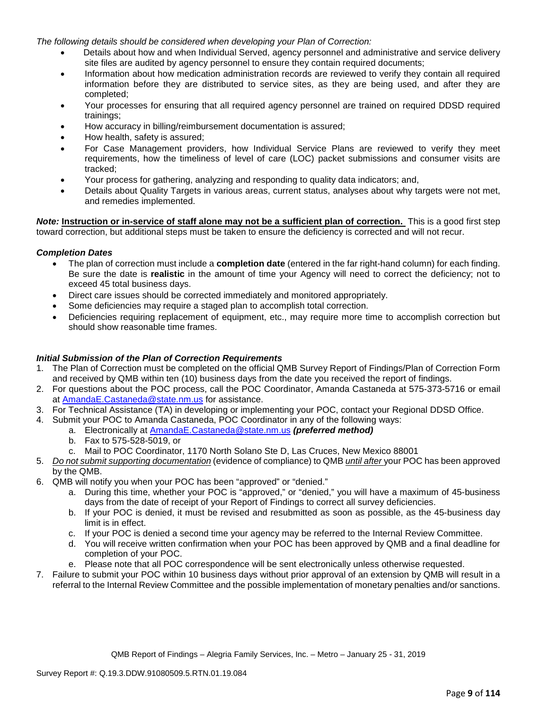*The following details should be considered when developing your Plan of Correction:*

- Details about how and when Individual Served, agency personnel and administrative and service delivery site files are audited by agency personnel to ensure they contain required documents;
- Information about how medication administration records are reviewed to verify they contain all required information before they are distributed to service sites, as they are being used, and after they are completed;
- Your processes for ensuring that all required agency personnel are trained on required DDSD required trainings;
- How accuracy in billing/reimbursement documentation is assured;
- How health, safety is assured;
- For Case Management providers, how Individual Service Plans are reviewed to verify they meet requirements, how the timeliness of level of care (LOC) packet submissions and consumer visits are tracked;
- Your process for gathering, analyzing and responding to quality data indicators; and,
- Details about Quality Targets in various areas, current status, analyses about why targets were not met, and remedies implemented.

*Note:* **Instruction or in-service of staff alone may not be a sufficient plan of correction.** This is a good first step toward correction, but additional steps must be taken to ensure the deficiency is corrected and will not recur.

### *Completion Dates*

- The plan of correction must include a **completion date** (entered in the far right-hand column) for each finding. Be sure the date is **realistic** in the amount of time your Agency will need to correct the deficiency; not to exceed 45 total business days.
- Direct care issues should be corrected immediately and monitored appropriately.
- Some deficiencies may require a staged plan to accomplish total correction.
- Deficiencies requiring replacement of equipment, etc., may require more time to accomplish correction but should show reasonable time frames.

### *Initial Submission of the Plan of Correction Requirements*

- 1. The Plan of Correction must be completed on the official QMB Survey Report of Findings/Plan of Correction Form and received by QMB within ten (10) business days from the date you received the report of findings.
- 2. For questions about the POC process, call the POC Coordinator, Amanda Castaneda at 575-373-5716 or email at AmandaE.Castaneda@state.nm.us for assistance.
- 3. For Technical Assistance (TA) in developing or implementing your POC, contact your Regional DDSD Office.
- 4. Submit your POC to Amanda Castaneda, POC Coordinator in any of the following ways:
	- a. Electronically at AmandaE.Castaneda@state.nm.us *(preferred method)*
	- b. Fax to 575-528-5019, or
	- c. Mail to POC Coordinator, 1170 North Solano Ste D, Las Cruces, New Mexico 88001
- 5. *Do not submit supporting documentation* (evidence of compliance) to QMB *until after* your POC has been approved by the QMB.
- 6. QMB will notify you when your POC has been "approved" or "denied."
	- a. During this time, whether your POC is "approved," or "denied," you will have a maximum of 45-business days from the date of receipt of your Report of Findings to correct all survey deficiencies.
	- b. If your POC is denied, it must be revised and resubmitted as soon as possible, as the 45-business day limit is in effect.
	- c. If your POC is denied a second time your agency may be referred to the Internal Review Committee.
	- d. You will receive written confirmation when your POC has been approved by QMB and a final deadline for completion of your POC.
	- e. Please note that all POC correspondence will be sent electronically unless otherwise requested.
- 7. Failure to submit your POC within 10 business days without prior approval of an extension by QMB will result in a referral to the Internal Review Committee and the possible implementation of monetary penalties and/or sanctions.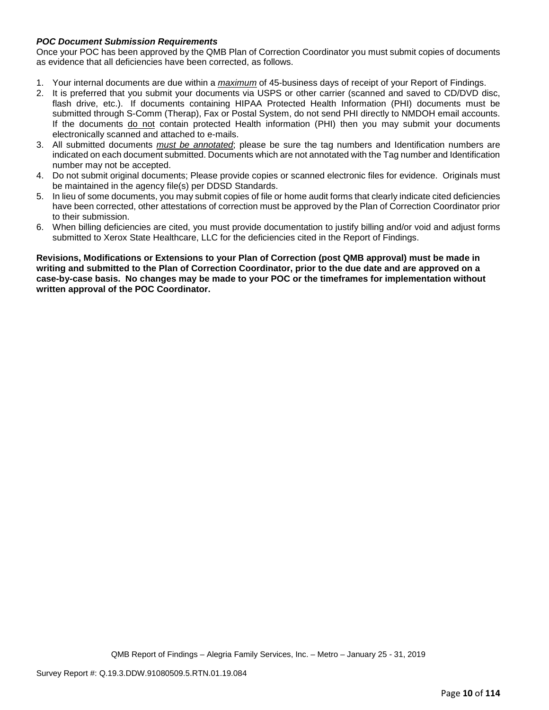### *POC Document Submission Requirements*

Once your POC has been approved by the QMB Plan of Correction Coordinator you must submit copies of documents as evidence that all deficiencies have been corrected, as follows.

- 1. Your internal documents are due within a *maximum* of 45-business days of receipt of your Report of Findings.
- 2. It is preferred that you submit your documents via USPS or other carrier (scanned and saved to CD/DVD disc, flash drive, etc.). If documents containing HIPAA Protected Health Information (PHI) documents must be submitted through S-Comm (Therap), Fax or Postal System, do not send PHI directly to NMDOH email accounts. If the documents do not contain protected Health information (PHI) then you may submit your documents electronically scanned and attached to e-mails.
- 3. All submitted documents *must be annotated*; please be sure the tag numbers and Identification numbers are indicated on each document submitted. Documents which are not annotated with the Tag number and Identification number may not be accepted.
- 4. Do not submit original documents; Please provide copies or scanned electronic files for evidence. Originals must be maintained in the agency file(s) per DDSD Standards.
- 5. In lieu of some documents, you may submit copies of file or home audit forms that clearly indicate cited deficiencies have been corrected, other attestations of correction must be approved by the Plan of Correction Coordinator prior to their submission.
- 6. When billing deficiencies are cited, you must provide documentation to justify billing and/or void and adjust forms submitted to Xerox State Healthcare, LLC for the deficiencies cited in the Report of Findings.

**Revisions, Modifications or Extensions to your Plan of Correction (post QMB approval) must be made in writing and submitted to the Plan of Correction Coordinator, prior to the due date and are approved on a case-by-case basis. No changes may be made to your POC or the timeframes for implementation without written approval of the POC Coordinator.**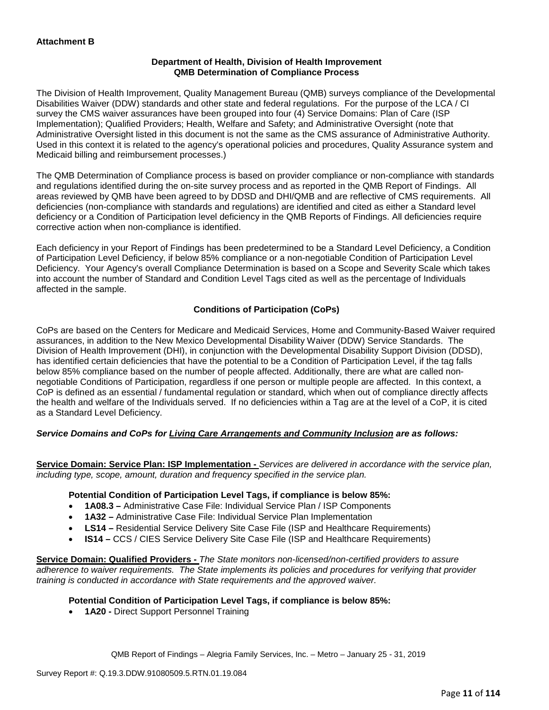### **Department of Health, Division of Health Improvement QMB Determination of Compliance Process**

The Division of Health Improvement, Quality Management Bureau (QMB) surveys compliance of the Developmental Disabilities Waiver (DDW) standards and other state and federal regulations. For the purpose of the LCA / CI survey the CMS waiver assurances have been grouped into four (4) Service Domains: Plan of Care (ISP Implementation); Qualified Providers; Health, Welfare and Safety; and Administrative Oversight (note that Administrative Oversight listed in this document is not the same as the CMS assurance of Administrative Authority. Used in this context it is related to the agency's operational policies and procedures, Quality Assurance system and Medicaid billing and reimbursement processes.)

The QMB Determination of Compliance process is based on provider compliance or non-compliance with standards and regulations identified during the on-site survey process and as reported in the QMB Report of Findings. All areas reviewed by QMB have been agreed to by DDSD and DHI/QMB and are reflective of CMS requirements. All deficiencies (non-compliance with standards and regulations) are identified and cited as either a Standard level deficiency or a Condition of Participation level deficiency in the QMB Reports of Findings. All deficiencies require corrective action when non-compliance is identified.

Each deficiency in your Report of Findings has been predetermined to be a Standard Level Deficiency, a Condition of Participation Level Deficiency, if below 85% compliance or a non-negotiable Condition of Participation Level Deficiency. Your Agency's overall Compliance Determination is based on a Scope and Severity Scale which takes into account the number of Standard and Condition Level Tags cited as well as the percentage of Individuals affected in the sample.

## **Conditions of Participation (CoPs)**

CoPs are based on the Centers for Medicare and Medicaid Services, Home and Community-Based Waiver required assurances, in addition to the New Mexico Developmental Disability Waiver (DDW) Service Standards. The Division of Health Improvement (DHI), in conjunction with the Developmental Disability Support Division (DDSD), has identified certain deficiencies that have the potential to be a Condition of Participation Level, if the tag falls below 85% compliance based on the number of people affected. Additionally, there are what are called nonnegotiable Conditions of Participation, regardless if one person or multiple people are affected. In this context, a CoP is defined as an essential / fundamental regulation or standard, which when out of compliance directly affects the health and welfare of the Individuals served. If no deficiencies within a Tag are at the level of a CoP, it is cited as a Standard Level Deficiency.

## *Service Domains and CoPs for Living Care Arrangements and Community Inclusion are as follows:*

**Service Domain: Service Plan: ISP Implementation -** *Services are delivered in accordance with the service plan, including type, scope, amount, duration and frequency specified in the service plan.*

### **Potential Condition of Participation Level Tags, if compliance is below 85%:**

- **1A08.3 –** Administrative Case File: Individual Service Plan / ISP Components
- **1A32 –** Administrative Case File: Individual Service Plan Implementation
- **LS14 –** Residential Service Delivery Site Case File (ISP and Healthcare Requirements)
- **IS14 –** CCS / CIES Service Delivery Site Case File (ISP and Healthcare Requirements)

**Service Domain: Qualified Providers -** *The State monitors non-licensed/non-certified providers to assure adherence to waiver requirements. The State implements its policies and procedures for verifying that provider training is conducted in accordance with State requirements and the approved waiver.*

### **Potential Condition of Participation Level Tags, if compliance is below 85%:**

• **1A20 -** Direct Support Personnel Training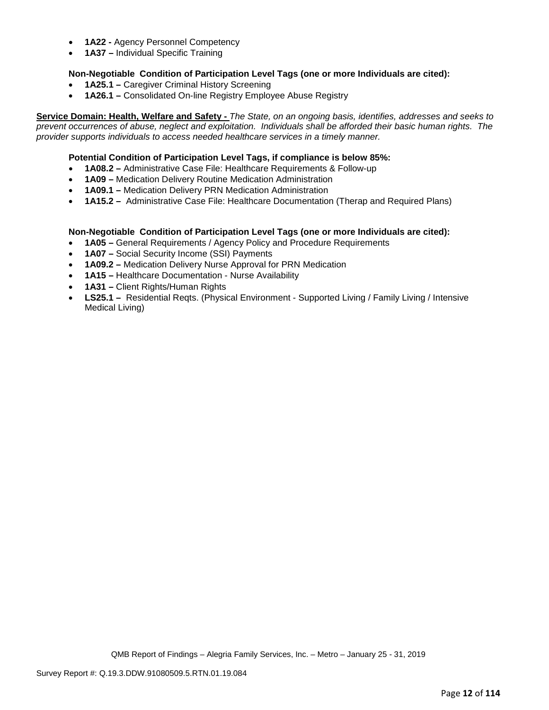- **1A22 -** Agency Personnel Competency
- **1A37 –** Individual Specific Training

### **Non-Negotiable Condition of Participation Level Tags (one or more Individuals are cited):**

- **1A25.1 –** Caregiver Criminal History Screening
- **1A26.1 –** Consolidated On-line Registry Employee Abuse Registry

**Service Domain: Health, Welfare and Safety -** *The State, on an ongoing basis, identifies, addresses and seeks to prevent occurrences of abuse, neglect and exploitation. Individuals shall be afforded their basic human rights. The provider supports individuals to access needed healthcare services in a timely manner.*

### **Potential Condition of Participation Level Tags, if compliance is below 85%:**

- **1A08.2 –** Administrative Case File: Healthcare Requirements & Follow-up
- **1A09 –** Medication Delivery Routine Medication Administration
- **1A09.1 –** Medication Delivery PRN Medication Administration
- **1A15.2 –** Administrative Case File: Healthcare Documentation (Therap and Required Plans)

### **Non-Negotiable Condition of Participation Level Tags (one or more Individuals are cited):**

- **1A05 –** General Requirements / Agency Policy and Procedure Requirements
- **1A07 –** Social Security Income (SSI) Payments
- **1A09.2 –** Medication Delivery Nurse Approval for PRN Medication
- **1A15 –** Healthcare Documentation Nurse Availability
- **1A31 –** Client Rights/Human Rights
- **LS25.1 –** Residential Reqts. (Physical Environment Supported Living / Family Living / Intensive Medical Living)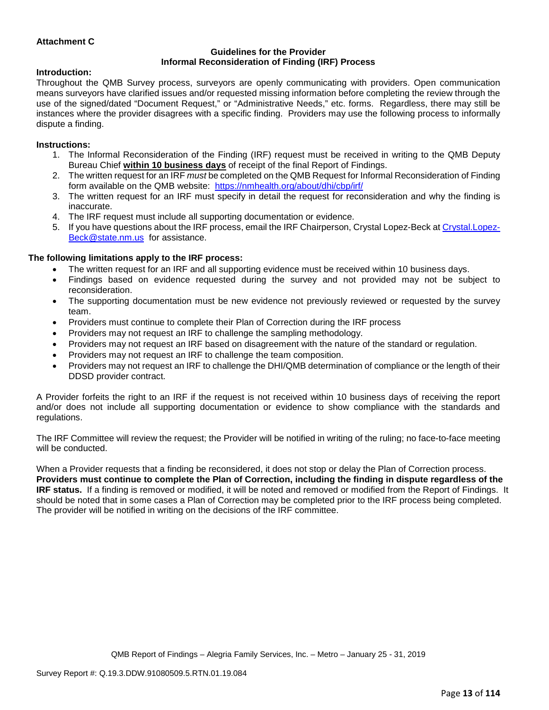### **Attachment C**

#### **Guidelines for the Provider Informal Reconsideration of Finding (IRF) Process**

### **Introduction:**

Throughout the QMB Survey process, surveyors are openly communicating with providers. Open communication means surveyors have clarified issues and/or requested missing information before completing the review through the use of the signed/dated "Document Request," or "Administrative Needs," etc. forms. Regardless, there may still be instances where the provider disagrees with a specific finding. Providers may use the following process to informally dispute a finding.

### **Instructions:**

- 1. The Informal Reconsideration of the Finding (IRF) request must be received in writing to the QMB Deputy Bureau Chief **within 10 business days** of receipt of the final Report of Findings.
- 2. The written request for an IRF *must* be completed on the QMB Request for Informal Reconsideration of Finding form available on the QMB website: <https://nmhealth.org/about/dhi/cbp/irf/>
- 3. The written request for an IRF must specify in detail the request for reconsideration and why the finding is inaccurate.
- 4. The IRF request must include all supporting documentation or evidence.
- 5. If you have questions about the IRF process, email the IRF Chairperson, Crystal Lopez-Beck a[t Crystal.Lopez-](mailto:Crystal.Lopez-Beck@state.nm.us)[Beck@state.nm.us](mailto:Crystal.Lopez-Beck@state.nm.us) for assistance.

### **The following limitations apply to the IRF process:**

- The written request for an IRF and all supporting evidence must be received within 10 business days.
- Findings based on evidence requested during the survey and not provided may not be subject to reconsideration.
- The supporting documentation must be new evidence not previously reviewed or requested by the survey team.
- Providers must continue to complete their Plan of Correction during the IRF process
- Providers may not request an IRF to challenge the sampling methodology.
- Providers may not request an IRF based on disagreement with the nature of the standard or regulation.
- Providers may not request an IRF to challenge the team composition.
- Providers may not request an IRF to challenge the DHI/QMB determination of compliance or the length of their DDSD provider contract.

A Provider forfeits the right to an IRF if the request is not received within 10 business days of receiving the report and/or does not include all supporting documentation or evidence to show compliance with the standards and regulations.

The IRF Committee will review the request; the Provider will be notified in writing of the ruling; no face-to-face meeting will be conducted.

When a Provider requests that a finding be reconsidered, it does not stop or delay the Plan of Correction process. **Providers must continue to complete the Plan of Correction, including the finding in dispute regardless of the IRF status.** If a finding is removed or modified, it will be noted and removed or modified from the Report of Findings. It should be noted that in some cases a Plan of Correction may be completed prior to the IRF process being completed. The provider will be notified in writing on the decisions of the IRF committee.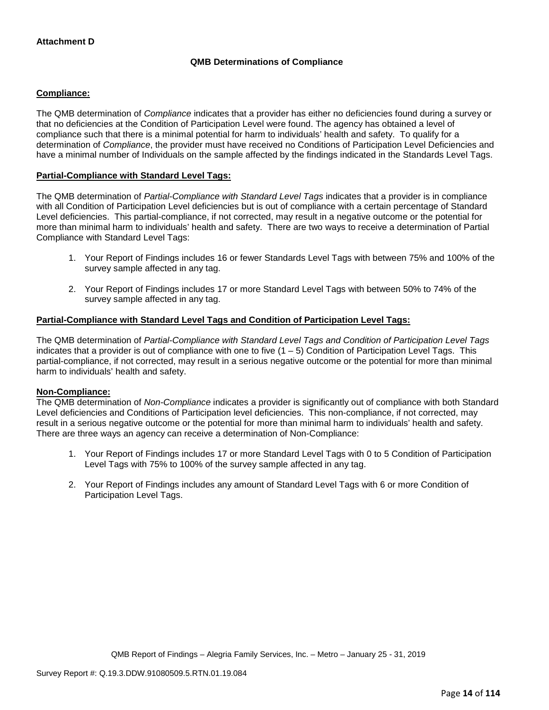# **QMB Determinations of Compliance**

### **Compliance:**

The QMB determination of *Compliance* indicates that a provider has either no deficiencies found during a survey or that no deficiencies at the Condition of Participation Level were found. The agency has obtained a level of compliance such that there is a minimal potential for harm to individuals' health and safety. To qualify for a determination of *Compliance*, the provider must have received no Conditions of Participation Level Deficiencies and have a minimal number of Individuals on the sample affected by the findings indicated in the Standards Level Tags.

### **Partial-Compliance with Standard Level Tags:**

The QMB determination of *Partial-Compliance with Standard Level Tags* indicates that a provider is in compliance with all Condition of Participation Level deficiencies but is out of compliance with a certain percentage of Standard Level deficiencies. This partial-compliance, if not corrected, may result in a negative outcome or the potential for more than minimal harm to individuals' health and safety. There are two ways to receive a determination of Partial Compliance with Standard Level Tags:

- 1. Your Report of Findings includes 16 or fewer Standards Level Tags with between 75% and 100% of the survey sample affected in any tag.
- 2. Your Report of Findings includes 17 or more Standard Level Tags with between 50% to 74% of the survey sample affected in any tag.

### **Partial-Compliance with Standard Level Tags and Condition of Participation Level Tags:**

The QMB determination of *Partial-Compliance with Standard Level Tags and Condition of Participation Level Tags*  indicates that a provider is out of compliance with one to five  $(1 - 5)$  Condition of Participation Level Tags. This partial-compliance, if not corrected, may result in a serious negative outcome or the potential for more than minimal harm to individuals' health and safety.

### **Non-Compliance:**

The QMB determination of *Non-Compliance* indicates a provider is significantly out of compliance with both Standard Level deficiencies and Conditions of Participation level deficiencies. This non-compliance, if not corrected, may result in a serious negative outcome or the potential for more than minimal harm to individuals' health and safety. There are three ways an agency can receive a determination of Non-Compliance:

- 1. Your Report of Findings includes 17 or more Standard Level Tags with 0 to 5 Condition of Participation Level Tags with 75% to 100% of the survey sample affected in any tag.
- 2. Your Report of Findings includes any amount of Standard Level Tags with 6 or more Condition of Participation Level Tags.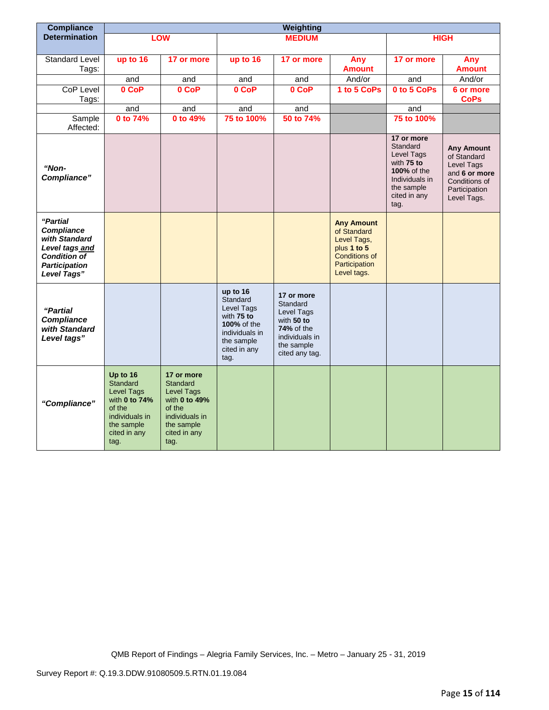| <b>Compliance</b>                                                                                                       | Weighting                                                                                                                           |                                                                                                                                |                                                                                                                                |                                                                                                                           |                                                                                                                 |                                                                                                                                  |                                                                                                                  |
|-------------------------------------------------------------------------------------------------------------------------|-------------------------------------------------------------------------------------------------------------------------------------|--------------------------------------------------------------------------------------------------------------------------------|--------------------------------------------------------------------------------------------------------------------------------|---------------------------------------------------------------------------------------------------------------------------|-----------------------------------------------------------------------------------------------------------------|----------------------------------------------------------------------------------------------------------------------------------|------------------------------------------------------------------------------------------------------------------|
| <b>Determination</b>                                                                                                    |                                                                                                                                     | LOW                                                                                                                            |                                                                                                                                | <b>MEDIUM</b>                                                                                                             |                                                                                                                 |                                                                                                                                  | <b>HIGH</b>                                                                                                      |
|                                                                                                                         |                                                                                                                                     |                                                                                                                                |                                                                                                                                |                                                                                                                           |                                                                                                                 |                                                                                                                                  |                                                                                                                  |
| Standard Level<br>Tags:                                                                                                 | up to 16                                                                                                                            | 17 or more                                                                                                                     | up to 16                                                                                                                       | 17 or more                                                                                                                | Any<br><b>Amount</b>                                                                                            | 17 or more                                                                                                                       | Any<br><b>Amount</b>                                                                                             |
|                                                                                                                         | and                                                                                                                                 | and                                                                                                                            | and                                                                                                                            | and                                                                                                                       | And/or                                                                                                          | and                                                                                                                              | And/or                                                                                                           |
| <b>CoP Level</b><br>Tags:                                                                                               | 0 CoP                                                                                                                               | 0 CoP                                                                                                                          | 0 CoP                                                                                                                          | 0 CoP                                                                                                                     | 1 to 5 CoPs                                                                                                     | 0 to 5 CoPs                                                                                                                      | 6 or more<br><b>CoPs</b>                                                                                         |
|                                                                                                                         | and                                                                                                                                 | and                                                                                                                            | and                                                                                                                            | and                                                                                                                       |                                                                                                                 | and                                                                                                                              |                                                                                                                  |
| Sample<br>Affected:                                                                                                     | 0 to 74%                                                                                                                            | 0 to 49%                                                                                                                       | 75 to 100%                                                                                                                     | 50 to 74%                                                                                                                 |                                                                                                                 | 75 to 100%                                                                                                                       |                                                                                                                  |
| "Non-<br>Compliance"                                                                                                    |                                                                                                                                     |                                                                                                                                |                                                                                                                                |                                                                                                                           |                                                                                                                 | 17 or more<br>Standard<br>Level Tags<br>with 75 to<br><b>100% of the</b><br>Individuals in<br>the sample<br>cited in any<br>tag. | <b>Any Amount</b><br>of Standard<br>Level Tags<br>and 6 or more<br>Conditions of<br>Participation<br>Level Tags. |
| "Partial<br>Compliance<br>with Standard<br>Level tags and<br><b>Condition of</b><br><b>Participation</b><br>Level Tags" |                                                                                                                                     |                                                                                                                                |                                                                                                                                |                                                                                                                           | <b>Any Amount</b><br>of Standard<br>Level Tags,<br>plus 1 to 5<br>Conditions of<br>Participation<br>Level tags. |                                                                                                                                  |                                                                                                                  |
| "Partial<br><b>Compliance</b><br>with Standard<br>Level tags"                                                           |                                                                                                                                     |                                                                                                                                | up to 16<br>Standard<br>Level Tags<br>with 75 to<br><b>100% of the</b><br>individuals in<br>the sample<br>cited in any<br>tag. | 17 or more<br>Standard<br>Level Tags<br>with 50 to<br><b>74%</b> of the<br>individuals in<br>the sample<br>cited any tag. |                                                                                                                 |                                                                                                                                  |                                                                                                                  |
| "Compliance"                                                                                                            | Up to 16<br><b>Standard</b><br><b>Level Tags</b><br>with 0 to 74%<br>of the<br>individuals in<br>the sample<br>cited in any<br>tag. | 17 or more<br>Standard<br><b>Level Tags</b><br>with 0 to 49%<br>of the<br>individuals in<br>the sample<br>cited in any<br>tag. |                                                                                                                                |                                                                                                                           |                                                                                                                 |                                                                                                                                  |                                                                                                                  |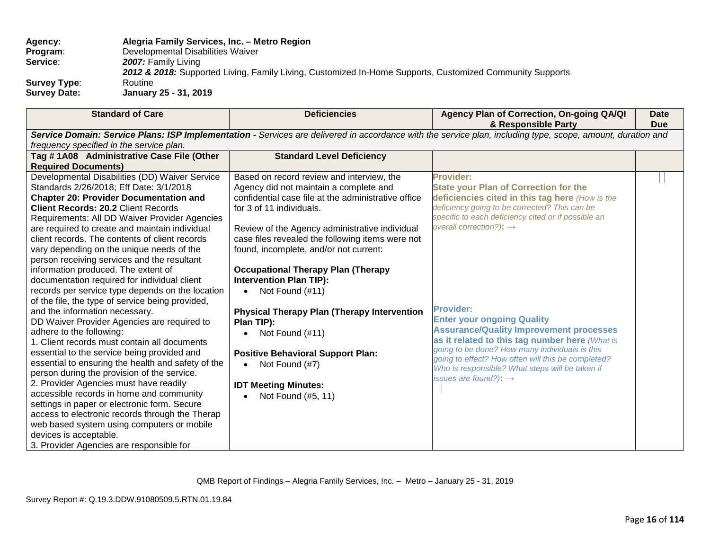| <b>Agency:</b>      | Alegria Family Services, Inc. - Metro Region                                                             |
|---------------------|----------------------------------------------------------------------------------------------------------|
| Program:            | Developmental Disabilities Waiver                                                                        |
| Service:            | 2007: Family Living                                                                                      |
|                     | 2012 & 2018: Supported Living, Family Living, Customized In-Home Supports, Customized Community Supports |
| <b>Survey Type:</b> | Routine                                                                                                  |
| <b>Survey Date:</b> | January 25 - 31, 2019                                                                                    |

| <b>Standard of Care</b>                                                                         | <b>Deficiencies</b>                                 | Agency Plan of Correction, On-going QA/QI<br>& Responsible Party                                                                                            | <b>Date</b><br><b>Due</b> |
|-------------------------------------------------------------------------------------------------|-----------------------------------------------------|-------------------------------------------------------------------------------------------------------------------------------------------------------------|---------------------------|
|                                                                                                 |                                                     | Service Domain: Service Plans: ISP Implementation - Services are delivered in accordance with the service plan, including type, scope, amount, duration and |                           |
| frequency specified in the service plan.                                                        |                                                     |                                                                                                                                                             |                           |
| Tag #1A08 Administrative Case File (Other                                                       | <b>Standard Level Deficiency</b>                    |                                                                                                                                                             |                           |
| <b>Required Documents)</b>                                                                      |                                                     |                                                                                                                                                             |                           |
| Developmental Disabilities (DD) Waiver Service                                                  | Based on record review and interview, the           | <b>Provider:</b>                                                                                                                                            |                           |
| Standards 2/26/2018; Eff Date: 3/1/2018                                                         | Agency did not maintain a complete and              | <b>State your Plan of Correction for the</b>                                                                                                                |                           |
| <b>Chapter 20: Provider Documentation and</b>                                                   | confidential case file at the administrative office | deficiencies cited in this tag here (How is the                                                                                                             |                           |
| <b>Client Records: 20.2 Client Records</b>                                                      | for 3 of 11 individuals.                            | deficiency going to be corrected? This can be                                                                                                               |                           |
| Requirements: All DD Waiver Provider Agencies                                                   |                                                     | specific to each deficiency cited or if possible an                                                                                                         |                           |
| are required to create and maintain individual                                                  | Review of the Agency administrative individual      | overall correction?): $\rightarrow$                                                                                                                         |                           |
| client records. The contents of client records                                                  | case files revealed the following items were not    |                                                                                                                                                             |                           |
| vary depending on the unique needs of the                                                       | found, incomplete, and/or not current:              |                                                                                                                                                             |                           |
| person receiving services and the resultant                                                     |                                                     |                                                                                                                                                             |                           |
| information produced. The extent of                                                             | <b>Occupational Therapy Plan (Therapy</b>           |                                                                                                                                                             |                           |
| documentation required for individual client                                                    | <b>Intervention Plan TIP):</b>                      |                                                                                                                                                             |                           |
| records per service type depends on the location                                                | Not Found (#11)                                     |                                                                                                                                                             |                           |
| of the file, the type of service being provided,                                                |                                                     | <b>Provider:</b>                                                                                                                                            |                           |
| and the information necessary.                                                                  | <b>Physical Therapy Plan (Therapy Intervention</b>  | <b>Enter your ongoing Quality</b>                                                                                                                           |                           |
| DD Waiver Provider Agencies are required to                                                     | Plan TIP):                                          | <b>Assurance/Quality Improvement processes</b>                                                                                                              |                           |
| adhere to the following:                                                                        | Not Found (#11)                                     | as it related to this tag number here (What is                                                                                                              |                           |
| 1. Client records must contain all documents                                                    |                                                     | going to be done? How many individuals is this                                                                                                              |                           |
| essential to the service being provided and                                                     | <b>Positive Behavioral Support Plan:</b>            | going to effect? How often will this be completed?                                                                                                          |                           |
| essential to ensuring the health and safety of the                                              | Not Found (#7)<br>$\bullet$                         | Who is responsible? What steps will be taken if                                                                                                             |                           |
| person during the provision of the service.                                                     |                                                     | issues are found?): $\rightarrow$                                                                                                                           |                           |
| 2. Provider Agencies must have readily<br>accessible records in home and community              | <b>IDT Meeting Minutes:</b>                         |                                                                                                                                                             |                           |
|                                                                                                 | Not Found (#5, 11)                                  |                                                                                                                                                             |                           |
| settings in paper or electronic form. Secure<br>access to electronic records through the Therap |                                                     |                                                                                                                                                             |                           |
| web based system using computers or mobile                                                      |                                                     |                                                                                                                                                             |                           |
| devices is acceptable.                                                                          |                                                     |                                                                                                                                                             |                           |
| 3. Provider Agencies are responsible for                                                        |                                                     |                                                                                                                                                             |                           |
|                                                                                                 |                                                     |                                                                                                                                                             |                           |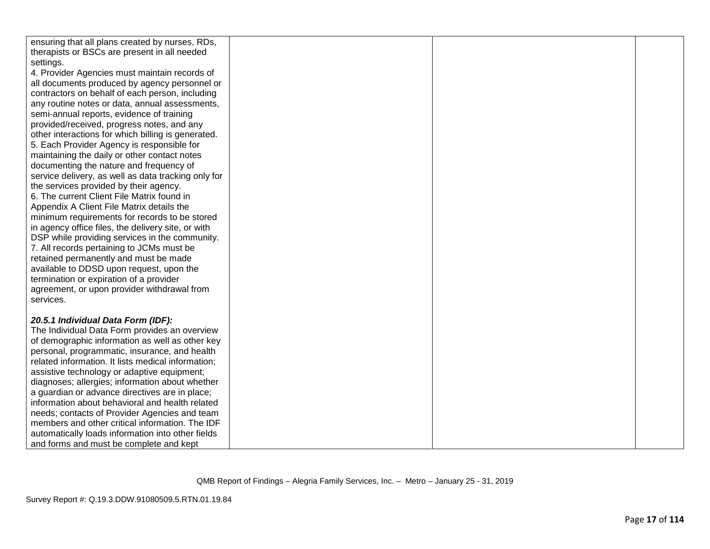| ensuring that all plans created by nurses, RDs,     |  |  |
|-----------------------------------------------------|--|--|
| therapists or BSCs are present in all needed        |  |  |
| settings.                                           |  |  |
| 4. Provider Agencies must maintain records of       |  |  |
| all documents produced by agency personnel or       |  |  |
| contractors on behalf of each person, including     |  |  |
| any routine notes or data, annual assessments,      |  |  |
| semi-annual reports, evidence of training           |  |  |
| provided/received, progress notes, and any          |  |  |
| other interactions for which billing is generated.  |  |  |
| 5. Each Provider Agency is responsible for          |  |  |
| maintaining the daily or other contact notes        |  |  |
| documenting the nature and frequency of             |  |  |
| service delivery, as well as data tracking only for |  |  |
| the services provided by their agency.              |  |  |
| 6. The current Client File Matrix found in          |  |  |
| Appendix A Client File Matrix details the           |  |  |
| minimum requirements for records to be stored       |  |  |
| in agency office files, the delivery site, or with  |  |  |
| DSP while providing services in the community.      |  |  |
| 7. All records pertaining to JCMs must be           |  |  |
| retained permanently and must be made               |  |  |
| available to DDSD upon request, upon the            |  |  |
| termination or expiration of a provider             |  |  |
| agreement, or upon provider withdrawal from         |  |  |
| services.                                           |  |  |
|                                                     |  |  |
| 20.5.1 Individual Data Form (IDF):                  |  |  |
| The Individual Data Form provides an overview       |  |  |
| of demographic information as well as other key     |  |  |
| personal, programmatic, insurance, and health       |  |  |
| related information. It lists medical information;  |  |  |
| assistive technology or adaptive equipment;         |  |  |
| diagnoses; allergies; information about whether     |  |  |
| a guardian or advance directives are in place;      |  |  |
| information about behavioral and health related     |  |  |
| needs; contacts of Provider Agencies and team       |  |  |
| members and other critical information. The IDF     |  |  |
| automatically loads information into other fields   |  |  |
| and forms and must be complete and kept             |  |  |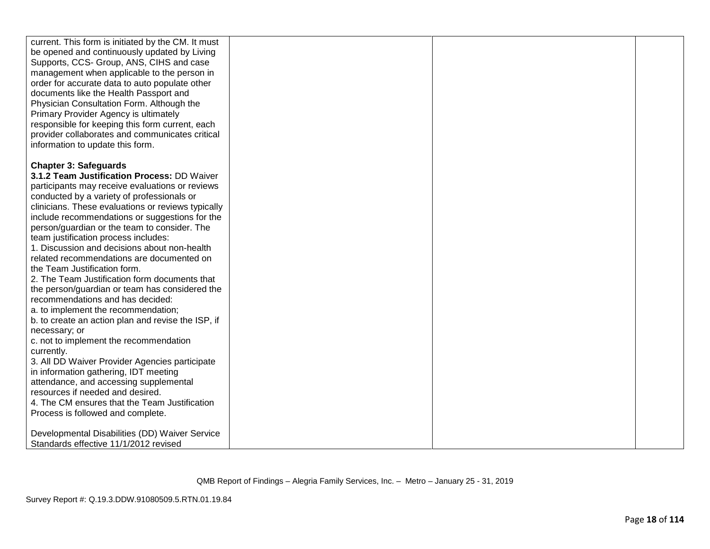| current. This form is initiated by the CM. It must<br>be opened and continuously updated by Living<br>Supports, CCS- Group, ANS, CIHS and case<br>management when applicable to the person in<br>order for accurate data to auto populate other<br>documents like the Health Passport and<br>Physician Consultation Form. Although the<br>Primary Provider Agency is ultimately<br>responsible for keeping this form current, each |  |  |
|------------------------------------------------------------------------------------------------------------------------------------------------------------------------------------------------------------------------------------------------------------------------------------------------------------------------------------------------------------------------------------------------------------------------------------|--|--|
| provider collaborates and communicates critical                                                                                                                                                                                                                                                                                                                                                                                    |  |  |
|                                                                                                                                                                                                                                                                                                                                                                                                                                    |  |  |
| information to update this form.                                                                                                                                                                                                                                                                                                                                                                                                   |  |  |
|                                                                                                                                                                                                                                                                                                                                                                                                                                    |  |  |
| <b>Chapter 3: Safeguards</b>                                                                                                                                                                                                                                                                                                                                                                                                       |  |  |
| 3.1.2 Team Justification Process: DD Waiver                                                                                                                                                                                                                                                                                                                                                                                        |  |  |
| participants may receive evaluations or reviews                                                                                                                                                                                                                                                                                                                                                                                    |  |  |
| conducted by a variety of professionals or<br>clinicians. These evaluations or reviews typically                                                                                                                                                                                                                                                                                                                                   |  |  |
| include recommendations or suggestions for the                                                                                                                                                                                                                                                                                                                                                                                     |  |  |
| person/guardian or the team to consider. The                                                                                                                                                                                                                                                                                                                                                                                       |  |  |
| team justification process includes:                                                                                                                                                                                                                                                                                                                                                                                               |  |  |
| 1. Discussion and decisions about non-health                                                                                                                                                                                                                                                                                                                                                                                       |  |  |
| related recommendations are documented on                                                                                                                                                                                                                                                                                                                                                                                          |  |  |
| the Team Justification form.                                                                                                                                                                                                                                                                                                                                                                                                       |  |  |
| 2. The Team Justification form documents that                                                                                                                                                                                                                                                                                                                                                                                      |  |  |
| the person/guardian or team has considered the                                                                                                                                                                                                                                                                                                                                                                                     |  |  |
| recommendations and has decided:                                                                                                                                                                                                                                                                                                                                                                                                   |  |  |
| a. to implement the recommendation;                                                                                                                                                                                                                                                                                                                                                                                                |  |  |
| b. to create an action plan and revise the ISP, if                                                                                                                                                                                                                                                                                                                                                                                 |  |  |
| necessary; or                                                                                                                                                                                                                                                                                                                                                                                                                      |  |  |
| c. not to implement the recommendation                                                                                                                                                                                                                                                                                                                                                                                             |  |  |
| currently.                                                                                                                                                                                                                                                                                                                                                                                                                         |  |  |
| 3. All DD Waiver Provider Agencies participate                                                                                                                                                                                                                                                                                                                                                                                     |  |  |
| in information gathering, IDT meeting                                                                                                                                                                                                                                                                                                                                                                                              |  |  |
| attendance, and accessing supplemental                                                                                                                                                                                                                                                                                                                                                                                             |  |  |
| resources if needed and desired.                                                                                                                                                                                                                                                                                                                                                                                                   |  |  |
| 4. The CM ensures that the Team Justification                                                                                                                                                                                                                                                                                                                                                                                      |  |  |
| Process is followed and complete.                                                                                                                                                                                                                                                                                                                                                                                                  |  |  |
| Developmental Disabilities (DD) Waiver Service                                                                                                                                                                                                                                                                                                                                                                                     |  |  |
|                                                                                                                                                                                                                                                                                                                                                                                                                                    |  |  |
| Standards effective 11/1/2012 revised                                                                                                                                                                                                                                                                                                                                                                                              |  |  |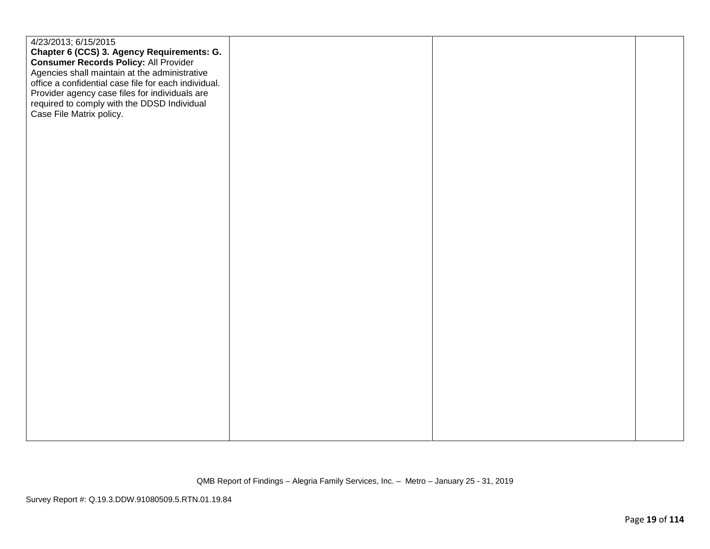| 4/23/2013; 6/15/2015<br>Chapter 6 (CCS) 3. Agency Requirements: G.<br><b>Consumer Records Policy: All Provider</b><br>Agencies shall maintain at the administrative<br>office a confidential case file for each individual.<br>Provider agency case files for individuals are<br>required to comply with the DDSD Individual<br>Case File Matrix policy. |  |  |
|----------------------------------------------------------------------------------------------------------------------------------------------------------------------------------------------------------------------------------------------------------------------------------------------------------------------------------------------------------|--|--|
|                                                                                                                                                                                                                                                                                                                                                          |  |  |
|                                                                                                                                                                                                                                                                                                                                                          |  |  |
|                                                                                                                                                                                                                                                                                                                                                          |  |  |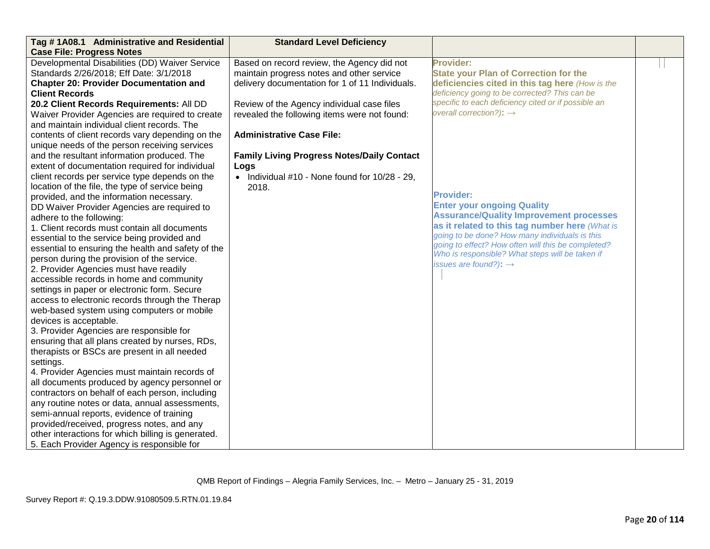| Tag #1A08.1 Administrative and Residential<br><b>Case File: Progress Notes</b> | <b>Standard Level Deficiency</b>                   |                                                     |  |
|--------------------------------------------------------------------------------|----------------------------------------------------|-----------------------------------------------------|--|
| Developmental Disabilities (DD) Waiver Service                                 | Based on record review, the Agency did not         | Provider:                                           |  |
| Standards 2/26/2018; Eff Date: 3/1/2018                                        | maintain progress notes and other service          | <b>State your Plan of Correction for the</b>        |  |
| <b>Chapter 20: Provider Documentation and</b>                                  | delivery documentation for 1 of 11 Individuals.    | deficiencies cited in this tag here (How is the     |  |
| <b>Client Records</b>                                                          |                                                    | deficiency going to be corrected? This can be       |  |
| 20.2 Client Records Requirements: All DD                                       | Review of the Agency individual case files         | specific to each deficiency cited or if possible an |  |
| Waiver Provider Agencies are required to create                                | revealed the following items were not found:       | overall correction?): $\rightarrow$                 |  |
| and maintain individual client records. The                                    |                                                    |                                                     |  |
| contents of client records vary depending on the                               | <b>Administrative Case File:</b>                   |                                                     |  |
| unique needs of the person receiving services                                  |                                                    |                                                     |  |
| and the resultant information produced. The                                    | <b>Family Living Progress Notes/Daily Contact</b>  |                                                     |  |
| extent of documentation required for individual                                | Logs                                               |                                                     |  |
| client records per service type depends on the                                 | • Individual $#10$ - None found for $10/28 - 29$ , |                                                     |  |
| location of the file, the type of service being                                | 2018.                                              |                                                     |  |
| provided, and the information necessary.                                       |                                                    | <b>Provider:</b>                                    |  |
| DD Waiver Provider Agencies are required to                                    |                                                    | <b>Enter your ongoing Quality</b>                   |  |
| adhere to the following:                                                       |                                                    | <b>Assurance/Quality Improvement processes</b>      |  |
| 1. Client records must contain all documents                                   |                                                    | as it related to this tag number here (What is      |  |
| essential to the service being provided and                                    |                                                    | going to be done? How many individuals is this      |  |
| essential to ensuring the health and safety of the                             |                                                    | going to effect? How often will this be completed?  |  |
| person during the provision of the service.                                    |                                                    | Who is responsible? What steps will be taken if     |  |
| 2. Provider Agencies must have readily                                         |                                                    | issues are found?): $\rightarrow$                   |  |
| accessible records in home and community                                       |                                                    |                                                     |  |
| settings in paper or electronic form. Secure                                   |                                                    |                                                     |  |
| access to electronic records through the Therap                                |                                                    |                                                     |  |
| web-based system using computers or mobile                                     |                                                    |                                                     |  |
| devices is acceptable.                                                         |                                                    |                                                     |  |
| 3. Provider Agencies are responsible for                                       |                                                    |                                                     |  |
| ensuring that all plans created by nurses, RDs,                                |                                                    |                                                     |  |
| therapists or BSCs are present in all needed                                   |                                                    |                                                     |  |
| settings.                                                                      |                                                    |                                                     |  |
| 4. Provider Agencies must maintain records of                                  |                                                    |                                                     |  |
| all documents produced by agency personnel or                                  |                                                    |                                                     |  |
| contractors on behalf of each person, including                                |                                                    |                                                     |  |
| any routine notes or data, annual assessments,                                 |                                                    |                                                     |  |
| semi-annual reports, evidence of training                                      |                                                    |                                                     |  |
| provided/received, progress notes, and any                                     |                                                    |                                                     |  |
| other interactions for which billing is generated.                             |                                                    |                                                     |  |
| 5. Each Provider Agency is responsible for                                     |                                                    |                                                     |  |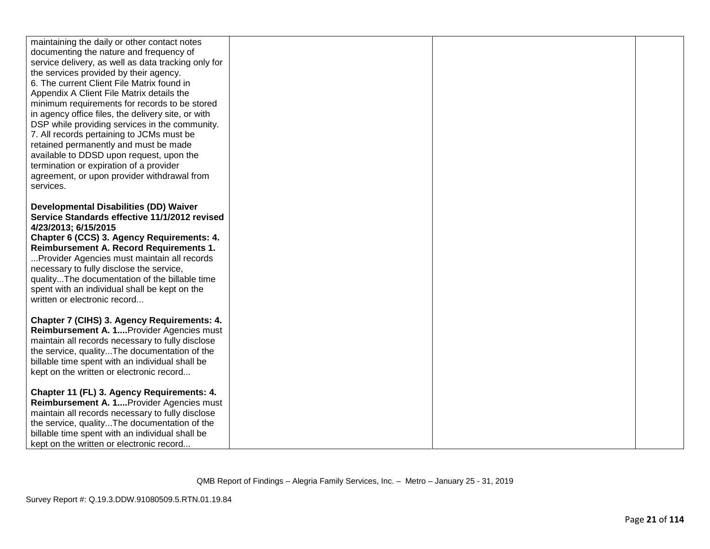| maintaining the daily or other contact notes<br>documenting the nature and frequency of<br>service delivery, as well as data tracking only for<br>the services provided by their agency.<br>6. The current Client File Matrix found in<br>Appendix A Client File Matrix details the<br>minimum requirements for records to be stored<br>in agency office files, the delivery site, or with<br>DSP while providing services in the community.<br>7. All records pertaining to JCMs must be<br>retained permanently and must be made<br>available to DDSD upon request, upon the<br>termination or expiration of a provider<br>agreement, or upon provider withdrawal from<br>services. |  |  |
|---------------------------------------------------------------------------------------------------------------------------------------------------------------------------------------------------------------------------------------------------------------------------------------------------------------------------------------------------------------------------------------------------------------------------------------------------------------------------------------------------------------------------------------------------------------------------------------------------------------------------------------------------------------------------------------|--|--|
| <b>Developmental Disabilities (DD) Waiver</b>                                                                                                                                                                                                                                                                                                                                                                                                                                                                                                                                                                                                                                         |  |  |
| Service Standards effective 11/1/2012 revised                                                                                                                                                                                                                                                                                                                                                                                                                                                                                                                                                                                                                                         |  |  |
| 4/23/2013; 6/15/2015                                                                                                                                                                                                                                                                                                                                                                                                                                                                                                                                                                                                                                                                  |  |  |
| Chapter 6 (CCS) 3. Agency Requirements: 4.<br>Reimbursement A. Record Requirements 1.                                                                                                                                                                                                                                                                                                                                                                                                                                                                                                                                                                                                 |  |  |
| Provider Agencies must maintain all records                                                                                                                                                                                                                                                                                                                                                                                                                                                                                                                                                                                                                                           |  |  |
| necessary to fully disclose the service,                                                                                                                                                                                                                                                                                                                                                                                                                                                                                                                                                                                                                                              |  |  |
| qualityThe documentation of the billable time                                                                                                                                                                                                                                                                                                                                                                                                                                                                                                                                                                                                                                         |  |  |
| spent with an individual shall be kept on the                                                                                                                                                                                                                                                                                                                                                                                                                                                                                                                                                                                                                                         |  |  |
| written or electronic record                                                                                                                                                                                                                                                                                                                                                                                                                                                                                                                                                                                                                                                          |  |  |
| Chapter 7 (CIHS) 3. Agency Requirements: 4.                                                                                                                                                                                                                                                                                                                                                                                                                                                                                                                                                                                                                                           |  |  |
| Reimbursement A. 1 Provider Agencies must                                                                                                                                                                                                                                                                                                                                                                                                                                                                                                                                                                                                                                             |  |  |
| maintain all records necessary to fully disclose                                                                                                                                                                                                                                                                                                                                                                                                                                                                                                                                                                                                                                      |  |  |
| the service, qualityThe documentation of the                                                                                                                                                                                                                                                                                                                                                                                                                                                                                                                                                                                                                                          |  |  |
| billable time spent with an individual shall be                                                                                                                                                                                                                                                                                                                                                                                                                                                                                                                                                                                                                                       |  |  |
| kept on the written or electronic record                                                                                                                                                                                                                                                                                                                                                                                                                                                                                                                                                                                                                                              |  |  |
| Chapter 11 (FL) 3. Agency Requirements: 4.                                                                                                                                                                                                                                                                                                                                                                                                                                                                                                                                                                                                                                            |  |  |
| Reimbursement A. 1 Provider Agencies must                                                                                                                                                                                                                                                                                                                                                                                                                                                                                                                                                                                                                                             |  |  |
| maintain all records necessary to fully disclose                                                                                                                                                                                                                                                                                                                                                                                                                                                                                                                                                                                                                                      |  |  |
| the service, qualityThe documentation of the                                                                                                                                                                                                                                                                                                                                                                                                                                                                                                                                                                                                                                          |  |  |
| billable time spent with an individual shall be                                                                                                                                                                                                                                                                                                                                                                                                                                                                                                                                                                                                                                       |  |  |
| kept on the written or electronic record                                                                                                                                                                                                                                                                                                                                                                                                                                                                                                                                                                                                                                              |  |  |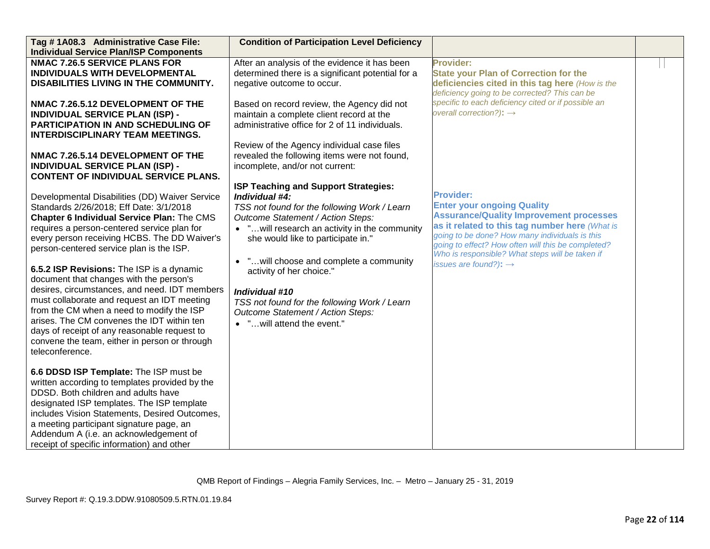| Tag # 1A08.3 Administrative Case File:<br><b>Individual Service Plan/ISP Components</b>                                                                                                                                                                                                                                                                                                                                                                                                                                                                                                              | <b>Condition of Participation Level Deficiency</b>                                                                                                                                                                                                                                                                                                                                                                                                             |                                                                                                                                                                                                                                                                                                                                                           |  |
|------------------------------------------------------------------------------------------------------------------------------------------------------------------------------------------------------------------------------------------------------------------------------------------------------------------------------------------------------------------------------------------------------------------------------------------------------------------------------------------------------------------------------------------------------------------------------------------------------|----------------------------------------------------------------------------------------------------------------------------------------------------------------------------------------------------------------------------------------------------------------------------------------------------------------------------------------------------------------------------------------------------------------------------------------------------------------|-----------------------------------------------------------------------------------------------------------------------------------------------------------------------------------------------------------------------------------------------------------------------------------------------------------------------------------------------------------|--|
| <b>NMAC 7.26.5 SERVICE PLANS FOR</b><br>INDIVIDUALS WITH DEVELOPMENTAL<br>DISABILITIES LIVING IN THE COMMUNITY.<br>NMAC 7.26.5.12 DEVELOPMENT OF THE<br><b>INDIVIDUAL SERVICE PLAN (ISP) -</b><br><b>PARTICIPATION IN AND SCHEDULING OF</b>                                                                                                                                                                                                                                                                                                                                                          | After an analysis of the evidence it has been<br>determined there is a significant potential for a<br>negative outcome to occur.<br>Based on record review, the Agency did not<br>maintain a complete client record at the<br>administrative office for 2 of 11 individuals.                                                                                                                                                                                   | Provider:<br><b>State your Plan of Correction for the</b><br>deficiencies cited in this tag here (How is the<br>deficiency going to be corrected? This can be<br>specific to each deficiency cited or if possible an<br>overall correction?): $\rightarrow$                                                                                               |  |
| <b>INTERDISCIPLINARY TEAM MEETINGS.</b><br>NMAC 7.26.5.14 DEVELOPMENT OF THE<br><b>INDIVIDUAL SERVICE PLAN (ISP) -</b><br><b>CONTENT OF INDIVIDUAL SERVICE PLANS.</b><br>Developmental Disabilities (DD) Waiver Service<br>Standards 2/26/2018; Eff Date: 3/1/2018<br>Chapter 6 Individual Service Plan: The CMS<br>requires a person-centered service plan for<br>every person receiving HCBS. The DD Waiver's<br>person-centered service plan is the ISP.<br>6.5.2 ISP Revisions: The ISP is a dynamic<br>document that changes with the person's<br>desires, circumstances, and need. IDT members | Review of the Agency individual case files<br>revealed the following items were not found,<br>incomplete, and/or not current:<br>ISP Teaching and Support Strategies:<br>Individual #4:<br>TSS not found for the following Work / Learn<br>Outcome Statement / Action Steps:<br>• " will research an activity in the community<br>she would like to participate in."<br>• " will choose and complete a community<br>activity of her choice."<br>Individual #10 | <b>Provider:</b><br><b>Enter your ongoing Quality</b><br><b>Assurance/Quality Improvement processes</b><br>as it related to this tag number here (What is<br>going to be done? How many individuals is this<br>going to effect? How often will this be completed?<br>Who is responsible? What steps will be taken if<br>issues are found?): $\rightarrow$ |  |
| must collaborate and request an IDT meeting<br>from the CM when a need to modify the ISP<br>arises. The CM convenes the IDT within ten<br>days of receipt of any reasonable request to<br>convene the team, either in person or through<br>teleconference.                                                                                                                                                                                                                                                                                                                                           | TSS not found for the following Work / Learn<br>Outcome Statement / Action Steps:<br>• "will attend the event."                                                                                                                                                                                                                                                                                                                                                |                                                                                                                                                                                                                                                                                                                                                           |  |
| 6.6 DDSD ISP Template: The ISP must be<br>written according to templates provided by the<br>DDSD. Both children and adults have<br>designated ISP templates. The ISP template<br>includes Vision Statements, Desired Outcomes,<br>a meeting participant signature page, an<br>Addendum A (i.e. an acknowledgement of<br>receipt of specific information) and other                                                                                                                                                                                                                                   |                                                                                                                                                                                                                                                                                                                                                                                                                                                                |                                                                                                                                                                                                                                                                                                                                                           |  |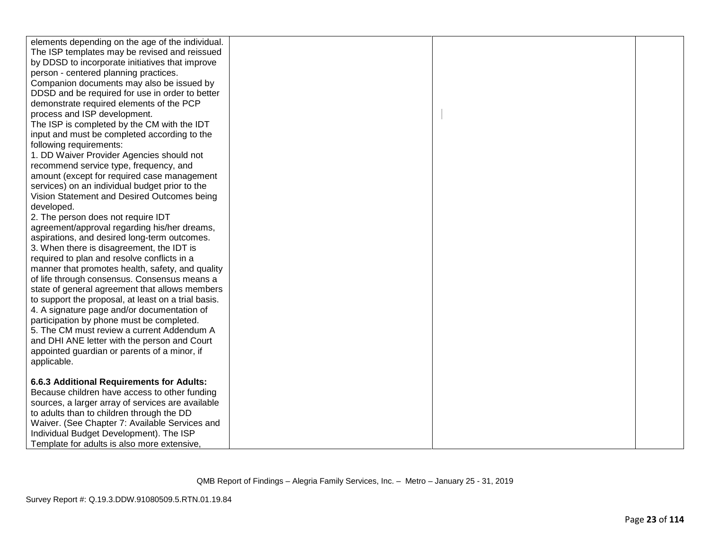| elements depending on the age of the individual.                                           |  |  |
|--------------------------------------------------------------------------------------------|--|--|
| The ISP templates may be revised and reissued                                              |  |  |
| by DDSD to incorporate initiatives that improve                                            |  |  |
| person - centered planning practices.                                                      |  |  |
| Companion documents may also be issued by                                                  |  |  |
| DDSD and be required for use in order to better                                            |  |  |
| demonstrate required elements of the PCP                                                   |  |  |
| process and ISP development.                                                               |  |  |
| The ISP is completed by the CM with the IDT                                                |  |  |
| input and must be completed according to the                                               |  |  |
| following requirements:                                                                    |  |  |
| 1. DD Waiver Provider Agencies should not                                                  |  |  |
| recommend service type, frequency, and                                                     |  |  |
| amount (except for required case management                                                |  |  |
| services) on an individual budget prior to the                                             |  |  |
| Vision Statement and Desired Outcomes being                                                |  |  |
| developed.                                                                                 |  |  |
| 2. The person does not require IDT                                                         |  |  |
| agreement/approval regarding his/her dreams,                                               |  |  |
| aspirations, and desired long-term outcomes.                                               |  |  |
| 3. When there is disagreement, the IDT is                                                  |  |  |
| required to plan and resolve conflicts in a                                                |  |  |
| manner that promotes health, safety, and quality                                           |  |  |
| of life through consensus. Consensus means a                                               |  |  |
| state of general agreement that allows members                                             |  |  |
| to support the proposal, at least on a trial basis.                                        |  |  |
| 4. A signature page and/or documentation of                                                |  |  |
| participation by phone must be completed.                                                  |  |  |
| 5. The CM must review a current Addendum A<br>and DHI ANE letter with the person and Court |  |  |
| appointed guardian or parents of a minor, if                                               |  |  |
| applicable.                                                                                |  |  |
|                                                                                            |  |  |
| 6.6.3 Additional Requirements for Adults:                                                  |  |  |
| Because children have access to other funding                                              |  |  |
| sources, a larger array of services are available                                          |  |  |
| to adults than to children through the DD                                                  |  |  |
| Waiver. (See Chapter 7: Available Services and                                             |  |  |
| Individual Budget Development). The ISP                                                    |  |  |
| Template for adults is also more extensive.                                                |  |  |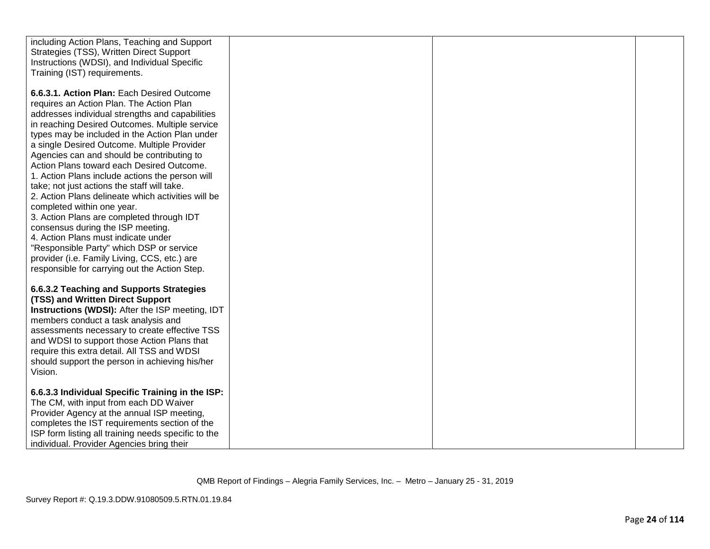| including Action Plans, Teaching and Support<br>Strategies (TSS), Written Direct Support         |  |  |
|--------------------------------------------------------------------------------------------------|--|--|
| Instructions (WDSI), and Individual Specific<br>Training (IST) requirements.                     |  |  |
| 6.6.3.1. Action Plan: Each Desired Outcome<br>requires an Action Plan. The Action Plan           |  |  |
| addresses individual strengths and capabilities                                                  |  |  |
| in reaching Desired Outcomes. Multiple service                                                   |  |  |
| types may be included in the Action Plan under<br>a single Desired Outcome. Multiple Provider    |  |  |
| Agencies can and should be contributing to                                                       |  |  |
| Action Plans toward each Desired Outcome.<br>1. Action Plans include actions the person will     |  |  |
| take; not just actions the staff will take.                                                      |  |  |
| 2. Action Plans delineate which activities will be<br>completed within one year.                 |  |  |
| 3. Action Plans are completed through IDT                                                        |  |  |
| consensus during the ISP meeting.                                                                |  |  |
| 4. Action Plans must indicate under<br>"Responsible Party" which DSP or service                  |  |  |
| provider (i.e. Family Living, CCS, etc.) are                                                     |  |  |
| responsible for carrying out the Action Step.                                                    |  |  |
| 6.6.3.2 Teaching and Supports Strategies                                                         |  |  |
| (TSS) and Written Direct Support<br>Instructions (WDSI): After the ISP meeting, IDT              |  |  |
| members conduct a task analysis and                                                              |  |  |
| assessments necessary to create effective TSS<br>and WDSI to support those Action Plans that     |  |  |
| require this extra detail. All TSS and WDSI                                                      |  |  |
| should support the person in achieving his/her<br>Vision.                                        |  |  |
|                                                                                                  |  |  |
| 6.6.3.3 Individual Specific Training in the ISP:<br>The CM, with input from each DD Waiver       |  |  |
| Provider Agency at the annual ISP meeting,                                                       |  |  |
| completes the IST requirements section of the                                                    |  |  |
| ISP form listing all training needs specific to the<br>individual. Provider Agencies bring their |  |  |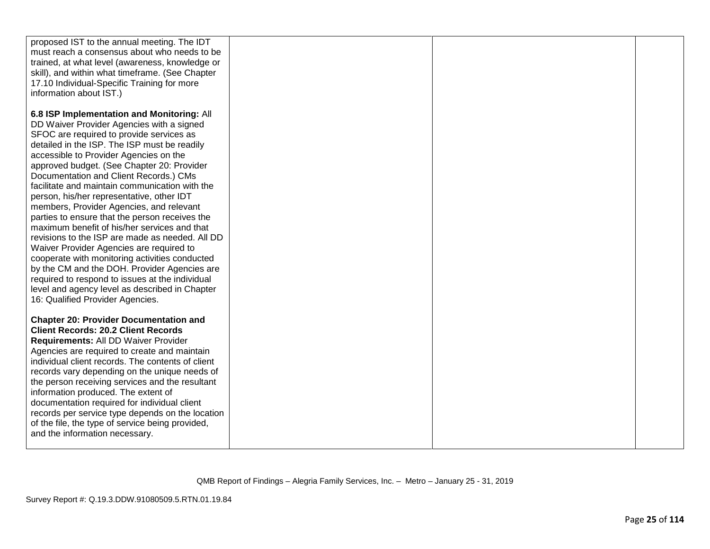| proposed IST to the annual meeting. The IDT<br>must reach a consensus about who needs to be<br>trained, at what level (awareness, knowledge or<br>skill), and within what timeframe. (See Chapter<br>17.10 Individual-Specific Training for more<br>information about IST.)                                                                                                                                                                                                                                                                                                                                                                                                                                                                                                                                                                                                                                  |  |  |
|--------------------------------------------------------------------------------------------------------------------------------------------------------------------------------------------------------------------------------------------------------------------------------------------------------------------------------------------------------------------------------------------------------------------------------------------------------------------------------------------------------------------------------------------------------------------------------------------------------------------------------------------------------------------------------------------------------------------------------------------------------------------------------------------------------------------------------------------------------------------------------------------------------------|--|--|
| 6.8 ISP Implementation and Monitoring: All<br>DD Waiver Provider Agencies with a signed<br>SFOC are required to provide services as<br>detailed in the ISP. The ISP must be readily<br>accessible to Provider Agencies on the<br>approved budget. (See Chapter 20: Provider<br>Documentation and Client Records.) CMs<br>facilitate and maintain communication with the<br>person, his/her representative, other IDT<br>members, Provider Agencies, and relevant<br>parties to ensure that the person receives the<br>maximum benefit of his/her services and that<br>revisions to the ISP are made as needed. All DD<br>Waiver Provider Agencies are required to<br>cooperate with monitoring activities conducted<br>by the CM and the DOH. Provider Agencies are<br>required to respond to issues at the individual<br>level and agency level as described in Chapter<br>16: Qualified Provider Agencies. |  |  |
| <b>Chapter 20: Provider Documentation and</b><br><b>Client Records: 20.2 Client Records</b><br>Requirements: All DD Waiver Provider<br>Agencies are required to create and maintain<br>individual client records. The contents of client<br>records vary depending on the unique needs of<br>the person receiving services and the resultant<br>information produced. The extent of<br>documentation required for individual client<br>records per service type depends on the location<br>of the file, the type of service being provided,<br>and the information necessary.                                                                                                                                                                                                                                                                                                                                |  |  |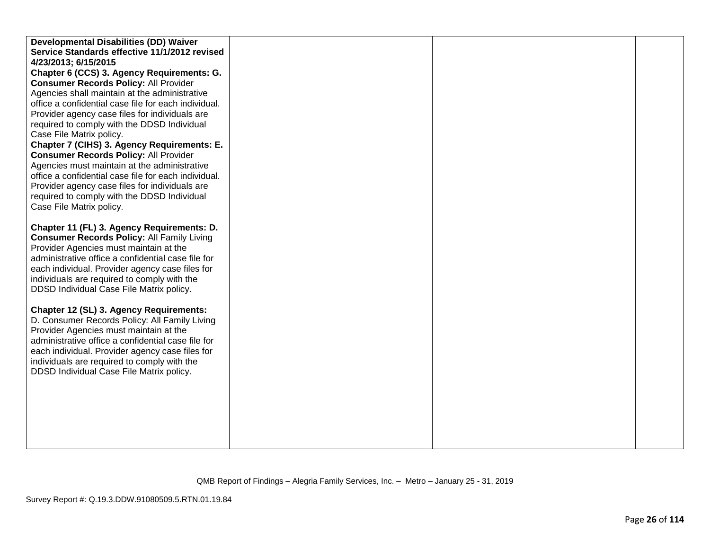| Developmental Disabilities (DD) Waiver               |  |  |
|------------------------------------------------------|--|--|
| Service Standards effective 11/1/2012 revised        |  |  |
| 4/23/2013; 6/15/2015                                 |  |  |
| Chapter 6 (CCS) 3. Agency Requirements: G.           |  |  |
| <b>Consumer Records Policy: All Provider</b>         |  |  |
| Agencies shall maintain at the administrative        |  |  |
| office a confidential case file for each individual. |  |  |
| Provider agency case files for individuals are       |  |  |
| required to comply with the DDSD Individual          |  |  |
| Case File Matrix policy.                             |  |  |
| Chapter 7 (CIHS) 3. Agency Requirements: E.          |  |  |
| <b>Consumer Records Policy: All Provider</b>         |  |  |
| Agencies must maintain at the administrative         |  |  |
| office a confidential case file for each individual. |  |  |
| Provider agency case files for individuals are       |  |  |
| required to comply with the DDSD Individual          |  |  |
| Case File Matrix policy.                             |  |  |
|                                                      |  |  |
| Chapter 11 (FL) 3. Agency Requirements: D.           |  |  |
| <b>Consumer Records Policy: All Family Living</b>    |  |  |
| Provider Agencies must maintain at the               |  |  |
| administrative office a confidential case file for   |  |  |
| each individual. Provider agency case files for      |  |  |
| individuals are required to comply with the          |  |  |
| DDSD Individual Case File Matrix policy.             |  |  |
| Chapter 12 (SL) 3. Agency Requirements:              |  |  |
| D. Consumer Records Policy: All Family Living        |  |  |
| Provider Agencies must maintain at the               |  |  |
| administrative office a confidential case file for   |  |  |
| each individual. Provider agency case files for      |  |  |
| individuals are required to comply with the          |  |  |
| DDSD Individual Case File Matrix policy.             |  |  |
|                                                      |  |  |
|                                                      |  |  |
|                                                      |  |  |
|                                                      |  |  |
|                                                      |  |  |
|                                                      |  |  |
|                                                      |  |  |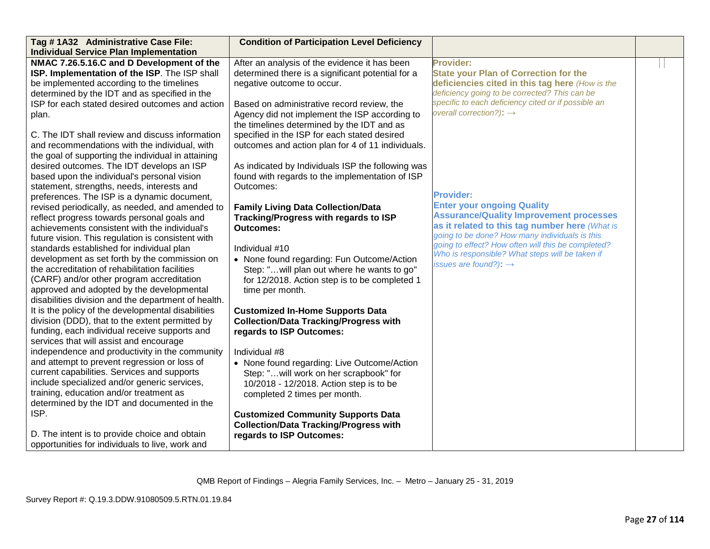| Tag #1A32 Administrative Case File:                 | <b>Condition of Participation Level Deficiency</b> |                                                                                      |  |
|-----------------------------------------------------|----------------------------------------------------|--------------------------------------------------------------------------------------|--|
| <b>Individual Service Plan Implementation</b>       |                                                    |                                                                                      |  |
| NMAC 7.26.5.16.C and D Development of the           | After an analysis of the evidence it has been      | <b>Provider:</b>                                                                     |  |
| ISP. Implementation of the ISP. The ISP shall       | determined there is a significant potential for a  | <b>State your Plan of Correction for the</b>                                         |  |
| be implemented according to the timelines           | negative outcome to occur.                         | deficiencies cited in this tag here (How is the                                      |  |
| determined by the IDT and as specified in the       |                                                    | deficiency going to be corrected? This can be                                        |  |
| ISP for each stated desired outcomes and action     | Based on administrative record review, the         | specific to each deficiency cited or if possible an                                  |  |
| plan.                                               | Agency did not implement the ISP according to      | overall correction?): $\rightarrow$                                                  |  |
|                                                     | the timelines determined by the IDT and as         |                                                                                      |  |
| C. The IDT shall review and discuss information     | specified in the ISP for each stated desired       |                                                                                      |  |
| and recommendations with the individual, with       | outcomes and action plan for 4 of 11 individuals.  |                                                                                      |  |
| the goal of supporting the individual in attaining  |                                                    |                                                                                      |  |
| desired outcomes. The IDT develops an ISP           | As indicated by Individuals ISP the following was  |                                                                                      |  |
| based upon the individual's personal vision         | found with regards to the implementation of ISP    |                                                                                      |  |
| statement, strengths, needs, interests and          | Outcomes:                                          |                                                                                      |  |
| preferences. The ISP is a dynamic document,         |                                                    | <b>Provider:</b>                                                                     |  |
| revised periodically, as needed, and amended to     | <b>Family Living Data Collection/Data</b>          | <b>Enter your ongoing Quality</b>                                                    |  |
| reflect progress towards personal goals and         | Tracking/Progress with regards to ISP              | <b>Assurance/Quality Improvement processes</b>                                       |  |
| achievements consistent with the individual's       | <b>Outcomes:</b>                                   | as it related to this tag number here (What is                                       |  |
| future vision. This regulation is consistent with   |                                                    | going to be done? How many individuals is this                                       |  |
| standards established for individual plan           | Individual #10                                     | going to effect? How often will this be completed?                                   |  |
| development as set forth by the commission on       | • None found regarding: Fun Outcome/Action         | Who is responsible? What steps will be taken if<br>issues are found?): $\rightarrow$ |  |
| the accreditation of rehabilitation facilities      | Step: " will plan out where he wants to go"        |                                                                                      |  |
| (CARF) and/or other program accreditation           | for 12/2018. Action step is to be completed 1      |                                                                                      |  |
| approved and adopted by the developmental           | time per month.                                    |                                                                                      |  |
| disabilities division and the department of health. |                                                    |                                                                                      |  |
| It is the policy of the developmental disabilities  | <b>Customized In-Home Supports Data</b>            |                                                                                      |  |
| division (DDD), that to the extent permitted by     | <b>Collection/Data Tracking/Progress with</b>      |                                                                                      |  |
| funding, each individual receive supports and       | regards to ISP Outcomes:                           |                                                                                      |  |
| services that will assist and encourage             |                                                    |                                                                                      |  |
| independence and productivity in the community      | Individual #8                                      |                                                                                      |  |
| and attempt to prevent regression or loss of        | • None found regarding: Live Outcome/Action        |                                                                                      |  |
| current capabilities. Services and supports         | Step: "will work on her scrapbook" for             |                                                                                      |  |
| include specialized and/or generic services,        | 10/2018 - 12/2018. Action step is to be            |                                                                                      |  |
| training, education and/or treatment as             | completed 2 times per month.                       |                                                                                      |  |
| determined by the IDT and documented in the         |                                                    |                                                                                      |  |
| ISP.                                                | <b>Customized Community Supports Data</b>          |                                                                                      |  |
|                                                     | <b>Collection/Data Tracking/Progress with</b>      |                                                                                      |  |
| D. The intent is to provide choice and obtain       | regards to ISP Outcomes:                           |                                                                                      |  |
| opportunities for individuals to live, work and     |                                                    |                                                                                      |  |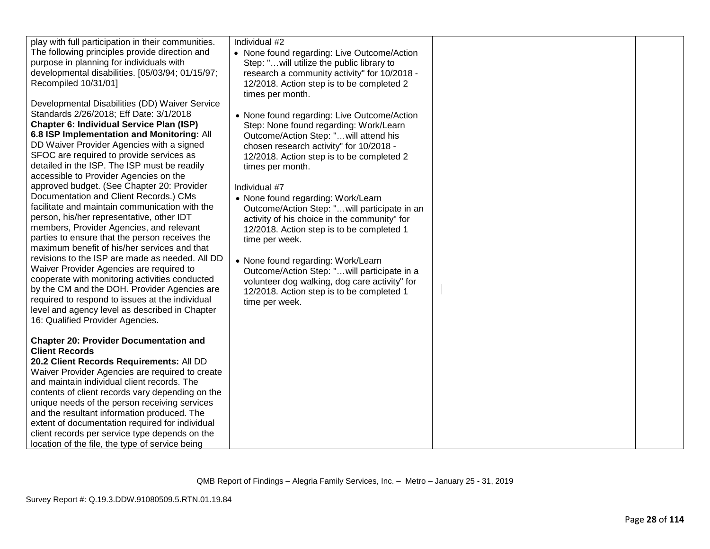| play with full participation in their communities.<br>The following principles provide direction and<br>purpose in planning for individuals with<br>developmental disabilities. [05/03/94; 01/15/97;<br>Recompiled 10/31/01]<br>Developmental Disabilities (DD) Waiver Service<br>Standards 2/26/2018; Eff Date: 3/1/2018<br>Chapter 6: Individual Service Plan (ISP)<br>6.8 ISP Implementation and Monitoring: All<br>DD Waiver Provider Agencies with a signed<br>SFOC are required to provide services as<br>detailed in the ISP. The ISP must be readily<br>accessible to Provider Agencies on the<br>approved budget. (See Chapter 20: Provider<br>Documentation and Client Records.) CMs<br>facilitate and maintain communication with the<br>person, his/her representative, other IDT<br>members, Provider Agencies, and relevant<br>parties to ensure that the person receives the<br>maximum benefit of his/her services and that<br>revisions to the ISP are made as needed. All DD<br>Waiver Provider Agencies are required to<br>cooperate with monitoring activities conducted<br>by the CM and the DOH. Provider Agencies are<br>required to respond to issues at the individual<br>level and agency level as described in Chapter<br>16: Qualified Provider Agencies.<br><b>Chapter 20: Provider Documentation and</b><br><b>Client Records</b><br>20.2 Client Records Requirements: All DD<br>Waiver Provider Agencies are required to create<br>and maintain individual client records. The<br>contents of client records vary depending on the<br>unique needs of the person receiving services<br>and the resultant information produced. The<br>extent of documentation required for individual<br>client records per service type depends on the<br>location of the file, the type of service being | Individual #2<br>• None found regarding: Live Outcome/Action<br>Step: "will utilize the public library to<br>research a community activity" for 10/2018 -<br>12/2018. Action step is to be completed 2<br>times per month.<br>• None found regarding: Live Outcome/Action<br>Step: None found regarding: Work/Learn<br>Outcome/Action Step: "will attend his<br>chosen research activity" for 10/2018 -<br>12/2018. Action step is to be completed 2<br>times per month.<br>Individual #7<br>• None found regarding: Work/Learn<br>Outcome/Action Step: "will participate in an<br>activity of his choice in the community" for<br>12/2018. Action step is to be completed 1<br>time per week.<br>• None found regarding: Work/Learn<br>Outcome/Action Step: "will participate in a<br>volunteer dog walking, dog care activity" for<br>12/2018. Action step is to be completed 1<br>time per week. |  |  |
|---------------------------------------------------------------------------------------------------------------------------------------------------------------------------------------------------------------------------------------------------------------------------------------------------------------------------------------------------------------------------------------------------------------------------------------------------------------------------------------------------------------------------------------------------------------------------------------------------------------------------------------------------------------------------------------------------------------------------------------------------------------------------------------------------------------------------------------------------------------------------------------------------------------------------------------------------------------------------------------------------------------------------------------------------------------------------------------------------------------------------------------------------------------------------------------------------------------------------------------------------------------------------------------------------------------------------------------------------------------------------------------------------------------------------------------------------------------------------------------------------------------------------------------------------------------------------------------------------------------------------------------------------------------------------------------------------------------------------------------------------------------------------------------------------------------------------|-----------------------------------------------------------------------------------------------------------------------------------------------------------------------------------------------------------------------------------------------------------------------------------------------------------------------------------------------------------------------------------------------------------------------------------------------------------------------------------------------------------------------------------------------------------------------------------------------------------------------------------------------------------------------------------------------------------------------------------------------------------------------------------------------------------------------------------------------------------------------------------------------------|--|--|
|---------------------------------------------------------------------------------------------------------------------------------------------------------------------------------------------------------------------------------------------------------------------------------------------------------------------------------------------------------------------------------------------------------------------------------------------------------------------------------------------------------------------------------------------------------------------------------------------------------------------------------------------------------------------------------------------------------------------------------------------------------------------------------------------------------------------------------------------------------------------------------------------------------------------------------------------------------------------------------------------------------------------------------------------------------------------------------------------------------------------------------------------------------------------------------------------------------------------------------------------------------------------------------------------------------------------------------------------------------------------------------------------------------------------------------------------------------------------------------------------------------------------------------------------------------------------------------------------------------------------------------------------------------------------------------------------------------------------------------------------------------------------------------------------------------------------------|-----------------------------------------------------------------------------------------------------------------------------------------------------------------------------------------------------------------------------------------------------------------------------------------------------------------------------------------------------------------------------------------------------------------------------------------------------------------------------------------------------------------------------------------------------------------------------------------------------------------------------------------------------------------------------------------------------------------------------------------------------------------------------------------------------------------------------------------------------------------------------------------------------|--|--|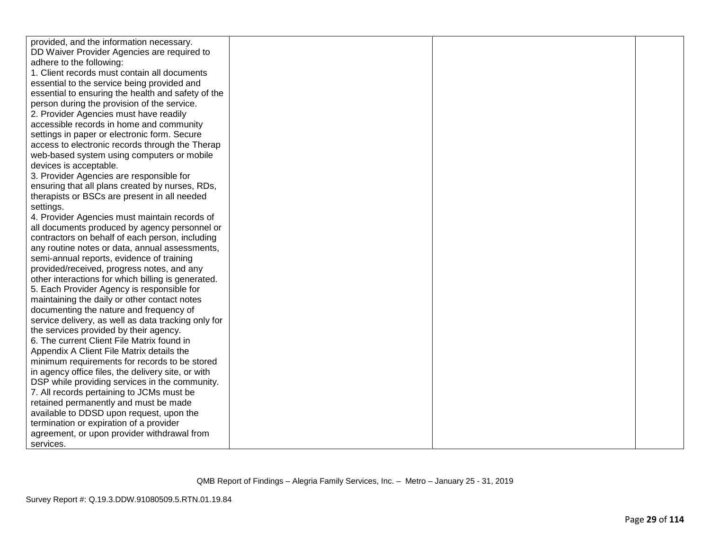| provided, and the information necessary.            |  |  |
|-----------------------------------------------------|--|--|
| DD Waiver Provider Agencies are required to         |  |  |
| adhere to the following:                            |  |  |
| 1. Client records must contain all documents        |  |  |
| essential to the service being provided and         |  |  |
| essential to ensuring the health and safety of the  |  |  |
| person during the provision of the service.         |  |  |
| 2. Provider Agencies must have readily              |  |  |
| accessible records in home and community            |  |  |
| settings in paper or electronic form. Secure        |  |  |
| access to electronic records through the Therap     |  |  |
| web-based system using computers or mobile          |  |  |
| devices is acceptable.                              |  |  |
| 3. Provider Agencies are responsible for            |  |  |
| ensuring that all plans created by nurses, RDs,     |  |  |
| therapists or BSCs are present in all needed        |  |  |
| settings.                                           |  |  |
| 4. Provider Agencies must maintain records of       |  |  |
| all documents produced by agency personnel or       |  |  |
| contractors on behalf of each person, including     |  |  |
| any routine notes or data, annual assessments,      |  |  |
| semi-annual reports, evidence of training           |  |  |
| provided/received, progress notes, and any          |  |  |
| other interactions for which billing is generated.  |  |  |
| 5. Each Provider Agency is responsible for          |  |  |
| maintaining the daily or other contact notes        |  |  |
| documenting the nature and frequency of             |  |  |
| service delivery, as well as data tracking only for |  |  |
| the services provided by their agency.              |  |  |
| 6. The current Client File Matrix found in          |  |  |
| Appendix A Client File Matrix details the           |  |  |
| minimum requirements for records to be stored       |  |  |
| in agency office files, the delivery site, or with  |  |  |
| DSP while providing services in the community.      |  |  |
| 7. All records pertaining to JCMs must be           |  |  |
| retained permanently and must be made               |  |  |
| available to DDSD upon request, upon the            |  |  |
| termination or expiration of a provider             |  |  |
| agreement, or upon provider withdrawal from         |  |  |
| services.                                           |  |  |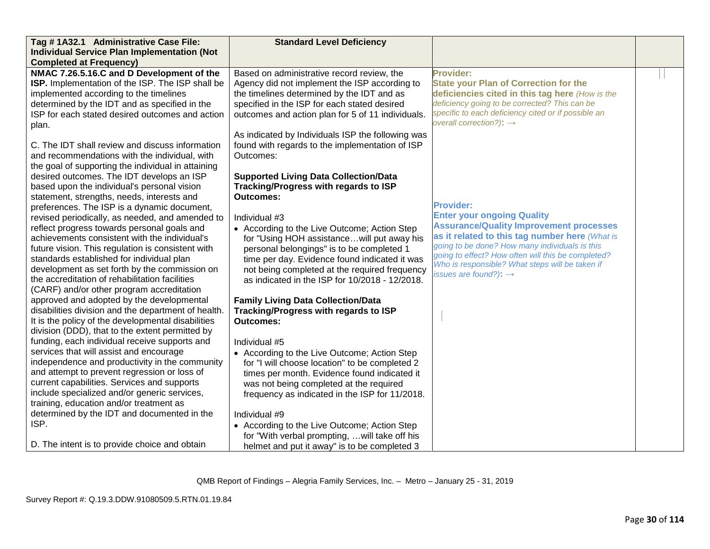| Tag #1A32.1 Administrative Case File:                   | <b>Standard Level Deficiency</b>                  |                                                                                                      |  |
|---------------------------------------------------------|---------------------------------------------------|------------------------------------------------------------------------------------------------------|--|
| <b>Individual Service Plan Implementation (Not</b>      |                                                   |                                                                                                      |  |
| <b>Completed at Frequency)</b>                          |                                                   |                                                                                                      |  |
| NMAC 7.26.5.16.C and D Development of the               | Based on administrative record review, the        | <b>Provider:</b>                                                                                     |  |
| <b>ISP.</b> Implementation of the ISP. The ISP shall be | Agency did not implement the ISP according to     | <b>State your Plan of Correction for the</b>                                                         |  |
| implemented according to the timelines                  | the timelines determined by the IDT and as        | deficiencies cited in this tag here (How is the                                                      |  |
| determined by the IDT and as specified in the           | specified in the ISP for each stated desired      | deficiency going to be corrected? This can be                                                        |  |
| ISP for each stated desired outcomes and action         | outcomes and action plan for 5 of 11 individuals. | specific to each deficiency cited or if possible an                                                  |  |
| plan.                                                   |                                                   | overall correction?): $\rightarrow$                                                                  |  |
|                                                         | As indicated by Individuals ISP the following was |                                                                                                      |  |
| C. The IDT shall review and discuss information         | found with regards to the implementation of ISP   |                                                                                                      |  |
| and recommendations with the individual, with           | Outcomes:                                         |                                                                                                      |  |
| the goal of supporting the individual in attaining      |                                                   |                                                                                                      |  |
| desired outcomes. The IDT develops an ISP               | <b>Supported Living Data Collection/Data</b>      |                                                                                                      |  |
| based upon the individual's personal vision             | Tracking/Progress with regards to ISP             |                                                                                                      |  |
| statement, strengths, needs, interests and              | <b>Outcomes:</b>                                  |                                                                                                      |  |
| preferences. The ISP is a dynamic document,             |                                                   | <b>Provider:</b>                                                                                     |  |
| revised periodically, as needed, and amended to         | Individual #3                                     | <b>Enter your ongoing Quality</b>                                                                    |  |
| reflect progress towards personal goals and             | • According to the Live Outcome; Action Step      | <b>Assurance/Quality Improvement processes</b>                                                       |  |
| achievements consistent with the individual's           | for "Using HOH assistancewill put away his        | as it related to this tag number here (What is                                                       |  |
| future vision. This regulation is consistent with       | personal belongings" is to be completed 1         | going to be done? How many individuals is this<br>going to effect? How often will this be completed? |  |
| standards established for individual plan               | time per day. Evidence found indicated it was     | Who is responsible? What steps will be taken if                                                      |  |
| development as set forth by the commission on           | not being completed at the required frequency     | issues are found?): $\rightarrow$                                                                    |  |
| the accreditation of rehabilitation facilities          | as indicated in the ISP for 10/2018 - 12/2018.    |                                                                                                      |  |
| (CARF) and/or other program accreditation               |                                                   |                                                                                                      |  |
| approved and adopted by the developmental               | <b>Family Living Data Collection/Data</b>         |                                                                                                      |  |
| disabilities division and the department of health.     | Tracking/Progress with regards to ISP             |                                                                                                      |  |
| It is the policy of the developmental disabilities      | <b>Outcomes:</b>                                  |                                                                                                      |  |
| division (DDD), that to the extent permitted by         |                                                   |                                                                                                      |  |
| funding, each individual receive supports and           | Individual #5                                     |                                                                                                      |  |
| services that will assist and encourage                 | • According to the Live Outcome; Action Step      |                                                                                                      |  |
| independence and productivity in the community          | for "I will choose location" to be completed 2    |                                                                                                      |  |
| and attempt to prevent regression or loss of            | times per month. Evidence found indicated it      |                                                                                                      |  |
| current capabilities. Services and supports             | was not being completed at the required           |                                                                                                      |  |
| include specialized and/or generic services,            | frequency as indicated in the ISP for 11/2018.    |                                                                                                      |  |
| training, education and/or treatment as                 |                                                   |                                                                                                      |  |
| determined by the IDT and documented in the             | Individual #9                                     |                                                                                                      |  |
| ISP.                                                    | • According to the Live Outcome; Action Step      |                                                                                                      |  |
|                                                         | for "With verbal prompting,  will take off his    |                                                                                                      |  |
| D. The intent is to provide choice and obtain           | helmet and put it away" is to be completed 3      |                                                                                                      |  |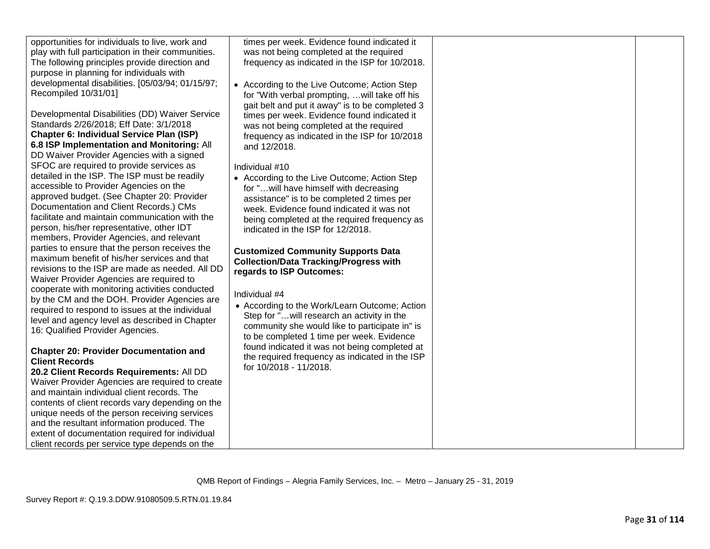| opportunities for individuals to live, work and    | times per week. Evidence found indicated it     |  |
|----------------------------------------------------|-------------------------------------------------|--|
| play with full participation in their communities. | was not being completed at the required         |  |
| The following principles provide direction and     | frequency as indicated in the ISP for 10/2018.  |  |
| purpose in planning for individuals with           |                                                 |  |
| developmental disabilities. [05/03/94; 01/15/97;   | • According to the Live Outcome; Action Step    |  |
| Recompiled 10/31/01]                               | for "With verbal prompting,  will take off his  |  |
|                                                    | gait belt and put it away" is to be completed 3 |  |
| Developmental Disabilities (DD) Waiver Service     | times per week. Evidence found indicated it     |  |
| Standards 2/26/2018; Eff Date: 3/1/2018            | was not being completed at the required         |  |
| <b>Chapter 6: Individual Service Plan (ISP)</b>    | frequency as indicated in the ISP for 10/2018   |  |
| 6.8 ISP Implementation and Monitoring: All         | and 12/2018.                                    |  |
| DD Waiver Provider Agencies with a signed          |                                                 |  |
| SFOC are required to provide services as           | Individual #10                                  |  |
| detailed in the ISP. The ISP must be readily       | • According to the Live Outcome; Action Step    |  |
| accessible to Provider Agencies on the             | for " will have himself with decreasing         |  |
| approved budget. (See Chapter 20: Provider         | assistance" is to be completed 2 times per      |  |
| Documentation and Client Records.) CMs             | week. Evidence found indicated it was not       |  |
| facilitate and maintain communication with the     |                                                 |  |
| person, his/her representative, other IDT          | being completed at the required frequency as    |  |
| members, Provider Agencies, and relevant           | indicated in the ISP for 12/2018.               |  |
| parties to ensure that the person receives the     |                                                 |  |
| maximum benefit of his/her services and that       | <b>Customized Community Supports Data</b>       |  |
| revisions to the ISP are made as needed. All DD    | <b>Collection/Data Tracking/Progress with</b>   |  |
| Waiver Provider Agencies are required to           | regards to ISP Outcomes:                        |  |
| cooperate with monitoring activities conducted     |                                                 |  |
| by the CM and the DOH. Provider Agencies are       | Individual #4                                   |  |
|                                                    | • According to the Work/Learn Outcome; Action   |  |
| required to respond to issues at the individual    | Step for " will research an activity in the     |  |
| level and agency level as described in Chapter     | community she would like to participate in" is  |  |
| 16: Qualified Provider Agencies.                   | to be completed 1 time per week. Evidence       |  |
|                                                    | found indicated it was not being completed at   |  |
| <b>Chapter 20: Provider Documentation and</b>      | the required frequency as indicated in the ISP  |  |
| <b>Client Records</b>                              | for 10/2018 - 11/2018.                          |  |
| 20.2 Client Records Requirements: All DD           |                                                 |  |
| Waiver Provider Agencies are required to create    |                                                 |  |
| and maintain individual client records. The        |                                                 |  |
| contents of client records vary depending on the   |                                                 |  |
| unique needs of the person receiving services      |                                                 |  |
| and the resultant information produced. The        |                                                 |  |
| extent of documentation required for individual    |                                                 |  |
| client records per service type depends on the     |                                                 |  |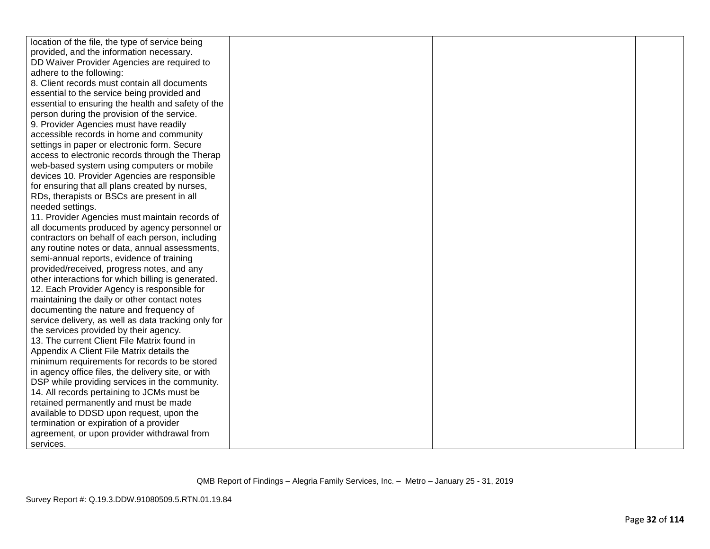| location of the file, the type of service being     |  |  |
|-----------------------------------------------------|--|--|
| provided, and the information necessary.            |  |  |
| DD Waiver Provider Agencies are required to         |  |  |
| adhere to the following:                            |  |  |
| 8. Client records must contain all documents        |  |  |
| essential to the service being provided and         |  |  |
| essential to ensuring the health and safety of the  |  |  |
| person during the provision of the service.         |  |  |
| 9. Provider Agencies must have readily              |  |  |
| accessible records in home and community            |  |  |
| settings in paper or electronic form. Secure        |  |  |
| access to electronic records through the Therap     |  |  |
| web-based system using computers or mobile          |  |  |
| devices 10. Provider Agencies are responsible       |  |  |
| for ensuring that all plans created by nurses,      |  |  |
| RDs, therapists or BSCs are present in all          |  |  |
| needed settings.                                    |  |  |
| 11. Provider Agencies must maintain records of      |  |  |
| all documents produced by agency personnel or       |  |  |
| contractors on behalf of each person, including     |  |  |
| any routine notes or data, annual assessments,      |  |  |
| semi-annual reports, evidence of training           |  |  |
| provided/received, progress notes, and any          |  |  |
| other interactions for which billing is generated.  |  |  |
| 12. Each Provider Agency is responsible for         |  |  |
| maintaining the daily or other contact notes        |  |  |
| documenting the nature and frequency of             |  |  |
| service delivery, as well as data tracking only for |  |  |
| the services provided by their agency.              |  |  |
| 13. The current Client File Matrix found in         |  |  |
| Appendix A Client File Matrix details the           |  |  |
| minimum requirements for records to be stored       |  |  |
| in agency office files, the delivery site, or with  |  |  |
| DSP while providing services in the community.      |  |  |
| 14. All records pertaining to JCMs must be          |  |  |
| retained permanently and must be made               |  |  |
| available to DDSD upon request, upon the            |  |  |
| termination or expiration of a provider             |  |  |
| agreement, or upon provider withdrawal from         |  |  |
| services.                                           |  |  |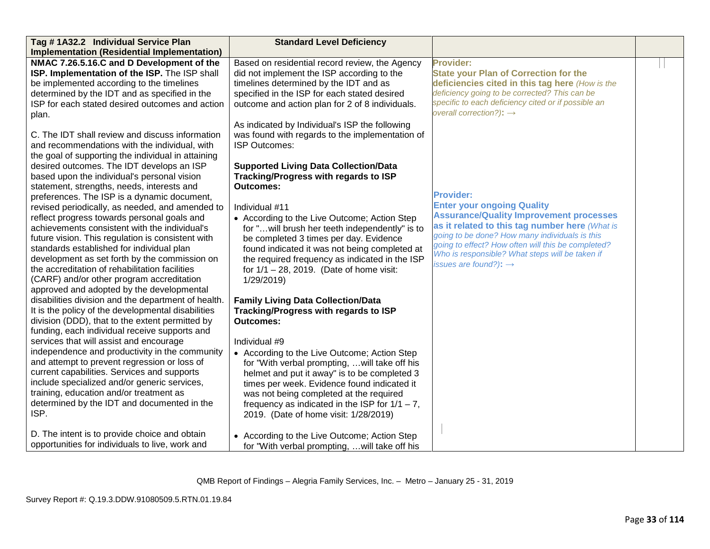| Tag #1A32.2 Individual Service Plan                 | <b>Standard Level Deficiency</b>                  |                                                     |  |
|-----------------------------------------------------|---------------------------------------------------|-----------------------------------------------------|--|
| <b>Implementation (Residential Implementation)</b>  |                                                   |                                                     |  |
| NMAC 7.26.5.16.C and D Development of the           | Based on residential record review, the Agency    | <b>Provider:</b>                                    |  |
| ISP. Implementation of the ISP. The ISP shall       | did not implement the ISP according to the        | <b>State your Plan of Correction for the</b>        |  |
| be implemented according to the timelines           | timelines determined by the IDT and as            | deficiencies cited in this tag here (How is the     |  |
| determined by the IDT and as specified in the       | specified in the ISP for each stated desired      | deficiency going to be corrected? This can be       |  |
| ISP for each stated desired outcomes and action     | outcome and action plan for 2 of 8 individuals.   | specific to each deficiency cited or if possible an |  |
| plan.                                               |                                                   | overall correction?): $\rightarrow$                 |  |
|                                                     | As indicated by Individual's ISP the following    |                                                     |  |
| C. The IDT shall review and discuss information     | was found with regards to the implementation of   |                                                     |  |
| and recommendations with the individual, with       | ISP Outcomes:                                     |                                                     |  |
| the goal of supporting the individual in attaining  |                                                   |                                                     |  |
| desired outcomes. The IDT develops an ISP           | <b>Supported Living Data Collection/Data</b>      |                                                     |  |
| based upon the individual's personal vision         | Tracking/Progress with regards to ISP             |                                                     |  |
| statement, strengths, needs, interests and          | <b>Outcomes:</b>                                  |                                                     |  |
| preferences. The ISP is a dynamic document,         |                                                   | <b>Provider:</b>                                    |  |
| revised periodically, as needed, and amended to     | Individual #11                                    | <b>Enter your ongoing Quality</b>                   |  |
| reflect progress towards personal goals and         | • According to the Live Outcome; Action Step      | <b>Assurance/Quality Improvement processes</b>      |  |
| achievements consistent with the individual's       | for " will brush her teeth independently" is to   | as it related to this tag number here (What is      |  |
| future vision. This regulation is consistent with   | be completed 3 times per day. Evidence            | going to be done? How many individuals is this      |  |
| standards established for individual plan           | found indicated it was not being completed at     | going to effect? How often will this be completed?  |  |
| development as set forth by the commission on       | the required frequency as indicated in the ISP    | Who is responsible? What steps will be taken if     |  |
| the accreditation of rehabilitation facilities      | for $1/1 - 28$ , 2019. (Date of home visit:       | issues are found?): $\rightarrow$                   |  |
| (CARF) and/or other program accreditation           | 1/29/2019)                                        |                                                     |  |
| approved and adopted by the developmental           |                                                   |                                                     |  |
| disabilities division and the department of health. | <b>Family Living Data Collection/Data</b>         |                                                     |  |
| It is the policy of the developmental disabilities  | Tracking/Progress with regards to ISP             |                                                     |  |
| division (DDD), that to the extent permitted by     | <b>Outcomes:</b>                                  |                                                     |  |
| funding, each individual receive supports and       |                                                   |                                                     |  |
| services that will assist and encourage             | Individual #9                                     |                                                     |  |
| independence and productivity in the community      | • According to the Live Outcome; Action Step      |                                                     |  |
| and attempt to prevent regression or loss of        | for "With verbal prompting,  will take off his    |                                                     |  |
| current capabilities. Services and supports         | helmet and put it away" is to be completed 3      |                                                     |  |
| include specialized and/or generic services,        | times per week. Evidence found indicated it       |                                                     |  |
| training, education and/or treatment as             | was not being completed at the required           |                                                     |  |
| determined by the IDT and documented in the         | frequency as indicated in the ISP for $1/1 - 7$ , |                                                     |  |
| ISP.                                                | 2019. (Date of home visit: 1/28/2019)             |                                                     |  |
|                                                     |                                                   |                                                     |  |
| D. The intent is to provide choice and obtain       | • According to the Live Outcome; Action Step      |                                                     |  |
| opportunities for individuals to live, work and     | for "With verbal prompting,  will take off his    |                                                     |  |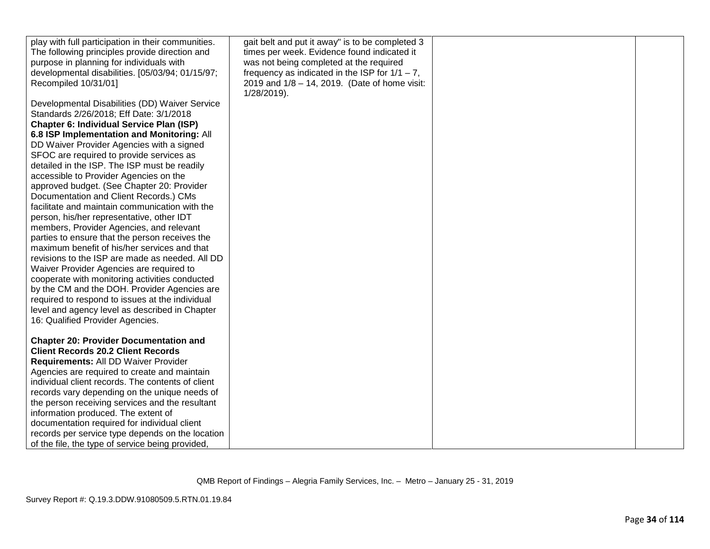| play with full participation in their communities.<br>The following principles provide direction and<br>purpose in planning for individuals with | gait belt and put it away" is to be completed 3<br>times per week. Evidence found indicated it<br>was not being completed at the required |  |
|--------------------------------------------------------------------------------------------------------------------------------------------------|-------------------------------------------------------------------------------------------------------------------------------------------|--|
| developmental disabilities. [05/03/94; 01/15/97;<br>Recompiled 10/31/01]                                                                         | frequency as indicated in the ISP for $1/1 - 7$ ,<br>2019 and 1/8 - 14, 2019. (Date of home visit:<br>1/28/2019).                         |  |
| Developmental Disabilities (DD) Waiver Service<br>Standards 2/26/2018; Eff Date: 3/1/2018                                                        |                                                                                                                                           |  |
| Chapter 6: Individual Service Plan (ISP)                                                                                                         |                                                                                                                                           |  |
| 6.8 ISP Implementation and Monitoring: All                                                                                                       |                                                                                                                                           |  |
| DD Waiver Provider Agencies with a signed                                                                                                        |                                                                                                                                           |  |
| SFOC are required to provide services as                                                                                                         |                                                                                                                                           |  |
| detailed in the ISP. The ISP must be readily                                                                                                     |                                                                                                                                           |  |
| accessible to Provider Agencies on the                                                                                                           |                                                                                                                                           |  |
| approved budget. (See Chapter 20: Provider                                                                                                       |                                                                                                                                           |  |
| Documentation and Client Records.) CMs                                                                                                           |                                                                                                                                           |  |
| facilitate and maintain communication with the                                                                                                   |                                                                                                                                           |  |
| person, his/her representative, other IDT<br>members, Provider Agencies, and relevant                                                            |                                                                                                                                           |  |
| parties to ensure that the person receives the                                                                                                   |                                                                                                                                           |  |
| maximum benefit of his/her services and that                                                                                                     |                                                                                                                                           |  |
| revisions to the ISP are made as needed. All DD                                                                                                  |                                                                                                                                           |  |
| Waiver Provider Agencies are required to                                                                                                         |                                                                                                                                           |  |
| cooperate with monitoring activities conducted                                                                                                   |                                                                                                                                           |  |
| by the CM and the DOH. Provider Agencies are                                                                                                     |                                                                                                                                           |  |
| required to respond to issues at the individual                                                                                                  |                                                                                                                                           |  |
| level and agency level as described in Chapter                                                                                                   |                                                                                                                                           |  |
| 16: Qualified Provider Agencies.                                                                                                                 |                                                                                                                                           |  |
|                                                                                                                                                  |                                                                                                                                           |  |
| <b>Chapter 20: Provider Documentation and</b><br><b>Client Records 20.2 Client Records</b>                                                       |                                                                                                                                           |  |
| Requirements: All DD Waiver Provider                                                                                                             |                                                                                                                                           |  |
| Agencies are required to create and maintain                                                                                                     |                                                                                                                                           |  |
| individual client records. The contents of client                                                                                                |                                                                                                                                           |  |
| records vary depending on the unique needs of                                                                                                    |                                                                                                                                           |  |
| the person receiving services and the resultant                                                                                                  |                                                                                                                                           |  |
| information produced. The extent of                                                                                                              |                                                                                                                                           |  |
| documentation required for individual client                                                                                                     |                                                                                                                                           |  |
| records per service type depends on the location                                                                                                 |                                                                                                                                           |  |
| of the file, the type of service being provided,                                                                                                 |                                                                                                                                           |  |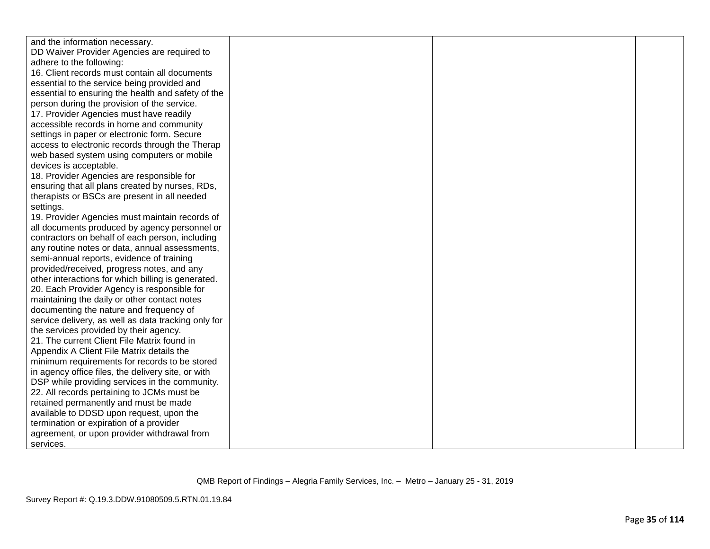| and the information necessary.<br>DD Waiver Provider Agencies are required to<br>adhere to the following:<br>16. Client records must contain all documents<br>essential to the service being provided and<br>essential to ensuring the health and safety of the<br>person during the provision of the service. |
|----------------------------------------------------------------------------------------------------------------------------------------------------------------------------------------------------------------------------------------------------------------------------------------------------------------|
|                                                                                                                                                                                                                                                                                                                |
|                                                                                                                                                                                                                                                                                                                |
|                                                                                                                                                                                                                                                                                                                |
|                                                                                                                                                                                                                                                                                                                |
|                                                                                                                                                                                                                                                                                                                |
|                                                                                                                                                                                                                                                                                                                |
|                                                                                                                                                                                                                                                                                                                |
| 17. Provider Agencies must have readily                                                                                                                                                                                                                                                                        |
| accessible records in home and community                                                                                                                                                                                                                                                                       |
| settings in paper or electronic form. Secure                                                                                                                                                                                                                                                                   |
| access to electronic records through the Therap                                                                                                                                                                                                                                                                |
| web based system using computers or mobile                                                                                                                                                                                                                                                                     |
| devices is acceptable.                                                                                                                                                                                                                                                                                         |
| 18. Provider Agencies are responsible for                                                                                                                                                                                                                                                                      |
| ensuring that all plans created by nurses, RDs,                                                                                                                                                                                                                                                                |
| therapists or BSCs are present in all needed                                                                                                                                                                                                                                                                   |
| settings.                                                                                                                                                                                                                                                                                                      |
| 19. Provider Agencies must maintain records of                                                                                                                                                                                                                                                                 |
| all documents produced by agency personnel or                                                                                                                                                                                                                                                                  |
| contractors on behalf of each person, including                                                                                                                                                                                                                                                                |
| any routine notes or data, annual assessments,                                                                                                                                                                                                                                                                 |
| semi-annual reports, evidence of training                                                                                                                                                                                                                                                                      |
| provided/received, progress notes, and any                                                                                                                                                                                                                                                                     |
| other interactions for which billing is generated.                                                                                                                                                                                                                                                             |
| 20. Each Provider Agency is responsible for                                                                                                                                                                                                                                                                    |
| maintaining the daily or other contact notes                                                                                                                                                                                                                                                                   |
| documenting the nature and frequency of                                                                                                                                                                                                                                                                        |
| service delivery, as well as data tracking only for                                                                                                                                                                                                                                                            |
| the services provided by their agency.                                                                                                                                                                                                                                                                         |
| 21. The current Client File Matrix found in                                                                                                                                                                                                                                                                    |
| Appendix A Client File Matrix details the                                                                                                                                                                                                                                                                      |
| minimum requirements for records to be stored                                                                                                                                                                                                                                                                  |
| in agency office files, the delivery site, or with                                                                                                                                                                                                                                                             |
| DSP while providing services in the community.                                                                                                                                                                                                                                                                 |
| 22. All records pertaining to JCMs must be                                                                                                                                                                                                                                                                     |
| retained permanently and must be made                                                                                                                                                                                                                                                                          |
| available to DDSD upon request, upon the                                                                                                                                                                                                                                                                       |
| termination or expiration of a provider                                                                                                                                                                                                                                                                        |
| agreement, or upon provider withdrawal from                                                                                                                                                                                                                                                                    |
| services.                                                                                                                                                                                                                                                                                                      |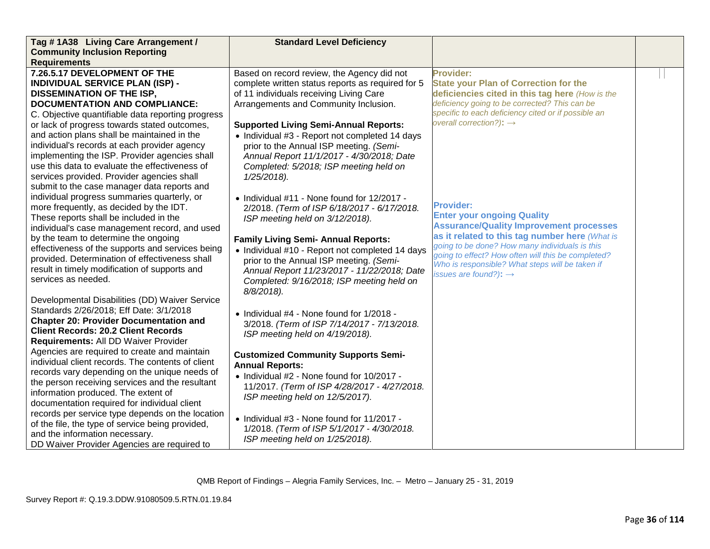| Tag #1A38 Living Care Arrangement /               | <b>Standard Level Deficiency</b>                  |                                                                                                  |  |
|---------------------------------------------------|---------------------------------------------------|--------------------------------------------------------------------------------------------------|--|
| <b>Community Inclusion Reporting</b>              |                                                   |                                                                                                  |  |
| <b>Requirements</b>                               |                                                   |                                                                                                  |  |
| 7.26.5.17 DEVELOPMENT OF THE                      | Based on record review, the Agency did not        | <b>Provider:</b>                                                                                 |  |
| <b>INDIVIDUAL SERVICE PLAN (ISP) -</b>            | complete written status reports as required for 5 | <b>State your Plan of Correction for the</b>                                                     |  |
| <b>DISSEMINATION OF THE ISP,</b>                  | of 11 individuals receiving Living Care           | deficiencies cited in this tag here (How is the                                                  |  |
| <b>DOCUMENTATION AND COMPLIANCE:</b>              | Arrangements and Community Inclusion.             | deficiency going to be corrected? This can be                                                    |  |
| C. Objective quantifiable data reporting progress |                                                   | specific to each deficiency cited or if possible an                                              |  |
| or lack of progress towards stated outcomes,      | <b>Supported Living Semi-Annual Reports:</b>      | overall correction?): $\rightarrow$                                                              |  |
| and action plans shall be maintained in the       | • Individual #3 - Report not completed 14 days    |                                                                                                  |  |
| individual's records at each provider agency      | prior to the Annual ISP meeting. (Semi-           |                                                                                                  |  |
| implementing the ISP. Provider agencies shall     | Annual Report 11/1/2017 - 4/30/2018; Date         |                                                                                                  |  |
| use this data to evaluate the effectiveness of    | Completed: 5/2018; ISP meeting held on            |                                                                                                  |  |
| services provided. Provider agencies shall        | $1/25/2018$ ).                                    |                                                                                                  |  |
| submit to the case manager data reports and       |                                                   |                                                                                                  |  |
| individual progress summaries quarterly, or       | • Individual $#11$ - None found for $12/2017$ -   |                                                                                                  |  |
| more frequently, as decided by the IDT.           | 2/2018. (Term of ISP 6/18/2017 - 6/17/2018.       | <b>Provider:</b>                                                                                 |  |
| These reports shall be included in the            | ISP meeting held on 3/12/2018).                   | <b>Enter your ongoing Quality</b>                                                                |  |
| individual's case management record, and used     |                                                   | <b>Assurance/Quality Improvement processes</b>                                                   |  |
| by the team to determine the ongoing              | <b>Family Living Semi- Annual Reports:</b>        | as it related to this tag number here (What is<br>going to be done? How many individuals is this |  |
| effectiveness of the supports and services being  | • Individual #10 - Report not completed 14 days   | going to effect? How often will this be completed?                                               |  |
| provided. Determination of effectiveness shall    | prior to the Annual ISP meeting. (Semi-           | Who is responsible? What steps will be taken if                                                  |  |
| result in timely modification of supports and     | Annual Report 11/23/2017 - 11/22/2018; Date       | issues are found?): $\rightarrow$                                                                |  |
| services as needed.                               | Completed: 9/16/2018; ISP meeting held on         |                                                                                                  |  |
|                                                   | 8/8/2018).                                        |                                                                                                  |  |
| Developmental Disabilities (DD) Waiver Service    |                                                   |                                                                                                  |  |
| Standards 2/26/2018; Eff Date: 3/1/2018           | • Individual #4 - None found for 1/2018 -         |                                                                                                  |  |
| <b>Chapter 20: Provider Documentation and</b>     | 3/2018. (Term of ISP 7/14/2017 - 7/13/2018.       |                                                                                                  |  |
| <b>Client Records: 20.2 Client Records</b>        | ISP meeting held on 4/19/2018).                   |                                                                                                  |  |
| Requirements: All DD Waiver Provider              |                                                   |                                                                                                  |  |
| Agencies are required to create and maintain      | <b>Customized Community Supports Semi-</b>        |                                                                                                  |  |
| individual client records. The contents of client | <b>Annual Reports:</b>                            |                                                                                                  |  |
| records vary depending on the unique needs of     | • Individual #2 - None found for 10/2017 -        |                                                                                                  |  |
| the person receiving services and the resultant   | 11/2017. (Term of ISP 4/28/2017 - 4/27/2018.      |                                                                                                  |  |
| information produced. The extent of               | ISP meeting held on 12/5/2017).                   |                                                                                                  |  |
| documentation required for individual client      |                                                   |                                                                                                  |  |
| records per service type depends on the location  | • Individual #3 - None found for 11/2017 -        |                                                                                                  |  |
| of the file, the type of service being provided,  | 1/2018. (Term of ISP 5/1/2017 - 4/30/2018.        |                                                                                                  |  |
| and the information necessary.                    | ISP meeting held on 1/25/2018).                   |                                                                                                  |  |
| DD Waiver Provider Agencies are required to       |                                                   |                                                                                                  |  |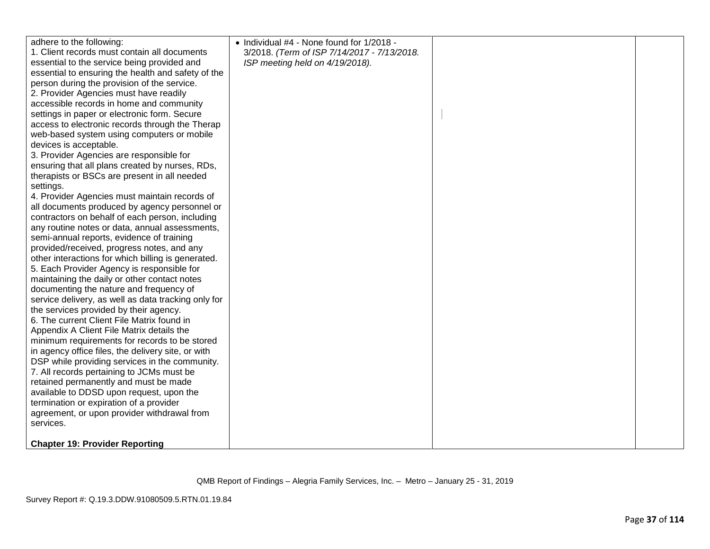| adhere to the following:                            | • Individual #4 - None found for 1/2018 -   |  |
|-----------------------------------------------------|---------------------------------------------|--|
| 1. Client records must contain all documents        | 3/2018. (Term of ISP 7/14/2017 - 7/13/2018. |  |
| essential to the service being provided and         | ISP meeting held on 4/19/2018).             |  |
| essential to ensuring the health and safety of the  |                                             |  |
| person during the provision of the service.         |                                             |  |
| 2. Provider Agencies must have readily              |                                             |  |
| accessible records in home and community            |                                             |  |
| settings in paper or electronic form. Secure        |                                             |  |
| access to electronic records through the Therap     |                                             |  |
| web-based system using computers or mobile          |                                             |  |
| devices is acceptable.                              |                                             |  |
| 3. Provider Agencies are responsible for            |                                             |  |
| ensuring that all plans created by nurses, RDs,     |                                             |  |
| therapists or BSCs are present in all needed        |                                             |  |
| settings.                                           |                                             |  |
| 4. Provider Agencies must maintain records of       |                                             |  |
| all documents produced by agency personnel or       |                                             |  |
| contractors on behalf of each person, including     |                                             |  |
| any routine notes or data, annual assessments,      |                                             |  |
| semi-annual reports, evidence of training           |                                             |  |
| provided/received, progress notes, and any          |                                             |  |
| other interactions for which billing is generated.  |                                             |  |
| 5. Each Provider Agency is responsible for          |                                             |  |
| maintaining the daily or other contact notes        |                                             |  |
| documenting the nature and frequency of             |                                             |  |
| service delivery, as well as data tracking only for |                                             |  |
| the services provided by their agency.              |                                             |  |
| 6. The current Client File Matrix found in          |                                             |  |
| Appendix A Client File Matrix details the           |                                             |  |
| minimum requirements for records to be stored       |                                             |  |
| in agency office files, the delivery site, or with  |                                             |  |
| DSP while providing services in the community.      |                                             |  |
| 7. All records pertaining to JCMs must be           |                                             |  |
| retained permanently and must be made               |                                             |  |
| available to DDSD upon request, upon the            |                                             |  |
| termination or expiration of a provider             |                                             |  |
| agreement, or upon provider withdrawal from         |                                             |  |
| services.                                           |                                             |  |
| <b>Chapter 19: Provider Reporting</b>               |                                             |  |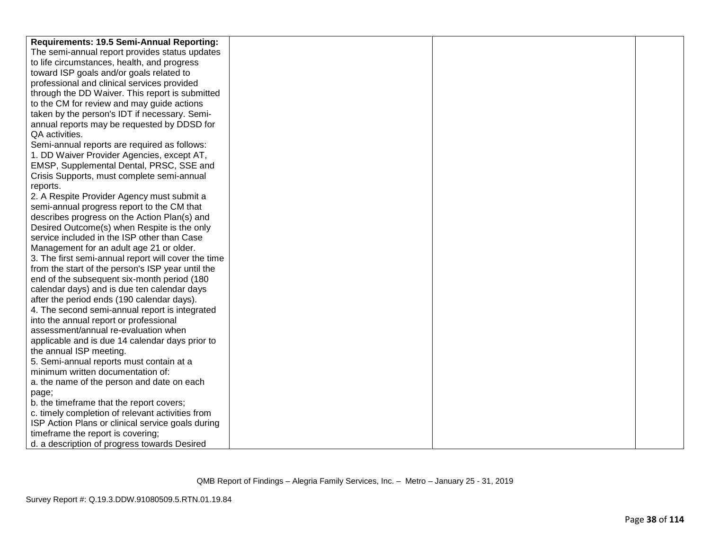| Requirements: 19.5 Semi-Annual Reporting:           |  |  |
|-----------------------------------------------------|--|--|
| The semi-annual report provides status updates      |  |  |
| to life circumstances, health, and progress         |  |  |
| toward ISP goals and/or goals related to            |  |  |
| professional and clinical services provided         |  |  |
| through the DD Waiver. This report is submitted     |  |  |
| to the CM for review and may guide actions          |  |  |
| taken by the person's IDT if necessary. Semi-       |  |  |
| annual reports may be requested by DDSD for         |  |  |
| QA activities.                                      |  |  |
| Semi-annual reports are required as follows:        |  |  |
| 1. DD Waiver Provider Agencies, except AT,          |  |  |
| EMSP, Supplemental Dental, PRSC, SSE and            |  |  |
| Crisis Supports, must complete semi-annual          |  |  |
| reports.                                            |  |  |
| 2. A Respite Provider Agency must submit a          |  |  |
| semi-annual progress report to the CM that          |  |  |
| describes progress on the Action Plan(s) and        |  |  |
| Desired Outcome(s) when Respite is the only         |  |  |
| service included in the ISP other than Case         |  |  |
| Management for an adult age 21 or older.            |  |  |
| 3. The first semi-annual report will cover the time |  |  |
| from the start of the person's ISP year until the   |  |  |
| end of the subsequent six-month period (180         |  |  |
| calendar days) and is due ten calendar days         |  |  |
| after the period ends (190 calendar days).          |  |  |
| 4. The second semi-annual report is integrated      |  |  |
| into the annual report or professional              |  |  |
| assessment/annual re-evaluation when                |  |  |
| applicable and is due 14 calendar days prior to     |  |  |
| the annual ISP meeting.                             |  |  |
| 5. Semi-annual reports must contain at a            |  |  |
| minimum written documentation of:                   |  |  |
| a. the name of the person and date on each          |  |  |
| page;                                               |  |  |
| b. the timeframe that the report covers;            |  |  |
| c. timely completion of relevant activities from    |  |  |
| ISP Action Plans or clinical service goals during   |  |  |
| timeframe the report is covering;                   |  |  |
| d. a description of progress towards Desired        |  |  |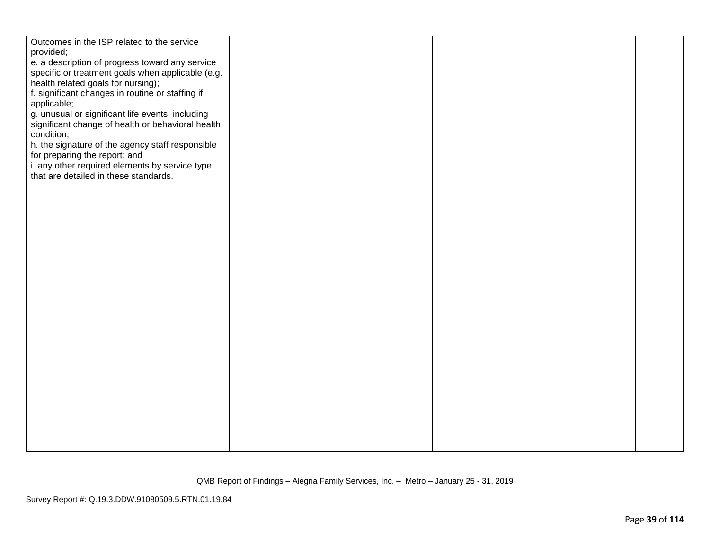| Outcomes in the ISP related to the service                                              |  |  |
|-----------------------------------------------------------------------------------------|--|--|
| provided;                                                                               |  |  |
| e. a description of progress toward any service                                         |  |  |
| specific or treatment goals when applicable (e.g.<br>health related goals for nursing); |  |  |
| f. significant changes in routine or staffing if                                        |  |  |
| applicable;                                                                             |  |  |
| g. unusual or significant life events, including                                        |  |  |
| significant change of health or behavioral health                                       |  |  |
| condition;                                                                              |  |  |
| h. the signature of the agency staff responsible                                        |  |  |
| for preparing the report; and                                                           |  |  |
| i. any other required elements by service type                                          |  |  |
| that are detailed in these standards.                                                   |  |  |
|                                                                                         |  |  |
|                                                                                         |  |  |
|                                                                                         |  |  |
|                                                                                         |  |  |
|                                                                                         |  |  |
|                                                                                         |  |  |
|                                                                                         |  |  |
|                                                                                         |  |  |
|                                                                                         |  |  |
|                                                                                         |  |  |
|                                                                                         |  |  |
|                                                                                         |  |  |
|                                                                                         |  |  |
|                                                                                         |  |  |
|                                                                                         |  |  |
|                                                                                         |  |  |
|                                                                                         |  |  |
|                                                                                         |  |  |
|                                                                                         |  |  |
|                                                                                         |  |  |
|                                                                                         |  |  |
|                                                                                         |  |  |
|                                                                                         |  |  |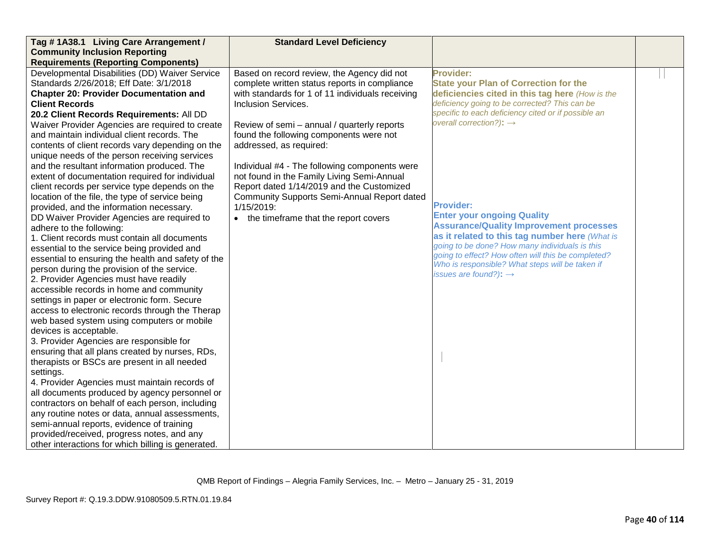| Tag #1A38.1 Living Care Arrangement /              | <b>Standard Level Deficiency</b>                 |                                                                                                       |  |
|----------------------------------------------------|--------------------------------------------------|-------------------------------------------------------------------------------------------------------|--|
| <b>Community Inclusion Reporting</b>               |                                                  |                                                                                                       |  |
| <b>Requirements (Reporting Components)</b>         |                                                  |                                                                                                       |  |
| Developmental Disabilities (DD) Waiver Service     | Based on record review, the Agency did not       | <b>Provider:</b>                                                                                      |  |
| Standards 2/26/2018; Eff Date: 3/1/2018            | complete written status reports in compliance    | <b>State your Plan of Correction for the</b>                                                          |  |
| <b>Chapter 20: Provider Documentation and</b>      | with standards for 1 of 11 individuals receiving | deficiencies cited in this tag here (How is the                                                       |  |
| <b>Client Records</b>                              | <b>Inclusion Services.</b>                       | deficiency going to be corrected? This can be                                                         |  |
| 20.2 Client Records Requirements: All DD           |                                                  | specific to each deficiency cited or if possible an                                                   |  |
| Waiver Provider Agencies are required to create    | Review of semi - annual / quarterly reports      | overall correction?): $\rightarrow$                                                                   |  |
| and maintain individual client records. The        | found the following components were not          |                                                                                                       |  |
| contents of client records vary depending on the   | addressed, as required:                          |                                                                                                       |  |
| unique needs of the person receiving services      |                                                  |                                                                                                       |  |
| and the resultant information produced. The        | Individual #4 - The following components were    |                                                                                                       |  |
| extent of documentation required for individual    | not found in the Family Living Semi-Annual       |                                                                                                       |  |
| client records per service type depends on the     | Report dated 1/14/2019 and the Customized        |                                                                                                       |  |
| location of the file, the type of service being    | Community Supports Semi-Annual Report dated      |                                                                                                       |  |
| provided, and the information necessary.           | 1/15/2019:                                       | <b>Provider:</b>                                                                                      |  |
| DD Waiver Provider Agencies are required to        | • the timeframe that the report covers           | <b>Enter your ongoing Quality</b>                                                                     |  |
| adhere to the following:                           |                                                  | <b>Assurance/Quality Improvement processes</b>                                                        |  |
| 1. Client records must contain all documents       |                                                  | as it related to this tag number here (What is                                                        |  |
| essential to the service being provided and        |                                                  | going to be done? How many individuals is this                                                        |  |
| essential to ensuring the health and safety of the |                                                  | going to effect? How often will this be completed?<br>Who is responsible? What steps will be taken if |  |
| person during the provision of the service.        |                                                  | issues are found?): $\rightarrow$                                                                     |  |
| 2. Provider Agencies must have readily             |                                                  |                                                                                                       |  |
| accessible records in home and community           |                                                  |                                                                                                       |  |
| settings in paper or electronic form. Secure       |                                                  |                                                                                                       |  |
| access to electronic records through the Therap    |                                                  |                                                                                                       |  |
| web based system using computers or mobile         |                                                  |                                                                                                       |  |
| devices is acceptable.                             |                                                  |                                                                                                       |  |
| 3. Provider Agencies are responsible for           |                                                  |                                                                                                       |  |
| ensuring that all plans created by nurses, RDs,    |                                                  |                                                                                                       |  |
| therapists or BSCs are present in all needed       |                                                  |                                                                                                       |  |
| settings.                                          |                                                  |                                                                                                       |  |
| 4. Provider Agencies must maintain records of      |                                                  |                                                                                                       |  |
| all documents produced by agency personnel or      |                                                  |                                                                                                       |  |
| contractors on behalf of each person, including    |                                                  |                                                                                                       |  |
| any routine notes or data, annual assessments,     |                                                  |                                                                                                       |  |
| semi-annual reports, evidence of training          |                                                  |                                                                                                       |  |
| provided/received, progress notes, and any         |                                                  |                                                                                                       |  |
| other interactions for which billing is generated. |                                                  |                                                                                                       |  |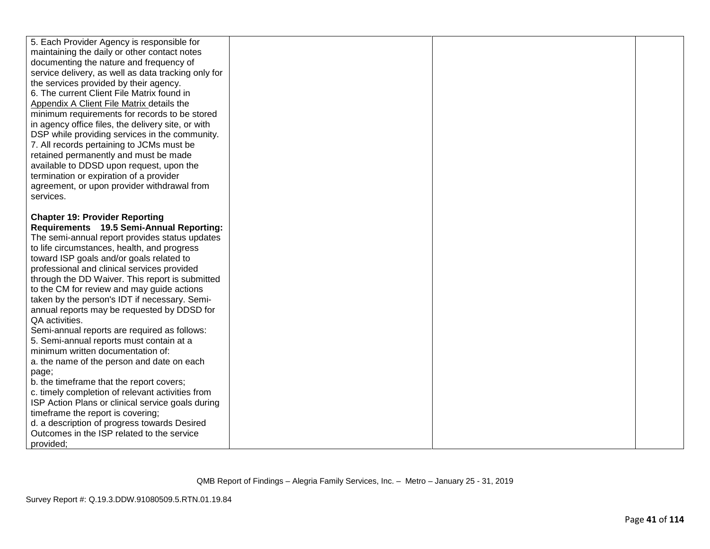| 5. Each Provider Agency is responsible for          |  |  |
|-----------------------------------------------------|--|--|
| maintaining the daily or other contact notes        |  |  |
| documenting the nature and frequency of             |  |  |
| service delivery, as well as data tracking only for |  |  |
| the services provided by their agency.              |  |  |
| 6. The current Client File Matrix found in          |  |  |
| Appendix A Client File Matrix details the           |  |  |
| minimum requirements for records to be stored       |  |  |
| in agency office files, the delivery site, or with  |  |  |
| DSP while providing services in the community.      |  |  |
| 7. All records pertaining to JCMs must be           |  |  |
| retained permanently and must be made               |  |  |
| available to DDSD upon request, upon the            |  |  |
| termination or expiration of a provider             |  |  |
| agreement, or upon provider withdrawal from         |  |  |
| services.                                           |  |  |
|                                                     |  |  |
| <b>Chapter 19: Provider Reporting</b>               |  |  |
| Requirements 19.5 Semi-Annual Reporting:            |  |  |
| The semi-annual report provides status updates      |  |  |
| to life circumstances, health, and progress         |  |  |
| toward ISP goals and/or goals related to            |  |  |
| professional and clinical services provided         |  |  |
| through the DD Waiver. This report is submitted     |  |  |
| to the CM for review and may guide actions          |  |  |
| taken by the person's IDT if necessary. Semi-       |  |  |
| annual reports may be requested by DDSD for         |  |  |
| QA activities.                                      |  |  |
| Semi-annual reports are required as follows:        |  |  |
| 5. Semi-annual reports must contain at a            |  |  |
| minimum written documentation of:                   |  |  |
| a. the name of the person and date on each          |  |  |
| page;                                               |  |  |
| b. the timeframe that the report covers;            |  |  |
| c. timely completion of relevant activities from    |  |  |
| ISP Action Plans or clinical service goals during   |  |  |
| timeframe the report is covering;                   |  |  |
| d. a description of progress towards Desired        |  |  |
| Outcomes in the ISP related to the service          |  |  |
| provided;                                           |  |  |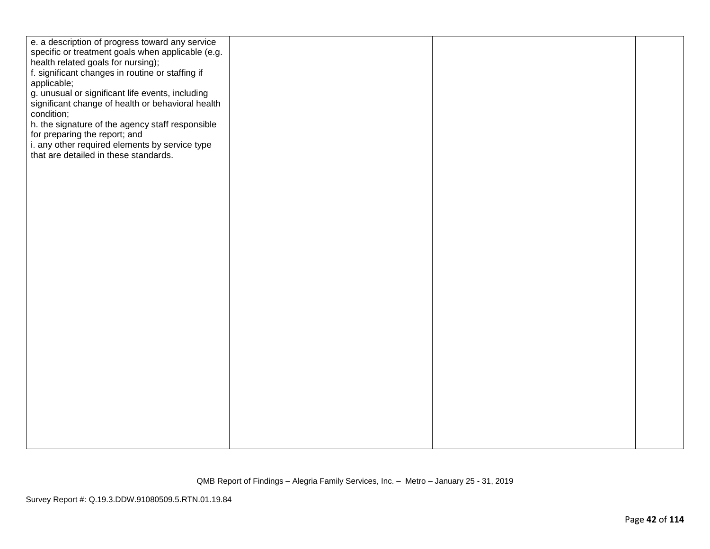| e. a description of progress toward any service<br>specific or treatment goals when applicable (e.g.<br>health related goals for nursing);<br>f. significant changes in routine or staffing if<br>applicable;<br>g. unusual or significant life events, including<br>significant change of health or behavioral health<br>condition;<br>h. the signature of the agency staff responsible<br>for preparing the report; and<br>i. any other required elements by service type<br>that are detailed in these standards. |  |  |
|----------------------------------------------------------------------------------------------------------------------------------------------------------------------------------------------------------------------------------------------------------------------------------------------------------------------------------------------------------------------------------------------------------------------------------------------------------------------------------------------------------------------|--|--|
|                                                                                                                                                                                                                                                                                                                                                                                                                                                                                                                      |  |  |
|                                                                                                                                                                                                                                                                                                                                                                                                                                                                                                                      |  |  |
|                                                                                                                                                                                                                                                                                                                                                                                                                                                                                                                      |  |  |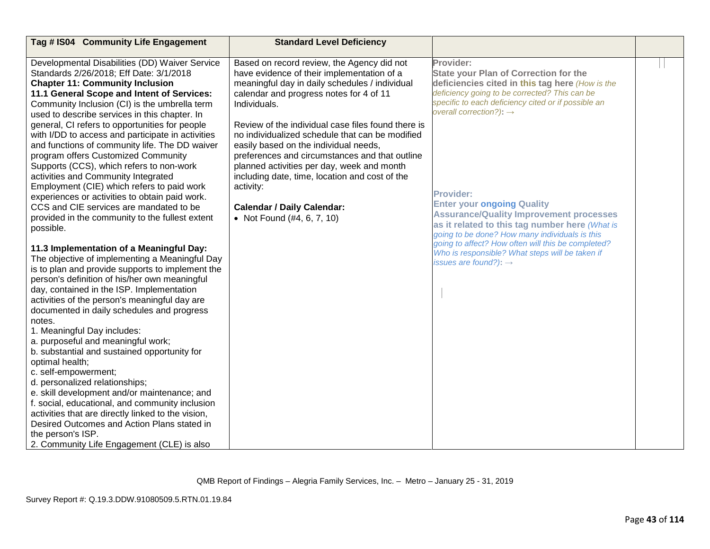| Tag # IS04 Community Life Engagement                                                                                                                                                                                                                                                                                                                                                                                                                                                                                                                                                                                                                                                                                                                                                                                                                                                                                                                                                                                                                                                                                                                                                                                                                                                                                                                                                                                                                                                                                                                                                                                    | <b>Standard Level Deficiency</b>                                                                                                                                                                                                                                                                                                                                                                                                                                                                                                                                                          |                                                                                                                                                                                                                                                                                                                                                                                                                                                                                                                                                                                                                          |  |
|-------------------------------------------------------------------------------------------------------------------------------------------------------------------------------------------------------------------------------------------------------------------------------------------------------------------------------------------------------------------------------------------------------------------------------------------------------------------------------------------------------------------------------------------------------------------------------------------------------------------------------------------------------------------------------------------------------------------------------------------------------------------------------------------------------------------------------------------------------------------------------------------------------------------------------------------------------------------------------------------------------------------------------------------------------------------------------------------------------------------------------------------------------------------------------------------------------------------------------------------------------------------------------------------------------------------------------------------------------------------------------------------------------------------------------------------------------------------------------------------------------------------------------------------------------------------------------------------------------------------------|-------------------------------------------------------------------------------------------------------------------------------------------------------------------------------------------------------------------------------------------------------------------------------------------------------------------------------------------------------------------------------------------------------------------------------------------------------------------------------------------------------------------------------------------------------------------------------------------|--------------------------------------------------------------------------------------------------------------------------------------------------------------------------------------------------------------------------------------------------------------------------------------------------------------------------------------------------------------------------------------------------------------------------------------------------------------------------------------------------------------------------------------------------------------------------------------------------------------------------|--|
| Developmental Disabilities (DD) Waiver Service<br>Standards 2/26/2018; Eff Date: 3/1/2018<br><b>Chapter 11: Community Inclusion</b><br>11.1 General Scope and Intent of Services:<br>Community Inclusion (CI) is the umbrella term<br>used to describe services in this chapter. In<br>general, CI refers to opportunities for people<br>with I/DD to access and participate in activities<br>and functions of community life. The DD waiver<br>program offers Customized Community<br>Supports (CCS), which refers to non-work<br>activities and Community Integrated<br>Employment (CIE) which refers to paid work<br>experiences or activities to obtain paid work.<br>CCS and CIE services are mandated to be<br>provided in the community to the fullest extent<br>possible.<br>11.3 Implementation of a Meaningful Day:<br>The objective of implementing a Meaningful Day<br>is to plan and provide supports to implement the<br>person's definition of his/her own meaningful<br>day, contained in the ISP. Implementation<br>activities of the person's meaningful day are<br>documented in daily schedules and progress<br>notes.<br>1. Meaningful Day includes:<br>a. purposeful and meaningful work;<br>b. substantial and sustained opportunity for<br>optimal health;<br>c. self-empowerment;<br>d. personalized relationships;<br>e. skill development and/or maintenance; and<br>f. social, educational, and community inclusion<br>activities that are directly linked to the vision,<br>Desired Outcomes and Action Plans stated in<br>the person's ISP.<br>2. Community Life Engagement (CLE) is also | Based on record review, the Agency did not<br>have evidence of their implementation of a<br>meaningful day in daily schedules / individual<br>calendar and progress notes for 4 of 11<br>Individuals.<br>Review of the individual case files found there is<br>no individualized schedule that can be modified<br>easily based on the individual needs,<br>preferences and circumstances and that outline<br>planned activities per day, week and month<br>including date, time, location and cost of the<br>activity:<br><b>Calendar / Daily Calendar:</b><br>• Not Found (#4, 6, 7, 10) | Provider:<br><b>State your Plan of Correction for the</b><br>deficiencies cited in this tag here (How is the<br>deficiency going to be corrected? This can be<br>specific to each deficiency cited or if possible an<br>overall correction?): $\rightarrow$<br><b>Provider:</b><br><b>Enter your ongoing Quality</b><br><b>Assurance/Quality Improvement processes</b><br>as it related to this tag number here (What is<br>going to be done? How many individuals is this<br>going to affect? How often will this be completed?<br>Who is responsible? What steps will be taken if<br>issues are found?): $\rightarrow$ |  |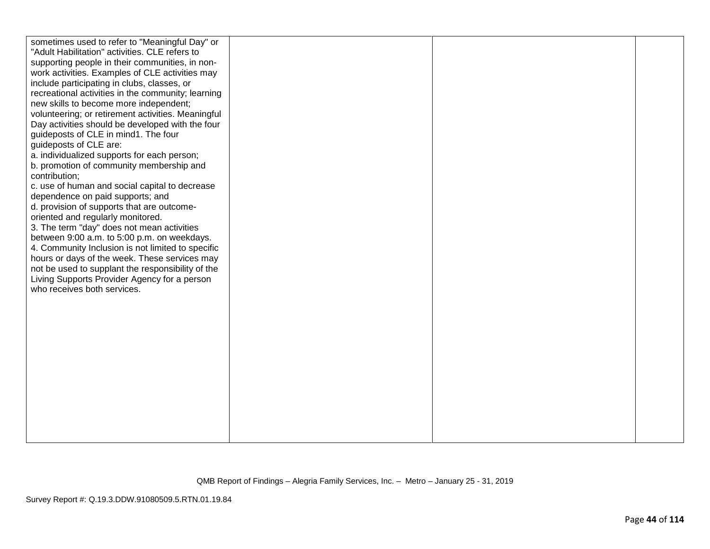| sometimes used to refer to "Meaningful Day" or<br>"Adult Habilitation" activities. CLE refers to<br>supporting people in their communities, in non-<br>work activities. Examples of CLE activities may<br>include participating in clubs, classes, or<br>recreational activities in the community; learning<br>new skills to become more independent;<br>volunteering; or retirement activities. Meaningful<br>Day activities should be developed with the four<br>guideposts of CLE in mind1. The four<br>guideposts of CLE are:<br>a. individualized supports for each person;<br>b. promotion of community membership and |  |  |
|------------------------------------------------------------------------------------------------------------------------------------------------------------------------------------------------------------------------------------------------------------------------------------------------------------------------------------------------------------------------------------------------------------------------------------------------------------------------------------------------------------------------------------------------------------------------------------------------------------------------------|--|--|
| contribution;<br>c. use of human and social capital to decrease<br>dependence on paid supports; and<br>d. provision of supports that are outcome-<br>oriented and regularly monitored.<br>3. The term "day" does not mean activities<br>between 9:00 a.m. to 5:00 p.m. on weekdays.<br>4. Community Inclusion is not limited to specific<br>hours or days of the week. These services may<br>not be used to supplant the responsibility of the<br>Living Supports Provider Agency for a person<br>who receives both services.                                                                                                |  |  |
|                                                                                                                                                                                                                                                                                                                                                                                                                                                                                                                                                                                                                              |  |  |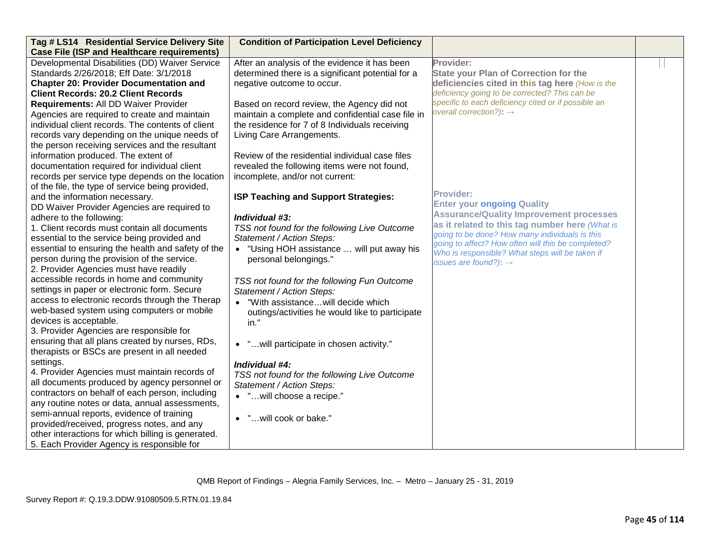| Tag # LS14 Residential Service Delivery Site       | <b>Condition of Participation Level Deficiency</b> |                                                                                                  |  |
|----------------------------------------------------|----------------------------------------------------|--------------------------------------------------------------------------------------------------|--|
| <b>Case File (ISP and Healthcare requirements)</b> |                                                    |                                                                                                  |  |
| Developmental Disabilities (DD) Waiver Service     | After an analysis of the evidence it has been      | Provider:                                                                                        |  |
| Standards 2/26/2018; Eff Date: 3/1/2018            | determined there is a significant potential for a  | <b>State your Plan of Correction for the</b>                                                     |  |
| <b>Chapter 20: Provider Documentation and</b>      | negative outcome to occur.                         | deficiencies cited in this tag here (How is the                                                  |  |
| <b>Client Records: 20.2 Client Records</b>         |                                                    | deficiency going to be corrected? This can be                                                    |  |
| Requirements: All DD Waiver Provider               | Based on record review, the Agency did not         | specific to each deficiency cited or if possible an                                              |  |
| Agencies are required to create and maintain       | maintain a complete and confidential case file in  | overall correction?): $\rightarrow$                                                              |  |
| individual client records. The contents of client  | the residence for 7 of 8 Individuals receiving     |                                                                                                  |  |
| records vary depending on the unique needs of      | Living Care Arrangements.                          |                                                                                                  |  |
| the person receiving services and the resultant    |                                                    |                                                                                                  |  |
| information produced. The extent of                | Review of the residential individual case files    |                                                                                                  |  |
| documentation required for individual client       | revealed the following items were not found,       |                                                                                                  |  |
| records per service type depends on the location   | incomplete, and/or not current:                    |                                                                                                  |  |
| of the file, the type of service being provided,   |                                                    |                                                                                                  |  |
| and the information necessary.                     | <b>ISP Teaching and Support Strategies:</b>        | <b>Provider:</b>                                                                                 |  |
| DD Waiver Provider Agencies are required to        |                                                    | <b>Enter your ongoing Quality</b>                                                                |  |
| adhere to the following:                           | Individual #3:                                     | <b>Assurance/Quality Improvement processes</b>                                                   |  |
| 1. Client records must contain all documents       | TSS not found for the following Live Outcome       | as it related to this tag number here (What is<br>going to be done? How many individuals is this |  |
| essential to the service being provided and        | Statement / Action Steps:                          | going to affect? How often will this be completed?                                               |  |
| essential to ensuring the health and safety of the | • "Using HOH assistance  will put away his         | Who is responsible? What steps will be taken if                                                  |  |
| person during the provision of the service.        | personal belongings."                              | issues are found?): $\rightarrow$                                                                |  |
| 2. Provider Agencies must have readily             |                                                    |                                                                                                  |  |
| accessible records in home and community           | TSS not found for the following Fun Outcome        |                                                                                                  |  |
| settings in paper or electronic form. Secure       | Statement / Action Steps:                          |                                                                                                  |  |
| access to electronic records through the Therap    | "With assistancewill decide which                  |                                                                                                  |  |
| web-based system using computers or mobile         | outings/activities he would like to participate    |                                                                                                  |  |
| devices is acceptable.                             | in."                                               |                                                                                                  |  |
| 3. Provider Agencies are responsible for           |                                                    |                                                                                                  |  |
| ensuring that all plans created by nurses, RDs,    | • " will participate in chosen activity."          |                                                                                                  |  |
| therapists or BSCs are present in all needed       |                                                    |                                                                                                  |  |
| settings.                                          | Individual #4:                                     |                                                                                                  |  |
| 4. Provider Agencies must maintain records of      | TSS not found for the following Live Outcome       |                                                                                                  |  |
| all documents produced by agency personnel or      | Statement / Action Steps:                          |                                                                                                  |  |
| contractors on behalf of each person, including    | • "will choose a recipe."                          |                                                                                                  |  |
| any routine notes or data, annual assessments,     |                                                    |                                                                                                  |  |
| semi-annual reports, evidence of training          | • "will cook or bake."                             |                                                                                                  |  |
| provided/received, progress notes, and any         |                                                    |                                                                                                  |  |
| other interactions for which billing is generated. |                                                    |                                                                                                  |  |
| 5. Each Provider Agency is responsible for         |                                                    |                                                                                                  |  |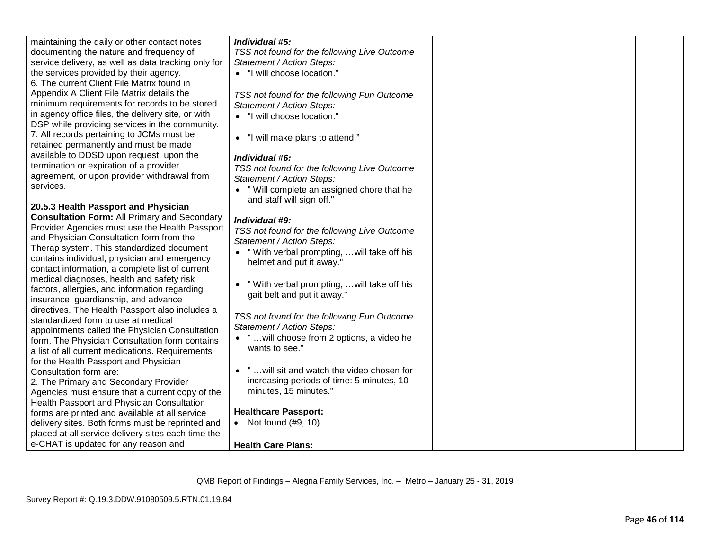| maintaining the daily or other contact notes        | Individual #5:                               |  |
|-----------------------------------------------------|----------------------------------------------|--|
| documenting the nature and frequency of             | TSS not found for the following Live Outcome |  |
| service delivery, as well as data tracking only for | Statement / Action Steps:                    |  |
| the services provided by their agency.              | • "I will choose location."                  |  |
| 6. The current Client File Matrix found in          |                                              |  |
| Appendix A Client File Matrix details the           | TSS not found for the following Fun Outcome  |  |
| minimum requirements for records to be stored       | Statement / Action Steps:                    |  |
| in agency office files, the delivery site, or with  | • "I will choose location."                  |  |
| DSP while providing services in the community.      |                                              |  |
| 7. All records pertaining to JCMs must be           | "I will make plans to attend."<br>$\bullet$  |  |
| retained permanently and must be made               |                                              |  |
| available to DDSD upon request, upon the            | Individual #6:                               |  |
| termination or expiration of a provider             | TSS not found for the following Live Outcome |  |
| agreement, or upon provider withdrawal from         | Statement / Action Steps:                    |  |
| services.                                           | " Will complete an assigned chore that he    |  |
|                                                     | and staff will sign off."                    |  |
| 20.5.3 Health Passport and Physician                |                                              |  |
| <b>Consultation Form: All Primary and Secondary</b> | Individual #9:                               |  |
| Provider Agencies must use the Health Passport      | TSS not found for the following Live Outcome |  |
| and Physician Consultation form from the            | Statement / Action Steps:                    |  |
| Therap system. This standardized document           | • "With verbal prompting,  will take off his |  |
| contains individual, physician and emergency        | helmet and put it away."                     |  |
| contact information, a complete list of current     |                                              |  |
| medical diagnoses, health and safety risk           | " With verbal prompting,  will take off his  |  |
| factors, allergies, and information regarding       | gait belt and put it away."                  |  |
| insurance, guardianship, and advance                |                                              |  |
| directives. The Health Passport also includes a     | TSS not found for the following Fun Outcome  |  |
| standardized form to use at medical                 | Statement / Action Steps:                    |  |
| appointments called the Physician Consultation      | • " will choose from 2 options, a video he   |  |
| form. The Physician Consultation form contains      | wants to see."                               |  |
| a list of all current medications. Requirements     |                                              |  |
| for the Health Passport and Physician               | • " will sit and watch the video chosen for  |  |
| Consultation form are:                              | increasing periods of time: 5 minutes, 10    |  |
| 2. The Primary and Secondary Provider               | minutes, 15 minutes."                        |  |
| Agencies must ensure that a current copy of the     |                                              |  |
| Health Passport and Physician Consultation          | <b>Healthcare Passport:</b>                  |  |
| forms are printed and available at all service      | • Not found $(\#9, 10)$                      |  |
| delivery sites. Both forms must be reprinted and    |                                              |  |
| placed at all service delivery sites each time the  |                                              |  |
| e-CHAT is updated for any reason and                | <b>Health Care Plans:</b>                    |  |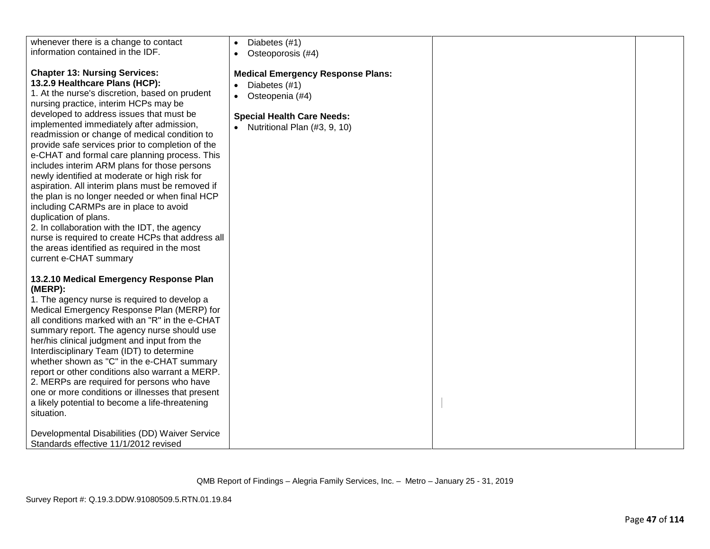| whenever there is a change to contact<br>information contained in the IDF.<br><b>Chapter 13: Nursing Services:</b><br>13.2.9 Healthcare Plans (HCP):<br>1. At the nurse's discretion, based on prudent<br>nursing practice, interim HCPs may be<br>developed to address issues that must be<br>implemented immediately after admission,<br>readmission or change of medical condition to                                                                                                                                                                                                                            | Diabetes (#1)<br>Osteoporosis (#4)<br><b>Medical Emergency Response Plans:</b><br>Diabetes (#1)<br>Osteopenia (#4)<br>$\bullet$<br><b>Special Health Care Needs:</b><br>• Nutritional Plan $(#3, 9, 10)$ |  |
|---------------------------------------------------------------------------------------------------------------------------------------------------------------------------------------------------------------------------------------------------------------------------------------------------------------------------------------------------------------------------------------------------------------------------------------------------------------------------------------------------------------------------------------------------------------------------------------------------------------------|----------------------------------------------------------------------------------------------------------------------------------------------------------------------------------------------------------|--|
| provide safe services prior to completion of the<br>e-CHAT and formal care planning process. This<br>includes interim ARM plans for those persons<br>newly identified at moderate or high risk for<br>aspiration. All interim plans must be removed if<br>the plan is no longer needed or when final HCP<br>including CARMPs are in place to avoid<br>duplication of plans.<br>2. In collaboration with the IDT, the agency<br>nurse is required to create HCPs that address all<br>the areas identified as required in the most<br>current e-CHAT summary                                                          |                                                                                                                                                                                                          |  |
| 13.2.10 Medical Emergency Response Plan<br>(MERP):<br>1. The agency nurse is required to develop a<br>Medical Emergency Response Plan (MERP) for<br>all conditions marked with an "R" in the e-CHAT<br>summary report. The agency nurse should use<br>her/his clinical judgment and input from the<br>Interdisciplinary Team (IDT) to determine<br>whether shown as "C" in the e-CHAT summary<br>report or other conditions also warrant a MERP.<br>2. MERPs are required for persons who have<br>one or more conditions or illnesses that present<br>a likely potential to become a life-threatening<br>situation. |                                                                                                                                                                                                          |  |
| Developmental Disabilities (DD) Waiver Service<br>Standards effective 11/1/2012 revised                                                                                                                                                                                                                                                                                                                                                                                                                                                                                                                             |                                                                                                                                                                                                          |  |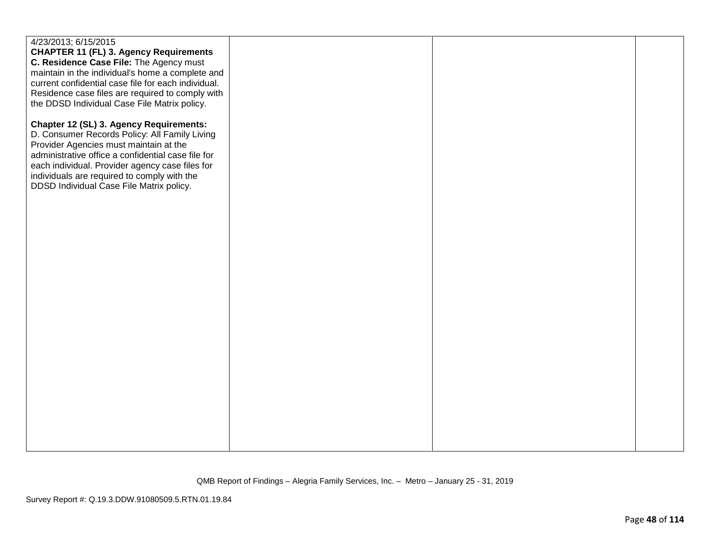| 4/23/2013; 6/15/2015<br><b>CHAPTER 11 (FL) 3. Agency Requirements</b><br>C. Residence Case File: The Agency must<br>maintain in the individual's home a complete and<br>current confidential case file for each individual.<br>Residence case files are required to comply with<br>the DDSD Individual Case File Matrix policy.        |  |  |
|----------------------------------------------------------------------------------------------------------------------------------------------------------------------------------------------------------------------------------------------------------------------------------------------------------------------------------------|--|--|
| Chapter 12 (SL) 3. Agency Requirements:<br>D. Consumer Records Policy: All Family Living<br>Provider Agencies must maintain at the<br>administrative office a confidential case file for<br>each individual. Provider agency case files for<br>individuals are required to comply with the<br>DDSD Individual Case File Matrix policy. |  |  |
|                                                                                                                                                                                                                                                                                                                                        |  |  |
|                                                                                                                                                                                                                                                                                                                                        |  |  |
|                                                                                                                                                                                                                                                                                                                                        |  |  |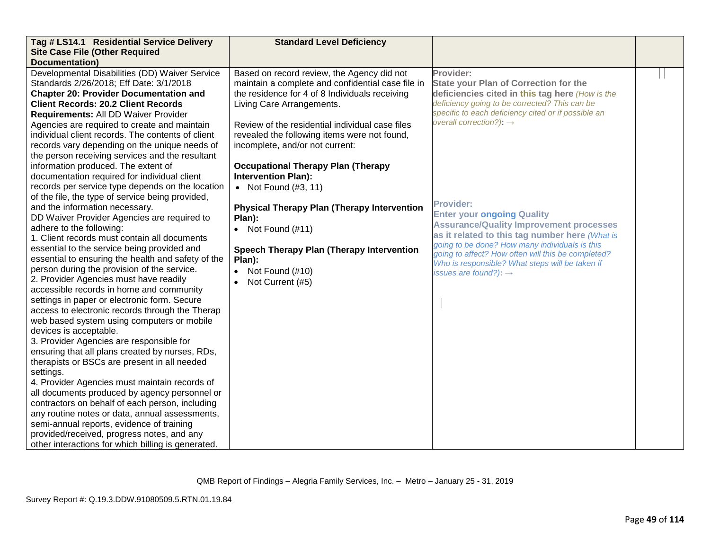| Tag # LS14.1 Residential Service Delivery               | <b>Standard Level Deficiency</b>                    |                                                                                                       |  |
|---------------------------------------------------------|-----------------------------------------------------|-------------------------------------------------------------------------------------------------------|--|
| <b>Site Case File (Other Required</b><br>Documentation) |                                                     |                                                                                                       |  |
| Developmental Disabilities (DD) Waiver Service          | Based on record review, the Agency did not          | Provider:                                                                                             |  |
| Standards 2/26/2018; Eff Date: 3/1/2018                 | maintain a complete and confidential case file in   | <b>State your Plan of Correction for the</b>                                                          |  |
| <b>Chapter 20: Provider Documentation and</b>           | the residence for 4 of 8 Individuals receiving      | deficiencies cited in this tag here (How is the                                                       |  |
| <b>Client Records: 20.2 Client Records</b>              | Living Care Arrangements.                           | deficiency going to be corrected? This can be                                                         |  |
| Requirements: All DD Waiver Provider                    |                                                     | specific to each deficiency cited or if possible an                                                   |  |
| Agencies are required to create and maintain            | Review of the residential individual case files     | overall correction?): $\rightarrow$                                                                   |  |
| individual client records. The contents of client       | revealed the following items were not found,        |                                                                                                       |  |
| records vary depending on the unique needs of           | incomplete, and/or not current:                     |                                                                                                       |  |
| the person receiving services and the resultant         |                                                     |                                                                                                       |  |
| information produced. The extent of                     | <b>Occupational Therapy Plan (Therapy</b>           |                                                                                                       |  |
| documentation required for individual client            | <b>Intervention Plan):</b>                          |                                                                                                       |  |
| records per service type depends on the location        | • Not Found $(\#3, 11)$                             |                                                                                                       |  |
| of the file, the type of service being provided,        |                                                     |                                                                                                       |  |
| and the information necessary.                          | <b>Physical Therapy Plan (Therapy Intervention)</b> | <b>Provider:</b>                                                                                      |  |
| DD Waiver Provider Agencies are required to             | Plan):                                              | <b>Enter your ongoing Quality</b>                                                                     |  |
| adhere to the following:                                | • Not Found $(\#11)$                                | <b>Assurance/Quality Improvement processes</b>                                                        |  |
| 1. Client records must contain all documents            |                                                     | as it related to this tag number here (What is                                                        |  |
| essential to the service being provided and             | <b>Speech Therapy Plan (Therapy Intervention</b>    | going to be done? How many individuals is this                                                        |  |
| essential to ensuring the health and safety of the      | Plan):                                              | going to affect? How often will this be completed?<br>Who is responsible? What steps will be taken if |  |
| person during the provision of the service.             | Not Found (#10)                                     | issues are found?): $\rightarrow$                                                                     |  |
| 2. Provider Agencies must have readily                  | Not Current (#5)                                    |                                                                                                       |  |
| accessible records in home and community                |                                                     |                                                                                                       |  |
| settings in paper or electronic form. Secure            |                                                     |                                                                                                       |  |
| access to electronic records through the Therap         |                                                     |                                                                                                       |  |
| web based system using computers or mobile              |                                                     |                                                                                                       |  |
| devices is acceptable.                                  |                                                     |                                                                                                       |  |
| 3. Provider Agencies are responsible for                |                                                     |                                                                                                       |  |
| ensuring that all plans created by nurses, RDs,         |                                                     |                                                                                                       |  |
| therapists or BSCs are present in all needed            |                                                     |                                                                                                       |  |
| settings.                                               |                                                     |                                                                                                       |  |
| 4. Provider Agencies must maintain records of           |                                                     |                                                                                                       |  |
| all documents produced by agency personnel or           |                                                     |                                                                                                       |  |
| contractors on behalf of each person, including         |                                                     |                                                                                                       |  |
| any routine notes or data, annual assessments,          |                                                     |                                                                                                       |  |
| semi-annual reports, evidence of training               |                                                     |                                                                                                       |  |
| provided/received, progress notes, and any              |                                                     |                                                                                                       |  |
| other interactions for which billing is generated.      |                                                     |                                                                                                       |  |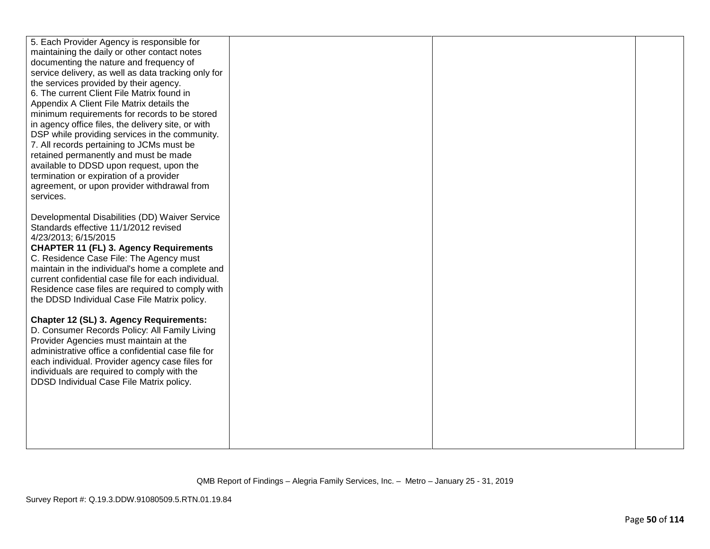| 5. Each Provider Agency is responsible for                                                       |  |  |
|--------------------------------------------------------------------------------------------------|--|--|
| maintaining the daily or other contact notes                                                     |  |  |
| documenting the nature and frequency of                                                          |  |  |
| service delivery, as well as data tracking only for                                              |  |  |
| the services provided by their agency.                                                           |  |  |
| 6. The current Client File Matrix found in                                                       |  |  |
| Appendix A Client File Matrix details the                                                        |  |  |
| minimum requirements for records to be stored                                                    |  |  |
| in agency office files, the delivery site, or with                                               |  |  |
| DSP while providing services in the community.                                                   |  |  |
| 7. All records pertaining to JCMs must be                                                        |  |  |
| retained permanently and must be made                                                            |  |  |
| available to DDSD upon request, upon the                                                         |  |  |
| termination or expiration of a provider                                                          |  |  |
| agreement, or upon provider withdrawal from                                                      |  |  |
| services.                                                                                        |  |  |
|                                                                                                  |  |  |
| Developmental Disabilities (DD) Waiver Service                                                   |  |  |
| Standards effective 11/1/2012 revised                                                            |  |  |
| 4/23/2013; 6/15/2015                                                                             |  |  |
| <b>CHAPTER 11 (FL) 3. Agency Requirements</b>                                                    |  |  |
| C. Residence Case File: The Agency must                                                          |  |  |
| maintain in the individual's home a complete and                                                 |  |  |
| current confidential case file for each individual.                                              |  |  |
| Residence case files are required to comply with<br>the DDSD Individual Case File Matrix policy. |  |  |
|                                                                                                  |  |  |
| Chapter 12 (SL) 3. Agency Requirements:                                                          |  |  |
| D. Consumer Records Policy: All Family Living                                                    |  |  |
| Provider Agencies must maintain at the                                                           |  |  |
| administrative office a confidential case file for                                               |  |  |
| each individual. Provider agency case files for                                                  |  |  |
| individuals are required to comply with the                                                      |  |  |
| DDSD Individual Case File Matrix policy.                                                         |  |  |
|                                                                                                  |  |  |
|                                                                                                  |  |  |
|                                                                                                  |  |  |
|                                                                                                  |  |  |
|                                                                                                  |  |  |
|                                                                                                  |  |  |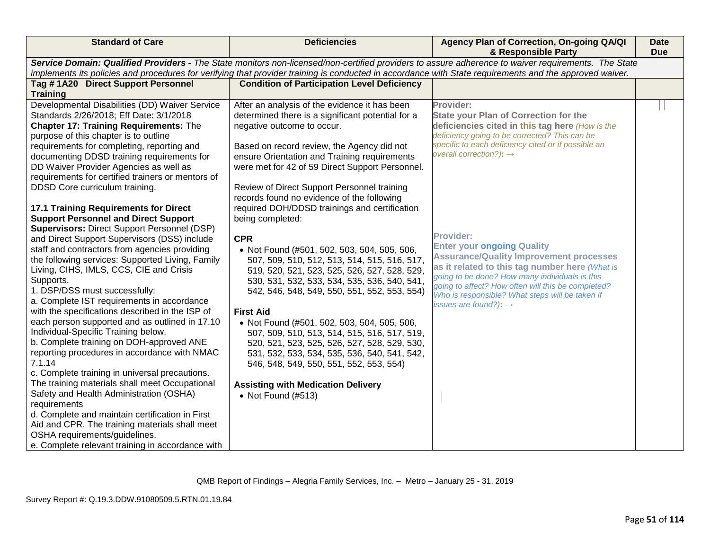| <b>Standard of Care</b>                                                                                                                                                                                                                                                                                                                                                                           | <b>Deficiencies</b>                                                                                                                                                                                                                                                           | Agency Plan of Correction, On-going QA/QI<br>& Responsible Party                                                                                                                                                                                                                                                                                          | <b>Date</b><br><b>Due</b> |
|---------------------------------------------------------------------------------------------------------------------------------------------------------------------------------------------------------------------------------------------------------------------------------------------------------------------------------------------------------------------------------------------------|-------------------------------------------------------------------------------------------------------------------------------------------------------------------------------------------------------------------------------------------------------------------------------|-----------------------------------------------------------------------------------------------------------------------------------------------------------------------------------------------------------------------------------------------------------------------------------------------------------------------------------------------------------|---------------------------|
|                                                                                                                                                                                                                                                                                                                                                                                                   | implements its policies and procedures for verifying that provider training is conducted in accordance with State requirements and the approved waiver.                                                                                                                       | Service Domain: Qualified Providers - The State monitors non-licensed/non-certified providers to assure adherence to waiver requirements. The State                                                                                                                                                                                                       |                           |
| Tag #1A20 Direct Support Personnel                                                                                                                                                                                                                                                                                                                                                                | <b>Condition of Participation Level Deficiency</b>                                                                                                                                                                                                                            |                                                                                                                                                                                                                                                                                                                                                           |                           |
| <b>Training</b>                                                                                                                                                                                                                                                                                                                                                                                   |                                                                                                                                                                                                                                                                               |                                                                                                                                                                                                                                                                                                                                                           |                           |
| Developmental Disabilities (DD) Waiver Service<br>Standards 2/26/2018; Eff Date: 3/1/2018<br><b>Chapter 17: Training Requirements: The</b><br>purpose of this chapter is to outline                                                                                                                                                                                                               | After an analysis of the evidence it has been<br>determined there is a significant potential for a<br>negative outcome to occur.                                                                                                                                              | Provider:<br><b>State your Plan of Correction for the</b><br>deficiencies cited in this tag here (How is the<br>deficiency going to be corrected? This can be                                                                                                                                                                                             |                           |
| requirements for completing, reporting and<br>documenting DDSD training requirements for<br>DD Waiver Provider Agencies as well as<br>requirements for certified trainers or mentors of                                                                                                                                                                                                           | Based on record review, the Agency did not<br>ensure Orientation and Training requirements<br>were met for 42 of 59 Direct Support Personnel.                                                                                                                                 | specific to each deficiency cited or if possible an<br>overall correction?): $\rightarrow$                                                                                                                                                                                                                                                                |                           |
| DDSD Core curriculum training.<br><b>17.1 Training Requirements for Direct</b><br><b>Support Personnel and Direct Support</b>                                                                                                                                                                                                                                                                     | Review of Direct Support Personnel training<br>records found no evidence of the following<br>required DOH/DDSD trainings and certification<br>being completed:                                                                                                                |                                                                                                                                                                                                                                                                                                                                                           |                           |
| <b>Supervisors: Direct Support Personnel (DSP)</b><br>and Direct Support Supervisors (DSS) include<br>staff and contractors from agencies providing<br>the following services: Supported Living, Family<br>Living, CIHS, IMLS, CCS, CIE and Crisis<br>Supports.<br>1. DSP/DSS must successfully:<br>a. Complete IST requirements in accordance<br>with the specifications described in the ISP of | <b>CPR</b><br>• Not Found (#501, 502, 503, 504, 505, 506,<br>507, 509, 510, 512, 513, 514, 515, 516, 517,<br>519, 520, 521, 523, 525, 526, 527, 528, 529,<br>530, 531, 532, 533, 534, 535, 536, 540, 541,<br>542, 546, 548, 549, 550, 551, 552, 553, 554)<br><b>First Aid</b> | <b>Provider:</b><br><b>Enter your ongoing Quality</b><br><b>Assurance/Quality Improvement processes</b><br>as it related to this tag number here (What is<br>going to be done? How many individuals is this<br>going to affect? How often will this be completed?<br>Who is responsible? What steps will be taken if<br>issues are found?): $\rightarrow$ |                           |
| each person supported and as outlined in 17.10<br>Individual-Specific Training below.<br>b. Complete training on DOH-approved ANE<br>reporting procedures in accordance with NMAC<br>7.1.14<br>c. Complete training in universal precautions.                                                                                                                                                     | • Not Found (#501, 502, 503, 504, 505, 506,<br>507, 509, 510, 513, 514, 515, 516, 517, 519,<br>520, 521, 523, 525, 526, 527, 528, 529, 530,<br>531, 532, 533, 534, 535, 536, 540, 541, 542,<br>546, 548, 549, 550, 551, 552, 553, 554)                                        |                                                                                                                                                                                                                                                                                                                                                           |                           |
| The training materials shall meet Occupational<br>Safety and Health Administration (OSHA)<br>requirements<br>d. Complete and maintain certification in First<br>Aid and CPR. The training materials shall meet<br>OSHA requirements/guidelines.<br>e. Complete relevant training in accordance with                                                                                               | <b>Assisting with Medication Delivery</b><br>• Not Found $(\#513)$                                                                                                                                                                                                            |                                                                                                                                                                                                                                                                                                                                                           |                           |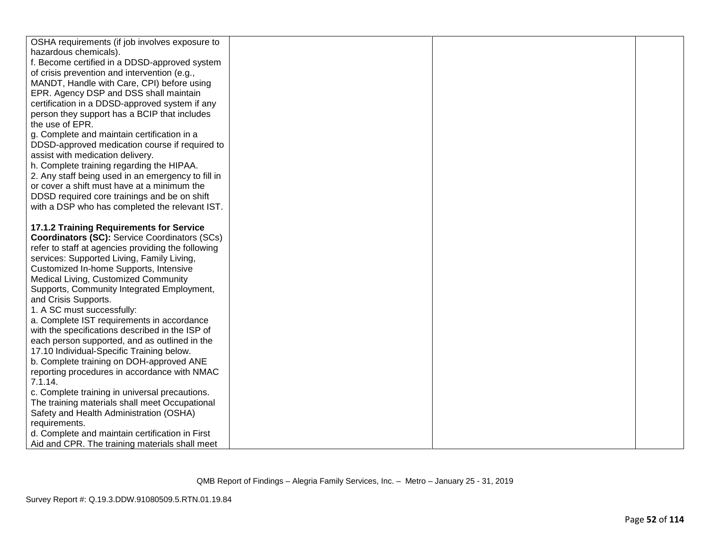| OSHA requirements (if job involves exposure to       |  |  |
|------------------------------------------------------|--|--|
| hazardous chemicals).                                |  |  |
| f. Become certified in a DDSD-approved system        |  |  |
| of crisis prevention and intervention (e.g.,         |  |  |
| MANDT, Handle with Care, CPI) before using           |  |  |
| EPR. Agency DSP and DSS shall maintain               |  |  |
| certification in a DDSD-approved system if any       |  |  |
| person they support has a BCIP that includes         |  |  |
| the use of EPR.                                      |  |  |
| g. Complete and maintain certification in a          |  |  |
| DDSD-approved medication course if required to       |  |  |
| assist with medication delivery.                     |  |  |
| h. Complete training regarding the HIPAA.            |  |  |
| 2. Any staff being used in an emergency to fill in   |  |  |
| or cover a shift must have at a minimum the          |  |  |
| DDSD required core trainings and be on shift         |  |  |
| with a DSP who has completed the relevant IST.       |  |  |
|                                                      |  |  |
| 17.1.2 Training Requirements for Service             |  |  |
| <b>Coordinators (SC): Service Coordinators (SCs)</b> |  |  |
| refer to staff at agencies providing the following   |  |  |
| services: Supported Living, Family Living,           |  |  |
| Customized In-home Supports, Intensive               |  |  |
| Medical Living, Customized Community                 |  |  |
| Supports, Community Integrated Employment,           |  |  |
| and Crisis Supports.                                 |  |  |
| 1. A SC must successfully:                           |  |  |
| a. Complete IST requirements in accordance           |  |  |
| with the specifications described in the ISP of      |  |  |
| each person supported, and as outlined in the        |  |  |
| 17.10 Individual-Specific Training below.            |  |  |
| b. Complete training on DOH-approved ANE             |  |  |
| reporting procedures in accordance with NMAC         |  |  |
| 7.1.14.                                              |  |  |
| c. Complete training in universal precautions.       |  |  |
| The training materials shall meet Occupational       |  |  |
| Safety and Health Administration (OSHA)              |  |  |
| requirements.                                        |  |  |
| d. Complete and maintain certification in First      |  |  |
| Aid and CPR. The training materials shall meet       |  |  |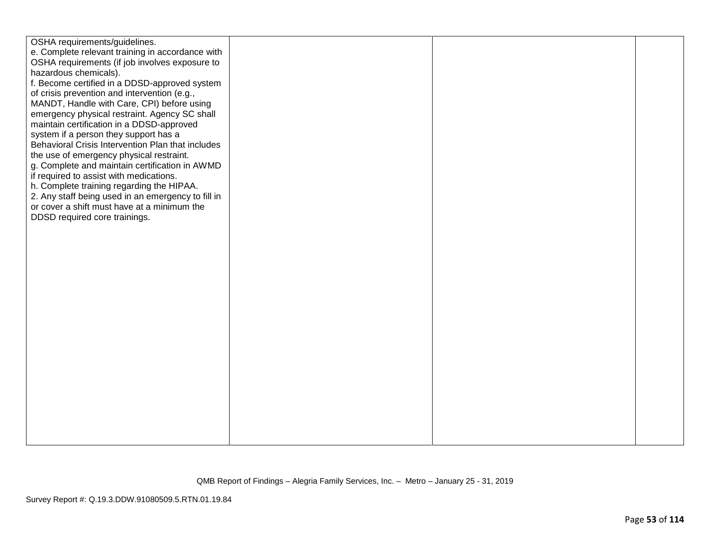| OSHA requirements/guidelines.                      |  |  |
|----------------------------------------------------|--|--|
| e. Complete relevant training in accordance with   |  |  |
| OSHA requirements (if job involves exposure to     |  |  |
| hazardous chemicals).                              |  |  |
| f. Become certified in a DDSD-approved system      |  |  |
| of crisis prevention and intervention (e.g.,       |  |  |
| MANDT, Handle with Care, CPI) before using         |  |  |
| emergency physical restraint. Agency SC shall      |  |  |
| maintain certification in a DDSD-approved          |  |  |
| system if a person they support has a              |  |  |
| Behavioral Crisis Intervention Plan that includes  |  |  |
| the use of emergency physical restraint.           |  |  |
| g. Complete and maintain certification in AWMD     |  |  |
| if required to assist with medications.            |  |  |
| h. Complete training regarding the HIPAA.          |  |  |
| 2. Any staff being used in an emergency to fill in |  |  |
| or cover a shift must have at a minimum the        |  |  |
| DDSD required core trainings.                      |  |  |
|                                                    |  |  |
|                                                    |  |  |
|                                                    |  |  |
|                                                    |  |  |
|                                                    |  |  |
|                                                    |  |  |
|                                                    |  |  |
|                                                    |  |  |
|                                                    |  |  |
|                                                    |  |  |
|                                                    |  |  |
|                                                    |  |  |
|                                                    |  |  |
|                                                    |  |  |
|                                                    |  |  |
|                                                    |  |  |
|                                                    |  |  |
|                                                    |  |  |
|                                                    |  |  |
|                                                    |  |  |
|                                                    |  |  |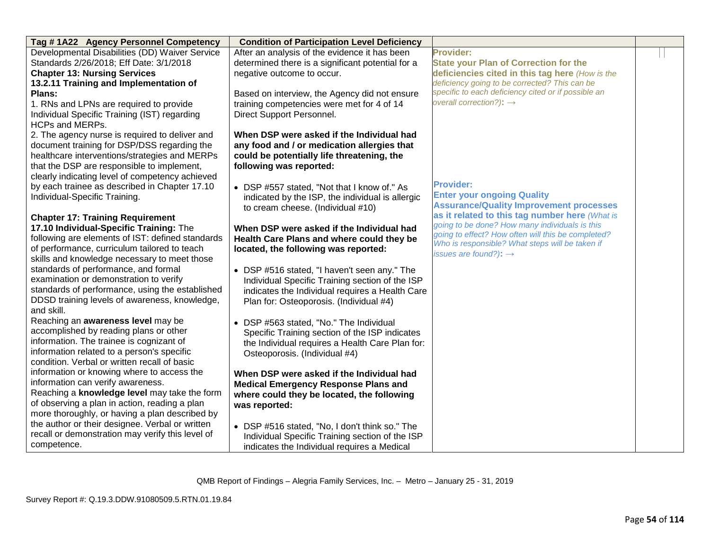| Tag #1A22 Agency Personnel Competency            | <b>Condition of Participation Level Deficiency</b> |                                                                                                       |  |
|--------------------------------------------------|----------------------------------------------------|-------------------------------------------------------------------------------------------------------|--|
| Developmental Disabilities (DD) Waiver Service   | After an analysis of the evidence it has been      | <b>Provider:</b>                                                                                      |  |
| Standards 2/26/2018; Eff Date: 3/1/2018          | determined there is a significant potential for a  | <b>State your Plan of Correction for the</b>                                                          |  |
| <b>Chapter 13: Nursing Services</b>              | negative outcome to occur.                         | deficiencies cited in this tag here (How is the                                                       |  |
| 13.2.11 Training and Implementation of           |                                                    | deficiency going to be corrected? This can be                                                         |  |
| Plans:                                           | Based on interview, the Agency did not ensure      | specific to each deficiency cited or if possible an                                                   |  |
| 1. RNs and LPNs are required to provide          | training competencies were met for 4 of 14         | overall correction?): $\rightarrow$                                                                   |  |
| Individual Specific Training (IST) regarding     | Direct Support Personnel.                          |                                                                                                       |  |
| <b>HCPs and MERPs.</b>                           |                                                    |                                                                                                       |  |
| 2. The agency nurse is required to deliver and   | When DSP were asked if the Individual had          |                                                                                                       |  |
| document training for DSP/DSS regarding the      | any food and / or medication allergies that        |                                                                                                       |  |
| healthcare interventions/strategies and MERPs    | could be potentially life threatening, the         |                                                                                                       |  |
| that the DSP are responsible to implement,       | following was reported:                            |                                                                                                       |  |
| clearly indicating level of competency achieved  |                                                    |                                                                                                       |  |
| by each trainee as described in Chapter 17.10    | • DSP #557 stated, "Not that I know of." As        | <b>Provider:</b>                                                                                      |  |
| Individual-Specific Training.                    | indicated by the ISP, the individual is allergic   | <b>Enter your ongoing Quality</b>                                                                     |  |
|                                                  | to cream cheese. (Individual #10)                  | <b>Assurance/Quality Improvement processes</b>                                                        |  |
| <b>Chapter 17: Training Requirement</b>          |                                                    | as it related to this tag number here (What is                                                        |  |
| 17.10 Individual-Specific Training: The          | When DSP were asked if the Individual had          | going to be done? How many individuals is this                                                        |  |
| following are elements of IST: defined standards | Health Care Plans and where could they be          | going to effect? How often will this be completed?<br>Who is responsible? What steps will be taken if |  |
| of performance, curriculum tailored to teach     | located, the following was reported:               | issues are found?): $\rightarrow$                                                                     |  |
| skills and knowledge necessary to meet those     |                                                    |                                                                                                       |  |
| standards of performance, and formal             | • DSP #516 stated, "I haven't seen any." The       |                                                                                                       |  |
| examination or demonstration to verify           | Individual Specific Training section of the ISP    |                                                                                                       |  |
| standards of performance, using the established  | indicates the Individual requires a Health Care    |                                                                                                       |  |
| DDSD training levels of awareness, knowledge,    | Plan for: Osteoporosis. (Individual #4)            |                                                                                                       |  |
| and skill.                                       |                                                    |                                                                                                       |  |
| Reaching an awareness level may be               | • DSP #563 stated, "No." The Individual            |                                                                                                       |  |
| accomplished by reading plans or other           | Specific Training section of the ISP indicates     |                                                                                                       |  |
| information. The trainee is cognizant of         | the Individual requires a Health Care Plan for:    |                                                                                                       |  |
| information related to a person's specific       | Osteoporosis. (Individual #4)                      |                                                                                                       |  |
| condition. Verbal or written recall of basic     |                                                    |                                                                                                       |  |
| information or knowing where to access the       | When DSP were asked if the Individual had          |                                                                                                       |  |
| information can verify awareness.                | <b>Medical Emergency Response Plans and</b>        |                                                                                                       |  |
| Reaching a knowledge level may take the form     | where could they be located, the following         |                                                                                                       |  |
| of observing a plan in action, reading a plan    | was reported:                                      |                                                                                                       |  |
| more thoroughly, or having a plan described by   |                                                    |                                                                                                       |  |
| the author or their designee. Verbal or written  | • DSP #516 stated, "No, I don't think so." The     |                                                                                                       |  |
| recall or demonstration may verify this level of | Individual Specific Training section of the ISP    |                                                                                                       |  |
| competence.                                      | indicates the Individual requires a Medical        |                                                                                                       |  |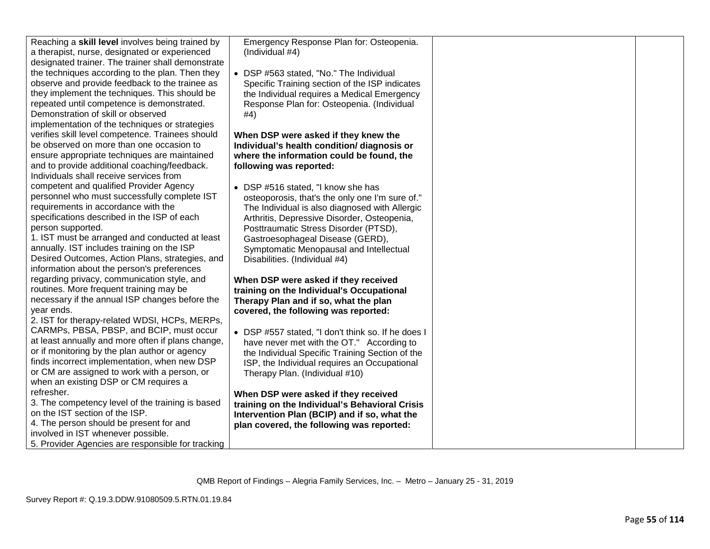| Reaching a skill level involves being trained by<br>a therapist, nurse, designated or experienced<br>designated trainer. The trainer shall demonstrate | Emergency Response Plan for: Osteopenia.<br>(Individual #4) |  |
|--------------------------------------------------------------------------------------------------------------------------------------------------------|-------------------------------------------------------------|--|
| the techniques according to the plan. Then they                                                                                                        | • DSP #563 stated, "No." The Individual                     |  |
| observe and provide feedback to the trainee as                                                                                                         | Specific Training section of the ISP indicates              |  |
| they implement the techniques. This should be                                                                                                          | the Individual requires a Medical Emergency                 |  |
| repeated until competence is demonstrated.                                                                                                             | Response Plan for: Osteopenia. (Individual                  |  |
| Demonstration of skill or observed                                                                                                                     | #4)                                                         |  |
| implementation of the techniques or strategies                                                                                                         |                                                             |  |
| verifies skill level competence. Trainees should                                                                                                       | When DSP were asked if they knew the                        |  |
| be observed on more than one occasion to                                                                                                               | Individual's health condition/ diagnosis or                 |  |
| ensure appropriate techniques are maintained                                                                                                           | where the information could be found, the                   |  |
| and to provide additional coaching/feedback.                                                                                                           | following was reported:                                     |  |
| Individuals shall receive services from                                                                                                                |                                                             |  |
| competent and qualified Provider Agency                                                                                                                | • DSP #516 stated, "I know she has                          |  |
| personnel who must successfully complete IST                                                                                                           | osteoporosis, that's the only one I'm sure of."             |  |
| requirements in accordance with the                                                                                                                    | The Individual is also diagnosed with Allergic              |  |
| specifications described in the ISP of each                                                                                                            | Arthritis, Depressive Disorder, Osteopenia,                 |  |
| person supported.                                                                                                                                      | Posttraumatic Stress Disorder (PTSD),                       |  |
| 1. IST must be arranged and conducted at least                                                                                                         | Gastroesophageal Disease (GERD),                            |  |
| annually. IST includes training on the ISP                                                                                                             | Symptomatic Menopausal and Intellectual                     |  |
| Desired Outcomes, Action Plans, strategies, and                                                                                                        | Disabilities. (Individual #4)                               |  |
| information about the person's preferences                                                                                                             |                                                             |  |
| regarding privacy, communication style, and                                                                                                            | When DSP were asked if they received                        |  |
| routines. More frequent training may be                                                                                                                | training on the Individual's Occupational                   |  |
| necessary if the annual ISP changes before the                                                                                                         | Therapy Plan and if so, what the plan                       |  |
| year ends.                                                                                                                                             | covered, the following was reported:                        |  |
| 2. IST for therapy-related WDSI, HCPs, MERPs,                                                                                                          |                                                             |  |
| CARMPs, PBSA, PBSP, and BCIP, must occur                                                                                                               | • DSP #557 stated, "I don't think so. If he does I          |  |
| at least annually and more often if plans change,                                                                                                      | have never met with the OT." According to                   |  |
| or if monitoring by the plan author or agency                                                                                                          | the Individual Specific Training Section of the             |  |
| finds incorrect implementation, when new DSP                                                                                                           | ISP, the Individual requires an Occupational                |  |
| or CM are assigned to work with a person, or                                                                                                           | Therapy Plan. (Individual #10)                              |  |
| when an existing DSP or CM requires a                                                                                                                  |                                                             |  |
| refresher.                                                                                                                                             | When DSP were asked if they received                        |  |
| 3. The competency level of the training is based                                                                                                       | training on the Individual's Behavioral Crisis              |  |
| on the IST section of the ISP.                                                                                                                         | Intervention Plan (BCIP) and if so, what the                |  |
| 4. The person should be present for and                                                                                                                | plan covered, the following was reported:                   |  |
| involved in IST whenever possible.                                                                                                                     |                                                             |  |
| 5. Provider Agencies are responsible for tracking                                                                                                      |                                                             |  |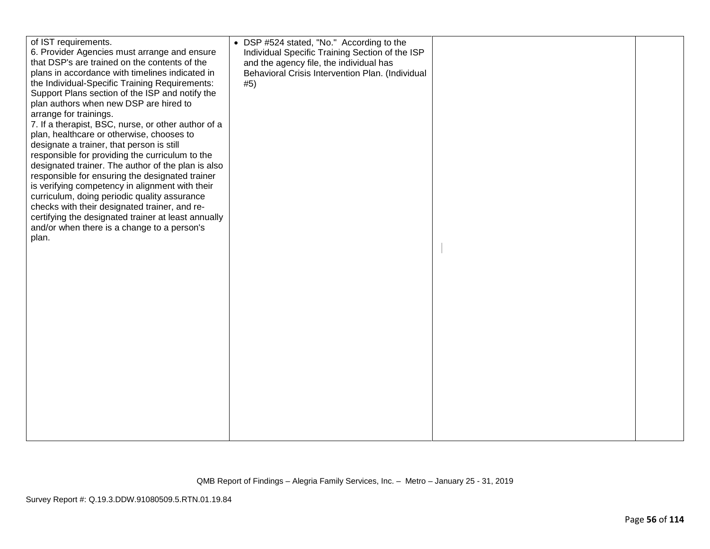| of IST requirements.<br>6. Provider Agencies must arrange and ensure<br>that DSP's are trained on the contents of the<br>plans in accordance with timelines indicated in<br>the Individual-Specific Training Requirements:<br>Support Plans section of the ISP and notify the<br>plan authors when new DSP are hired to<br>arrange for trainings.<br>7. If a therapist, BSC, nurse, or other author of a<br>plan, healthcare or otherwise, chooses to<br>designate a trainer, that person is still | • DSP #524 stated, "No." According to the<br>Individual Specific Training Section of the ISP<br>and the agency file, the individual has<br>Behavioral Crisis Intervention Plan. (Individual<br>#5) |  |
|----------------------------------------------------------------------------------------------------------------------------------------------------------------------------------------------------------------------------------------------------------------------------------------------------------------------------------------------------------------------------------------------------------------------------------------------------------------------------------------------------|----------------------------------------------------------------------------------------------------------------------------------------------------------------------------------------------------|--|
| responsible for providing the curriculum to the<br>designated trainer. The author of the plan is also<br>responsible for ensuring the designated trainer<br>is verifying competency in alignment with their<br>curriculum, doing periodic quality assurance<br>checks with their designated trainer, and re-<br>certifying the designated trainer at least annually<br>and/or when there is a change to a person's<br>plan.                                                                        |                                                                                                                                                                                                    |  |
|                                                                                                                                                                                                                                                                                                                                                                                                                                                                                                    |                                                                                                                                                                                                    |  |
|                                                                                                                                                                                                                                                                                                                                                                                                                                                                                                    |                                                                                                                                                                                                    |  |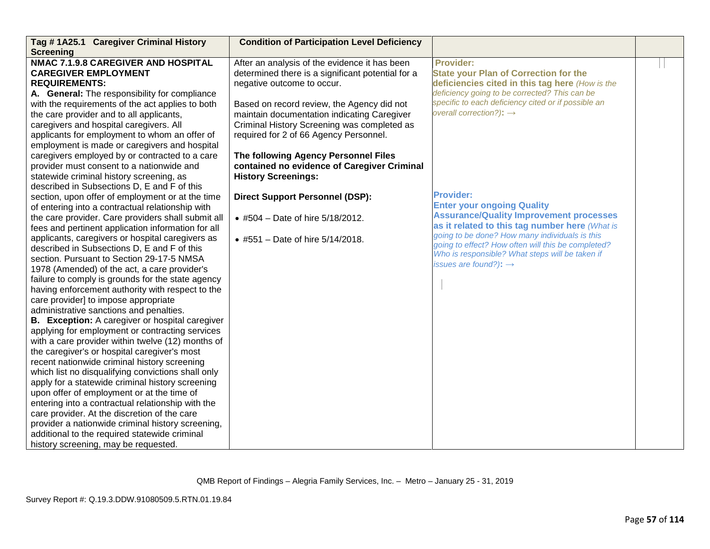| Tag #1A25.1 Caregiver Criminal History             | <b>Condition of Participation Level Deficiency</b> |                                                     |  |
|----------------------------------------------------|----------------------------------------------------|-----------------------------------------------------|--|
| <b>Screening</b>                                   |                                                    |                                                     |  |
| <b>NMAC 7.1.9.8 CAREGIVER AND HOSPITAL</b>         | After an analysis of the evidence it has been      | <b>Provider:</b>                                    |  |
| <b>CAREGIVER EMPLOYMENT</b>                        | determined there is a significant potential for a  | <b>State your Plan of Correction for the</b>        |  |
| <b>REQUIREMENTS:</b>                               | negative outcome to occur.                         | deficiencies cited in this tag here (How is the     |  |
| A. General: The responsibility for compliance      |                                                    | deficiency going to be corrected? This can be       |  |
| with the requirements of the act applies to both   | Based on record review, the Agency did not         | specific to each deficiency cited or if possible an |  |
| the care provider and to all applicants,           | maintain documentation indicating Caregiver        | overall correction?): $\rightarrow$                 |  |
| caregivers and hospital caregivers. All            | Criminal History Screening was completed as        |                                                     |  |
| applicants for employment to whom an offer of      | required for 2 of 66 Agency Personnel.             |                                                     |  |
| employment is made or caregivers and hospital      |                                                    |                                                     |  |
| caregivers employed by or contracted to a care     | The following Agency Personnel Files               |                                                     |  |
| provider must consent to a nationwide and          | contained no evidence of Caregiver Criminal        |                                                     |  |
| statewide criminal history screening, as           | <b>History Screenings:</b>                         |                                                     |  |
| described in Subsections D, E and F of this        |                                                    |                                                     |  |
| section, upon offer of employment or at the time   | <b>Direct Support Personnel (DSP):</b>             | <b>Provider:</b>                                    |  |
| of entering into a contractual relationship with   |                                                    | <b>Enter your ongoing Quality</b>                   |  |
| the care provider. Care providers shall submit all | • #504 – Date of hire $5/18/2012$ .                | <b>Assurance/Quality Improvement processes</b>      |  |
| fees and pertinent application information for all |                                                    | as it related to this tag number here (What is      |  |
| applicants, caregivers or hospital caregivers as   | • #551 - Date of hire 5/14/2018.                   | going to be done? How many individuals is this      |  |
| described in Subsections D, E and F of this        |                                                    | going to effect? How often will this be completed?  |  |
| section. Pursuant to Section 29-17-5 NMSA          |                                                    | Who is responsible? What steps will be taken if     |  |
| 1978 (Amended) of the act, a care provider's       |                                                    | issues are found?): $\rightarrow$                   |  |
| failure to comply is grounds for the state agency  |                                                    |                                                     |  |
| having enforcement authority with respect to the   |                                                    |                                                     |  |
| care provider] to impose appropriate               |                                                    |                                                     |  |
| administrative sanctions and penalties.            |                                                    |                                                     |  |
| B. Exception: A caregiver or hospital caregiver    |                                                    |                                                     |  |
| applying for employment or contracting services    |                                                    |                                                     |  |
| with a care provider within twelve (12) months of  |                                                    |                                                     |  |
| the caregiver's or hospital caregiver's most       |                                                    |                                                     |  |
| recent nationwide criminal history screening       |                                                    |                                                     |  |
| which list no disqualifying convictions shall only |                                                    |                                                     |  |
| apply for a statewide criminal history screening   |                                                    |                                                     |  |
| upon offer of employment or at the time of         |                                                    |                                                     |  |
| entering into a contractual relationship with the  |                                                    |                                                     |  |
| care provider. At the discretion of the care       |                                                    |                                                     |  |
| provider a nationwide criminal history screening,  |                                                    |                                                     |  |
| additional to the required statewide criminal      |                                                    |                                                     |  |
| history screening, may be requested.               |                                                    |                                                     |  |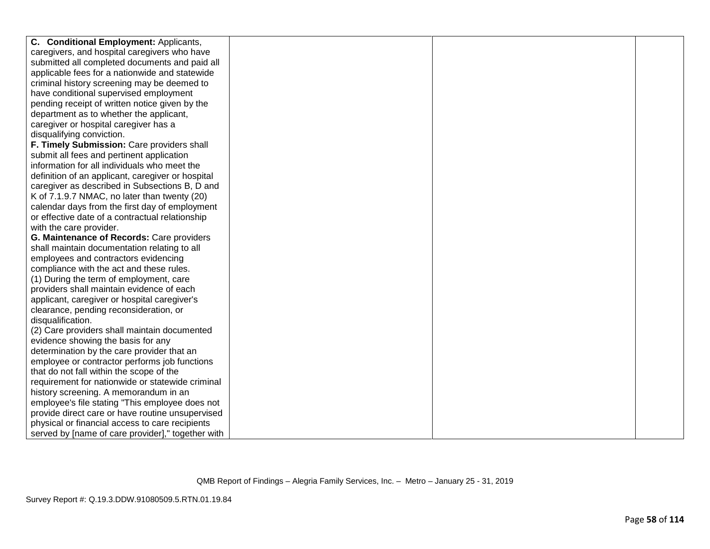| C. Conditional Employment: Applicants,            |  |  |
|---------------------------------------------------|--|--|
| caregivers, and hospital caregivers who have      |  |  |
| submitted all completed documents and paid all    |  |  |
| applicable fees for a nationwide and statewide    |  |  |
| criminal history screening may be deemed to       |  |  |
| have conditional supervised employment            |  |  |
| pending receipt of written notice given by the    |  |  |
| department as to whether the applicant,           |  |  |
| caregiver or hospital caregiver has a             |  |  |
| disqualifying conviction.                         |  |  |
| F. Timely Submission: Care providers shall        |  |  |
| submit all fees and pertinent application         |  |  |
| information for all individuals who meet the      |  |  |
| definition of an applicant, caregiver or hospital |  |  |
| caregiver as described in Subsections B, D and    |  |  |
| K of 7.1.9.7 NMAC, no later than twenty (20)      |  |  |
| calendar days from the first day of employment    |  |  |
| or effective date of a contractual relationship   |  |  |
| with the care provider.                           |  |  |
| G. Maintenance of Records: Care providers         |  |  |
| shall maintain documentation relating to all      |  |  |
| employees and contractors evidencing              |  |  |
| compliance with the act and these rules.          |  |  |
| (1) During the term of employment, care           |  |  |
| providers shall maintain evidence of each         |  |  |
| applicant, caregiver or hospital caregiver's      |  |  |
| clearance, pending reconsideration, or            |  |  |
| disqualification.                                 |  |  |
| (2) Care providers shall maintain documented      |  |  |
| evidence showing the basis for any                |  |  |
| determination by the care provider that an        |  |  |
| employee or contractor performs job functions     |  |  |
| that do not fall within the scope of the          |  |  |
| requirement for nationwide or statewide criminal  |  |  |
| history screening. A memorandum in an             |  |  |
| employee's file stating "This employee does not   |  |  |
| provide direct care or have routine unsupervised  |  |  |
| physical or financial access to care recipients   |  |  |
| served by [name of care provider]," together with |  |  |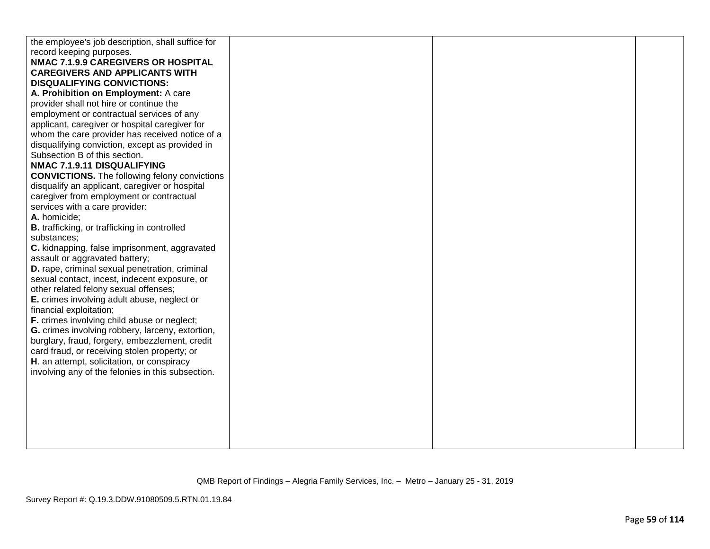| the employee's job description, shall suffice for                                               |  |  |
|-------------------------------------------------------------------------------------------------|--|--|
| record keeping purposes.                                                                        |  |  |
| NMAC 7.1.9.9 CAREGIVERS OR HOSPITAL                                                             |  |  |
| <b>CAREGIVERS AND APPLICANTS WITH</b>                                                           |  |  |
| <b>DISQUALIFYING CONVICTIONS:</b>                                                               |  |  |
| A. Prohibition on Employment: A care                                                            |  |  |
| provider shall not hire or continue the                                                         |  |  |
| employment or contractual services of any                                                       |  |  |
| applicant, caregiver or hospital caregiver for                                                  |  |  |
| whom the care provider has received notice of a                                                 |  |  |
| disqualifying conviction, except as provided in                                                 |  |  |
| Subsection B of this section.                                                                   |  |  |
| NMAC 7.1.9.11 DISQUALIFYING                                                                     |  |  |
| <b>CONVICTIONS.</b> The following felony convictions                                            |  |  |
| disqualify an applicant, caregiver or hospital                                                  |  |  |
| caregiver from employment or contractual                                                        |  |  |
| services with a care provider:                                                                  |  |  |
| A. homicide;                                                                                    |  |  |
| <b>B.</b> trafficking, or trafficking in controlled                                             |  |  |
| substances;                                                                                     |  |  |
| C. kidnapping, false imprisonment, aggravated                                                   |  |  |
| assault or aggravated battery;                                                                  |  |  |
| D. rape, criminal sexual penetration, criminal<br>sexual contact, incest, indecent exposure, or |  |  |
| other related felony sexual offenses;                                                           |  |  |
| E. crimes involving adult abuse, neglect or                                                     |  |  |
| financial exploitation;                                                                         |  |  |
| F. crimes involving child abuse or neglect;                                                     |  |  |
| G. crimes involving robbery, larceny, extortion,                                                |  |  |
| burglary, fraud, forgery, embezzlement, credit                                                  |  |  |
| card fraud, or receiving stolen property; or                                                    |  |  |
| H. an attempt, solicitation, or conspiracy                                                      |  |  |
| involving any of the felonies in this subsection.                                               |  |  |
|                                                                                                 |  |  |
|                                                                                                 |  |  |
|                                                                                                 |  |  |
|                                                                                                 |  |  |
|                                                                                                 |  |  |
|                                                                                                 |  |  |
|                                                                                                 |  |  |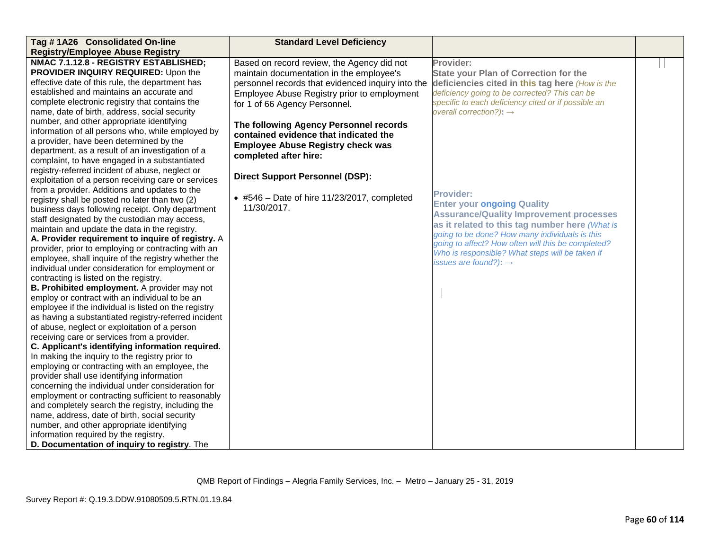| Tag #1A26 Consolidated On-line                                                                                                                                                                                                                                                                                                                                                                                                                                                                                                                                                                                                                                                                                                                                                                                                                                                                                                                                                                                                   | <b>Standard Level Deficiency</b>                    |                                                     |  |
|----------------------------------------------------------------------------------------------------------------------------------------------------------------------------------------------------------------------------------------------------------------------------------------------------------------------------------------------------------------------------------------------------------------------------------------------------------------------------------------------------------------------------------------------------------------------------------------------------------------------------------------------------------------------------------------------------------------------------------------------------------------------------------------------------------------------------------------------------------------------------------------------------------------------------------------------------------------------------------------------------------------------------------|-----------------------------------------------------|-----------------------------------------------------|--|
| <b>Registry/Employee Abuse Registry</b>                                                                                                                                                                                                                                                                                                                                                                                                                                                                                                                                                                                                                                                                                                                                                                                                                                                                                                                                                                                          |                                                     |                                                     |  |
| NMAC 7.1.12.8 - REGISTRY ESTABLISHED;                                                                                                                                                                                                                                                                                                                                                                                                                                                                                                                                                                                                                                                                                                                                                                                                                                                                                                                                                                                            | Based on record review, the Agency did not          | Provider:                                           |  |
| PROVIDER INQUIRY REQUIRED: Upon the                                                                                                                                                                                                                                                                                                                                                                                                                                                                                                                                                                                                                                                                                                                                                                                                                                                                                                                                                                                              | maintain documentation in the employee's            | <b>State your Plan of Correction for the</b>        |  |
| effective date of this rule, the department has                                                                                                                                                                                                                                                                                                                                                                                                                                                                                                                                                                                                                                                                                                                                                                                                                                                                                                                                                                                  | personnel records that evidenced inquiry into the   | deficiencies cited in this tag here (How is the     |  |
| established and maintains an accurate and                                                                                                                                                                                                                                                                                                                                                                                                                                                                                                                                                                                                                                                                                                                                                                                                                                                                                                                                                                                        | Employee Abuse Registry prior to employment         | deficiency going to be corrected? This can be       |  |
| complete electronic registry that contains the                                                                                                                                                                                                                                                                                                                                                                                                                                                                                                                                                                                                                                                                                                                                                                                                                                                                                                                                                                                   | for 1 of 66 Agency Personnel.                       | specific to each deficiency cited or if possible an |  |
| name, date of birth, address, social security                                                                                                                                                                                                                                                                                                                                                                                                                                                                                                                                                                                                                                                                                                                                                                                                                                                                                                                                                                                    |                                                     | overall correction?): $\rightarrow$                 |  |
| number, and other appropriate identifying                                                                                                                                                                                                                                                                                                                                                                                                                                                                                                                                                                                                                                                                                                                                                                                                                                                                                                                                                                                        | The following Agency Personnel records              |                                                     |  |
| information of all persons who, while employed by                                                                                                                                                                                                                                                                                                                                                                                                                                                                                                                                                                                                                                                                                                                                                                                                                                                                                                                                                                                | contained evidence that indicated the               |                                                     |  |
| a provider, have been determined by the                                                                                                                                                                                                                                                                                                                                                                                                                                                                                                                                                                                                                                                                                                                                                                                                                                                                                                                                                                                          | <b>Employee Abuse Registry check was</b>            |                                                     |  |
| department, as a result of an investigation of a                                                                                                                                                                                                                                                                                                                                                                                                                                                                                                                                                                                                                                                                                                                                                                                                                                                                                                                                                                                 | completed after hire:                               |                                                     |  |
| complaint, to have engaged in a substantiated                                                                                                                                                                                                                                                                                                                                                                                                                                                                                                                                                                                                                                                                                                                                                                                                                                                                                                                                                                                    |                                                     |                                                     |  |
| registry-referred incident of abuse, neglect or                                                                                                                                                                                                                                                                                                                                                                                                                                                                                                                                                                                                                                                                                                                                                                                                                                                                                                                                                                                  | <b>Direct Support Personnel (DSP):</b>              |                                                     |  |
| exploitation of a person receiving care or services                                                                                                                                                                                                                                                                                                                                                                                                                                                                                                                                                                                                                                                                                                                                                                                                                                                                                                                                                                              |                                                     |                                                     |  |
| from a provider. Additions and updates to the                                                                                                                                                                                                                                                                                                                                                                                                                                                                                                                                                                                                                                                                                                                                                                                                                                                                                                                                                                                    | $\bullet$ #546 - Date of hire 11/23/2017, completed | <b>Provider:</b>                                    |  |
| registry shall be posted no later than two (2)                                                                                                                                                                                                                                                                                                                                                                                                                                                                                                                                                                                                                                                                                                                                                                                                                                                                                                                                                                                   | 11/30/2017.                                         | <b>Enter your ongoing Quality</b>                   |  |
| business days following receipt. Only department                                                                                                                                                                                                                                                                                                                                                                                                                                                                                                                                                                                                                                                                                                                                                                                                                                                                                                                                                                                 |                                                     | <b>Assurance/Quality Improvement processes</b>      |  |
| staff designated by the custodian may access,                                                                                                                                                                                                                                                                                                                                                                                                                                                                                                                                                                                                                                                                                                                                                                                                                                                                                                                                                                                    |                                                     | as it related to this tag number here (What is      |  |
| maintain and update the data in the registry.                                                                                                                                                                                                                                                                                                                                                                                                                                                                                                                                                                                                                                                                                                                                                                                                                                                                                                                                                                                    |                                                     | going to be done? How many individuals is this      |  |
| A. Provider requirement to inquire of registry. A                                                                                                                                                                                                                                                                                                                                                                                                                                                                                                                                                                                                                                                                                                                                                                                                                                                                                                                                                                                |                                                     | going to affect? How often will this be completed?  |  |
| provider, prior to employing or contracting with an                                                                                                                                                                                                                                                                                                                                                                                                                                                                                                                                                                                                                                                                                                                                                                                                                                                                                                                                                                              |                                                     | Who is responsible? What steps will be taken if     |  |
|                                                                                                                                                                                                                                                                                                                                                                                                                                                                                                                                                                                                                                                                                                                                                                                                                                                                                                                                                                                                                                  |                                                     | issues are found?): $\rightarrow$                   |  |
|                                                                                                                                                                                                                                                                                                                                                                                                                                                                                                                                                                                                                                                                                                                                                                                                                                                                                                                                                                                                                                  |                                                     |                                                     |  |
|                                                                                                                                                                                                                                                                                                                                                                                                                                                                                                                                                                                                                                                                                                                                                                                                                                                                                                                                                                                                                                  |                                                     |                                                     |  |
|                                                                                                                                                                                                                                                                                                                                                                                                                                                                                                                                                                                                                                                                                                                                                                                                                                                                                                                                                                                                                                  |                                                     |                                                     |  |
|                                                                                                                                                                                                                                                                                                                                                                                                                                                                                                                                                                                                                                                                                                                                                                                                                                                                                                                                                                                                                                  |                                                     |                                                     |  |
|                                                                                                                                                                                                                                                                                                                                                                                                                                                                                                                                                                                                                                                                                                                                                                                                                                                                                                                                                                                                                                  |                                                     |                                                     |  |
|                                                                                                                                                                                                                                                                                                                                                                                                                                                                                                                                                                                                                                                                                                                                                                                                                                                                                                                                                                                                                                  |                                                     |                                                     |  |
|                                                                                                                                                                                                                                                                                                                                                                                                                                                                                                                                                                                                                                                                                                                                                                                                                                                                                                                                                                                                                                  |                                                     |                                                     |  |
|                                                                                                                                                                                                                                                                                                                                                                                                                                                                                                                                                                                                                                                                                                                                                                                                                                                                                                                                                                                                                                  |                                                     |                                                     |  |
|                                                                                                                                                                                                                                                                                                                                                                                                                                                                                                                                                                                                                                                                                                                                                                                                                                                                                                                                                                                                                                  |                                                     |                                                     |  |
|                                                                                                                                                                                                                                                                                                                                                                                                                                                                                                                                                                                                                                                                                                                                                                                                                                                                                                                                                                                                                                  |                                                     |                                                     |  |
|                                                                                                                                                                                                                                                                                                                                                                                                                                                                                                                                                                                                                                                                                                                                                                                                                                                                                                                                                                                                                                  |                                                     |                                                     |  |
|                                                                                                                                                                                                                                                                                                                                                                                                                                                                                                                                                                                                                                                                                                                                                                                                                                                                                                                                                                                                                                  |                                                     |                                                     |  |
|                                                                                                                                                                                                                                                                                                                                                                                                                                                                                                                                                                                                                                                                                                                                                                                                                                                                                                                                                                                                                                  |                                                     |                                                     |  |
|                                                                                                                                                                                                                                                                                                                                                                                                                                                                                                                                                                                                                                                                                                                                                                                                                                                                                                                                                                                                                                  |                                                     |                                                     |  |
|                                                                                                                                                                                                                                                                                                                                                                                                                                                                                                                                                                                                                                                                                                                                                                                                                                                                                                                                                                                                                                  |                                                     |                                                     |  |
|                                                                                                                                                                                                                                                                                                                                                                                                                                                                                                                                                                                                                                                                                                                                                                                                                                                                                                                                                                                                                                  |                                                     |                                                     |  |
|                                                                                                                                                                                                                                                                                                                                                                                                                                                                                                                                                                                                                                                                                                                                                                                                                                                                                                                                                                                                                                  |                                                     |                                                     |  |
|                                                                                                                                                                                                                                                                                                                                                                                                                                                                                                                                                                                                                                                                                                                                                                                                                                                                                                                                                                                                                                  |                                                     |                                                     |  |
| employee, shall inquire of the registry whether the<br>individual under consideration for employment or<br>contracting is listed on the registry.<br>B. Prohibited employment. A provider may not<br>employ or contract with an individual to be an<br>employee if the individual is listed on the registry<br>as having a substantiated registry-referred incident<br>of abuse, neglect or exploitation of a person<br>receiving care or services from a provider.<br>C. Applicant's identifying information required.<br>In making the inquiry to the registry prior to<br>employing or contracting with an employee, the<br>provider shall use identifying information<br>concerning the individual under consideration for<br>employment or contracting sufficient to reasonably<br>and completely search the registry, including the<br>name, address, date of birth, social security<br>number, and other appropriate identifying<br>information required by the registry.<br>D. Documentation of inquiry to registry. The |                                                     |                                                     |  |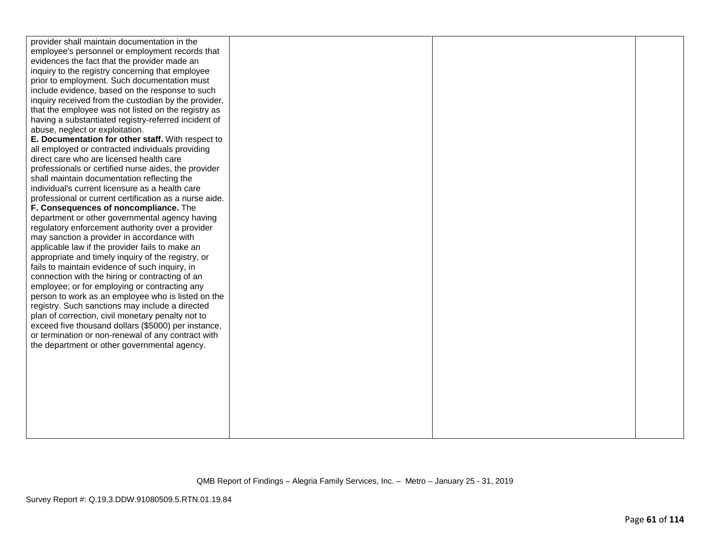| provider shall maintain documentation in the           |  |  |
|--------------------------------------------------------|--|--|
| employee's personnel or employment records that        |  |  |
| evidences the fact that the provider made an           |  |  |
| inquiry to the registry concerning that employee       |  |  |
| prior to employment. Such documentation must           |  |  |
| include evidence, based on the response to such        |  |  |
| inquiry received from the custodian by the provider,   |  |  |
| that the employee was not listed on the registry as    |  |  |
| having a substantiated registry-referred incident of   |  |  |
| abuse, neglect or exploitation.                        |  |  |
| E. Documentation for other staff. With respect to      |  |  |
| all employed or contracted individuals providing       |  |  |
| direct care who are licensed health care               |  |  |
| professionals or certified nurse aides, the provider   |  |  |
| shall maintain documentation reflecting the            |  |  |
| individual's current licensure as a health care        |  |  |
| professional or current certification as a nurse aide. |  |  |
| F. Consequences of noncompliance. The                  |  |  |
| department or other governmental agency having         |  |  |
| regulatory enforcement authority over a provider       |  |  |
| may sanction a provider in accordance with             |  |  |
| applicable law if the provider fails to make an        |  |  |
| appropriate and timely inquiry of the registry, or     |  |  |
| fails to maintain evidence of such inquiry, in         |  |  |
| connection with the hiring or contracting of an        |  |  |
| employee; or for employing or contracting any          |  |  |
| person to work as an employee who is listed on the     |  |  |
| registry. Such sanctions may include a directed        |  |  |
| plan of correction, civil monetary penalty not to      |  |  |
| exceed five thousand dollars (\$5000) per instance,    |  |  |
| or termination or non-renewal of any contract with     |  |  |
| the department or other governmental agency.           |  |  |
|                                                        |  |  |
|                                                        |  |  |
|                                                        |  |  |
|                                                        |  |  |
|                                                        |  |  |
|                                                        |  |  |
|                                                        |  |  |
|                                                        |  |  |
|                                                        |  |  |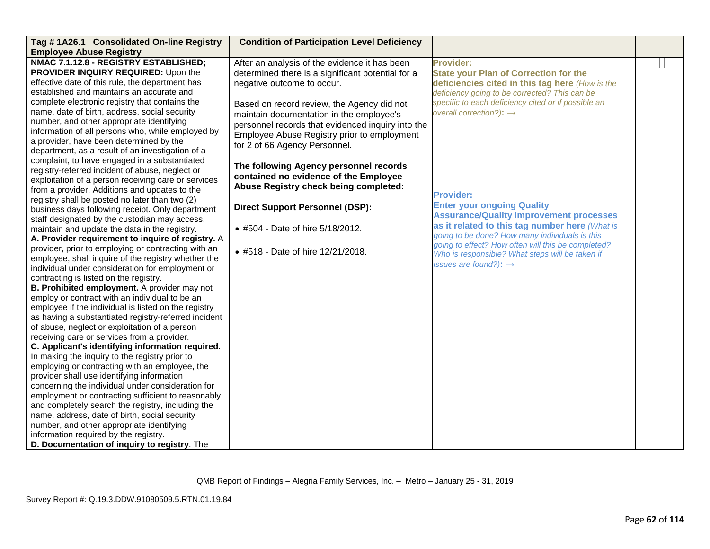| Tag #1A26.1 Consolidated On-line Registry<br><b>Employee Abuse Registry</b> | <b>Condition of Participation Level Deficiency</b> |                                                     |  |
|-----------------------------------------------------------------------------|----------------------------------------------------|-----------------------------------------------------|--|
| NMAC 7.1.12.8 - REGISTRY ESTABLISHED;                                       | After an analysis of the evidence it has been      | Provider:                                           |  |
| PROVIDER INQUIRY REQUIRED: Upon the                                         | determined there is a significant potential for a  | <b>State your Plan of Correction for the</b>        |  |
| effective date of this rule, the department has                             | negative outcome to occur.                         | deficiencies cited in this tag here (How is the     |  |
| established and maintains an accurate and                                   |                                                    | deficiency going to be corrected? This can be       |  |
| complete electronic registry that contains the                              |                                                    | specific to each deficiency cited or if possible an |  |
| name, date of birth, address, social security                               | Based on record review, the Agency did not         | overall correction?): $\rightarrow$                 |  |
| number, and other appropriate identifying                                   | maintain documentation in the employee's           |                                                     |  |
| information of all persons who, while employed by                           | personnel records that evidenced inquiry into the  |                                                     |  |
| a provider, have been determined by the                                     | Employee Abuse Registry prior to employment        |                                                     |  |
| department, as a result of an investigation of a                            | for 2 of 66 Agency Personnel.                      |                                                     |  |
| complaint, to have engaged in a substantiated                               |                                                    |                                                     |  |
| registry-referred incident of abuse, neglect or                             | The following Agency personnel records             |                                                     |  |
| exploitation of a person receiving care or services                         | contained no evidence of the Employee              |                                                     |  |
| from a provider. Additions and updates to the                               | Abuse Registry check being completed:              |                                                     |  |
| registry shall be posted no later than two (2)                              |                                                    | <b>Provider:</b>                                    |  |
| business days following receipt. Only department                            | <b>Direct Support Personnel (DSP):</b>             | <b>Enter your ongoing Quality</b>                   |  |
| staff designated by the custodian may access,                               |                                                    | <b>Assurance/Quality Improvement processes</b>      |  |
| maintain and update the data in the registry.                               | • #504 - Date of hire 5/18/2012.                   | as it related to this tag number here (What is      |  |
| A. Provider requirement to inquire of registry. A                           |                                                    | going to be done? How many individuals is this      |  |
| provider, prior to employing or contracting with an                         |                                                    | going to effect? How often will this be completed?  |  |
| employee, shall inquire of the registry whether the                         | • #518 - Date of hire 12/21/2018.                  | Who is responsible? What steps will be taken if     |  |
| individual under consideration for employment or                            |                                                    | issues are found?): $\rightarrow$                   |  |
| contracting is listed on the registry.                                      |                                                    |                                                     |  |
| B. Prohibited employment. A provider may not                                |                                                    |                                                     |  |
| employ or contract with an individual to be an                              |                                                    |                                                     |  |
| employee if the individual is listed on the registry                        |                                                    |                                                     |  |
| as having a substantiated registry-referred incident                        |                                                    |                                                     |  |
| of abuse, neglect or exploitation of a person                               |                                                    |                                                     |  |
| receiving care or services from a provider.                                 |                                                    |                                                     |  |
| C. Applicant's identifying information required.                            |                                                    |                                                     |  |
| In making the inquiry to the registry prior to                              |                                                    |                                                     |  |
| employing or contracting with an employee, the                              |                                                    |                                                     |  |
| provider shall use identifying information                                  |                                                    |                                                     |  |
| concerning the individual under consideration for                           |                                                    |                                                     |  |
| employment or contracting sufficient to reasonably                          |                                                    |                                                     |  |
| and completely search the registry, including the                           |                                                    |                                                     |  |
| name, address, date of birth, social security                               |                                                    |                                                     |  |
| number, and other appropriate identifying                                   |                                                    |                                                     |  |
| information required by the registry.                                       |                                                    |                                                     |  |
| D. Documentation of inquiry to registry. The                                |                                                    |                                                     |  |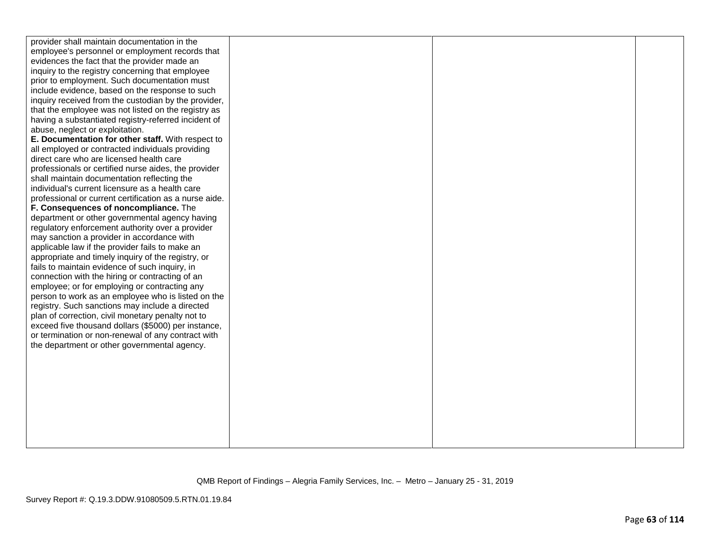| provider shall maintain documentation in the           |  |  |
|--------------------------------------------------------|--|--|
| employee's personnel or employment records that        |  |  |
| evidences the fact that the provider made an           |  |  |
| inquiry to the registry concerning that employee       |  |  |
| prior to employment. Such documentation must           |  |  |
| include evidence, based on the response to such        |  |  |
| inquiry received from the custodian by the provider,   |  |  |
| that the employee was not listed on the registry as    |  |  |
| having a substantiated registry-referred incident of   |  |  |
| abuse, neglect or exploitation.                        |  |  |
| E. Documentation for other staff. With respect to      |  |  |
| all employed or contracted individuals providing       |  |  |
| direct care who are licensed health care               |  |  |
| professionals or certified nurse aides, the provider   |  |  |
| shall maintain documentation reflecting the            |  |  |
| individual's current licensure as a health care        |  |  |
| professional or current certification as a nurse aide. |  |  |
| F. Consequences of noncompliance. The                  |  |  |
| department or other governmental agency having         |  |  |
| regulatory enforcement authority over a provider       |  |  |
| may sanction a provider in accordance with             |  |  |
| applicable law if the provider fails to make an        |  |  |
| appropriate and timely inquiry of the registry, or     |  |  |
| fails to maintain evidence of such inquiry, in         |  |  |
| connection with the hiring or contracting of an        |  |  |
| employee; or for employing or contracting any          |  |  |
| person to work as an employee who is listed on the     |  |  |
| registry. Such sanctions may include a directed        |  |  |
| plan of correction, civil monetary penalty not to      |  |  |
| exceed five thousand dollars (\$5000) per instance,    |  |  |
| or termination or non-renewal of any contract with     |  |  |
| the department or other governmental agency.           |  |  |
|                                                        |  |  |
|                                                        |  |  |
|                                                        |  |  |
|                                                        |  |  |
|                                                        |  |  |
|                                                        |  |  |
|                                                        |  |  |
|                                                        |  |  |
|                                                        |  |  |
|                                                        |  |  |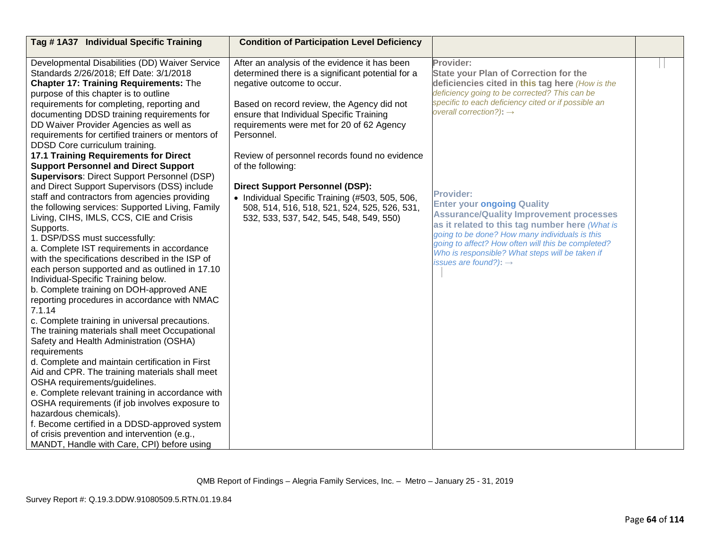| Tag #1A37 Individual Specific Training                                                                                                                                                                                                                                                                                                                                                                                                                                                                                                                                                                                                                                                                                                                                                                                                                                                                                                                                                                                                                                                                                                | <b>Condition of Participation Level Deficiency</b>                                                                                                                                                                                                                                    |                                                                                                                                                                                                                                                                                                                                                           |  |
|---------------------------------------------------------------------------------------------------------------------------------------------------------------------------------------------------------------------------------------------------------------------------------------------------------------------------------------------------------------------------------------------------------------------------------------------------------------------------------------------------------------------------------------------------------------------------------------------------------------------------------------------------------------------------------------------------------------------------------------------------------------------------------------------------------------------------------------------------------------------------------------------------------------------------------------------------------------------------------------------------------------------------------------------------------------------------------------------------------------------------------------|---------------------------------------------------------------------------------------------------------------------------------------------------------------------------------------------------------------------------------------------------------------------------------------|-----------------------------------------------------------------------------------------------------------------------------------------------------------------------------------------------------------------------------------------------------------------------------------------------------------------------------------------------------------|--|
| Developmental Disabilities (DD) Waiver Service<br>Standards 2/26/2018; Eff Date: 3/1/2018<br><b>Chapter 17: Training Requirements: The</b><br>purpose of this chapter is to outline<br>requirements for completing, reporting and<br>documenting DDSD training requirements for<br>DD Waiver Provider Agencies as well as<br>requirements for certified trainers or mentors of                                                                                                                                                                                                                                                                                                                                                                                                                                                                                                                                                                                                                                                                                                                                                        | After an analysis of the evidence it has been<br>determined there is a significant potential for a<br>negative outcome to occur.<br>Based on record review, the Agency did not<br>ensure that Individual Specific Training<br>requirements were met for 20 of 62 Agency<br>Personnel. | Provider:<br><b>State your Plan of Correction for the</b><br>deficiencies cited in this tag here (How is the<br>deficiency going to be corrected? This can be<br>specific to each deficiency cited or if possible an<br>overall correction?): $\rightarrow$                                                                                               |  |
| DDSD Core curriculum training.<br>17.1 Training Requirements for Direct<br><b>Support Personnel and Direct Support</b><br><b>Supervisors: Direct Support Personnel (DSP)</b><br>and Direct Support Supervisors (DSS) include<br>staff and contractors from agencies providing<br>the following services: Supported Living, Family<br>Living, CIHS, IMLS, CCS, CIE and Crisis<br>Supports.<br>1. DSP/DSS must successfully:<br>a. Complete IST requirements in accordance<br>with the specifications described in the ISP of<br>each person supported and as outlined in 17.10<br>Individual-Specific Training below.<br>b. Complete training on DOH-approved ANE<br>reporting procedures in accordance with NMAC<br>7.1.14<br>c. Complete training in universal precautions.<br>The training materials shall meet Occupational<br>Safety and Health Administration (OSHA)<br>requirements<br>d. Complete and maintain certification in First<br>Aid and CPR. The training materials shall meet<br>OSHA requirements/guidelines.<br>e. Complete relevant training in accordance with<br>OSHA requirements (if job involves exposure to | Review of personnel records found no evidence<br>of the following:<br><b>Direct Support Personnel (DSP):</b><br>• Individual Specific Training (#503, 505, 506,<br>508, 514, 516, 518, 521, 524, 525, 526, 531,<br>532, 533, 537, 542, 545, 548, 549, 550)                            | <b>Provider:</b><br><b>Enter your ongoing Quality</b><br><b>Assurance/Quality Improvement processes</b><br>as it related to this tag number here (What is<br>going to be done? How many individuals is this<br>going to affect? How often will this be completed?<br>Who is responsible? What steps will be taken if<br>issues are found?): $\rightarrow$ |  |
| hazardous chemicals).<br>f. Become certified in a DDSD-approved system<br>of crisis prevention and intervention (e.g.,<br>MANDT, Handle with Care, CPI) before using                                                                                                                                                                                                                                                                                                                                                                                                                                                                                                                                                                                                                                                                                                                                                                                                                                                                                                                                                                  |                                                                                                                                                                                                                                                                                       |                                                                                                                                                                                                                                                                                                                                                           |  |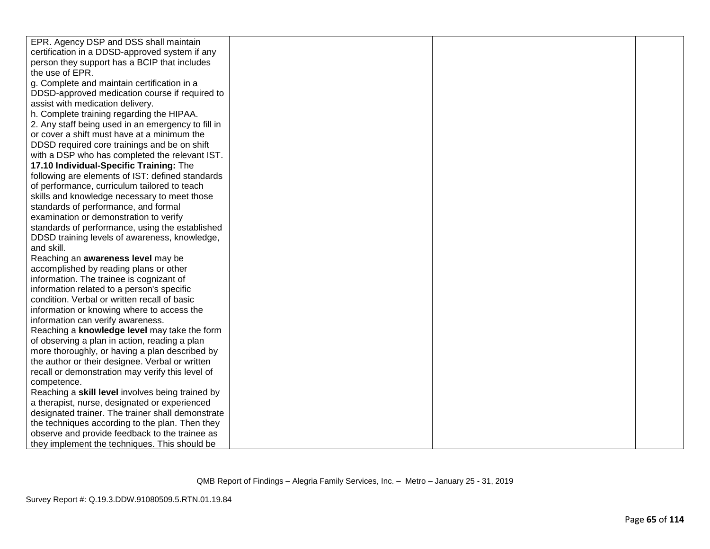| EPR. Agency DSP and DSS shall maintain             |  |  |
|----------------------------------------------------|--|--|
|                                                    |  |  |
| certification in a DDSD-approved system if any     |  |  |
| person they support has a BCIP that includes       |  |  |
| the use of EPR.                                    |  |  |
| g. Complete and maintain certification in a        |  |  |
| DDSD-approved medication course if required to     |  |  |
| assist with medication delivery.                   |  |  |
| h. Complete training regarding the HIPAA.          |  |  |
| 2. Any staff being used in an emergency to fill in |  |  |
| or cover a shift must have at a minimum the        |  |  |
| DDSD required core trainings and be on shift       |  |  |
| with a DSP who has completed the relevant IST.     |  |  |
| 17.10 Individual-Specific Training: The            |  |  |
| following are elements of IST: defined standards   |  |  |
| of performance, curriculum tailored to teach       |  |  |
| skills and knowledge necessary to meet those       |  |  |
| standards of performance, and formal               |  |  |
| examination or demonstration to verify             |  |  |
| standards of performance, using the established    |  |  |
| DDSD training levels of awareness, knowledge,      |  |  |
| and skill.                                         |  |  |
| Reaching an awareness level may be                 |  |  |
| accomplished by reading plans or other             |  |  |
| information. The trainee is cognizant of           |  |  |
| information related to a person's specific         |  |  |
| condition. Verbal or written recall of basic       |  |  |
| information or knowing where to access the         |  |  |
| information can verify awareness.                  |  |  |
| Reaching a knowledge level may take the form       |  |  |
| of observing a plan in action, reading a plan      |  |  |
| more thoroughly, or having a plan described by     |  |  |
| the author or their designee. Verbal or written    |  |  |
| recall or demonstration may verify this level of   |  |  |
| competence.                                        |  |  |
| Reaching a skill level involves being trained by   |  |  |
| a therapist, nurse, designated or experienced      |  |  |
| designated trainer. The trainer shall demonstrate  |  |  |
| the techniques according to the plan. Then they    |  |  |
| observe and provide feedback to the trainee as     |  |  |
| they implement the techniques. This should be      |  |  |
|                                                    |  |  |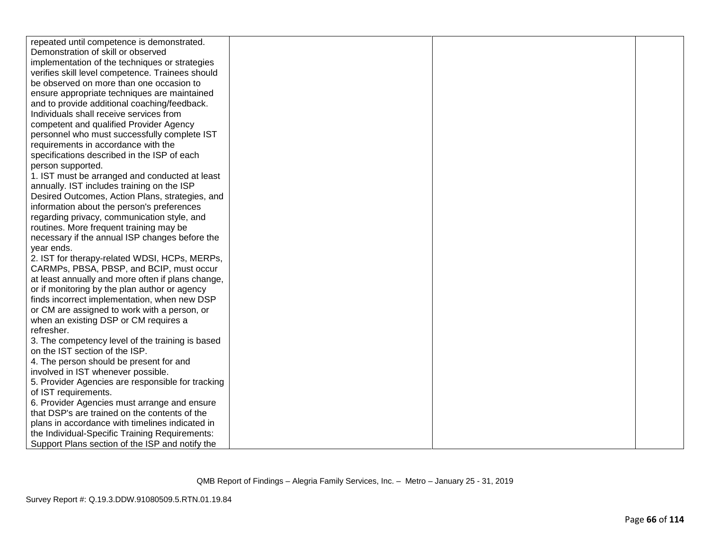| repeated until competence is demonstrated.        |  |  |
|---------------------------------------------------|--|--|
| Demonstration of skill or observed                |  |  |
| implementation of the techniques or strategies    |  |  |
| verifies skill level competence. Trainees should  |  |  |
| be observed on more than one occasion to          |  |  |
| ensure appropriate techniques are maintained      |  |  |
| and to provide additional coaching/feedback.      |  |  |
| Individuals shall receive services from           |  |  |
| competent and qualified Provider Agency           |  |  |
| personnel who must successfully complete IST      |  |  |
| requirements in accordance with the               |  |  |
| specifications described in the ISP of each       |  |  |
| person supported.                                 |  |  |
| 1. IST must be arranged and conducted at least    |  |  |
| annually. IST includes training on the ISP        |  |  |
| Desired Outcomes, Action Plans, strategies, and   |  |  |
| information about the person's preferences        |  |  |
| regarding privacy, communication style, and       |  |  |
| routines. More frequent training may be           |  |  |
| necessary if the annual ISP changes before the    |  |  |
| year ends.                                        |  |  |
| 2. IST for therapy-related WDSI, HCPs, MERPs,     |  |  |
| CARMPs, PBSA, PBSP, and BCIP, must occur          |  |  |
| at least annually and more often if plans change, |  |  |
| or if monitoring by the plan author or agency     |  |  |
| finds incorrect implementation, when new DSP      |  |  |
| or CM are assigned to work with a person, or      |  |  |
| when an existing DSP or CM requires a             |  |  |
| refresher.                                        |  |  |
| 3. The competency level of the training is based  |  |  |
| on the IST section of the ISP.                    |  |  |
| 4. The person should be present for and           |  |  |
| involved in IST whenever possible.                |  |  |
| 5. Provider Agencies are responsible for tracking |  |  |
| of IST requirements.                              |  |  |
| 6. Provider Agencies must arrange and ensure      |  |  |
| that DSP's are trained on the contents of the     |  |  |
| plans in accordance with timelines indicated in   |  |  |
| the Individual-Specific Training Requirements:    |  |  |
| Support Plans section of the ISP and notify the   |  |  |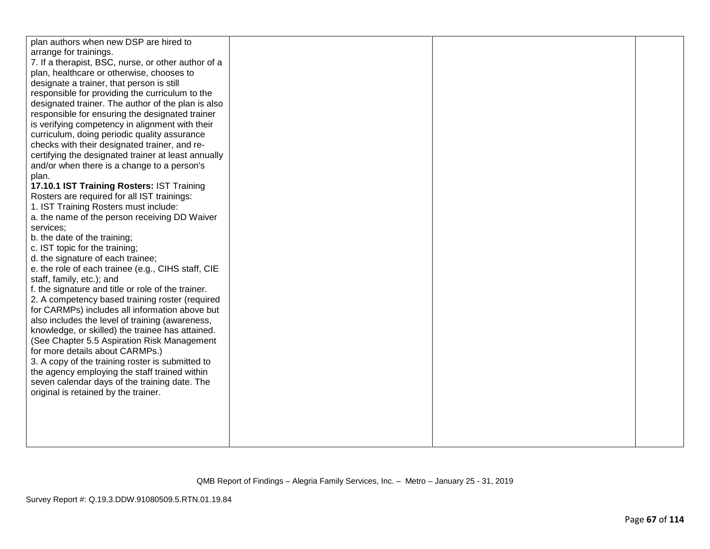| plan authors when new DSP are hired to              |  |  |
|-----------------------------------------------------|--|--|
| arrange for trainings.                              |  |  |
| 7. If a therapist, BSC, nurse, or other author of a |  |  |
| plan, healthcare or otherwise, chooses to           |  |  |
| designate a trainer, that person is still           |  |  |
| responsible for providing the curriculum to the     |  |  |
| designated trainer. The author of the plan is also  |  |  |
| responsible for ensuring the designated trainer     |  |  |
| is verifying competency in alignment with their     |  |  |
| curriculum, doing periodic quality assurance        |  |  |
| checks with their designated trainer, and re-       |  |  |
| certifying the designated trainer at least annually |  |  |
| and/or when there is a change to a person's         |  |  |
| plan.                                               |  |  |
| 17.10.1 IST Training Rosters: IST Training          |  |  |
| Rosters are required for all IST trainings:         |  |  |
| 1. IST Training Rosters must include:               |  |  |
| a. the name of the person receiving DD Waiver       |  |  |
| services;                                           |  |  |
| b. the date of the training;                        |  |  |
| c. IST topic for the training;                      |  |  |
| d. the signature of each trainee;                   |  |  |
| e. the role of each trainee (e.g., CIHS staff, CIE  |  |  |
| staff, family, etc.); and                           |  |  |
| f. the signature and title or role of the trainer.  |  |  |
| 2. A competency based training roster (required     |  |  |
| for CARMPs) includes all information above but      |  |  |
| also includes the level of training (awareness,     |  |  |
| knowledge, or skilled) the trainee has attained.    |  |  |
| (See Chapter 5.5 Aspiration Risk Management         |  |  |
| for more details about CARMPs.)                     |  |  |
| 3. A copy of the training roster is submitted to    |  |  |
| the agency employing the staff trained within       |  |  |
| seven calendar days of the training date. The       |  |  |
| original is retained by the trainer.                |  |  |
|                                                     |  |  |
|                                                     |  |  |
|                                                     |  |  |
|                                                     |  |  |
|                                                     |  |  |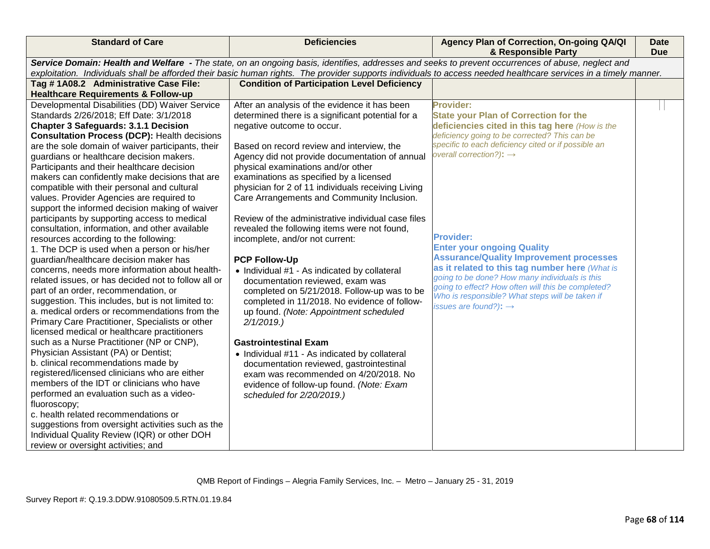| Service Domain: Health and Welfare - The state, on an ongoing basis, identifies, addresses and seeks to prevent occurrences of abuse, neglect and<br>exploitation. Individuals shall be afforded their basic human rights. The provider supports individuals to access needed healthcare services in a timely manner.<br><b>Condition of Participation Level Deficiency</b><br>Tag #1A08.2 Administrative Case File:<br><b>Healthcare Requirements &amp; Follow-up</b><br>Developmental Disabilities (DD) Waiver Service<br>After an analysis of the evidence it has been<br><b>Provider:</b><br>Standards 2/26/2018; Eff Date: 3/1/2018<br>determined there is a significant potential for a<br><b>State your Plan of Correction for the</b><br><b>Chapter 3 Safeguards: 3.1.1 Decision</b><br>deficiencies cited in this tag here (How is the<br>negative outcome to occur.<br>deficiency going to be corrected? This can be<br><b>Consultation Process (DCP): Health decisions</b><br>specific to each deficiency cited or if possible an<br>Based on record review and interview, the<br>are the sole domain of waiver participants, their<br>overall correction?): $\rightarrow$<br>guardians or healthcare decision makers.<br>Agency did not provide documentation of annual<br>physical examinations and/or other<br>Participants and their healthcare decision<br>examinations as specified by a licensed<br>makers can confidently make decisions that are<br>physician for 2 of 11 individuals receiving Living<br>compatible with their personal and cultural<br>values. Provider Agencies are required to<br>Care Arrangements and Community Inclusion.<br>support the informed decision making of waiver<br>Review of the administrative individual case files<br>participants by supporting access to medical<br>consultation, information, and other available<br>revealed the following items were not found,<br><b>Provider:</b><br>incomplete, and/or not current:<br>resources according to the following:<br><b>Enter your ongoing Quality</b><br>1. The DCP is used when a person or his/her<br><b>Assurance/Quality Improvement processes</b><br>guardian/healthcare decision maker has<br><b>PCP Follow-Up</b><br>as it related to this tag number here (What is<br>concerns, needs more information about health-<br>• Individual #1 - As indicated by collateral<br>going to be done? How many individuals is this<br>related issues, or has decided not to follow all or<br>documentation reviewed, exam was<br>going to effect? How often will this be completed?<br>part of an order, recommendation, or<br>completed on 5/21/2018. Follow-up was to be<br>Who is responsible? What steps will be taken if<br>suggestion. This includes, but is not limited to:<br>completed in 11/2018. No evidence of follow- | <b>Standard of Care</b>                       | <b>Deficiencies</b> | Agency Plan of Correction, On-going QA/QI<br>& Responsible Party | <b>Date</b><br><b>Due</b> |
|----------------------------------------------------------------------------------------------------------------------------------------------------------------------------------------------------------------------------------------------------------------------------------------------------------------------------------------------------------------------------------------------------------------------------------------------------------------------------------------------------------------------------------------------------------------------------------------------------------------------------------------------------------------------------------------------------------------------------------------------------------------------------------------------------------------------------------------------------------------------------------------------------------------------------------------------------------------------------------------------------------------------------------------------------------------------------------------------------------------------------------------------------------------------------------------------------------------------------------------------------------------------------------------------------------------------------------------------------------------------------------------------------------------------------------------------------------------------------------------------------------------------------------------------------------------------------------------------------------------------------------------------------------------------------------------------------------------------------------------------------------------------------------------------------------------------------------------------------------------------------------------------------------------------------------------------------------------------------------------------------------------------------------------------------------------------------------------------------------------------------------------------------------------------------------------------------------------------------------------------------------------------------------------------------------------------------------------------------------------------------------------------------------------------------------------------------------------------------------------------------------------------------------------------------------------------------------------------------------------------------------------------------------------------------------------------------------------------------------------------------------------------------------------------------------------------------------------------|-----------------------------------------------|---------------------|------------------------------------------------------------------|---------------------------|
|                                                                                                                                                                                                                                                                                                                                                                                                                                                                                                                                                                                                                                                                                                                                                                                                                                                                                                                                                                                                                                                                                                                                                                                                                                                                                                                                                                                                                                                                                                                                                                                                                                                                                                                                                                                                                                                                                                                                                                                                                                                                                                                                                                                                                                                                                                                                                                                                                                                                                                                                                                                                                                                                                                                                                                                                                                              |                                               |                     |                                                                  |                           |
|                                                                                                                                                                                                                                                                                                                                                                                                                                                                                                                                                                                                                                                                                                                                                                                                                                                                                                                                                                                                                                                                                                                                                                                                                                                                                                                                                                                                                                                                                                                                                                                                                                                                                                                                                                                                                                                                                                                                                                                                                                                                                                                                                                                                                                                                                                                                                                                                                                                                                                                                                                                                                                                                                                                                                                                                                                              |                                               |                     |                                                                  |                           |
|                                                                                                                                                                                                                                                                                                                                                                                                                                                                                                                                                                                                                                                                                                                                                                                                                                                                                                                                                                                                                                                                                                                                                                                                                                                                                                                                                                                                                                                                                                                                                                                                                                                                                                                                                                                                                                                                                                                                                                                                                                                                                                                                                                                                                                                                                                                                                                                                                                                                                                                                                                                                                                                                                                                                                                                                                                              |                                               |                     |                                                                  |                           |
| up found. (Note: Appointment scheduled<br>Primary Care Practitioner, Specialists or other<br>2/1/2019.<br>licensed medical or healthcare practitioners<br>such as a Nurse Practitioner (NP or CNP),<br><b>Gastrointestinal Exam</b><br>Physician Assistant (PA) or Dentist;<br>• Individual #11 - As indicated by collateral<br>b. clinical recommendations made by<br>documentation reviewed, gastrointestinal<br>registered/licensed clinicians who are either<br>exam was recommended on 4/20/2018. No<br>members of the IDT or clinicians who have<br>evidence of follow-up found. (Note: Exam<br>performed an evaluation such as a video-<br>scheduled for 2/20/2019.)<br>fluoroscopy;<br>c. health related recommendations or<br>suggestions from oversight activities such as the                                                                                                                                                                                                                                                                                                                                                                                                                                                                                                                                                                                                                                                                                                                                                                                                                                                                                                                                                                                                                                                                                                                                                                                                                                                                                                                                                                                                                                                                                                                                                                                                                                                                                                                                                                                                                                                                                                                                                                                                                                                     | a. medical orders or recommendations from the |                     | issues are found?): $\rightarrow$                                |                           |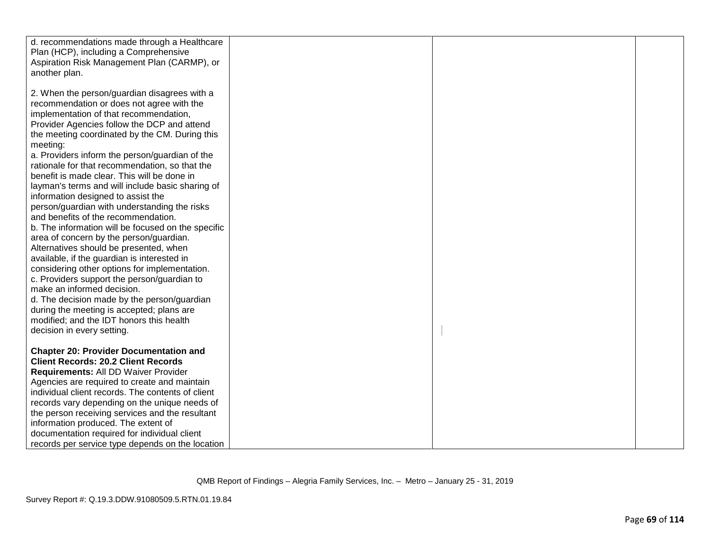| d. recommendations made through a Healthcare       |  |  |
|----------------------------------------------------|--|--|
| Plan (HCP), including a Comprehensive              |  |  |
|                                                    |  |  |
| Aspiration Risk Management Plan (CARMP), or        |  |  |
| another plan.                                      |  |  |
|                                                    |  |  |
|                                                    |  |  |
| 2. When the person/guardian disagrees with a       |  |  |
| recommendation or does not agree with the          |  |  |
|                                                    |  |  |
| implementation of that recommendation,             |  |  |
| Provider Agencies follow the DCP and attend        |  |  |
|                                                    |  |  |
| the meeting coordinated by the CM. During this     |  |  |
| meeting:                                           |  |  |
| a. Providers inform the person/guardian of the     |  |  |
|                                                    |  |  |
| rationale for that recommendation, so that the     |  |  |
| benefit is made clear. This will be done in        |  |  |
| layman's terms and will include basic sharing of   |  |  |
| information designed to assist the                 |  |  |
|                                                    |  |  |
| person/guardian with understanding the risks       |  |  |
| and benefits of the recommendation.                |  |  |
| b. The information will be focused on the specific |  |  |
| area of concern by the person/guardian.            |  |  |
| Alternatives should be presented, when             |  |  |
| available, if the guardian is interested in        |  |  |
|                                                    |  |  |
| considering other options for implementation.      |  |  |
| c. Providers support the person/guardian to        |  |  |
| make an informed decision.                         |  |  |
| d. The decision made by the person/guardian        |  |  |
| during the meeting is accepted; plans are          |  |  |
| modified; and the IDT honors this health           |  |  |
|                                                    |  |  |
| decision in every setting.                         |  |  |
|                                                    |  |  |
| <b>Chapter 20: Provider Documentation and</b>      |  |  |
|                                                    |  |  |
| <b>Client Records: 20.2 Client Records</b>         |  |  |
| Requirements: All DD Waiver Provider               |  |  |
| Agencies are required to create and maintain       |  |  |
| individual client records. The contents of client  |  |  |
| records vary depending on the unique needs of      |  |  |
| the person receiving services and the resultant    |  |  |
|                                                    |  |  |
| information produced. The extent of                |  |  |
| documentation required for individual client       |  |  |
| records per service type depends on the location   |  |  |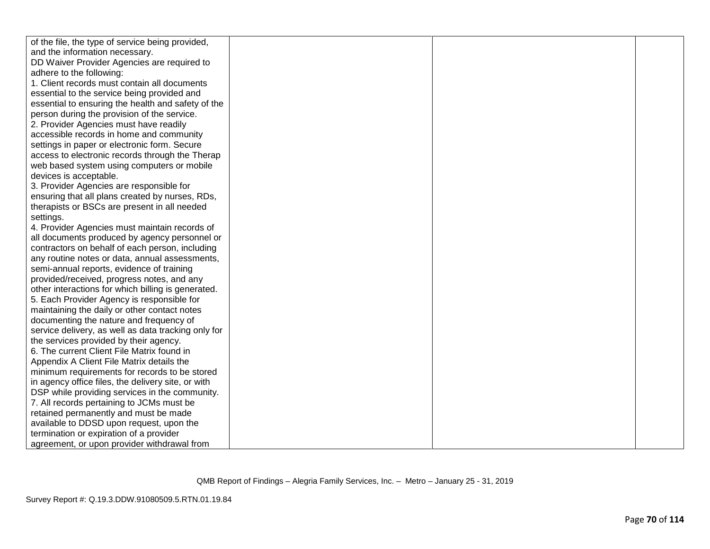| of the file, the type of service being provided,    |  |
|-----------------------------------------------------|--|
| and the information necessary.                      |  |
| DD Waiver Provider Agencies are required to         |  |
| adhere to the following:                            |  |
| 1. Client records must contain all documents        |  |
| essential to the service being provided and         |  |
| essential to ensuring the health and safety of the  |  |
| person during the provision of the service.         |  |
| 2. Provider Agencies must have readily              |  |
| accessible records in home and community            |  |
| settings in paper or electronic form. Secure        |  |
| access to electronic records through the Therap     |  |
| web based system using computers or mobile          |  |
| devices is acceptable.                              |  |
| 3. Provider Agencies are responsible for            |  |
| ensuring that all plans created by nurses, RDs,     |  |
| therapists or BSCs are present in all needed        |  |
| settings.                                           |  |
| 4. Provider Agencies must maintain records of       |  |
| all documents produced by agency personnel or       |  |
| contractors on behalf of each person, including     |  |
| any routine notes or data, annual assessments,      |  |
| semi-annual reports, evidence of training           |  |
| provided/received, progress notes, and any          |  |
| other interactions for which billing is generated.  |  |
| 5. Each Provider Agency is responsible for          |  |
| maintaining the daily or other contact notes        |  |
| documenting the nature and frequency of             |  |
| service delivery, as well as data tracking only for |  |
| the services provided by their agency.              |  |
| 6. The current Client File Matrix found in          |  |
| Appendix A Client File Matrix details the           |  |
| minimum requirements for records to be stored       |  |
| in agency office files, the delivery site, or with  |  |
| DSP while providing services in the community.      |  |
| 7. All records pertaining to JCMs must be           |  |
| retained permanently and must be made               |  |
| available to DDSD upon request, upon the            |  |
| termination or expiration of a provider             |  |
| agreement, or upon provider withdrawal from         |  |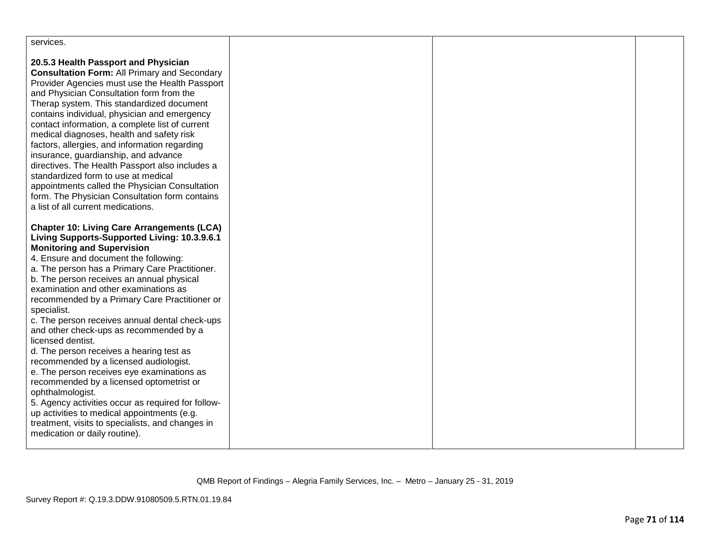| services.                                                                                                                                                                                                                                                                                                                                                                                                                                                                                                                                                                                                                                                                                                                                                                                                                                                                                               |  |  |
|---------------------------------------------------------------------------------------------------------------------------------------------------------------------------------------------------------------------------------------------------------------------------------------------------------------------------------------------------------------------------------------------------------------------------------------------------------------------------------------------------------------------------------------------------------------------------------------------------------------------------------------------------------------------------------------------------------------------------------------------------------------------------------------------------------------------------------------------------------------------------------------------------------|--|--|
| 20.5.3 Health Passport and Physician<br><b>Consultation Form: All Primary and Secondary</b><br>Provider Agencies must use the Health Passport<br>and Physician Consultation form from the<br>Therap system. This standardized document<br>contains individual, physician and emergency<br>contact information, a complete list of current<br>medical diagnoses, health and safety risk<br>factors, allergies, and information regarding<br>insurance, guardianship, and advance<br>directives. The Health Passport also includes a<br>standardized form to use at medical<br>appointments called the Physician Consultation<br>form. The Physician Consultation form contains<br>a list of all current medications.                                                                                                                                                                                     |  |  |
| <b>Chapter 10: Living Care Arrangements (LCA)</b><br>Living Supports-Supported Living: 10.3.9.6.1<br><b>Monitoring and Supervision</b><br>4. Ensure and document the following:<br>a. The person has a Primary Care Practitioner.<br>b. The person receives an annual physical<br>examination and other examinations as<br>recommended by a Primary Care Practitioner or<br>specialist.<br>c. The person receives annual dental check-ups<br>and other check-ups as recommended by a<br>licensed dentist.<br>d. The person receives a hearing test as<br>recommended by a licensed audiologist.<br>e. The person receives eye examinations as<br>recommended by a licensed optometrist or<br>ophthalmologist.<br>5. Agency activities occur as required for follow-<br>up activities to medical appointments (e.g.<br>treatment, visits to specialists, and changes in<br>medication or daily routine). |  |  |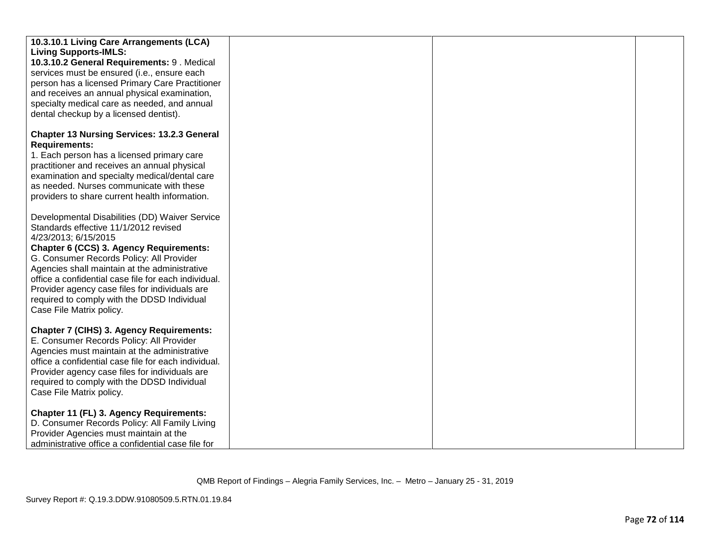| 10.3.10.1 Living Care Arrangements (LCA)<br><b>Living Supports-IMLS:</b><br>10.3.10.2 General Requirements: 9. Medical<br>services must be ensured (i.e., ensure each<br>person has a licensed Primary Care Practitioner<br>and receives an annual physical examination,                                                                                                                                                                     |  |  |
|----------------------------------------------------------------------------------------------------------------------------------------------------------------------------------------------------------------------------------------------------------------------------------------------------------------------------------------------------------------------------------------------------------------------------------------------|--|--|
| specialty medical care as needed, and annual<br>dental checkup by a licensed dentist).                                                                                                                                                                                                                                                                                                                                                       |  |  |
| <b>Chapter 13 Nursing Services: 13.2.3 General</b><br><b>Requirements:</b><br>1. Each person has a licensed primary care<br>practitioner and receives an annual physical<br>examination and specialty medical/dental care<br>as needed. Nurses communicate with these<br>providers to share current health information.                                                                                                                      |  |  |
| Developmental Disabilities (DD) Waiver Service<br>Standards effective 11/1/2012 revised<br>4/23/2013; 6/15/2015<br>Chapter 6 (CCS) 3. Agency Requirements:<br>G. Consumer Records Policy: All Provider<br>Agencies shall maintain at the administrative<br>office a confidential case file for each individual.<br>Provider agency case files for individuals are<br>required to comply with the DDSD Individual<br>Case File Matrix policy. |  |  |
| <b>Chapter 7 (CIHS) 3. Agency Requirements:</b><br>E. Consumer Records Policy: All Provider<br>Agencies must maintain at the administrative<br>office a confidential case file for each individual.<br>Provider agency case files for individuals are<br>required to comply with the DDSD Individual<br>Case File Matrix policy.                                                                                                             |  |  |
| Chapter 11 (FL) 3. Agency Requirements:<br>D. Consumer Records Policy: All Family Living<br>Provider Agencies must maintain at the<br>administrative office a confidential case file for                                                                                                                                                                                                                                                     |  |  |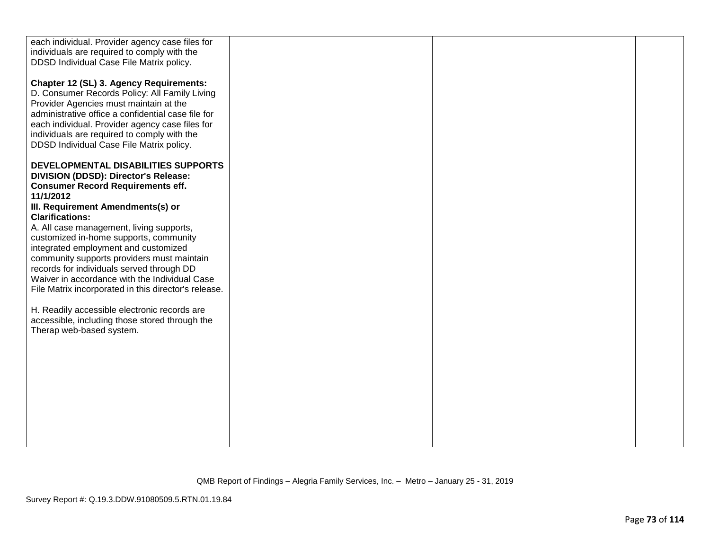| each individual. Provider agency case files for<br>individuals are required to comply with the<br>DDSD Individual Case File Matrix policy.<br>Chapter 12 (SL) 3. Agency Requirements:                                                                                                       |  |  |
|---------------------------------------------------------------------------------------------------------------------------------------------------------------------------------------------------------------------------------------------------------------------------------------------|--|--|
| D. Consumer Records Policy: All Family Living<br>Provider Agencies must maintain at the<br>administrative office a confidential case file for<br>each individual. Provider agency case files for<br>individuals are required to comply with the<br>DDSD Individual Case File Matrix policy. |  |  |
| DEVELOPMENTAL DISABILITIES SUPPORTS<br>DIVISION (DDSD): Director's Release:<br><b>Consumer Record Requirements eff.</b><br>11/1/2012                                                                                                                                                        |  |  |
| III. Requirement Amendments(s) or<br><b>Clarifications:</b>                                                                                                                                                                                                                                 |  |  |
| A. All case management, living supports,<br>customized in-home supports, community                                                                                                                                                                                                          |  |  |
| integrated employment and customized<br>community supports providers must maintain                                                                                                                                                                                                          |  |  |
| records for individuals served through DD<br>Waiver in accordance with the Individual Case<br>File Matrix incorporated in this director's release.                                                                                                                                          |  |  |
| H. Readily accessible electronic records are<br>accessible, including those stored through the                                                                                                                                                                                              |  |  |
| Therap web-based system.                                                                                                                                                                                                                                                                    |  |  |
|                                                                                                                                                                                                                                                                                             |  |  |
|                                                                                                                                                                                                                                                                                             |  |  |
|                                                                                                                                                                                                                                                                                             |  |  |
|                                                                                                                                                                                                                                                                                             |  |  |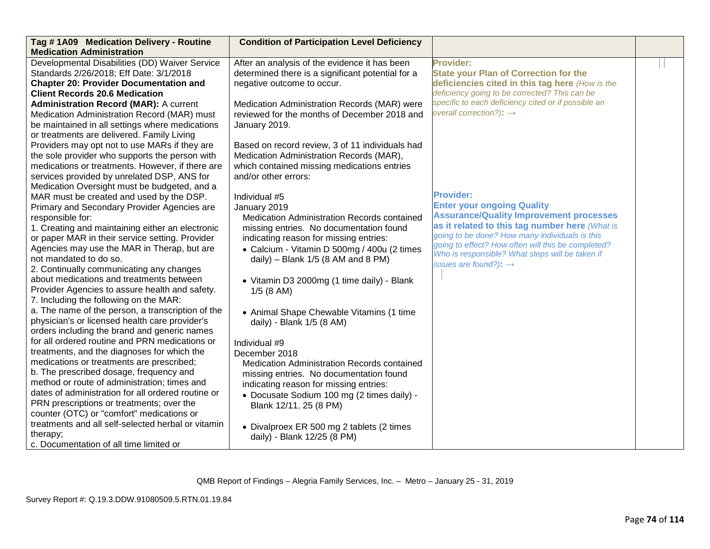| Tag #1A09 Medication Delivery - Routine            | <b>Condition of Participation Level Deficiency</b> |                                                                                      |  |
|----------------------------------------------------|----------------------------------------------------|--------------------------------------------------------------------------------------|--|
| <b>Medication Administration</b>                   |                                                    |                                                                                      |  |
| Developmental Disabilities (DD) Waiver Service     | After an analysis of the evidence it has been      | <b>Provider:</b>                                                                     |  |
| Standards 2/26/2018; Eff Date: 3/1/2018            | determined there is a significant potential for a  | <b>State your Plan of Correction for the</b>                                         |  |
| <b>Chapter 20: Provider Documentation and</b>      | negative outcome to occur.                         | deficiencies cited in this tag here (How is the                                      |  |
| <b>Client Records 20.6 Medication</b>              |                                                    | deficiency going to be corrected? This can be                                        |  |
| <b>Administration Record (MAR): A current</b>      | Medication Administration Records (MAR) were       | specific to each deficiency cited or if possible an                                  |  |
| Medication Administration Record (MAR) must        | reviewed for the months of December 2018 and       | overall correction?): $\rightarrow$                                                  |  |
| be maintained in all settings where medications    | January 2019.                                      |                                                                                      |  |
| or treatments are delivered. Family Living         |                                                    |                                                                                      |  |
| Providers may opt not to use MARs if they are      | Based on record review, 3 of 11 individuals had    |                                                                                      |  |
| the sole provider who supports the person with     | Medication Administration Records (MAR),           |                                                                                      |  |
| medications or treatments. However, if there are   | which contained missing medications entries        |                                                                                      |  |
| services provided by unrelated DSP, ANS for        | and/or other errors:                               |                                                                                      |  |
| Medication Oversight must be budgeted, and a       |                                                    |                                                                                      |  |
| MAR must be created and used by the DSP.           | Individual #5                                      | <b>Provider:</b>                                                                     |  |
| Primary and Secondary Provider Agencies are        | January 2019                                       | <b>Enter your ongoing Quality</b>                                                    |  |
| responsible for:                                   | Medication Administration Records contained        | <b>Assurance/Quality Improvement processes</b>                                       |  |
| 1. Creating and maintaining either an electronic   | missing entries. No documentation found            | as it related to this tag number here (What is                                       |  |
| or paper MAR in their service setting. Provider    | indicating reason for missing entries:             | going to be done? How many individuals is this                                       |  |
| Agencies may use the MAR in Therap, but are        | • Calcium - Vitamin D 500mg / 400u (2 times        | going to effect? How often will this be completed?                                   |  |
| not mandated to do so.                             | daily) - Blank $1/5$ (8 AM and 8 PM)               | Who is responsible? What steps will be taken if<br>issues are found?): $\rightarrow$ |  |
| 2. Continually communicating any changes           |                                                    |                                                                                      |  |
| about medications and treatments between           | • Vitamin D3 2000mg (1 time daily) - Blank         |                                                                                      |  |
| Provider Agencies to assure health and safety.     | $1/5$ (8 AM)                                       |                                                                                      |  |
| 7. Including the following on the MAR:             |                                                    |                                                                                      |  |
| a. The name of the person, a transcription of the  | • Animal Shape Chewable Vitamins (1 time           |                                                                                      |  |
| physician's or licensed health care provider's     | daily) - Blank 1/5 (8 AM)                          |                                                                                      |  |
| orders including the brand and generic names       |                                                    |                                                                                      |  |
| for all ordered routine and PRN medications or     | Individual #9                                      |                                                                                      |  |
| treatments, and the diagnoses for which the        | December 2018                                      |                                                                                      |  |
| medications or treatments are prescribed;          | Medication Administration Records contained        |                                                                                      |  |
| b. The prescribed dosage, frequency and            | missing entries. No documentation found            |                                                                                      |  |
| method or route of administration; times and       | indicating reason for missing entries:             |                                                                                      |  |
| dates of administration for all ordered routine or | • Docusate Sodium 100 mg (2 times daily) -         |                                                                                      |  |
| PRN prescriptions or treatments; over the          | Blank 12/11, 25 (8 PM)                             |                                                                                      |  |
| counter (OTC) or "comfort" medications or          |                                                    |                                                                                      |  |
| treatments and all self-selected herbal or vitamin | • Divalproex ER 500 mg 2 tablets (2 times          |                                                                                      |  |
| therapy;                                           | daily) - Blank 12/25 (8 PM)                        |                                                                                      |  |
| c. Documentation of all time limited or            |                                                    |                                                                                      |  |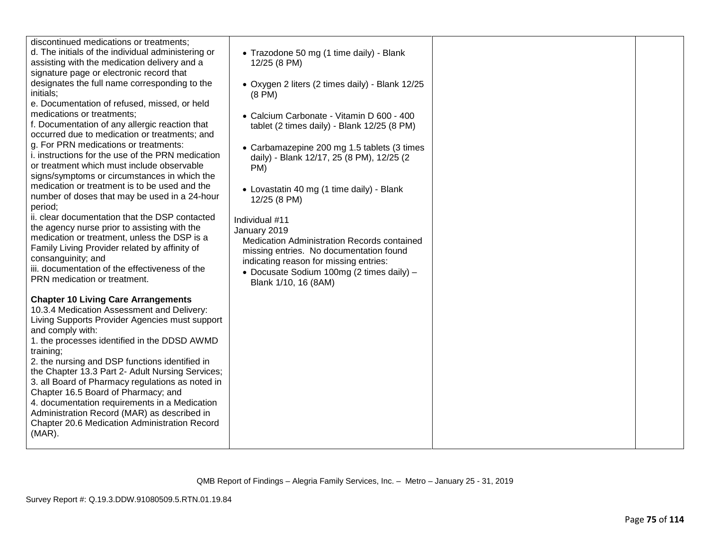| d. The initials of the individual administering or<br>assisting with the medication delivery and a<br>signature page or electronic record that<br>designates the full name corresponding to the<br>initials;<br>e. Documentation of refused, missed, or held<br>medications or treatments:<br>f. Documentation of any allergic reaction that<br>occurred due to medication or treatments; and<br>g. For PRN medications or treatments:<br>i. instructions for the use of the PRN medication<br>or treatment which must include observable<br>signs/symptoms or circumstances in which the<br>medication or treatment is to be used and the<br>number of doses that may be used in a 24-hour<br>period;<br>ii. clear documentation that the DSP contacted<br>the agency nurse prior to assisting with the<br>medication or treatment, unless the DSP is a<br>Family Living Provider related by affinity of<br>consanguinity; and<br>iii. documentation of the effectiveness of the<br>PRN medication or treatment. | • Trazodone 50 mg (1 time daily) - Blank<br>12/25 (8 PM)<br>• Oxygen 2 liters (2 times daily) - Blank 12/25<br>$(8 \text{ PM})$<br>• Calcium Carbonate - Vitamin D 600 - 400<br>tablet (2 times daily) - Blank 12/25 (8 PM)<br>• Carbamazepine 200 mg 1.5 tablets (3 times<br>daily) - Blank 12/17, 25 (8 PM), 12/25 (2<br>PM)<br>• Lovastatin 40 mg (1 time daily) - Blank<br>12/25 (8 PM)<br>Individual #11<br>January 2019<br>Medication Administration Records contained<br>missing entries. No documentation found<br>indicating reason for missing entries:<br>• Docusate Sodium 100mg (2 times daily) -<br>Blank 1/10, 16 (8AM) |
|-------------------------------------------------------------------------------------------------------------------------------------------------------------------------------------------------------------------------------------------------------------------------------------------------------------------------------------------------------------------------------------------------------------------------------------------------------------------------------------------------------------------------------------------------------------------------------------------------------------------------------------------------------------------------------------------------------------------------------------------------------------------------------------------------------------------------------------------------------------------------------------------------------------------------------------------------------------------------------------------------------------------|----------------------------------------------------------------------------------------------------------------------------------------------------------------------------------------------------------------------------------------------------------------------------------------------------------------------------------------------------------------------------------------------------------------------------------------------------------------------------------------------------------------------------------------------------------------------------------------------------------------------------------------|
| <b>Chapter 10 Living Care Arrangements</b><br>10.3.4 Medication Assessment and Delivery:<br>Living Supports Provider Agencies must support<br>and comply with:<br>1. the processes identified in the DDSD AWMD<br>training;<br>2. the nursing and DSP functions identified in<br>the Chapter 13.3 Part 2- Adult Nursing Services;<br>3. all Board of Pharmacy regulations as noted in<br>Chapter 16.5 Board of Pharmacy; and<br>4. documentation requirements in a Medication<br>Administration Record (MAR) as described in<br>Chapter 20.6 Medication Administration Record<br>$(MAR)$ .                                                                                                                                                                                                                                                                                                                                                                                                                        |                                                                                                                                                                                                                                                                                                                                                                                                                                                                                                                                                                                                                                        |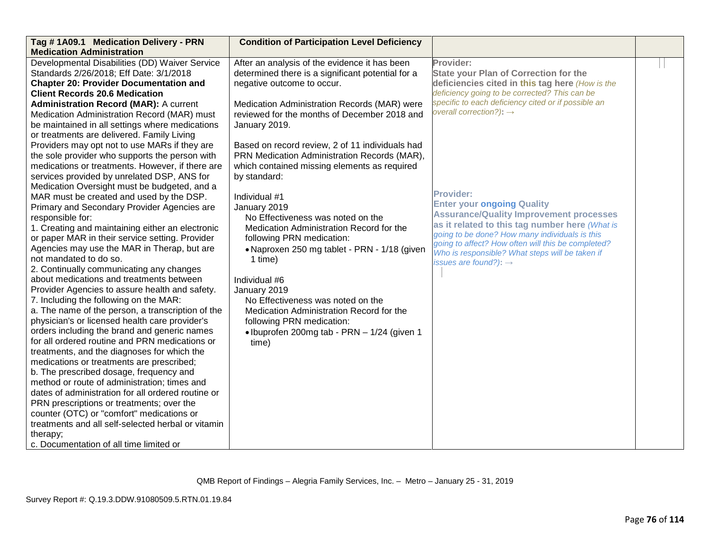| Tag #1A09.1 Medication Delivery - PRN              | <b>Condition of Participation Level Deficiency</b> |                                                                                                       |  |
|----------------------------------------------------|----------------------------------------------------|-------------------------------------------------------------------------------------------------------|--|
| <b>Medication Administration</b>                   |                                                    |                                                                                                       |  |
| Developmental Disabilities (DD) Waiver Service     | After an analysis of the evidence it has been      | Provider:                                                                                             |  |
| Standards 2/26/2018; Eff Date: 3/1/2018            | determined there is a significant potential for a  | <b>State your Plan of Correction for the</b>                                                          |  |
| <b>Chapter 20: Provider Documentation and</b>      | negative outcome to occur.                         | deficiencies cited in this tag here (How is the                                                       |  |
| <b>Client Records 20.6 Medication</b>              |                                                    | deficiency going to be corrected? This can be                                                         |  |
| <b>Administration Record (MAR): A current</b>      | Medication Administration Records (MAR) were       | specific to each deficiency cited or if possible an                                                   |  |
| Medication Administration Record (MAR) must        | reviewed for the months of December 2018 and       | overall correction?): $\rightarrow$                                                                   |  |
| be maintained in all settings where medications    | January 2019.                                      |                                                                                                       |  |
| or treatments are delivered. Family Living         |                                                    |                                                                                                       |  |
| Providers may opt not to use MARs if they are      | Based on record review, 2 of 11 individuals had    |                                                                                                       |  |
| the sole provider who supports the person with     | PRN Medication Administration Records (MAR),       |                                                                                                       |  |
| medications or treatments. However, if there are   | which contained missing elements as required       |                                                                                                       |  |
| services provided by unrelated DSP, ANS for        | by standard:                                       |                                                                                                       |  |
| Medication Oversight must be budgeted, and a       |                                                    |                                                                                                       |  |
| MAR must be created and used by the DSP.           | Individual #1                                      | <b>Provider:</b>                                                                                      |  |
| Primary and Secondary Provider Agencies are        | January 2019                                       | <b>Enter your ongoing Quality</b>                                                                     |  |
| responsible for:                                   | No Effectiveness was noted on the                  | <b>Assurance/Quality Improvement processes</b>                                                        |  |
| 1. Creating and maintaining either an electronic   | Medication Administration Record for the           | as it related to this tag number here (What is                                                        |  |
| or paper MAR in their service setting. Provider    | following PRN medication:                          | going to be done? How many individuals is this                                                        |  |
| Agencies may use the MAR in Therap, but are        | • Naproxen 250 mg tablet - PRN - 1/18 (given       | going to affect? How often will this be completed?<br>Who is responsible? What steps will be taken if |  |
| not mandated to do so.                             | 1 time)                                            | issues are found?): $\rightarrow$                                                                     |  |
| 2. Continually communicating any changes           |                                                    |                                                                                                       |  |
| about medications and treatments between           | Individual #6                                      |                                                                                                       |  |
| Provider Agencies to assure health and safety.     | January 2019                                       |                                                                                                       |  |
| 7. Including the following on the MAR:             | No Effectiveness was noted on the                  |                                                                                                       |  |
| a. The name of the person, a transcription of the  | Medication Administration Record for the           |                                                                                                       |  |
| physician's or licensed health care provider's     | following PRN medication:                          |                                                                                                       |  |
| orders including the brand and generic names       | • Ibuprofen 200mg tab - PRN - 1/24 (given 1        |                                                                                                       |  |
| for all ordered routine and PRN medications or     | time)                                              |                                                                                                       |  |
| treatments, and the diagnoses for which the        |                                                    |                                                                                                       |  |
| medications or treatments are prescribed;          |                                                    |                                                                                                       |  |
| b. The prescribed dosage, frequency and            |                                                    |                                                                                                       |  |
| method or route of administration; times and       |                                                    |                                                                                                       |  |
| dates of administration for all ordered routine or |                                                    |                                                                                                       |  |
| PRN prescriptions or treatments; over the          |                                                    |                                                                                                       |  |
| counter (OTC) or "comfort" medications or          |                                                    |                                                                                                       |  |
| treatments and all self-selected herbal or vitamin |                                                    |                                                                                                       |  |
| therapy;                                           |                                                    |                                                                                                       |  |
| c. Documentation of all time limited or            |                                                    |                                                                                                       |  |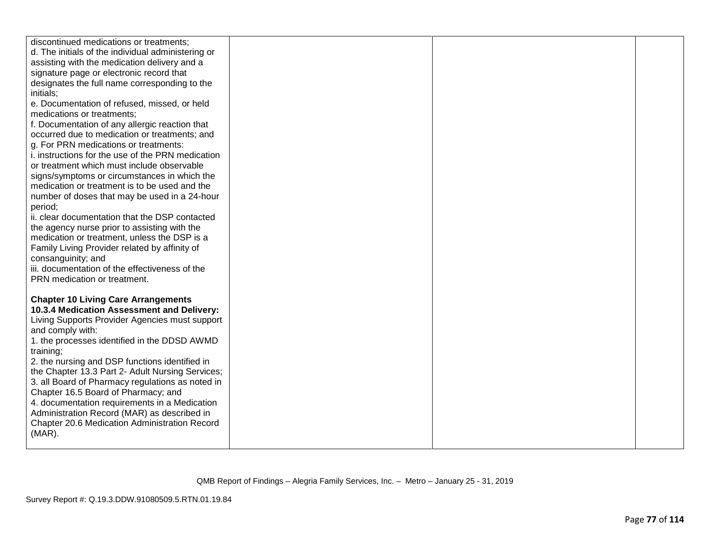| discontinued medications or treatments;<br>d. The initials of the individual administering or<br>assisting with the medication delivery and a<br>signature page or electronic record that<br>designates the full name corresponding to the<br>initials;<br>e. Documentation of refused, missed, or held<br>medications or treatments:<br>f. Documentation of any allergic reaction that<br>occurred due to medication or treatments; and<br>g. For PRN medications or treatments:<br>i. instructions for the use of the PRN medication<br>or treatment which must include observable<br>signs/symptoms or circumstances in which the<br>medication or treatment is to be used and the<br>number of doses that may be used in a 24-hour<br>period;<br>ii. clear documentation that the DSP contacted<br>the agency nurse prior to assisting with the<br>medication or treatment, unless the DSP is a |  |  |
|-----------------------------------------------------------------------------------------------------------------------------------------------------------------------------------------------------------------------------------------------------------------------------------------------------------------------------------------------------------------------------------------------------------------------------------------------------------------------------------------------------------------------------------------------------------------------------------------------------------------------------------------------------------------------------------------------------------------------------------------------------------------------------------------------------------------------------------------------------------------------------------------------------|--|--|
| Family Living Provider related by affinity of                                                                                                                                                                                                                                                                                                                                                                                                                                                                                                                                                                                                                                                                                                                                                                                                                                                       |  |  |
| consanguinity; and                                                                                                                                                                                                                                                                                                                                                                                                                                                                                                                                                                                                                                                                                                                                                                                                                                                                                  |  |  |
| iii. documentation of the effectiveness of the<br>PRN medication or treatment.                                                                                                                                                                                                                                                                                                                                                                                                                                                                                                                                                                                                                                                                                                                                                                                                                      |  |  |
| <b>Chapter 10 Living Care Arrangements</b><br>10.3.4 Medication Assessment and Delivery:<br>Living Supports Provider Agencies must support<br>and comply with:<br>1. the processes identified in the DDSD AWMD<br>training;<br>2. the nursing and DSP functions identified in<br>the Chapter 13.3 Part 2- Adult Nursing Services;<br>3. all Board of Pharmacy regulations as noted in<br>Chapter 16.5 Board of Pharmacy; and<br>4. documentation requirements in a Medication<br>Administration Record (MAR) as described in<br>Chapter 20.6 Medication Administration Record<br>$(MAR)$ .                                                                                                                                                                                                                                                                                                          |  |  |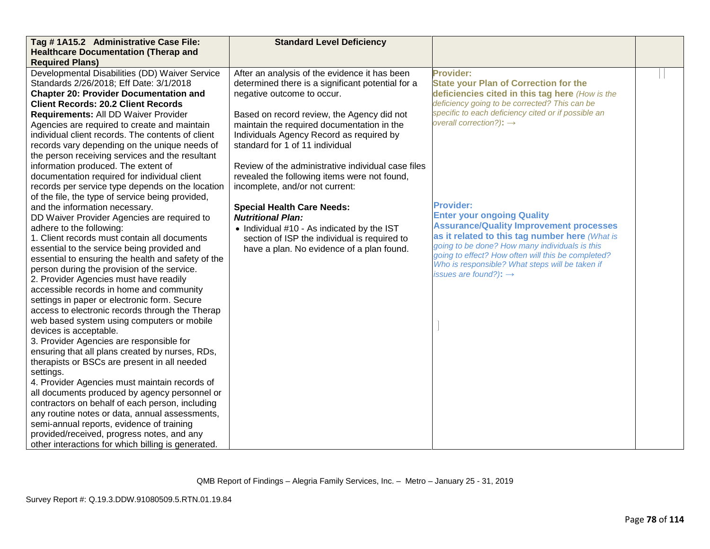| Tag #1A15.2 Administrative Case File:              | <b>Standard Level Deficiency</b>                   |                                                                                                       |  |
|----------------------------------------------------|----------------------------------------------------|-------------------------------------------------------------------------------------------------------|--|
| <b>Healthcare Documentation (Therap and</b>        |                                                    |                                                                                                       |  |
| <b>Required Plans)</b>                             |                                                    |                                                                                                       |  |
| Developmental Disabilities (DD) Waiver Service     | After an analysis of the evidence it has been      | <b>Provider:</b>                                                                                      |  |
| Standards 2/26/2018; Eff Date: 3/1/2018            | determined there is a significant potential for a  | <b>State your Plan of Correction for the</b>                                                          |  |
| <b>Chapter 20: Provider Documentation and</b>      | negative outcome to occur.                         | deficiencies cited in this tag here (How is the                                                       |  |
| <b>Client Records: 20.2 Client Records</b>         |                                                    | deficiency going to be corrected? This can be                                                         |  |
| Requirements: All DD Waiver Provider               | Based on record review, the Agency did not         | specific to each deficiency cited or if possible an                                                   |  |
| Agencies are required to create and maintain       | maintain the required documentation in the         | overall correction?): $\rightarrow$                                                                   |  |
| individual client records. The contents of client  | Individuals Agency Record as required by           |                                                                                                       |  |
| records vary depending on the unique needs of      | standard for 1 of 11 individual                    |                                                                                                       |  |
| the person receiving services and the resultant    |                                                    |                                                                                                       |  |
| information produced. The extent of                | Review of the administrative individual case files |                                                                                                       |  |
| documentation required for individual client       | revealed the following items were not found,       |                                                                                                       |  |
| records per service type depends on the location   | incomplete, and/or not current:                    |                                                                                                       |  |
| of the file, the type of service being provided,   |                                                    |                                                                                                       |  |
| and the information necessary.                     | <b>Special Health Care Needs:</b>                  | <b>Provider:</b>                                                                                      |  |
| DD Waiver Provider Agencies are required to        | <b>Nutritional Plan:</b>                           | <b>Enter your ongoing Quality</b>                                                                     |  |
| adhere to the following:                           | • Individual #10 - As indicated by the IST         | <b>Assurance/Quality Improvement processes</b>                                                        |  |
| 1. Client records must contain all documents       | section of ISP the individual is required to       | as it related to this tag number here (What is                                                        |  |
| essential to the service being provided and        | have a plan. No evidence of a plan found.          | going to be done? How many individuals is this                                                        |  |
| essential to ensuring the health and safety of the |                                                    | going to effect? How often will this be completed?<br>Who is responsible? What steps will be taken if |  |
| person during the provision of the service.        |                                                    | issues are found?): $\rightarrow$                                                                     |  |
| 2. Provider Agencies must have readily             |                                                    |                                                                                                       |  |
| accessible records in home and community           |                                                    |                                                                                                       |  |
| settings in paper or electronic form. Secure       |                                                    |                                                                                                       |  |
| access to electronic records through the Therap    |                                                    |                                                                                                       |  |
| web based system using computers or mobile         |                                                    |                                                                                                       |  |
| devices is acceptable.                             |                                                    |                                                                                                       |  |
| 3. Provider Agencies are responsible for           |                                                    |                                                                                                       |  |
| ensuring that all plans created by nurses, RDs,    |                                                    |                                                                                                       |  |
| therapists or BSCs are present in all needed       |                                                    |                                                                                                       |  |
| settings.                                          |                                                    |                                                                                                       |  |
| 4. Provider Agencies must maintain records of      |                                                    |                                                                                                       |  |
| all documents produced by agency personnel or      |                                                    |                                                                                                       |  |
| contractors on behalf of each person, including    |                                                    |                                                                                                       |  |
| any routine notes or data, annual assessments,     |                                                    |                                                                                                       |  |
| semi-annual reports, evidence of training          |                                                    |                                                                                                       |  |
| provided/received, progress notes, and any         |                                                    |                                                                                                       |  |
| other interactions for which billing is generated. |                                                    |                                                                                                       |  |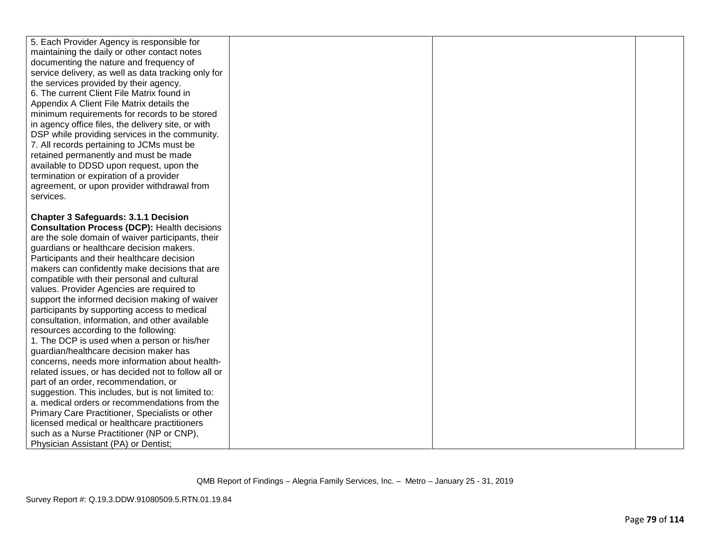| 5. Each Provider Agency is responsible for<br>maintaining the daily or other contact notes<br>documenting the nature and frequency of<br>service delivery, as well as data tracking only for<br>the services provided by their agency.<br>6. The current Client File Matrix found in<br>Appendix A Client File Matrix details the<br>minimum requirements for records to be stored<br>in agency office files, the delivery site, or with<br>DSP while providing services in the community.<br>7. All records pertaining to JCMs must be<br>retained permanently and must be made<br>available to DDSD upon request, upon the<br>termination or expiration of a provider<br>agreement, or upon provider withdrawal from<br>services. |
|-------------------------------------------------------------------------------------------------------------------------------------------------------------------------------------------------------------------------------------------------------------------------------------------------------------------------------------------------------------------------------------------------------------------------------------------------------------------------------------------------------------------------------------------------------------------------------------------------------------------------------------------------------------------------------------------------------------------------------------|
|                                                                                                                                                                                                                                                                                                                                                                                                                                                                                                                                                                                                                                                                                                                                     |
|                                                                                                                                                                                                                                                                                                                                                                                                                                                                                                                                                                                                                                                                                                                                     |
| <b>Chapter 3 Safeguards: 3.1.1 Decision</b><br><b>Consultation Process (DCP): Health decisions</b><br>are the sole domain of waiver participants, their                                                                                                                                                                                                                                                                                                                                                                                                                                                                                                                                                                             |
| guardians or healthcare decision makers.<br>Participants and their healthcare decision                                                                                                                                                                                                                                                                                                                                                                                                                                                                                                                                                                                                                                              |
|                                                                                                                                                                                                                                                                                                                                                                                                                                                                                                                                                                                                                                                                                                                                     |
| makers can confidently make decisions that are                                                                                                                                                                                                                                                                                                                                                                                                                                                                                                                                                                                                                                                                                      |
| compatible with their personal and cultural                                                                                                                                                                                                                                                                                                                                                                                                                                                                                                                                                                                                                                                                                         |
| values. Provider Agencies are required to                                                                                                                                                                                                                                                                                                                                                                                                                                                                                                                                                                                                                                                                                           |
| support the informed decision making of waiver                                                                                                                                                                                                                                                                                                                                                                                                                                                                                                                                                                                                                                                                                      |
| participants by supporting access to medical                                                                                                                                                                                                                                                                                                                                                                                                                                                                                                                                                                                                                                                                                        |
| consultation, information, and other available                                                                                                                                                                                                                                                                                                                                                                                                                                                                                                                                                                                                                                                                                      |
| resources according to the following:                                                                                                                                                                                                                                                                                                                                                                                                                                                                                                                                                                                                                                                                                               |
| 1. The DCP is used when a person or his/her<br>guardian/healthcare decision maker has                                                                                                                                                                                                                                                                                                                                                                                                                                                                                                                                                                                                                                               |
| concerns, needs more information about health-                                                                                                                                                                                                                                                                                                                                                                                                                                                                                                                                                                                                                                                                                      |
| related issues, or has decided not to follow all or                                                                                                                                                                                                                                                                                                                                                                                                                                                                                                                                                                                                                                                                                 |
| part of an order, recommendation, or                                                                                                                                                                                                                                                                                                                                                                                                                                                                                                                                                                                                                                                                                                |
| suggestion. This includes, but is not limited to:                                                                                                                                                                                                                                                                                                                                                                                                                                                                                                                                                                                                                                                                                   |
| a. medical orders or recommendations from the                                                                                                                                                                                                                                                                                                                                                                                                                                                                                                                                                                                                                                                                                       |
| Primary Care Practitioner, Specialists or other                                                                                                                                                                                                                                                                                                                                                                                                                                                                                                                                                                                                                                                                                     |
| licensed medical or healthcare practitioners                                                                                                                                                                                                                                                                                                                                                                                                                                                                                                                                                                                                                                                                                        |
| such as a Nurse Practitioner (NP or CNP),                                                                                                                                                                                                                                                                                                                                                                                                                                                                                                                                                                                                                                                                                           |
| Physician Assistant (PA) or Dentist;                                                                                                                                                                                                                                                                                                                                                                                                                                                                                                                                                                                                                                                                                                |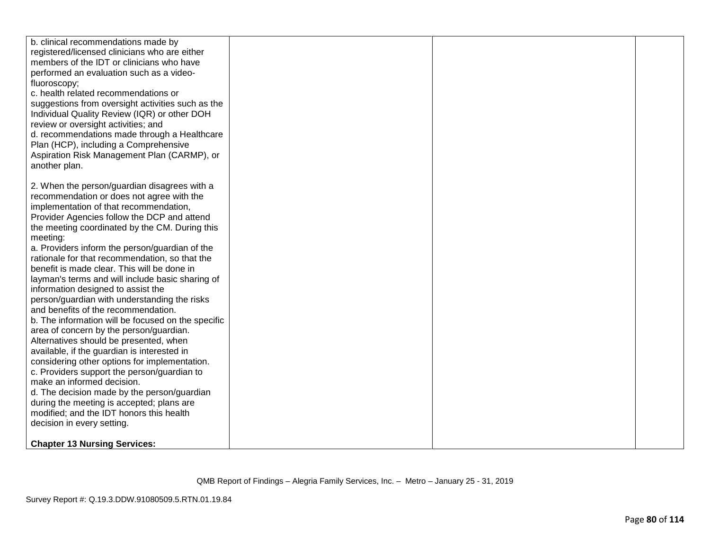| b. clinical recommendations made by<br>registered/licensed clinicians who are either<br>members of the IDT or clinicians who have<br>performed an evaluation such as a video-<br>fluoroscopy;<br>c. health related recommendations or<br>suggestions from oversight activities such as the<br>Individual Quality Review (IQR) or other DOH<br>review or oversight activities; and<br>d. recommendations made through a Healthcare<br>Plan (HCP), including a Comprehensive<br>Aspiration Risk Management Plan (CARMP), or<br>another plan. |  |  |
|--------------------------------------------------------------------------------------------------------------------------------------------------------------------------------------------------------------------------------------------------------------------------------------------------------------------------------------------------------------------------------------------------------------------------------------------------------------------------------------------------------------------------------------------|--|--|
|                                                                                                                                                                                                                                                                                                                                                                                                                                                                                                                                            |  |  |
| 2. When the person/guardian disagrees with a                                                                                                                                                                                                                                                                                                                                                                                                                                                                                               |  |  |
| recommendation or does not agree with the                                                                                                                                                                                                                                                                                                                                                                                                                                                                                                  |  |  |
| implementation of that recommendation,                                                                                                                                                                                                                                                                                                                                                                                                                                                                                                     |  |  |
| Provider Agencies follow the DCP and attend                                                                                                                                                                                                                                                                                                                                                                                                                                                                                                |  |  |
| the meeting coordinated by the CM. During this                                                                                                                                                                                                                                                                                                                                                                                                                                                                                             |  |  |
| meeting:                                                                                                                                                                                                                                                                                                                                                                                                                                                                                                                                   |  |  |
| a. Providers inform the person/guardian of the<br>rationale for that recommendation, so that the                                                                                                                                                                                                                                                                                                                                                                                                                                           |  |  |
| benefit is made clear. This will be done in                                                                                                                                                                                                                                                                                                                                                                                                                                                                                                |  |  |
| layman's terms and will include basic sharing of                                                                                                                                                                                                                                                                                                                                                                                                                                                                                           |  |  |
| information designed to assist the                                                                                                                                                                                                                                                                                                                                                                                                                                                                                                         |  |  |
| person/guardian with understanding the risks                                                                                                                                                                                                                                                                                                                                                                                                                                                                                               |  |  |
| and benefits of the recommendation.                                                                                                                                                                                                                                                                                                                                                                                                                                                                                                        |  |  |
| b. The information will be focused on the specific                                                                                                                                                                                                                                                                                                                                                                                                                                                                                         |  |  |
| area of concern by the person/guardian.                                                                                                                                                                                                                                                                                                                                                                                                                                                                                                    |  |  |
| Alternatives should be presented, when                                                                                                                                                                                                                                                                                                                                                                                                                                                                                                     |  |  |
| available, if the guardian is interested in                                                                                                                                                                                                                                                                                                                                                                                                                                                                                                |  |  |
| considering other options for implementation.                                                                                                                                                                                                                                                                                                                                                                                                                                                                                              |  |  |
| c. Providers support the person/guardian to                                                                                                                                                                                                                                                                                                                                                                                                                                                                                                |  |  |
| make an informed decision.                                                                                                                                                                                                                                                                                                                                                                                                                                                                                                                 |  |  |
| d. The decision made by the person/guardian                                                                                                                                                                                                                                                                                                                                                                                                                                                                                                |  |  |
| during the meeting is accepted; plans are                                                                                                                                                                                                                                                                                                                                                                                                                                                                                                  |  |  |
| modified; and the IDT honors this health                                                                                                                                                                                                                                                                                                                                                                                                                                                                                                   |  |  |
| decision in every setting.                                                                                                                                                                                                                                                                                                                                                                                                                                                                                                                 |  |  |
|                                                                                                                                                                                                                                                                                                                                                                                                                                                                                                                                            |  |  |
| <b>Chapter 13 Nursing Services:</b>                                                                                                                                                                                                                                                                                                                                                                                                                                                                                                        |  |  |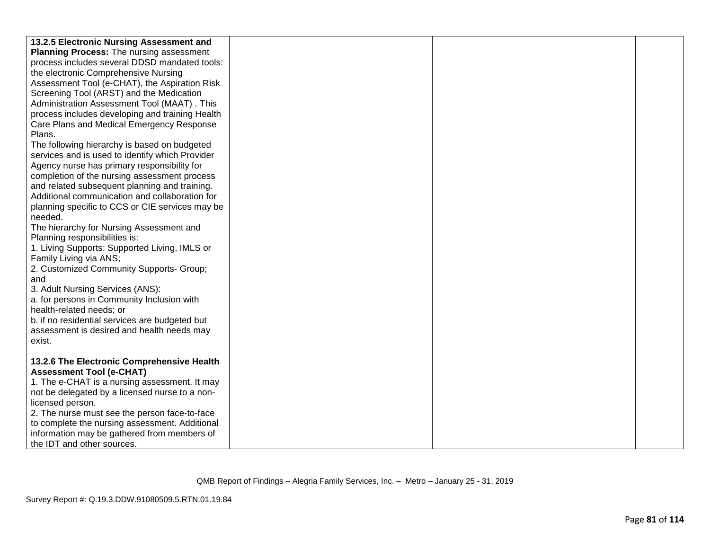| 13.2.5 Electronic Nursing Assessment and        |  |  |
|-------------------------------------------------|--|--|
| <b>Planning Process:</b> The nursing assessment |  |  |
| process includes several DDSD mandated tools:   |  |  |
| the electronic Comprehensive Nursing            |  |  |
| Assessment Tool (e-CHAT), the Aspiration Risk   |  |  |
| Screening Tool (ARST) and the Medication        |  |  |
| Administration Assessment Tool (MAAT). This     |  |  |
| process includes developing and training Health |  |  |
| Care Plans and Medical Emergency Response       |  |  |
| Plans.                                          |  |  |
| The following hierarchy is based on budgeted    |  |  |
| services and is used to identify which Provider |  |  |
| Agency nurse has primary responsibility for     |  |  |
| completion of the nursing assessment process    |  |  |
| and related subsequent planning and training.   |  |  |
| Additional communication and collaboration for  |  |  |
| planning specific to CCS or CIE services may be |  |  |
| needed.                                         |  |  |
| The hierarchy for Nursing Assessment and        |  |  |
| Planning responsibilities is:                   |  |  |
| 1. Living Supports: Supported Living, IMLS or   |  |  |
| Family Living via ANS;                          |  |  |
| 2. Customized Community Supports- Group;        |  |  |
| and                                             |  |  |
| 3. Adult Nursing Services (ANS):                |  |  |
| a. for persons in Community Inclusion with      |  |  |
| health-related needs; or                        |  |  |
| b. if no residential services are budgeted but  |  |  |
| assessment is desired and health needs may      |  |  |
| exist.                                          |  |  |
| 13.2.6 The Electronic Comprehensive Health      |  |  |
| <b>Assessment Tool (e-CHAT)</b>                 |  |  |
| 1. The e-CHAT is a nursing assessment. It may   |  |  |
| not be delegated by a licensed nurse to a non-  |  |  |
| licensed person.                                |  |  |
| 2. The nurse must see the person face-to-face   |  |  |
| to complete the nursing assessment. Additional  |  |  |
| information may be gathered from members of     |  |  |
| the IDT and other sources.                      |  |  |
|                                                 |  |  |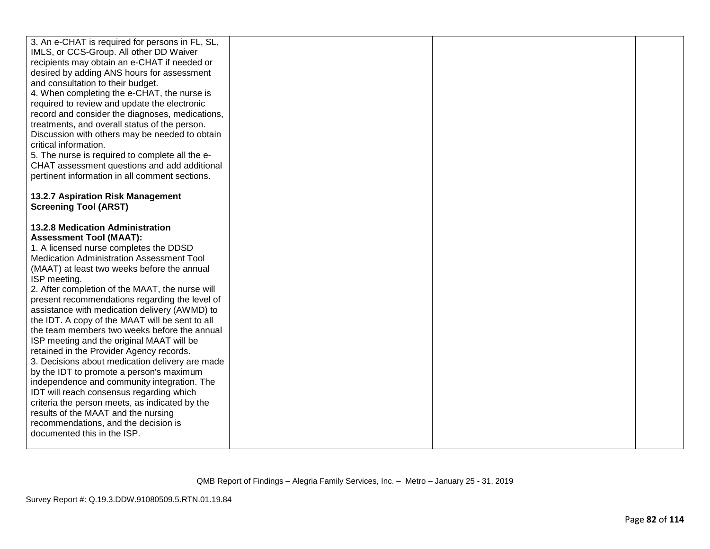| 3. An e-CHAT is required for persons in FL, SL,<br>IMLS, or CCS-Group. All other DD Waiver<br>recipients may obtain an e-CHAT if needed or<br>desired by adding ANS hours for assessment<br>and consultation to their budget.<br>4. When completing the e-CHAT, the nurse is<br>required to review and update the electronic<br>record and consider the diagnoses, medications,<br>treatments, and overall status of the person.<br>Discussion with others may be needed to obtain<br>critical information.<br>5. The nurse is required to complete all the e-<br>CHAT assessment questions and add additional<br>pertinent information in all comment sections.                                                                                                                                                                                                                                                                     |  |  |
|--------------------------------------------------------------------------------------------------------------------------------------------------------------------------------------------------------------------------------------------------------------------------------------------------------------------------------------------------------------------------------------------------------------------------------------------------------------------------------------------------------------------------------------------------------------------------------------------------------------------------------------------------------------------------------------------------------------------------------------------------------------------------------------------------------------------------------------------------------------------------------------------------------------------------------------|--|--|
| 13.2.7 Aspiration Risk Management<br><b>Screening Tool (ARST)</b>                                                                                                                                                                                                                                                                                                                                                                                                                                                                                                                                                                                                                                                                                                                                                                                                                                                                    |  |  |
| 13.2.8 Medication Administration<br><b>Assessment Tool (MAAT):</b><br>1. A licensed nurse completes the DDSD<br>Medication Administration Assessment Tool<br>(MAAT) at least two weeks before the annual<br>ISP meeting.<br>2. After completion of the MAAT, the nurse will<br>present recommendations regarding the level of<br>assistance with medication delivery (AWMD) to<br>the IDT. A copy of the MAAT will be sent to all<br>the team members two weeks before the annual<br>ISP meeting and the original MAAT will be<br>retained in the Provider Agency records.<br>3. Decisions about medication delivery are made<br>by the IDT to promote a person's maximum<br>independence and community integration. The<br>IDT will reach consensus regarding which<br>criteria the person meets, as indicated by the<br>results of the MAAT and the nursing<br>recommendations, and the decision is<br>documented this in the ISP. |  |  |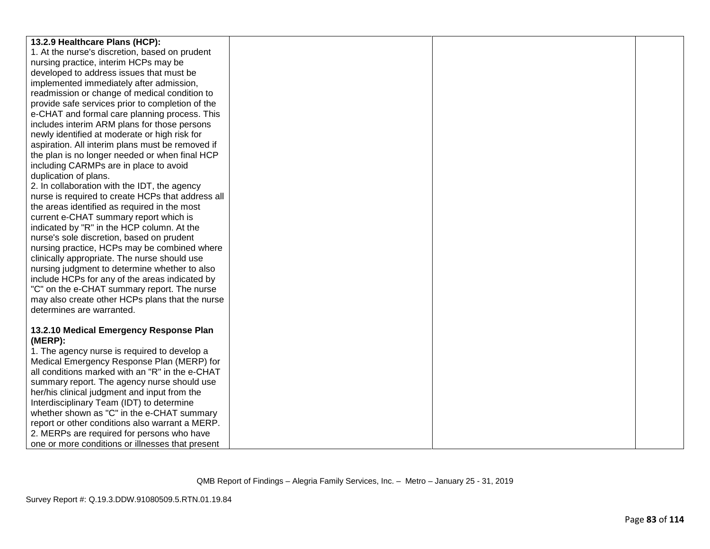| 13.2.9 Healthcare Plans (HCP):                    |  |  |
|---------------------------------------------------|--|--|
| 1. At the nurse's discretion, based on prudent    |  |  |
| nursing practice, interim HCPs may be             |  |  |
| developed to address issues that must be          |  |  |
| implemented immediately after admission,          |  |  |
| readmission or change of medical condition to     |  |  |
| provide safe services prior to completion of the  |  |  |
| e-CHAT and formal care planning process. This     |  |  |
| includes interim ARM plans for those persons      |  |  |
| newly identified at moderate or high risk for     |  |  |
| aspiration. All interim plans must be removed if  |  |  |
| the plan is no longer needed or when final HCP    |  |  |
| including CARMPs are in place to avoid            |  |  |
| duplication of plans.                             |  |  |
| 2. In collaboration with the IDT, the agency      |  |  |
| nurse is required to create HCPs that address all |  |  |
| the areas identified as required in the most      |  |  |
| current e-CHAT summary report which is            |  |  |
| indicated by "R" in the HCP column. At the        |  |  |
| nurse's sole discretion, based on prudent         |  |  |
| nursing practice, HCPs may be combined where      |  |  |
| clinically appropriate. The nurse should use      |  |  |
| nursing judgment to determine whether to also     |  |  |
| include HCPs for any of the areas indicated by    |  |  |
| "C" on the e-CHAT summary report. The nurse       |  |  |
| may also create other HCPs plans that the nurse   |  |  |
| determines are warranted.                         |  |  |
|                                                   |  |  |
| 13.2.10 Medical Emergency Response Plan           |  |  |
| (MERP):                                           |  |  |
| 1. The agency nurse is required to develop a      |  |  |
| Medical Emergency Response Plan (MERP) for        |  |  |
| all conditions marked with an "R" in the e-CHAT   |  |  |
| summary report. The agency nurse should use       |  |  |
| her/his clinical judgment and input from the      |  |  |
| Interdisciplinary Team (IDT) to determine         |  |  |
| whether shown as "C" in the e-CHAT summary        |  |  |
| report or other conditions also warrant a MERP.   |  |  |
| 2. MERPs are required for persons who have        |  |  |
| one or more conditions or illnesses that present  |  |  |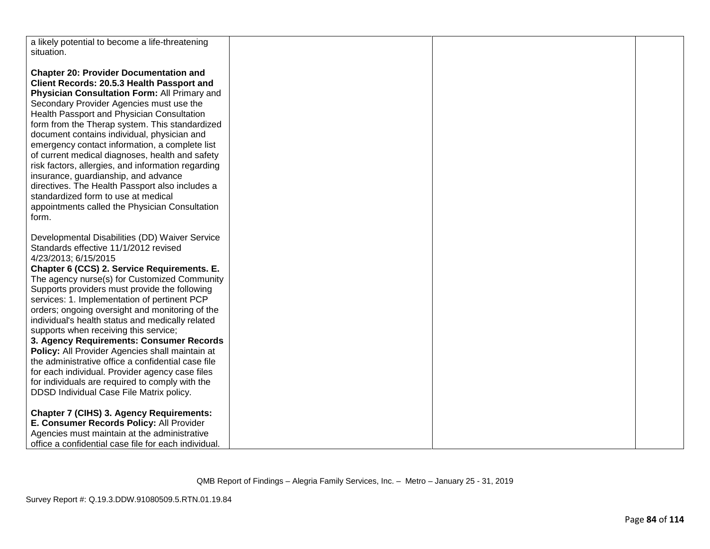| a likely potential to become a life-threatening      |  |  |
|------------------------------------------------------|--|--|
| situation.                                           |  |  |
|                                                      |  |  |
|                                                      |  |  |
| <b>Chapter 20: Provider Documentation and</b>        |  |  |
| Client Records: 20.5.3 Health Passport and           |  |  |
| Physician Consultation Form: All Primary and         |  |  |
|                                                      |  |  |
| Secondary Provider Agencies must use the             |  |  |
| Health Passport and Physician Consultation           |  |  |
| form from the Therap system. This standardized       |  |  |
| document contains individual, physician and          |  |  |
| emergency contact information, a complete list       |  |  |
|                                                      |  |  |
| of current medical diagnoses, health and safety      |  |  |
| risk factors, allergies, and information regarding   |  |  |
| insurance, guardianship, and advance                 |  |  |
| directives. The Health Passport also includes a      |  |  |
| standardized form to use at medical                  |  |  |
|                                                      |  |  |
| appointments called the Physician Consultation       |  |  |
| form.                                                |  |  |
|                                                      |  |  |
| Developmental Disabilities (DD) Waiver Service       |  |  |
|                                                      |  |  |
| Standards effective 11/1/2012 revised                |  |  |
| 4/23/2013; 6/15/2015                                 |  |  |
| Chapter 6 (CCS) 2. Service Requirements. E.          |  |  |
| The agency nurse(s) for Customized Community         |  |  |
| Supports providers must provide the following        |  |  |
|                                                      |  |  |
| services: 1. Implementation of pertinent PCP         |  |  |
| orders; ongoing oversight and monitoring of the      |  |  |
| individual's health status and medically related     |  |  |
| supports when receiving this service;                |  |  |
| 3. Agency Requirements: Consumer Records             |  |  |
| Policy: All Provider Agencies shall maintain at      |  |  |
|                                                      |  |  |
| the administrative office a confidential case file   |  |  |
| for each individual. Provider agency case files      |  |  |
| for individuals are required to comply with the      |  |  |
| DDSD Individual Case File Matrix policy.             |  |  |
|                                                      |  |  |
|                                                      |  |  |
| <b>Chapter 7 (CIHS) 3. Agency Requirements:</b>      |  |  |
| E. Consumer Records Policy: All Provider             |  |  |
| Agencies must maintain at the administrative         |  |  |
| office a confidential case file for each individual. |  |  |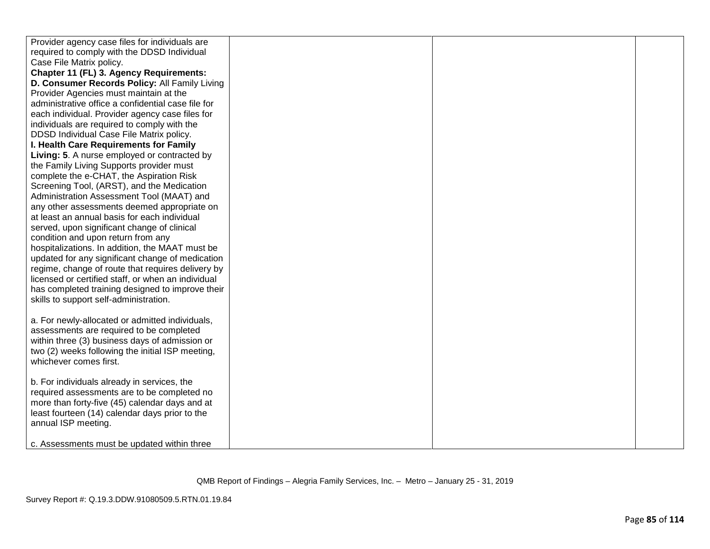| Provider agency case files for individuals are     |  |  |
|----------------------------------------------------|--|--|
| required to comply with the DDSD Individual        |  |  |
| Case File Matrix policy.                           |  |  |
| <b>Chapter 11 (FL) 3. Agency Requirements:</b>     |  |  |
| D. Consumer Records Policy: All Family Living      |  |  |
| Provider Agencies must maintain at the             |  |  |
| administrative office a confidential case file for |  |  |
| each individual. Provider agency case files for    |  |  |
| individuals are required to comply with the        |  |  |
| DDSD Individual Case File Matrix policy.           |  |  |
| I. Health Care Requirements for Family             |  |  |
| Living: 5. A nurse employed or contracted by       |  |  |
| the Family Living Supports provider must           |  |  |
| complete the e-CHAT, the Aspiration Risk           |  |  |
| Screening Tool, (ARST), and the Medication         |  |  |
| Administration Assessment Tool (MAAT) and          |  |  |
| any other assessments deemed appropriate on        |  |  |
| at least an annual basis for each individual       |  |  |
| served, upon significant change of clinical        |  |  |
| condition and upon return from any                 |  |  |
| hospitalizations. In addition, the MAAT must be    |  |  |
| updated for any significant change of medication   |  |  |
| regime, change of route that requires delivery by  |  |  |
| licensed or certified staff, or when an individual |  |  |
| has completed training designed to improve their   |  |  |
| skills to support self-administration.             |  |  |
|                                                    |  |  |
| a. For newly-allocated or admitted individuals,    |  |  |
| assessments are required to be completed           |  |  |
| within three (3) business days of admission or     |  |  |
| two (2) weeks following the initial ISP meeting,   |  |  |
| whichever comes first.                             |  |  |
|                                                    |  |  |
| b. For individuals already in services, the        |  |  |
| required assessments are to be completed no        |  |  |
| more than forty-five (45) calendar days and at     |  |  |
| least fourteen (14) calendar days prior to the     |  |  |
| annual ISP meeting.                                |  |  |
| c. Assessments must be updated within three        |  |  |
|                                                    |  |  |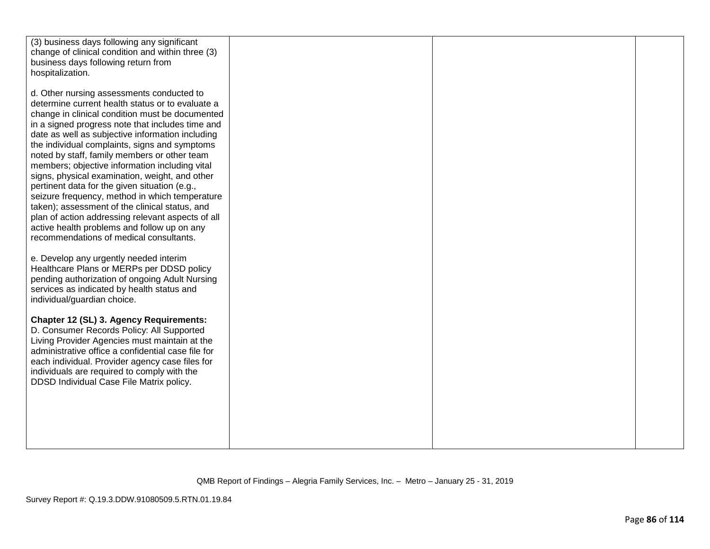| (3) business days following any significant        |  |  |
|----------------------------------------------------|--|--|
| change of clinical condition and within three (3)  |  |  |
|                                                    |  |  |
| business days following return from                |  |  |
| hospitalization.                                   |  |  |
|                                                    |  |  |
|                                                    |  |  |
| d. Other nursing assessments conducted to          |  |  |
| determine current health status or to evaluate a   |  |  |
| change in clinical condition must be documented    |  |  |
| in a signed progress note that includes time and   |  |  |
|                                                    |  |  |
| date as well as subjective information including   |  |  |
| the individual complaints, signs and symptoms      |  |  |
| noted by staff, family members or other team       |  |  |
|                                                    |  |  |
| members; objective information including vital     |  |  |
| signs, physical examination, weight, and other     |  |  |
| pertinent data for the given situation (e.g.,      |  |  |
| seizure frequency, method in which temperature     |  |  |
|                                                    |  |  |
| taken); assessment of the clinical status, and     |  |  |
| plan of action addressing relevant aspects of all  |  |  |
| active health problems and follow up on any        |  |  |
| recommendations of medical consultants.            |  |  |
|                                                    |  |  |
|                                                    |  |  |
| e. Develop any urgently needed interim             |  |  |
| Healthcare Plans or MERPs per DDSD policy          |  |  |
| pending authorization of ongoing Adult Nursing     |  |  |
|                                                    |  |  |
| services as indicated by health status and         |  |  |
| individual/guardian choice.                        |  |  |
|                                                    |  |  |
| Chapter 12 (SL) 3. Agency Requirements:            |  |  |
|                                                    |  |  |
| D. Consumer Records Policy: All Supported          |  |  |
| Living Provider Agencies must maintain at the      |  |  |
| administrative office a confidential case file for |  |  |
| each individual. Provider agency case files for    |  |  |
|                                                    |  |  |
| individuals are required to comply with the        |  |  |
| DDSD Individual Case File Matrix policy.           |  |  |
|                                                    |  |  |
|                                                    |  |  |
|                                                    |  |  |
|                                                    |  |  |
|                                                    |  |  |
|                                                    |  |  |
|                                                    |  |  |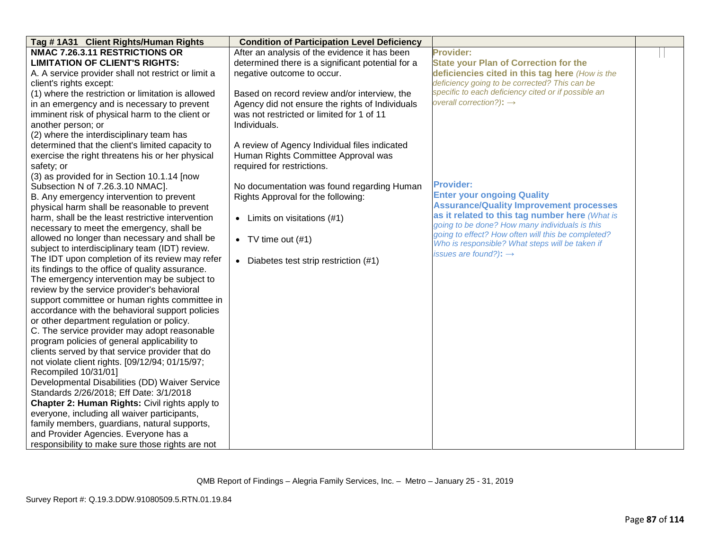| Tag #1A31 Client Rights/Human Rights                | <b>Condition of Participation Level Deficiency</b> |                                                                                                       |  |
|-----------------------------------------------------|----------------------------------------------------|-------------------------------------------------------------------------------------------------------|--|
| NMAC 7.26.3.11 RESTRICTIONS OR                      | After an analysis of the evidence it has been      | <b>Provider:</b>                                                                                      |  |
| <b>LIMITATION OF CLIENT'S RIGHTS:</b>               | determined there is a significant potential for a  | <b>State your Plan of Correction for the</b>                                                          |  |
| A. A service provider shall not restrict or limit a | negative outcome to occur.                         | deficiencies cited in this tag here (How is the                                                       |  |
| client's rights except:                             |                                                    | deficiency going to be corrected? This can be                                                         |  |
| (1) where the restriction or limitation is allowed  | Based on record review and/or interview, the       | specific to each deficiency cited or if possible an                                                   |  |
| in an emergency and is necessary to prevent         | Agency did not ensure the rights of Individuals    | overall correction?): $\rightarrow$                                                                   |  |
| imminent risk of physical harm to the client or     | was not restricted or limited for 1 of 11          |                                                                                                       |  |
| another person; or                                  | Individuals.                                       |                                                                                                       |  |
| (2) where the interdisciplinary team has            |                                                    |                                                                                                       |  |
| determined that the client's limited capacity to    | A review of Agency Individual files indicated      |                                                                                                       |  |
| exercise the right threatens his or her physical    | Human Rights Committee Approval was                |                                                                                                       |  |
| safety; or                                          | required for restrictions.                         |                                                                                                       |  |
| (3) as provided for in Section 10.1.14 [now         |                                                    |                                                                                                       |  |
| Subsection N of 7.26.3.10 NMAC].                    | No documentation was found regarding Human         | <b>Provider:</b>                                                                                      |  |
| B. Any emergency intervention to prevent            | Rights Approval for the following:                 | <b>Enter your ongoing Quality</b>                                                                     |  |
| physical harm shall be reasonable to prevent        |                                                    | <b>Assurance/Quality Improvement processes</b>                                                        |  |
| harm, shall be the least restrictive intervention   | $\bullet$ Limits on visitations (#1)               | as it related to this tag number here (What is                                                        |  |
| necessary to meet the emergency, shall be           |                                                    | going to be done? How many individuals is this                                                        |  |
| allowed no longer than necessary and shall be       | • TV time out $(\#1)$                              | going to effect? How often will this be completed?<br>Who is responsible? What steps will be taken if |  |
| subject to interdisciplinary team (IDT) review.     |                                                    | issues are found?): $\rightarrow$                                                                     |  |
| The IDT upon completion of its review may refer     | • Diabetes test strip restriction (#1)             |                                                                                                       |  |
| its findings to the office of quality assurance.    |                                                    |                                                                                                       |  |
| The emergency intervention may be subject to        |                                                    |                                                                                                       |  |
| review by the service provider's behavioral         |                                                    |                                                                                                       |  |
| support committee or human rights committee in      |                                                    |                                                                                                       |  |
| accordance with the behavioral support policies     |                                                    |                                                                                                       |  |
| or other department regulation or policy.           |                                                    |                                                                                                       |  |
| C. The service provider may adopt reasonable        |                                                    |                                                                                                       |  |
| program policies of general applicability to        |                                                    |                                                                                                       |  |
| clients served by that service provider that do     |                                                    |                                                                                                       |  |
| not violate client rights. [09/12/94; 01/15/97;     |                                                    |                                                                                                       |  |
| Recompiled 10/31/01]                                |                                                    |                                                                                                       |  |
| Developmental Disabilities (DD) Waiver Service      |                                                    |                                                                                                       |  |
| Standards 2/26/2018; Eff Date: 3/1/2018             |                                                    |                                                                                                       |  |
| Chapter 2: Human Rights: Civil rights apply to      |                                                    |                                                                                                       |  |
| everyone, including all waiver participants,        |                                                    |                                                                                                       |  |
| family members, guardians, natural supports,        |                                                    |                                                                                                       |  |
| and Provider Agencies. Everyone has a               |                                                    |                                                                                                       |  |
| responsibility to make sure those rights are not    |                                                    |                                                                                                       |  |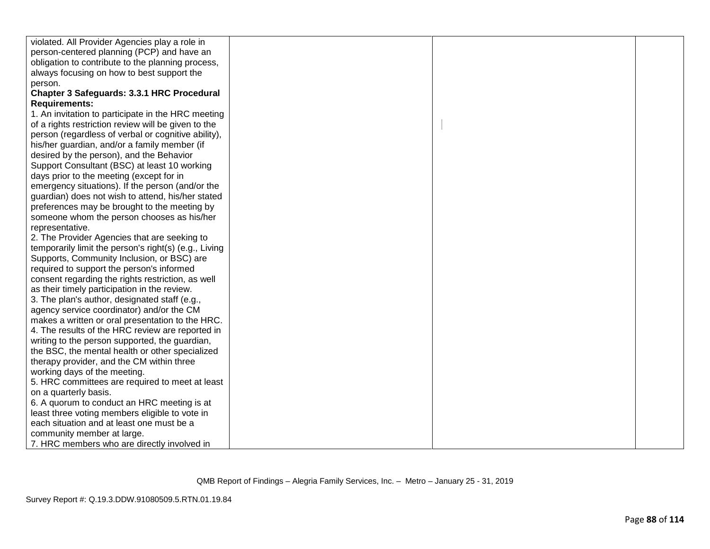| violated. All Provider Agencies play a role in        |  |  |
|-------------------------------------------------------|--|--|
| person-centered planning (PCP) and have an            |  |  |
| obligation to contribute to the planning process,     |  |  |
| always focusing on how to best support the            |  |  |
| person.                                               |  |  |
| Chapter 3 Safeguards: 3.3.1 HRC Procedural            |  |  |
| <b>Requirements:</b>                                  |  |  |
| 1. An invitation to participate in the HRC meeting    |  |  |
| of a rights restriction review will be given to the   |  |  |
| person (regardless of verbal or cognitive ability),   |  |  |
| his/her guardian, and/or a family member (if          |  |  |
| desired by the person), and the Behavior              |  |  |
| Support Consultant (BSC) at least 10 working          |  |  |
| days prior to the meeting (except for in              |  |  |
| emergency situations). If the person (and/or the      |  |  |
| guardian) does not wish to attend, his/her stated     |  |  |
| preferences may be brought to the meeting by          |  |  |
| someone whom the person chooses as his/her            |  |  |
| representative.                                       |  |  |
| 2. The Provider Agencies that are seeking to          |  |  |
| temporarily limit the person's right(s) (e.g., Living |  |  |
| Supports, Community Inclusion, or BSC) are            |  |  |
| required to support the person's informed             |  |  |
| consent regarding the rights restriction, as well     |  |  |
| as their timely participation in the review.          |  |  |
| 3. The plan's author, designated staff (e.g.,         |  |  |
| agency service coordinator) and/or the CM             |  |  |
| makes a written or oral presentation to the HRC.      |  |  |
| 4. The results of the HRC review are reported in      |  |  |
| writing to the person supported, the guardian,        |  |  |
| the BSC, the mental health or other specialized       |  |  |
| therapy provider, and the CM within three             |  |  |
| working days of the meeting.                          |  |  |
| 5. HRC committees are required to meet at least       |  |  |
| on a quarterly basis.                                 |  |  |
| 6. A quorum to conduct an HRC meeting is at           |  |  |
| least three voting members eligible to vote in        |  |  |
| each situation and at least one must be a             |  |  |
| community member at large.                            |  |  |
| 7. HRC members who are directly involved in           |  |  |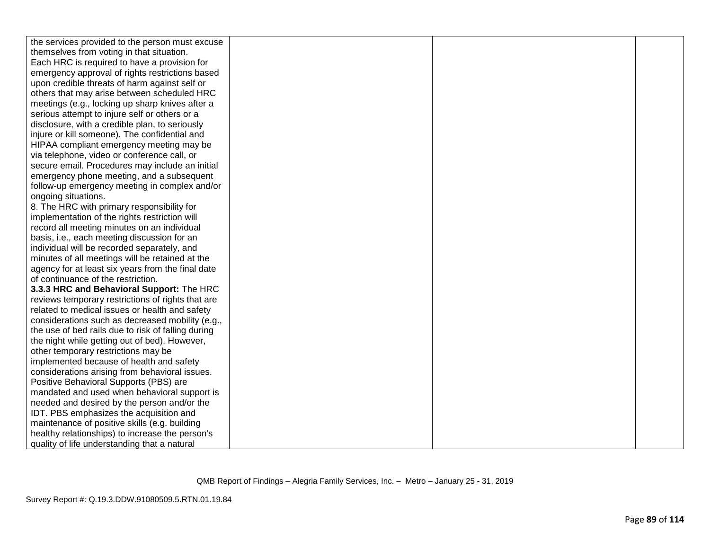| the services provided to the person must excuse    |  |  |
|----------------------------------------------------|--|--|
| themselves from voting in that situation.          |  |  |
| Each HRC is required to have a provision for       |  |  |
| emergency approval of rights restrictions based    |  |  |
| upon credible threats of harm against self or      |  |  |
| others that may arise between scheduled HRC        |  |  |
| meetings (e.g., locking up sharp knives after a    |  |  |
| serious attempt to injure self or others or a      |  |  |
| disclosure, with a credible plan, to seriously     |  |  |
| injure or kill someone). The confidential and      |  |  |
| HIPAA compliant emergency meeting may be           |  |  |
| via telephone, video or conference call, or        |  |  |
| secure email. Procedures may include an initial    |  |  |
| emergency phone meeting, and a subsequent          |  |  |
| follow-up emergency meeting in complex and/or      |  |  |
| ongoing situations.                                |  |  |
| 8. The HRC with primary responsibility for         |  |  |
| implementation of the rights restriction will      |  |  |
| record all meeting minutes on an individual        |  |  |
| basis, i.e., each meeting discussion for an        |  |  |
| individual will be recorded separately, and        |  |  |
| minutes of all meetings will be retained at the    |  |  |
| agency for at least six years from the final date  |  |  |
| of continuance of the restriction.                 |  |  |
| 3.3.3 HRC and Behavioral Support: The HRC          |  |  |
| reviews temporary restrictions of rights that are  |  |  |
| related to medical issues or health and safety     |  |  |
| considerations such as decreased mobility (e.g.,   |  |  |
| the use of bed rails due to risk of falling during |  |  |
| the night while getting out of bed). However,      |  |  |
| other temporary restrictions may be                |  |  |
| implemented because of health and safety           |  |  |
| considerations arising from behavioral issues.     |  |  |
| Positive Behavioral Supports (PBS) are             |  |  |
| mandated and used when behavioral support is       |  |  |
| needed and desired by the person and/or the        |  |  |
| IDT. PBS emphasizes the acquisition and            |  |  |
| maintenance of positive skills (e.g. building      |  |  |
| healthy relationships) to increase the person's    |  |  |
| quality of life understanding that a natural       |  |  |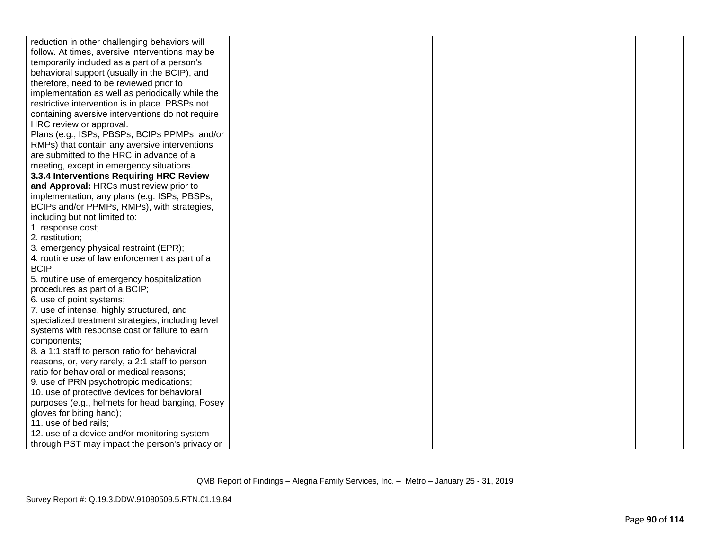| reduction in other challenging behaviors will     |  |  |
|---------------------------------------------------|--|--|
| follow. At times, aversive interventions may be   |  |  |
| temporarily included as a part of a person's      |  |  |
| behavioral support (usually in the BCIP), and     |  |  |
| therefore, need to be reviewed prior to           |  |  |
| implementation as well as periodically while the  |  |  |
| restrictive intervention is in place. PBSPs not   |  |  |
| containing aversive interventions do not require  |  |  |
| HRC review or approval.                           |  |  |
| Plans (e.g., ISPs, PBSPs, BCIPs PPMPs, and/or     |  |  |
| RMPs) that contain any aversive interventions     |  |  |
| are submitted to the HRC in advance of a          |  |  |
| meeting, except in emergency situations.          |  |  |
| 3.3.4 Interventions Requiring HRC Review          |  |  |
| and Approval: HRCs must review prior to           |  |  |
| implementation, any plans (e.g. ISPs, PBSPs,      |  |  |
| BCIPs and/or PPMPs, RMPs), with strategies,       |  |  |
| including but not limited to:                     |  |  |
| 1. response cost;                                 |  |  |
| 2. restitution;                                   |  |  |
| 3. emergency physical restraint (EPR);            |  |  |
| 4. routine use of law enforcement as part of a    |  |  |
| BCIP;                                             |  |  |
| 5. routine use of emergency hospitalization       |  |  |
| procedures as part of a BCIP;                     |  |  |
| 6. use of point systems;                          |  |  |
| 7. use of intense, highly structured, and         |  |  |
| specialized treatment strategies, including level |  |  |
| systems with response cost or failure to earn     |  |  |
| components;                                       |  |  |
| 8. a 1:1 staff to person ratio for behavioral     |  |  |
| reasons, or, very rarely, a 2:1 staff to person   |  |  |
| ratio for behavioral or medical reasons;          |  |  |
| 9. use of PRN psychotropic medications;           |  |  |
| 10. use of protective devices for behavioral      |  |  |
| purposes (e.g., helmets for head banging, Posey   |  |  |
| gloves for biting hand);                          |  |  |
| 11. use of bed rails;                             |  |  |
| 12. use of a device and/or monitoring system      |  |  |
| through PST may impact the person's privacy or    |  |  |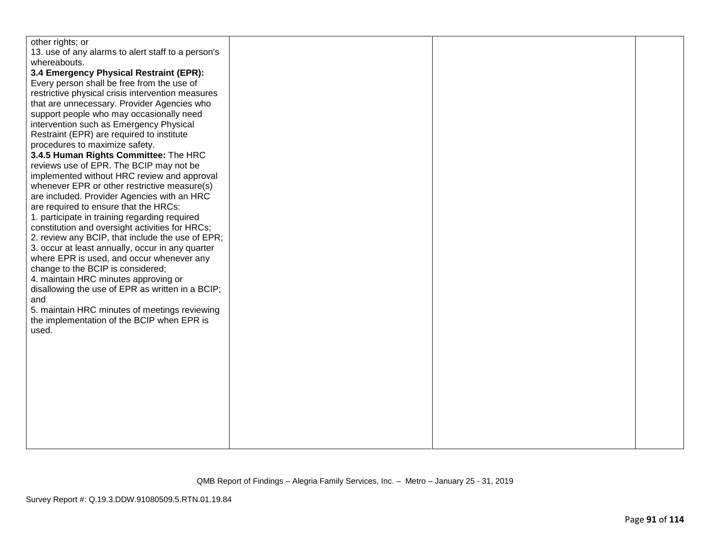| other rights; or                                   |  |  |
|----------------------------------------------------|--|--|
| 13. use of any alarms to alert staff to a person's |  |  |
| whereabouts.                                       |  |  |
| 3.4 Emergency Physical Restraint (EPR):            |  |  |
| Every person shall be free from the use of         |  |  |
| restrictive physical crisis intervention measures  |  |  |
| that are unnecessary. Provider Agencies who        |  |  |
| support people who may occasionally need           |  |  |
| intervention such as Emergency Physical            |  |  |
| Restraint (EPR) are required to institute          |  |  |
| procedures to maximize safety.                     |  |  |
| 3.4.5 Human Rights Committee: The HRC              |  |  |
| reviews use of EPR. The BCIP may not be            |  |  |
| implemented without HRC review and approval        |  |  |
| whenever EPR or other restrictive measure(s)       |  |  |
| are included. Provider Agencies with an HRC        |  |  |
| are required to ensure that the HRCs:              |  |  |
| 1. participate in training regarding required      |  |  |
| constitution and oversight activities for HRCs;    |  |  |
| 2. review any BCIP, that include the use of EPR;   |  |  |
| 3. occur at least annually, occur in any quarter   |  |  |
| where EPR is used, and occur whenever any          |  |  |
| change to the BCIP is considered;                  |  |  |
| 4. maintain HRC minutes approving or               |  |  |
| disallowing the use of EPR as written in a BCIP;   |  |  |
| and                                                |  |  |
| 5. maintain HRC minutes of meetings reviewing      |  |  |
| the implementation of the BCIP when EPR is         |  |  |
| used.                                              |  |  |
|                                                    |  |  |
|                                                    |  |  |
|                                                    |  |  |
|                                                    |  |  |
|                                                    |  |  |
|                                                    |  |  |
|                                                    |  |  |
|                                                    |  |  |
|                                                    |  |  |
|                                                    |  |  |
|                                                    |  |  |
|                                                    |  |  |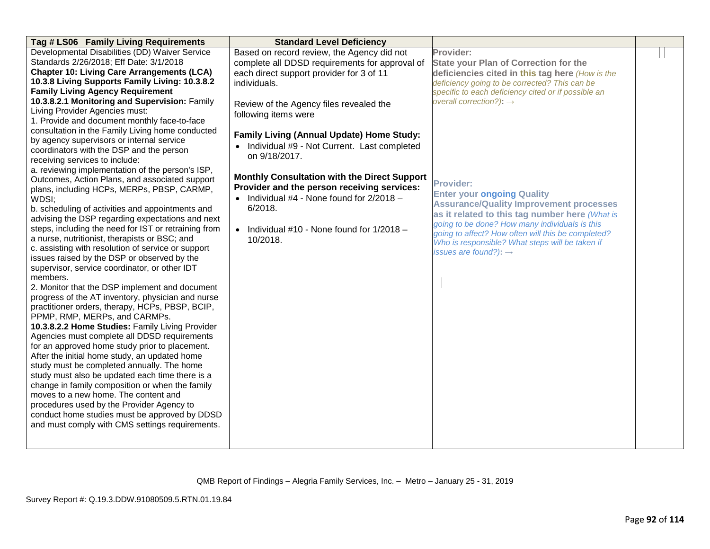| Tag # LS06 Family Living Requirements                | <b>Standard Level Deficiency</b>                    |                                                                                                  |  |
|------------------------------------------------------|-----------------------------------------------------|--------------------------------------------------------------------------------------------------|--|
| Developmental Disabilities (DD) Waiver Service       | Based on record review, the Agency did not          | Provider:                                                                                        |  |
| Standards 2/26/2018; Eff Date: 3/1/2018              | complete all DDSD requirements for approval of      | <b>State your Plan of Correction for the</b>                                                     |  |
| <b>Chapter 10: Living Care Arrangements (LCA)</b>    | each direct support provider for 3 of 11            | deficiencies cited in this tag here (How is the                                                  |  |
| 10.3.8 Living Supports Family Living: 10.3.8.2       | individuals.                                        | deficiency going to be corrected? This can be                                                    |  |
| <b>Family Living Agency Requirement</b>              |                                                     | specific to each deficiency cited or if possible an                                              |  |
| 10.3.8.2.1 Monitoring and Supervision: Family        | Review of the Agency files revealed the             | overall correction?): $\rightarrow$                                                              |  |
| Living Provider Agencies must:                       | following items were                                |                                                                                                  |  |
| 1. Provide and document monthly face-to-face         |                                                     |                                                                                                  |  |
| consultation in the Family Living home conducted     |                                                     |                                                                                                  |  |
| by agency supervisors or internal service            | <b>Family Living (Annual Update) Home Study:</b>    |                                                                                                  |  |
| coordinators with the DSP and the person             | • Individual #9 - Not Current. Last completed       |                                                                                                  |  |
| receiving services to include:                       | on 9/18/2017.                                       |                                                                                                  |  |
| a. reviewing implementation of the person's ISP,     |                                                     |                                                                                                  |  |
| Outcomes, Action Plans, and associated support       | <b>Monthly Consultation with the Direct Support</b> | <b>Provider:</b>                                                                                 |  |
| plans, including HCPs, MERPs, PBSP, CARMP,           | Provider and the person receiving services:         |                                                                                                  |  |
| WDSI;                                                | • Individual $#4$ - None found for $2/2018$ -       | <b>Enter your ongoing Quality</b><br><b>Assurance/Quality Improvement processes</b>              |  |
| b. scheduling of activities and appointments and     | 6/2018.                                             |                                                                                                  |  |
| advising the DSP regarding expectations and next     |                                                     | as it related to this tag number here (What is<br>going to be done? How many individuals is this |  |
| steps, including the need for IST or retraining from | • Individual #10 - None found for $1/2018$ -        | going to affect? How often will this be completed?                                               |  |
| a nurse, nutritionist, therapists or BSC; and        | 10/2018.                                            | Who is responsible? What steps will be taken if                                                  |  |
| c. assisting with resolution of service or support   |                                                     | issues are found?): $\rightarrow$                                                                |  |
| issues raised by the DSP or observed by the          |                                                     |                                                                                                  |  |
| supervisor, service coordinator, or other IDT        |                                                     |                                                                                                  |  |
| members.                                             |                                                     |                                                                                                  |  |
| 2. Monitor that the DSP implement and document       |                                                     |                                                                                                  |  |
| progress of the AT inventory, physician and nurse    |                                                     |                                                                                                  |  |
| practitioner orders, therapy, HCPs, PBSP, BCIP,      |                                                     |                                                                                                  |  |
| PPMP, RMP, MERPs, and CARMPs.                        |                                                     |                                                                                                  |  |
| 10.3.8.2.2 Home Studies: Family Living Provider      |                                                     |                                                                                                  |  |
| Agencies must complete all DDSD requirements         |                                                     |                                                                                                  |  |
| for an approved home study prior to placement.       |                                                     |                                                                                                  |  |
| After the initial home study, an updated home        |                                                     |                                                                                                  |  |
| study must be completed annually. The home           |                                                     |                                                                                                  |  |
| study must also be updated each time there is a      |                                                     |                                                                                                  |  |
| change in family composition or when the family      |                                                     |                                                                                                  |  |
| moves to a new home. The content and                 |                                                     |                                                                                                  |  |
| procedures used by the Provider Agency to            |                                                     |                                                                                                  |  |
| conduct home studies must be approved by DDSD        |                                                     |                                                                                                  |  |
| and must comply with CMS settings requirements.      |                                                     |                                                                                                  |  |
|                                                      |                                                     |                                                                                                  |  |
|                                                      |                                                     |                                                                                                  |  |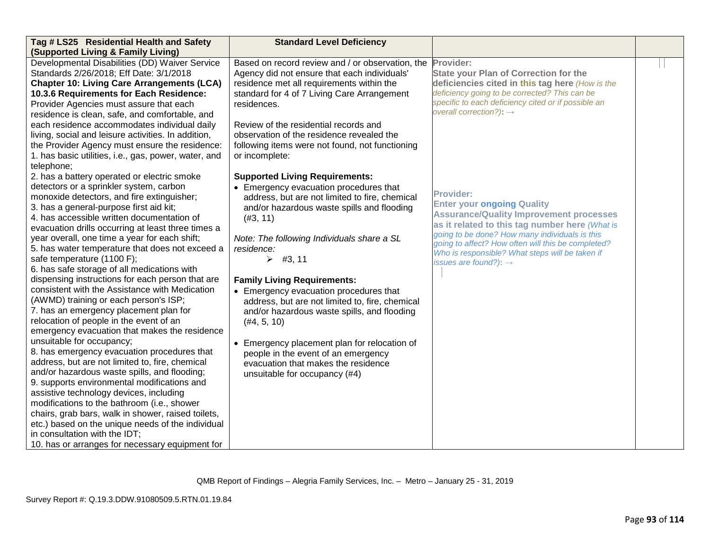| Tag # LS25 Residential Health and Safety             | <b>Standard Level Deficiency</b>                 |                                                                                                  |  |
|------------------------------------------------------|--------------------------------------------------|--------------------------------------------------------------------------------------------------|--|
| (Supported Living & Family Living)                   |                                                  |                                                                                                  |  |
| Developmental Disabilities (DD) Waiver Service       | Based on record review and / or observation, the | Provider:                                                                                        |  |
| Standards 2/26/2018; Eff Date: 3/1/2018              | Agency did not ensure that each individuals'     | <b>State your Plan of Correction for the</b>                                                     |  |
| <b>Chapter 10: Living Care Arrangements (LCA)</b>    | residence met all requirements within the        | deficiencies cited in this tag here (How is the                                                  |  |
| 10.3.6 Requirements for Each Residence:              | standard for 4 of 7 Living Care Arrangement      | deficiency going to be corrected? This can be                                                    |  |
| Provider Agencies must assure that each              | residences.                                      | specific to each deficiency cited or if possible an                                              |  |
| residence is clean, safe, and comfortable, and       |                                                  | overall correction?): $\rightarrow$                                                              |  |
| each residence accommodates individual daily         | Review of the residential records and            |                                                                                                  |  |
| living, social and leisure activities. In addition,  | observation of the residence revealed the        |                                                                                                  |  |
| the Provider Agency must ensure the residence:       | following items were not found, not functioning  |                                                                                                  |  |
| 1. has basic utilities, i.e., gas, power, water, and | or incomplete:                                   |                                                                                                  |  |
| telephone;                                           |                                                  |                                                                                                  |  |
| 2. has a battery operated or electric smoke          | <b>Supported Living Requirements:</b>            |                                                                                                  |  |
| detectors or a sprinkler system, carbon              | • Emergency evacuation procedures that           |                                                                                                  |  |
| monoxide detectors, and fire extinguisher;           | address, but are not limited to fire, chemical   | <b>Provider:</b>                                                                                 |  |
| 3. has a general-purpose first aid kit;              | and/or hazardous waste spills and flooding       | <b>Enter your ongoing Quality</b>                                                                |  |
| 4. has accessible written documentation of           | (#3, 11)                                         | <b>Assurance/Quality Improvement processes</b>                                                   |  |
| evacuation drills occurring at least three times a   |                                                  | as it related to this tag number here (What is<br>going to be done? How many individuals is this |  |
| year overall, one time a year for each shift;        | Note: The following Individuals share a SL       | going to affect? How often will this be completed?                                               |  |
| 5. has water temperature that does not exceed a      | residence:                                       | Who is responsible? What steps will be taken if                                                  |  |
| safe temperature (1100 F);                           | $\triangleright$ #3, 11                          | issues are found?): $\rightarrow$                                                                |  |
| 6. has safe storage of all medications with          |                                                  |                                                                                                  |  |
| dispensing instructions for each person that are     | <b>Family Living Requirements:</b>               |                                                                                                  |  |
| consistent with the Assistance with Medication       | • Emergency evacuation procedures that           |                                                                                                  |  |
| (AWMD) training or each person's ISP;                | address, but are not limited to, fire, chemical  |                                                                                                  |  |
| 7. has an emergency placement plan for               | and/or hazardous waste spills, and flooding      |                                                                                                  |  |
| relocation of people in the event of an              | (#4, 5, 10)                                      |                                                                                                  |  |
| emergency evacuation that makes the residence        |                                                  |                                                                                                  |  |
| unsuitable for occupancy;                            | • Emergency placement plan for relocation of     |                                                                                                  |  |
| 8. has emergency evacuation procedures that          | people in the event of an emergency              |                                                                                                  |  |
| address, but are not limited to, fire, chemical      | evacuation that makes the residence              |                                                                                                  |  |
| and/or hazardous waste spills, and flooding;         | unsuitable for occupancy (#4)                    |                                                                                                  |  |
| 9. supports environmental modifications and          |                                                  |                                                                                                  |  |
| assistive technology devices, including              |                                                  |                                                                                                  |  |
| modifications to the bathroom (i.e., shower          |                                                  |                                                                                                  |  |
| chairs, grab bars, walk in shower, raised toilets,   |                                                  |                                                                                                  |  |
| etc.) based on the unique needs of the individual    |                                                  |                                                                                                  |  |
| in consultation with the IDT;                        |                                                  |                                                                                                  |  |
| 10. has or arranges for necessary equipment for      |                                                  |                                                                                                  |  |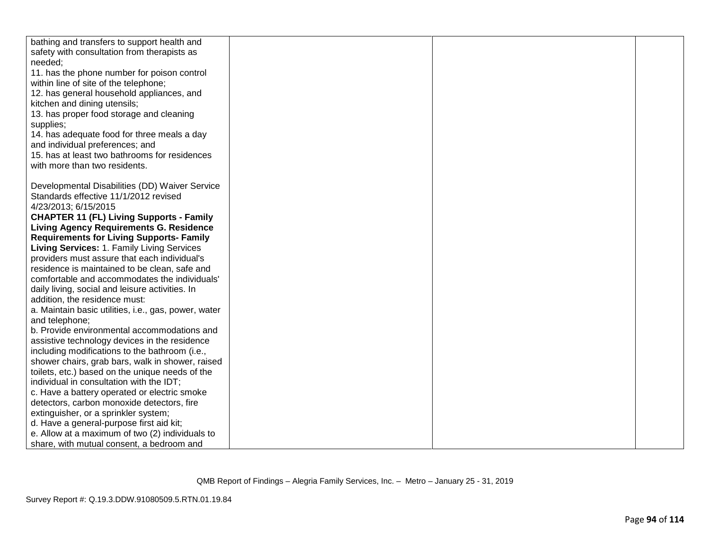| bathing and transfers to support health and          |  |  |
|------------------------------------------------------|--|--|
| safety with consultation from therapists as          |  |  |
| needed;                                              |  |  |
| 11. has the phone number for poison control          |  |  |
| within line of site of the telephone;                |  |  |
| 12. has general household appliances, and            |  |  |
| kitchen and dining utensils;                         |  |  |
| 13. has proper food storage and cleaning             |  |  |
| supplies;                                            |  |  |
| 14. has adequate food for three meals a day          |  |  |
| and individual preferences; and                      |  |  |
| 15. has at least two bathrooms for residences        |  |  |
| with more than two residents.                        |  |  |
|                                                      |  |  |
| Developmental Disabilities (DD) Waiver Service       |  |  |
| Standards effective 11/1/2012 revised                |  |  |
| 4/23/2013; 6/15/2015                                 |  |  |
| <b>CHAPTER 11 (FL) Living Supports - Family</b>      |  |  |
| <b>Living Agency Requirements G. Residence</b>       |  |  |
| <b>Requirements for Living Supports- Family</b>      |  |  |
| Living Services: 1. Family Living Services           |  |  |
| providers must assure that each individual's         |  |  |
| residence is maintained to be clean, safe and        |  |  |
| comfortable and accommodates the individuals'        |  |  |
| daily living, social and leisure activities. In      |  |  |
| addition, the residence must:                        |  |  |
| a. Maintain basic utilities, i.e., gas, power, water |  |  |
| and telephone;                                       |  |  |
| b. Provide environmental accommodations and          |  |  |
| assistive technology devices in the residence        |  |  |
| including modifications to the bathroom (i.e.,       |  |  |
| shower chairs, grab bars, walk in shower, raised     |  |  |
| toilets, etc.) based on the unique needs of the      |  |  |
| individual in consultation with the IDT;             |  |  |
| c. Have a battery operated or electric smoke         |  |  |
| detectors, carbon monoxide detectors, fire           |  |  |
| extinguisher, or a sprinkler system;                 |  |  |
| d. Have a general-purpose first aid kit;             |  |  |
| e. Allow at a maximum of two (2) individuals to      |  |  |
| share, with mutual consent, a bedroom and            |  |  |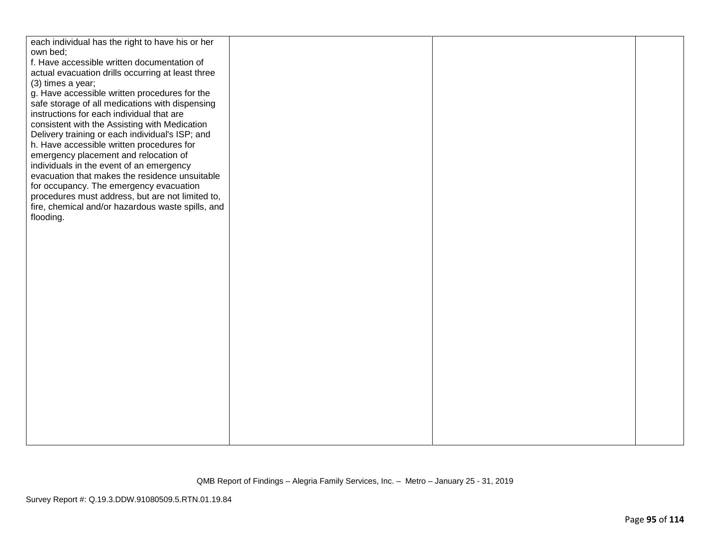| each individual has the right to have his or her  |  |  |
|---------------------------------------------------|--|--|
| own bed;                                          |  |  |
| f. Have accessible written documentation of       |  |  |
| actual evacuation drills occurring at least three |  |  |
| (3) times a year;                                 |  |  |
| g. Have accessible written procedures for the     |  |  |
| safe storage of all medications with dispensing   |  |  |
| instructions for each individual that are         |  |  |
| consistent with the Assisting with Medication     |  |  |
| Delivery training or each individual's ISP; and   |  |  |
| h. Have accessible written procedures for         |  |  |
| emergency placement and relocation of             |  |  |
| individuals in the event of an emergency          |  |  |
| evacuation that makes the residence unsuitable    |  |  |
| for occupancy. The emergency evacuation           |  |  |
| procedures must address, but are not limited to,  |  |  |
| fire, chemical and/or hazardous waste spills, and |  |  |
| flooding.                                         |  |  |
|                                                   |  |  |
|                                                   |  |  |
|                                                   |  |  |
|                                                   |  |  |
|                                                   |  |  |
|                                                   |  |  |
|                                                   |  |  |
|                                                   |  |  |
|                                                   |  |  |
|                                                   |  |  |
|                                                   |  |  |
|                                                   |  |  |
|                                                   |  |  |
|                                                   |  |  |
|                                                   |  |  |
|                                                   |  |  |
|                                                   |  |  |
|                                                   |  |  |
|                                                   |  |  |
|                                                   |  |  |
|                                                   |  |  |
|                                                   |  |  |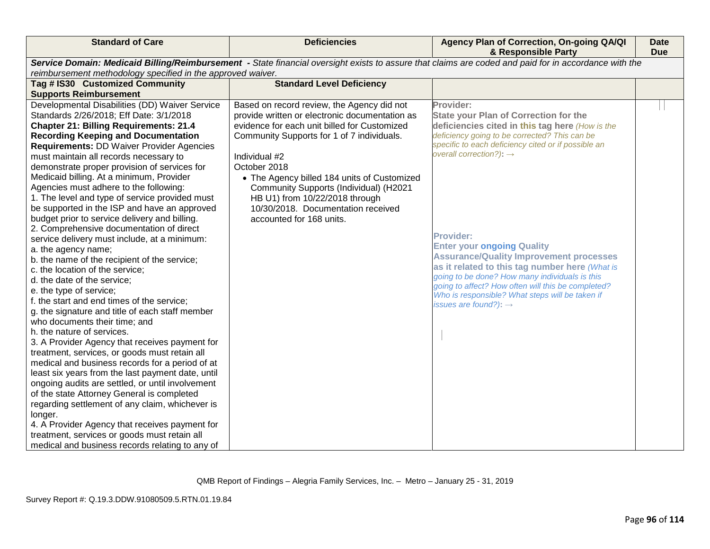| <b>Standard of Care</b>                                                                                                                               | <b>Deficiencies</b>                            | Agency Plan of Correction, On-going QA/QI<br>& Responsible Party                           | <b>Date</b><br><b>Due</b> |
|-------------------------------------------------------------------------------------------------------------------------------------------------------|------------------------------------------------|--------------------------------------------------------------------------------------------|---------------------------|
| Service Domain: Medicaid Billing/Reimbursement - State financial oversight exists to assure that claims are coded and paid for in accordance with the |                                                |                                                                                            |                           |
| reimbursement methodology specified in the approved waiver.                                                                                           |                                                |                                                                                            |                           |
| Tag # IS30 Customized Community                                                                                                                       | <b>Standard Level Deficiency</b>               |                                                                                            |                           |
| <b>Supports Reimbursement</b>                                                                                                                         |                                                |                                                                                            |                           |
| Developmental Disabilities (DD) Waiver Service                                                                                                        | Based on record review, the Agency did not     | Provider:                                                                                  |                           |
| Standards 2/26/2018; Eff Date: 3/1/2018                                                                                                               | provide written or electronic documentation as | <b>State your Plan of Correction for the</b>                                               |                           |
| <b>Chapter 21: Billing Requirements: 21.4</b>                                                                                                         | evidence for each unit billed for Customized   | deficiencies cited in this tag here (How is the                                            |                           |
| <b>Recording Keeping and Documentation</b>                                                                                                            | Community Supports for 1 of 7 individuals.     | deficiency going to be corrected? This can be                                              |                           |
| <b>Requirements: DD Waiver Provider Agencies</b>                                                                                                      |                                                | specific to each deficiency cited or if possible an<br>overall correction?): $\rightarrow$ |                           |
| must maintain all records necessary to                                                                                                                | Individual #2                                  |                                                                                            |                           |
| demonstrate proper provision of services for                                                                                                          | October 2018                                   |                                                                                            |                           |
| Medicaid billing. At a minimum, Provider                                                                                                              | • The Agency billed 184 units of Customized    |                                                                                            |                           |
| Agencies must adhere to the following:                                                                                                                | Community Supports (Individual) (H2021         |                                                                                            |                           |
| 1. The level and type of service provided must                                                                                                        | HB U1) from 10/22/2018 through                 |                                                                                            |                           |
| be supported in the ISP and have an approved                                                                                                          | 10/30/2018. Documentation received             |                                                                                            |                           |
| budget prior to service delivery and billing.                                                                                                         | accounted for 168 units.                       |                                                                                            |                           |
| 2. Comprehensive documentation of direct                                                                                                              |                                                | <b>Provider:</b>                                                                           |                           |
| service delivery must include, at a minimum:                                                                                                          |                                                | <b>Enter your ongoing Quality</b>                                                          |                           |
| a. the agency name;                                                                                                                                   |                                                | <b>Assurance/Quality Improvement processes</b>                                             |                           |
| b. the name of the recipient of the service;                                                                                                          |                                                | as it related to this tag number here (What is                                             |                           |
| c. the location of the service;                                                                                                                       |                                                | going to be done? How many individuals is this                                             |                           |
| d. the date of the service;                                                                                                                           |                                                | going to affect? How often will this be completed?                                         |                           |
| e. the type of service;                                                                                                                               |                                                | Who is responsible? What steps will be taken if                                            |                           |
| f. the start and end times of the service;                                                                                                            |                                                | issues are found?): $\rightarrow$                                                          |                           |
| g. the signature and title of each staff member                                                                                                       |                                                |                                                                                            |                           |
| who documents their time; and                                                                                                                         |                                                |                                                                                            |                           |
| h. the nature of services.                                                                                                                            |                                                |                                                                                            |                           |
| 3. A Provider Agency that receives payment for                                                                                                        |                                                |                                                                                            |                           |
| treatment, services, or goods must retain all                                                                                                         |                                                |                                                                                            |                           |
| medical and business records for a period of at                                                                                                       |                                                |                                                                                            |                           |
| least six years from the last payment date, until                                                                                                     |                                                |                                                                                            |                           |
| ongoing audits are settled, or until involvement                                                                                                      |                                                |                                                                                            |                           |
| of the state Attorney General is completed                                                                                                            |                                                |                                                                                            |                           |
| regarding settlement of any claim, whichever is                                                                                                       |                                                |                                                                                            |                           |
| longer.                                                                                                                                               |                                                |                                                                                            |                           |
| 4. A Provider Agency that receives payment for                                                                                                        |                                                |                                                                                            |                           |
| treatment, services or goods must retain all                                                                                                          |                                                |                                                                                            |                           |
| medical and business records relating to any of                                                                                                       |                                                |                                                                                            |                           |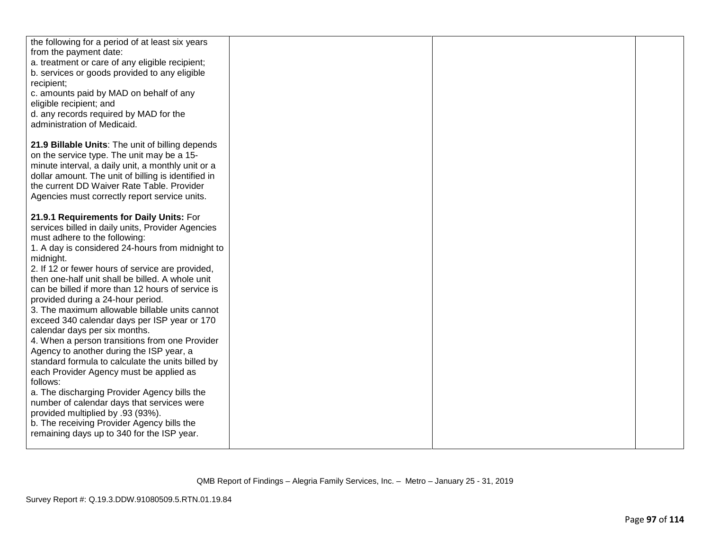| the following for a period of at least six years<br>from the payment date:<br>a. treatment or care of any eligible recipient;<br>b. services or goods provided to any eligible<br>recipient;<br>c. amounts paid by MAD on behalf of any<br>eligible recipient; and<br>d. any records required by MAD for the                                                                                                                                                                                                                                                                                                                                                                                                                                                                                   |  |  |
|------------------------------------------------------------------------------------------------------------------------------------------------------------------------------------------------------------------------------------------------------------------------------------------------------------------------------------------------------------------------------------------------------------------------------------------------------------------------------------------------------------------------------------------------------------------------------------------------------------------------------------------------------------------------------------------------------------------------------------------------------------------------------------------------|--|--|
| administration of Medicaid.                                                                                                                                                                                                                                                                                                                                                                                                                                                                                                                                                                                                                                                                                                                                                                    |  |  |
| 21.9 Billable Units: The unit of billing depends<br>on the service type. The unit may be a 15-<br>minute interval, a daily unit, a monthly unit or a<br>dollar amount. The unit of billing is identified in<br>the current DD Waiver Rate Table. Provider<br>Agencies must correctly report service units.                                                                                                                                                                                                                                                                                                                                                                                                                                                                                     |  |  |
| 21.9.1 Requirements for Daily Units: For<br>services billed in daily units, Provider Agencies<br>must adhere to the following:<br>1. A day is considered 24-hours from midnight to<br>midnight.<br>2. If 12 or fewer hours of service are provided,<br>then one-half unit shall be billed. A whole unit<br>can be billed if more than 12 hours of service is<br>provided during a 24-hour period.<br>3. The maximum allowable billable units cannot<br>exceed 340 calendar days per ISP year or 170<br>calendar days per six months.<br>4. When a person transitions from one Provider<br>Agency to another during the ISP year, a<br>standard formula to calculate the units billed by<br>each Provider Agency must be applied as<br>follows:<br>a. The discharging Provider Agency bills the |  |  |
| number of calendar days that services were<br>provided multiplied by .93 (93%).<br>b. The receiving Provider Agency bills the<br>remaining days up to 340 for the ISP year.                                                                                                                                                                                                                                                                                                                                                                                                                                                                                                                                                                                                                    |  |  |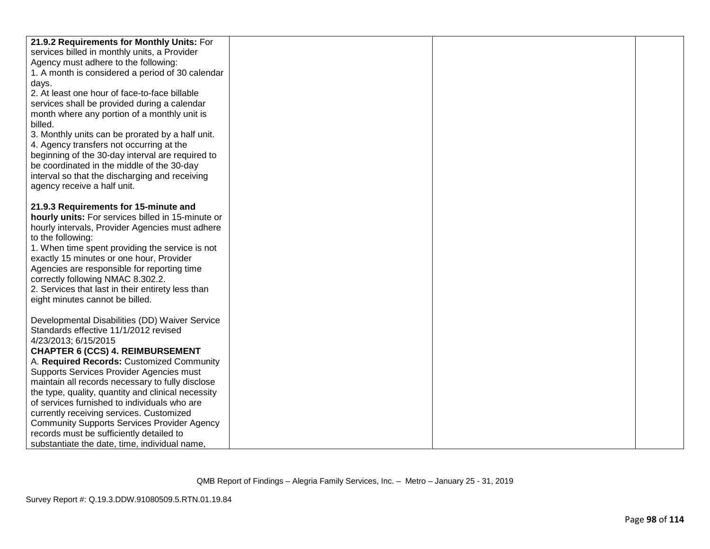| 21.9.2 Requirements for Monthly Units: For                                              |  |  |
|-----------------------------------------------------------------------------------------|--|--|
|                                                                                         |  |  |
| services billed in monthly units, a Provider                                            |  |  |
| Agency must adhere to the following:                                                    |  |  |
| 1. A month is considered a period of 30 calendar                                        |  |  |
| days.                                                                                   |  |  |
| 2. At least one hour of face-to-face billable                                           |  |  |
| services shall be provided during a calendar                                            |  |  |
| month where any portion of a monthly unit is                                            |  |  |
| billed.                                                                                 |  |  |
| 3. Monthly units can be prorated by a half unit.                                        |  |  |
| 4. Agency transfers not occurring at the                                                |  |  |
| beginning of the 30-day interval are required to                                        |  |  |
| be coordinated in the middle of the 30-day                                              |  |  |
| interval so that the discharging and receiving                                          |  |  |
| agency receive a half unit.                                                             |  |  |
|                                                                                         |  |  |
| 21.9.3 Requirements for 15-minute and                                                   |  |  |
| hourly units: For services billed in 15-minute or                                       |  |  |
| hourly intervals, Provider Agencies must adhere                                         |  |  |
| to the following:                                                                       |  |  |
| 1. When time spent providing the service is not                                         |  |  |
| exactly 15 minutes or one hour, Provider                                                |  |  |
| Agencies are responsible for reporting time                                             |  |  |
| correctly following NMAC 8.302.2.                                                       |  |  |
| 2. Services that last in their entirety less than                                       |  |  |
| eight minutes cannot be billed.                                                         |  |  |
|                                                                                         |  |  |
| Developmental Disabilities (DD) Waiver Service<br>Standards effective 11/1/2012 revised |  |  |
| 4/23/2013; 6/15/2015                                                                    |  |  |
| <b>CHAPTER 6 (CCS) 4. REIMBURSEMENT</b>                                                 |  |  |
| A. Required Records: Customized Community                                               |  |  |
| Supports Services Provider Agencies must                                                |  |  |
| maintain all records necessary to fully disclose                                        |  |  |
| the type, quality, quantity and clinical necessity                                      |  |  |
| of services furnished to individuals who are                                            |  |  |
| currently receiving services. Customized                                                |  |  |
| <b>Community Supports Services Provider Agency</b>                                      |  |  |
| records must be sufficiently detailed to                                                |  |  |
| substantiate the date, time, individual name,                                           |  |  |
|                                                                                         |  |  |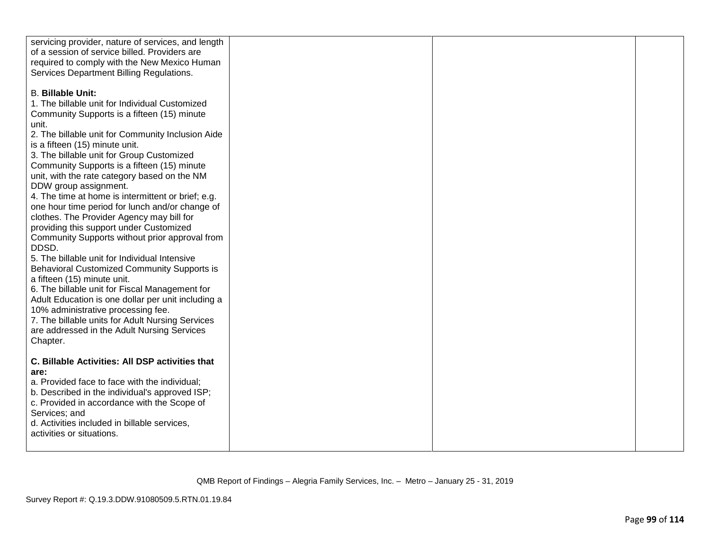| servicing provider, nature of services, and length<br>of a session of service billed. Providers are                                                                                                                                                                                                                                                                                            |  |  |
|------------------------------------------------------------------------------------------------------------------------------------------------------------------------------------------------------------------------------------------------------------------------------------------------------------------------------------------------------------------------------------------------|--|--|
| required to comply with the New Mexico Human<br>Services Department Billing Regulations.                                                                                                                                                                                                                                                                                                       |  |  |
| <b>B. Billable Unit:</b><br>1. The billable unit for Individual Customized<br>Community Supports is a fifteen (15) minute<br>unit.<br>2. The billable unit for Community Inclusion Aide<br>is a fifteen (15) minute unit.<br>3. The billable unit for Group Customized<br>Community Supports is a fifteen (15) minute<br>unit, with the rate category based on the NM<br>DDW group assignment. |  |  |
| 4. The time at home is intermittent or brief; e.g.<br>one hour time period for lunch and/or change of<br>clothes. The Provider Agency may bill for<br>providing this support under Customized<br>Community Supports without prior approval from<br>DDSD.                                                                                                                                       |  |  |
| 5. The billable unit for Individual Intensive<br>Behavioral Customized Community Supports is<br>a fifteen (15) minute unit.<br>6. The billable unit for Fiscal Management for<br>Adult Education is one dollar per unit including a<br>10% administrative processing fee.<br>7. The billable units for Adult Nursing Services<br>are addressed in the Adult Nursing Services<br>Chapter.       |  |  |
| C. Billable Activities: All DSP activities that<br>are:<br>a. Provided face to face with the individual;<br>b. Described in the individual's approved ISP;<br>c. Provided in accordance with the Scope of<br>Services; and<br>d. Activities included in billable services,<br>activities or situations.                                                                                        |  |  |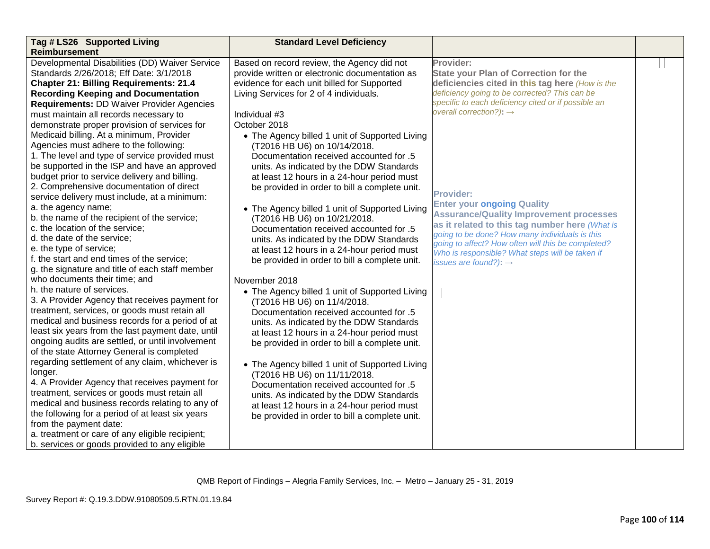| Tag # LS26 Supported Living                       | <b>Standard Level Deficiency</b>               |                                                                                                      |  |
|---------------------------------------------------|------------------------------------------------|------------------------------------------------------------------------------------------------------|--|
| <b>Reimbursement</b>                              |                                                |                                                                                                      |  |
| Developmental Disabilities (DD) Waiver Service    | Based on record review, the Agency did not     | Provider:                                                                                            |  |
| Standards 2/26/2018; Eff Date: 3/1/2018           | provide written or electronic documentation as | <b>State your Plan of Correction for the</b>                                                         |  |
| <b>Chapter 21: Billing Requirements: 21.4</b>     | evidence for each unit billed for Supported    | deficiencies cited in this tag here (How is the                                                      |  |
| <b>Recording Keeping and Documentation</b>        | Living Services for 2 of 4 individuals.        | deficiency going to be corrected? This can be                                                        |  |
| <b>Requirements: DD Waiver Provider Agencies</b>  |                                                | specific to each deficiency cited or if possible an                                                  |  |
| must maintain all records necessary to            | Individual #3                                  | overall correction?): $\rightarrow$                                                                  |  |
| demonstrate proper provision of services for      | October 2018                                   |                                                                                                      |  |
| Medicaid billing. At a minimum, Provider          | • The Agency billed 1 unit of Supported Living |                                                                                                      |  |
| Agencies must adhere to the following:            | (T2016 HB U6) on 10/14/2018.                   |                                                                                                      |  |
| 1. The level and type of service provided must    | Documentation received accounted for .5        |                                                                                                      |  |
| be supported in the ISP and have an approved      | units. As indicated by the DDW Standards       |                                                                                                      |  |
| budget prior to service delivery and billing.     | at least 12 hours in a 24-hour period must     |                                                                                                      |  |
| 2. Comprehensive documentation of direct          | be provided in order to bill a complete unit.  |                                                                                                      |  |
| service delivery must include, at a minimum:      |                                                | <b>Provider:</b>                                                                                     |  |
| a. the agency name;                               | • The Agency billed 1 unit of Supported Living | <b>Enter your ongoing Quality</b>                                                                    |  |
| b. the name of the recipient of the service;      | (T2016 HB U6) on 10/21/2018.                   | <b>Assurance/Quality Improvement processes</b>                                                       |  |
| c. the location of the service;                   | Documentation received accounted for .5        | as it related to this tag number here (What is                                                       |  |
| d. the date of the service;                       | units. As indicated by the DDW Standards       | going to be done? How many individuals is this<br>going to affect? How often will this be completed? |  |
| e. the type of service;                           | at least 12 hours in a 24-hour period must     | Who is responsible? What steps will be taken if                                                      |  |
| f. the start and end times of the service;        | be provided in order to bill a complete unit.  | issues are found?): $\rightarrow$                                                                    |  |
| g. the signature and title of each staff member   |                                                |                                                                                                      |  |
| who documents their time; and                     | November 2018                                  |                                                                                                      |  |
| h. the nature of services.                        | • The Agency billed 1 unit of Supported Living |                                                                                                      |  |
| 3. A Provider Agency that receives payment for    | (T2016 HB U6) on 11/4/2018.                    |                                                                                                      |  |
| treatment, services, or goods must retain all     | Documentation received accounted for .5        |                                                                                                      |  |
| medical and business records for a period of at   | units. As indicated by the DDW Standards       |                                                                                                      |  |
| least six years from the last payment date, until | at least 12 hours in a 24-hour period must     |                                                                                                      |  |
| ongoing audits are settled, or until involvement  | be provided in order to bill a complete unit.  |                                                                                                      |  |
| of the state Attorney General is completed        |                                                |                                                                                                      |  |
| regarding settlement of any claim, whichever is   | • The Agency billed 1 unit of Supported Living |                                                                                                      |  |
| longer.                                           | (T2016 HB U6) on 11/11/2018.                   |                                                                                                      |  |
| 4. A Provider Agency that receives payment for    | Documentation received accounted for .5        |                                                                                                      |  |
| treatment, services or goods must retain all      | units. As indicated by the DDW Standards       |                                                                                                      |  |
| medical and business records relating to any of   | at least 12 hours in a 24-hour period must     |                                                                                                      |  |
| the following for a period of at least six years  | be provided in order to bill a complete unit.  |                                                                                                      |  |
| from the payment date:                            |                                                |                                                                                                      |  |
| a. treatment or care of any eligible recipient;   |                                                |                                                                                                      |  |
| b. services or goods provided to any eligible     |                                                |                                                                                                      |  |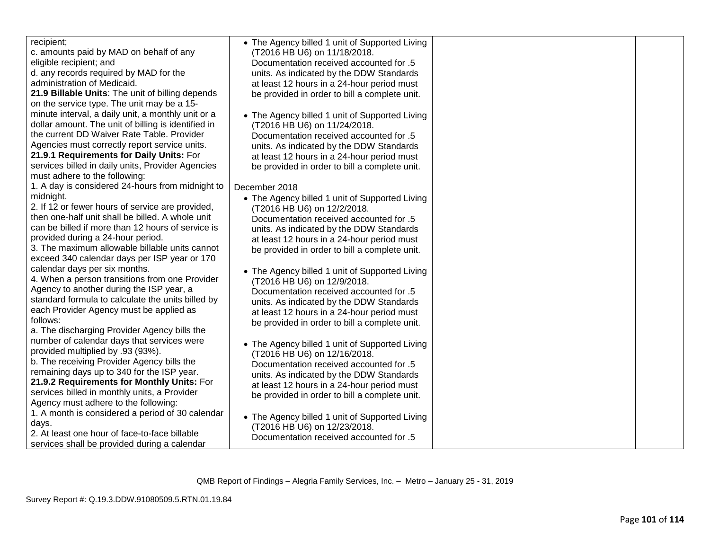| recipient;                                          | • The Agency billed 1 unit of Supported Living |  |
|-----------------------------------------------------|------------------------------------------------|--|
| c. amounts paid by MAD on behalf of any             | (T2016 HB U6) on 11/18/2018.                   |  |
| eligible recipient; and                             | Documentation received accounted for .5        |  |
| d. any records required by MAD for the              | units. As indicated by the DDW Standards       |  |
| administration of Medicaid.                         | at least 12 hours in a 24-hour period must     |  |
| 21.9 Billable Units: The unit of billing depends    | be provided in order to bill a complete unit.  |  |
| on the service type. The unit may be a 15-          |                                                |  |
| minute interval, a daily unit, a monthly unit or a  | • The Agency billed 1 unit of Supported Living |  |
| dollar amount. The unit of billing is identified in | (T2016 HB U6) on 11/24/2018.                   |  |
| the current DD Waiver Rate Table. Provider          | Documentation received accounted for .5        |  |
| Agencies must correctly report service units.       | units. As indicated by the DDW Standards       |  |
| 21.9.1 Requirements for Daily Units: For            | at least 12 hours in a 24-hour period must     |  |
| services billed in daily units, Provider Agencies   | be provided in order to bill a complete unit.  |  |
| must adhere to the following:                       |                                                |  |
| 1. A day is considered 24-hours from midnight to    | December 2018                                  |  |
| midnight.                                           | • The Agency billed 1 unit of Supported Living |  |
| 2. If 12 or fewer hours of service are provided,    | (T2016 HB U6) on 12/2/2018.                    |  |
| then one-half unit shall be billed. A whole unit    | Documentation received accounted for .5        |  |
| can be billed if more than 12 hours of service is   | units. As indicated by the DDW Standards       |  |
| provided during a 24-hour period.                   | at least 12 hours in a 24-hour period must     |  |
| 3. The maximum allowable billable units cannot      | be provided in order to bill a complete unit.  |  |
| exceed 340 calendar days per ISP year or 170        |                                                |  |
| calendar days per six months.                       | • The Agency billed 1 unit of Supported Living |  |
| 4. When a person transitions from one Provider      | (T2016 HB U6) on 12/9/2018.                    |  |
| Agency to another during the ISP year, a            | Documentation received accounted for .5        |  |
| standard formula to calculate the units billed by   | units. As indicated by the DDW Standards       |  |
| each Provider Agency must be applied as             | at least 12 hours in a 24-hour period must     |  |
| follows:                                            | be provided in order to bill a complete unit.  |  |
| a. The discharging Provider Agency bills the        |                                                |  |
| number of calendar days that services were          |                                                |  |
| provided multiplied by .93 (93%).                   | • The Agency billed 1 unit of Supported Living |  |
| b. The receiving Provider Agency bills the          | (T2016 HB U6) on 12/16/2018.                   |  |
| remaining days up to 340 for the ISP year.          | Documentation received accounted for .5        |  |
| 21.9.2 Requirements for Monthly Units: For          | units. As indicated by the DDW Standards       |  |
| services billed in monthly units, a Provider        | at least 12 hours in a 24-hour period must     |  |
| Agency must adhere to the following:                | be provided in order to bill a complete unit.  |  |
| 1. A month is considered a period of 30 calendar    |                                                |  |
| days.                                               | • The Agency billed 1 unit of Supported Living |  |
| 2. At least one hour of face-to-face billable       | (T2016 HB U6) on 12/23/2018.                   |  |
| services shall be provided during a calendar        | Documentation received accounted for .5        |  |
|                                                     |                                                |  |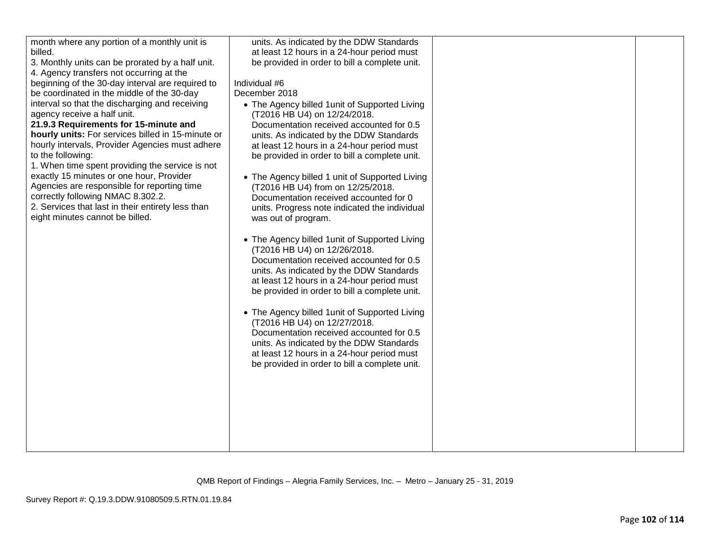| month where any portion of a monthly unit is      | units. As indicated by the DDW Standards       |  |
|---------------------------------------------------|------------------------------------------------|--|
| billed.                                           | at least 12 hours in a 24-hour period must     |  |
| 3. Monthly units can be prorated by a half unit.  | be provided in order to bill a complete unit.  |  |
| 4. Agency transfers not occurring at the          |                                                |  |
| beginning of the 30-day interval are required to  | Individual #6                                  |  |
| be coordinated in the middle of the 30-day        | December 2018                                  |  |
| interval so that the discharging and receiving    | • The Agency billed 1 unit of Supported Living |  |
| agency receive a half unit.                       | (T2016 HB U4) on 12/24/2018.                   |  |
| 21.9.3 Requirements for 15-minute and             | Documentation received accounted for 0.5       |  |
| hourly units: For services billed in 15-minute or | units. As indicated by the DDW Standards       |  |
| hourly intervals, Provider Agencies must adhere   | at least 12 hours in a 24-hour period must     |  |
| to the following:                                 | be provided in order to bill a complete unit.  |  |
| 1. When time spent providing the service is not   |                                                |  |
| exactly 15 minutes or one hour, Provider          | • The Agency billed 1 unit of Supported Living |  |
| Agencies are responsible for reporting time       | (T2016 HB U4) from on 12/25/2018.              |  |
| correctly following NMAC 8.302.2.                 | Documentation received accounted for 0         |  |
| 2. Services that last in their entirety less than | units. Progress note indicated the individual  |  |
| eight minutes cannot be billed.                   |                                                |  |
|                                                   | was out of program.                            |  |
|                                                   |                                                |  |
|                                                   | • The Agency billed 1 unit of Supported Living |  |
|                                                   | (T2016 HB U4) on 12/26/2018.                   |  |
|                                                   | Documentation received accounted for 0.5       |  |
|                                                   | units. As indicated by the DDW Standards       |  |
|                                                   | at least 12 hours in a 24-hour period must     |  |
|                                                   | be provided in order to bill a complete unit.  |  |
|                                                   |                                                |  |
|                                                   | • The Agency billed 1 unit of Supported Living |  |
|                                                   | (T2016 HB U4) on 12/27/2018.                   |  |
|                                                   | Documentation received accounted for 0.5       |  |
|                                                   | units. As indicated by the DDW Standards       |  |
|                                                   | at least 12 hours in a 24-hour period must     |  |
|                                                   | be provided in order to bill a complete unit.  |  |
|                                                   |                                                |  |
|                                                   |                                                |  |
|                                                   |                                                |  |
|                                                   |                                                |  |
|                                                   |                                                |  |
|                                                   |                                                |  |
|                                                   |                                                |  |
|                                                   |                                                |  |
|                                                   |                                                |  |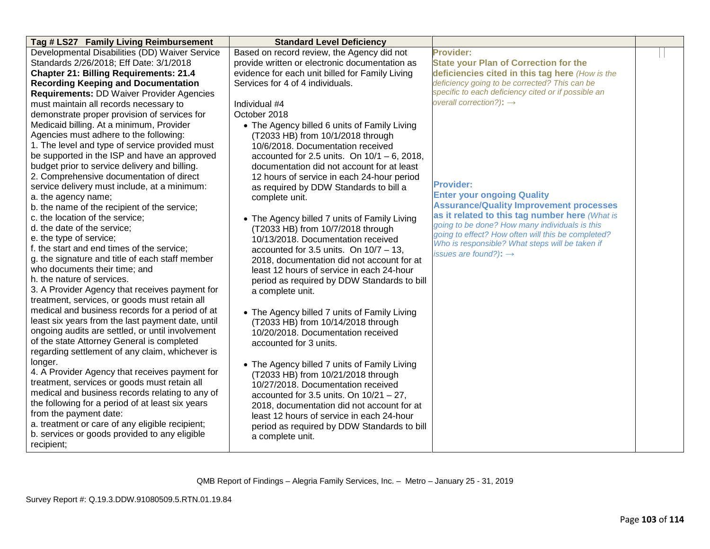| Tag # LS27 Family Living Reimbursement            | <b>Standard Level Deficiency</b>                |                                                                                                       |  |
|---------------------------------------------------|-------------------------------------------------|-------------------------------------------------------------------------------------------------------|--|
| Developmental Disabilities (DD) Waiver Service    | Based on record review, the Agency did not      | <b>Provider:</b>                                                                                      |  |
| Standards 2/26/2018; Eff Date: 3/1/2018           | provide written or electronic documentation as  | <b>State your Plan of Correction for the</b>                                                          |  |
| <b>Chapter 21: Billing Requirements: 21.4</b>     | evidence for each unit billed for Family Living | deficiencies cited in this tag here (How is the                                                       |  |
| <b>Recording Keeping and Documentation</b>        | Services for 4 of 4 individuals.                | deficiency going to be corrected? This can be                                                         |  |
| <b>Requirements: DD Waiver Provider Agencies</b>  |                                                 | specific to each deficiency cited or if possible an                                                   |  |
| must maintain all records necessary to            | Individual #4                                   | overall correction?): $\rightarrow$                                                                   |  |
| demonstrate proper provision of services for      | October 2018                                    |                                                                                                       |  |
| Medicaid billing. At a minimum, Provider          | • The Agency billed 6 units of Family Living    |                                                                                                       |  |
| Agencies must adhere to the following:            | (T2033 HB) from 10/1/2018 through               |                                                                                                       |  |
| 1. The level and type of service provided must    | 10/6/2018. Documentation received               |                                                                                                       |  |
| be supported in the ISP and have an approved      | accounted for 2.5 units. On $10/1 - 6$ , 2018,  |                                                                                                       |  |
| budget prior to service delivery and billing.     | documentation did not account for at least      |                                                                                                       |  |
| 2. Comprehensive documentation of direct          | 12 hours of service in each 24-hour period      |                                                                                                       |  |
| service delivery must include, at a minimum:      | as required by DDW Standards to bill a          | <b>Provider:</b>                                                                                      |  |
| a. the agency name;                               | complete unit.                                  | <b>Enter your ongoing Quality</b>                                                                     |  |
| b. the name of the recipient of the service;      |                                                 | <b>Assurance/Quality Improvement processes</b>                                                        |  |
| c. the location of the service;                   | • The Agency billed 7 units of Family Living    | as it related to this tag number here (What is                                                        |  |
| d. the date of the service;                       | (T2033 HB) from 10/7/2018 through               | going to be done? How many individuals is this                                                        |  |
| e. the type of service;                           | 10/13/2018. Documentation received              | going to effect? How often will this be completed?<br>Who is responsible? What steps will be taken if |  |
| f. the start and end times of the service;        | accounted for 3.5 units. On $10/7 - 13$ ,       | issues are found?): $\rightarrow$                                                                     |  |
| g. the signature and title of each staff member   | 2018, documentation did not account for at      |                                                                                                       |  |
| who documents their time; and                     | least 12 hours of service in each 24-hour       |                                                                                                       |  |
| h. the nature of services.                        | period as required by DDW Standards to bill     |                                                                                                       |  |
| 3. A Provider Agency that receives payment for    | a complete unit.                                |                                                                                                       |  |
| treatment, services, or goods must retain all     |                                                 |                                                                                                       |  |
| medical and business records for a period of at   | • The Agency billed 7 units of Family Living    |                                                                                                       |  |
| least six years from the last payment date, until | (T2033 HB) from 10/14/2018 through              |                                                                                                       |  |
| ongoing audits are settled, or until involvement  | 10/20/2018. Documentation received              |                                                                                                       |  |
| of the state Attorney General is completed        | accounted for 3 units.                          |                                                                                                       |  |
| regarding settlement of any claim, whichever is   |                                                 |                                                                                                       |  |
| longer.                                           | • The Agency billed 7 units of Family Living    |                                                                                                       |  |
| 4. A Provider Agency that receives payment for    | (T2033 HB) from 10/21/2018 through              |                                                                                                       |  |
| treatment, services or goods must retain all      | 10/27/2018. Documentation received              |                                                                                                       |  |
| medical and business records relating to any of   | accounted for 3.5 units. On $10/21 - 27$ ,      |                                                                                                       |  |
| the following for a period of at least six years  | 2018, documentation did not account for at      |                                                                                                       |  |
| from the payment date:                            | least 12 hours of service in each 24-hour       |                                                                                                       |  |
| a. treatment or care of any eligible recipient;   | period as required by DDW Standards to bill     |                                                                                                       |  |
| b. services or goods provided to any eligible     | a complete unit.                                |                                                                                                       |  |
| recipient;                                        |                                                 |                                                                                                       |  |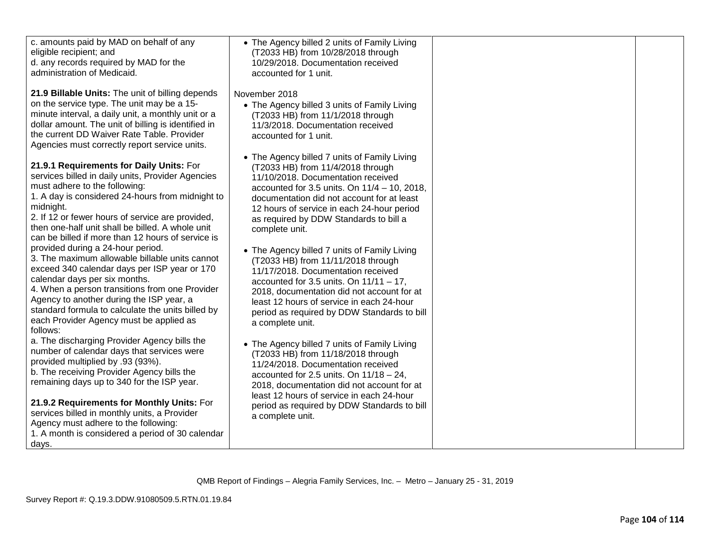| c. amounts paid by MAD on behalf of any<br>eligible recipient; and<br>d. any records required by MAD for the<br>administration of Medicaid.<br>21.9 Billable Units: The unit of billing depends<br>on the service type. The unit may be a 15-<br>minute interval, a daily unit, a monthly unit or a<br>dollar amount. The unit of billing is identified in<br>the current DD Waiver Rate Table. Provider                                                                                                                                                                                                                                                                                                                                                                                                                                                                                                                                                                                                                                                                                                                                                                                                                          | • The Agency billed 2 units of Family Living<br>(T2033 HB) from 10/28/2018 through<br>10/29/2018. Documentation received<br>accounted for 1 unit.<br>November 2018<br>• The Agency billed 3 units of Family Living<br>(T2033 HB) from 11/1/2018 through<br>11/3/2018. Documentation received<br>accounted for 1 unit.                                                                                                                                                                                                                                                                                                                                                                                                                                                                                                                                                                                                                                                                                              |  |
|-----------------------------------------------------------------------------------------------------------------------------------------------------------------------------------------------------------------------------------------------------------------------------------------------------------------------------------------------------------------------------------------------------------------------------------------------------------------------------------------------------------------------------------------------------------------------------------------------------------------------------------------------------------------------------------------------------------------------------------------------------------------------------------------------------------------------------------------------------------------------------------------------------------------------------------------------------------------------------------------------------------------------------------------------------------------------------------------------------------------------------------------------------------------------------------------------------------------------------------|--------------------------------------------------------------------------------------------------------------------------------------------------------------------------------------------------------------------------------------------------------------------------------------------------------------------------------------------------------------------------------------------------------------------------------------------------------------------------------------------------------------------------------------------------------------------------------------------------------------------------------------------------------------------------------------------------------------------------------------------------------------------------------------------------------------------------------------------------------------------------------------------------------------------------------------------------------------------------------------------------------------------|--|
| Agencies must correctly report service units.<br>21.9.1 Requirements for Daily Units: For<br>services billed in daily units, Provider Agencies<br>must adhere to the following:<br>1. A day is considered 24-hours from midnight to<br>midnight.<br>2. If 12 or fewer hours of service are provided,<br>then one-half unit shall be billed. A whole unit<br>can be billed if more than 12 hours of service is<br>provided during a 24-hour period.<br>3. The maximum allowable billable units cannot<br>exceed 340 calendar days per ISP year or 170<br>calendar days per six months.<br>4. When a person transitions from one Provider<br>Agency to another during the ISP year, a<br>standard formula to calculate the units billed by<br>each Provider Agency must be applied as<br>follows:<br>a. The discharging Provider Agency bills the<br>number of calendar days that services were<br>provided multiplied by .93 (93%).<br>b. The receiving Provider Agency bills the<br>remaining days up to 340 for the ISP year.<br>21.9.2 Requirements for Monthly Units: For<br>services billed in monthly units, a Provider<br>Agency must adhere to the following:<br>1. A month is considered a period of 30 calendar<br>days. | • The Agency billed 7 units of Family Living<br>(T2033 HB) from 11/4/2018 through<br>11/10/2018. Documentation received<br>accounted for 3.5 units. On $11/4 - 10$ , 2018,<br>documentation did not account for at least<br>12 hours of service in each 24-hour period<br>as required by DDW Standards to bill a<br>complete unit.<br>• The Agency billed 7 units of Family Living<br>(T2033 HB) from 11/11/2018 through<br>11/17/2018. Documentation received<br>accounted for 3.5 units. On $11/11 - 17$ ,<br>2018, documentation did not account for at<br>least 12 hours of service in each 24-hour<br>period as required by DDW Standards to bill<br>a complete unit.<br>• The Agency billed 7 units of Family Living<br>(T2033 HB) from 11/18/2018 through<br>11/24/2018. Documentation received<br>accounted for 2.5 units. On $11/18 - 24$ ,<br>2018, documentation did not account for at<br>least 12 hours of service in each 24-hour<br>period as required by DDW Standards to bill<br>a complete unit. |  |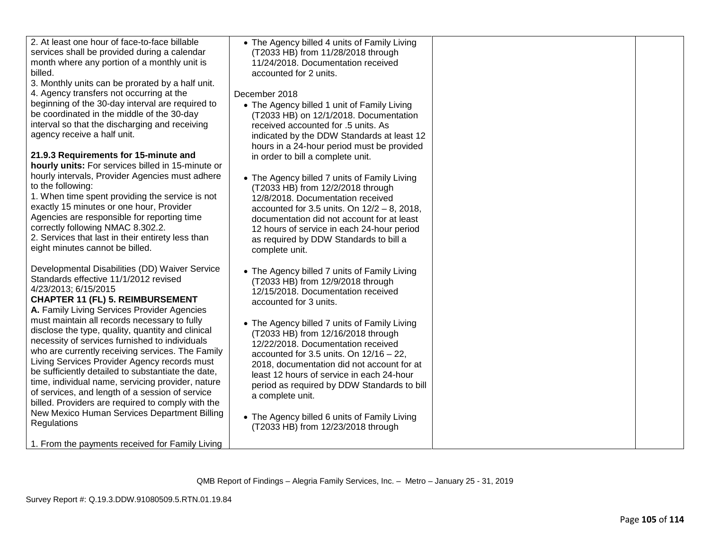| 2. At least one hour of face-to-face billable<br>• The Agency billed 4 units of Family Living<br>services shall be provided during a calendar<br>(T2033 HB) from 11/28/2018 through<br>month where any portion of a monthly unit is<br>11/24/2018. Documentation received<br>billed.<br>accounted for 2 units.<br>3. Monthly units can be prorated by a half unit.<br>4. Agency transfers not occurring at the<br>December 2018<br>beginning of the 30-day interval are required to<br>• The Agency billed 1 unit of Family Living<br>be coordinated in the middle of the 30-day<br>(T2033 HB) on 12/1/2018. Documentation<br>interval so that the discharging and receiving<br>received accounted for .5 units. As<br>agency receive a half unit.<br>indicated by the DDW Standards at least 12<br>hours in a 24-hour period must be provided<br>21.9.3 Requirements for 15-minute and<br>in order to bill a complete unit.<br>hourly units: For services billed in 15-minute or<br>hourly intervals, Provider Agencies must adhere<br>• The Agency billed 7 units of Family Living<br>to the following:<br>(T2033 HB) from 12/2/2018 through<br>1. When time spent providing the service is not<br>12/8/2018. Documentation received<br>exactly 15 minutes or one hour, Provider<br>accounted for 3.5 units. On $12/2 - 8$ , 2018,<br>Agencies are responsible for reporting time<br>documentation did not account for at least |
|-----------------------------------------------------------------------------------------------------------------------------------------------------------------------------------------------------------------------------------------------------------------------------------------------------------------------------------------------------------------------------------------------------------------------------------------------------------------------------------------------------------------------------------------------------------------------------------------------------------------------------------------------------------------------------------------------------------------------------------------------------------------------------------------------------------------------------------------------------------------------------------------------------------------------------------------------------------------------------------------------------------------------------------------------------------------------------------------------------------------------------------------------------------------------------------------------------------------------------------------------------------------------------------------------------------------------------------------------------------------------------------------------------------------------------------|
|                                                                                                                                                                                                                                                                                                                                                                                                                                                                                                                                                                                                                                                                                                                                                                                                                                                                                                                                                                                                                                                                                                                                                                                                                                                                                                                                                                                                                                   |
|                                                                                                                                                                                                                                                                                                                                                                                                                                                                                                                                                                                                                                                                                                                                                                                                                                                                                                                                                                                                                                                                                                                                                                                                                                                                                                                                                                                                                                   |
|                                                                                                                                                                                                                                                                                                                                                                                                                                                                                                                                                                                                                                                                                                                                                                                                                                                                                                                                                                                                                                                                                                                                                                                                                                                                                                                                                                                                                                   |
|                                                                                                                                                                                                                                                                                                                                                                                                                                                                                                                                                                                                                                                                                                                                                                                                                                                                                                                                                                                                                                                                                                                                                                                                                                                                                                                                                                                                                                   |
|                                                                                                                                                                                                                                                                                                                                                                                                                                                                                                                                                                                                                                                                                                                                                                                                                                                                                                                                                                                                                                                                                                                                                                                                                                                                                                                                                                                                                                   |
|                                                                                                                                                                                                                                                                                                                                                                                                                                                                                                                                                                                                                                                                                                                                                                                                                                                                                                                                                                                                                                                                                                                                                                                                                                                                                                                                                                                                                                   |
|                                                                                                                                                                                                                                                                                                                                                                                                                                                                                                                                                                                                                                                                                                                                                                                                                                                                                                                                                                                                                                                                                                                                                                                                                                                                                                                                                                                                                                   |
|                                                                                                                                                                                                                                                                                                                                                                                                                                                                                                                                                                                                                                                                                                                                                                                                                                                                                                                                                                                                                                                                                                                                                                                                                                                                                                                                                                                                                                   |
|                                                                                                                                                                                                                                                                                                                                                                                                                                                                                                                                                                                                                                                                                                                                                                                                                                                                                                                                                                                                                                                                                                                                                                                                                                                                                                                                                                                                                                   |
|                                                                                                                                                                                                                                                                                                                                                                                                                                                                                                                                                                                                                                                                                                                                                                                                                                                                                                                                                                                                                                                                                                                                                                                                                                                                                                                                                                                                                                   |
|                                                                                                                                                                                                                                                                                                                                                                                                                                                                                                                                                                                                                                                                                                                                                                                                                                                                                                                                                                                                                                                                                                                                                                                                                                                                                                                                                                                                                                   |
|                                                                                                                                                                                                                                                                                                                                                                                                                                                                                                                                                                                                                                                                                                                                                                                                                                                                                                                                                                                                                                                                                                                                                                                                                                                                                                                                                                                                                                   |
|                                                                                                                                                                                                                                                                                                                                                                                                                                                                                                                                                                                                                                                                                                                                                                                                                                                                                                                                                                                                                                                                                                                                                                                                                                                                                                                                                                                                                                   |
|                                                                                                                                                                                                                                                                                                                                                                                                                                                                                                                                                                                                                                                                                                                                                                                                                                                                                                                                                                                                                                                                                                                                                                                                                                                                                                                                                                                                                                   |
|                                                                                                                                                                                                                                                                                                                                                                                                                                                                                                                                                                                                                                                                                                                                                                                                                                                                                                                                                                                                                                                                                                                                                                                                                                                                                                                                                                                                                                   |
|                                                                                                                                                                                                                                                                                                                                                                                                                                                                                                                                                                                                                                                                                                                                                                                                                                                                                                                                                                                                                                                                                                                                                                                                                                                                                                                                                                                                                                   |
|                                                                                                                                                                                                                                                                                                                                                                                                                                                                                                                                                                                                                                                                                                                                                                                                                                                                                                                                                                                                                                                                                                                                                                                                                                                                                                                                                                                                                                   |
|                                                                                                                                                                                                                                                                                                                                                                                                                                                                                                                                                                                                                                                                                                                                                                                                                                                                                                                                                                                                                                                                                                                                                                                                                                                                                                                                                                                                                                   |
| correctly following NMAC 8.302.2.<br>12 hours of service in each 24-hour period                                                                                                                                                                                                                                                                                                                                                                                                                                                                                                                                                                                                                                                                                                                                                                                                                                                                                                                                                                                                                                                                                                                                                                                                                                                                                                                                                   |
| 2. Services that last in their entirety less than<br>as required by DDW Standards to bill a                                                                                                                                                                                                                                                                                                                                                                                                                                                                                                                                                                                                                                                                                                                                                                                                                                                                                                                                                                                                                                                                                                                                                                                                                                                                                                                                       |
| eight minutes cannot be billed.<br>complete unit.                                                                                                                                                                                                                                                                                                                                                                                                                                                                                                                                                                                                                                                                                                                                                                                                                                                                                                                                                                                                                                                                                                                                                                                                                                                                                                                                                                                 |
| Developmental Disabilities (DD) Waiver Service                                                                                                                                                                                                                                                                                                                                                                                                                                                                                                                                                                                                                                                                                                                                                                                                                                                                                                                                                                                                                                                                                                                                                                                                                                                                                                                                                                                    |
| • The Agency billed 7 units of Family Living<br>Standards effective 11/1/2012 revised                                                                                                                                                                                                                                                                                                                                                                                                                                                                                                                                                                                                                                                                                                                                                                                                                                                                                                                                                                                                                                                                                                                                                                                                                                                                                                                                             |
| (T2033 HB) from 12/9/2018 through<br>4/23/2013; 6/15/2015                                                                                                                                                                                                                                                                                                                                                                                                                                                                                                                                                                                                                                                                                                                                                                                                                                                                                                                                                                                                                                                                                                                                                                                                                                                                                                                                                                         |
| 12/15/2018. Documentation received<br><b>CHAPTER 11 (FL) 5. REIMBURSEMENT</b>                                                                                                                                                                                                                                                                                                                                                                                                                                                                                                                                                                                                                                                                                                                                                                                                                                                                                                                                                                                                                                                                                                                                                                                                                                                                                                                                                     |
| accounted for 3 units.<br>A. Family Living Services Provider Agencies                                                                                                                                                                                                                                                                                                                                                                                                                                                                                                                                                                                                                                                                                                                                                                                                                                                                                                                                                                                                                                                                                                                                                                                                                                                                                                                                                             |
| must maintain all records necessary to fully                                                                                                                                                                                                                                                                                                                                                                                                                                                                                                                                                                                                                                                                                                                                                                                                                                                                                                                                                                                                                                                                                                                                                                                                                                                                                                                                                                                      |
| • The Agency billed 7 units of Family Living<br>disclose the type, quality, quantity and clinical                                                                                                                                                                                                                                                                                                                                                                                                                                                                                                                                                                                                                                                                                                                                                                                                                                                                                                                                                                                                                                                                                                                                                                                                                                                                                                                                 |
| (T2033 HB) from 12/16/2018 through<br>necessity of services furnished to individuals                                                                                                                                                                                                                                                                                                                                                                                                                                                                                                                                                                                                                                                                                                                                                                                                                                                                                                                                                                                                                                                                                                                                                                                                                                                                                                                                              |
| 12/22/2018. Documentation received<br>who are currently receiving services. The Family                                                                                                                                                                                                                                                                                                                                                                                                                                                                                                                                                                                                                                                                                                                                                                                                                                                                                                                                                                                                                                                                                                                                                                                                                                                                                                                                            |
| accounted for 3.5 units. On $12/16 - 22$ ,<br>Living Services Provider Agency records must                                                                                                                                                                                                                                                                                                                                                                                                                                                                                                                                                                                                                                                                                                                                                                                                                                                                                                                                                                                                                                                                                                                                                                                                                                                                                                                                        |
| 2018, documentation did not account for at<br>be sufficiently detailed to substantiate the date,                                                                                                                                                                                                                                                                                                                                                                                                                                                                                                                                                                                                                                                                                                                                                                                                                                                                                                                                                                                                                                                                                                                                                                                                                                                                                                                                  |
| least 12 hours of service in each 24-hour<br>time, individual name, servicing provider, nature                                                                                                                                                                                                                                                                                                                                                                                                                                                                                                                                                                                                                                                                                                                                                                                                                                                                                                                                                                                                                                                                                                                                                                                                                                                                                                                                    |
| period as required by DDW Standards to bill<br>of services, and length of a session of service                                                                                                                                                                                                                                                                                                                                                                                                                                                                                                                                                                                                                                                                                                                                                                                                                                                                                                                                                                                                                                                                                                                                                                                                                                                                                                                                    |
| a complete unit.<br>billed. Providers are required to comply with the                                                                                                                                                                                                                                                                                                                                                                                                                                                                                                                                                                                                                                                                                                                                                                                                                                                                                                                                                                                                                                                                                                                                                                                                                                                                                                                                                             |
| New Mexico Human Services Department Billing                                                                                                                                                                                                                                                                                                                                                                                                                                                                                                                                                                                                                                                                                                                                                                                                                                                                                                                                                                                                                                                                                                                                                                                                                                                                                                                                                                                      |
| • The Agency billed 6 units of Family Living<br>Regulations                                                                                                                                                                                                                                                                                                                                                                                                                                                                                                                                                                                                                                                                                                                                                                                                                                                                                                                                                                                                                                                                                                                                                                                                                                                                                                                                                                       |
| (T2033 HB) from 12/23/2018 through                                                                                                                                                                                                                                                                                                                                                                                                                                                                                                                                                                                                                                                                                                                                                                                                                                                                                                                                                                                                                                                                                                                                                                                                                                                                                                                                                                                                |
| 1. From the payments received for Family Living                                                                                                                                                                                                                                                                                                                                                                                                                                                                                                                                                                                                                                                                                                                                                                                                                                                                                                                                                                                                                                                                                                                                                                                                                                                                                                                                                                                   |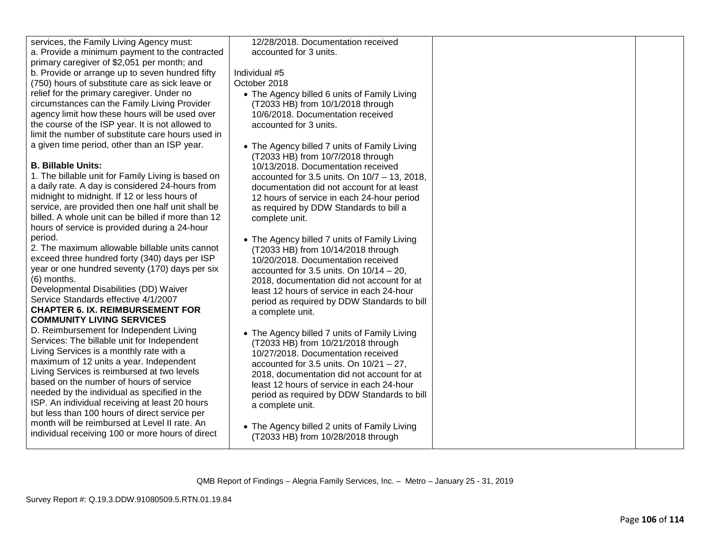| services, the Family Living Agency must:                                                          | 12/28/2018. Documentation received                                                      |  |
|---------------------------------------------------------------------------------------------------|-----------------------------------------------------------------------------------------|--|
| a. Provide a minimum payment to the contracted                                                    | accounted for 3 units.                                                                  |  |
| primary caregiver of \$2,051 per month; and                                                       |                                                                                         |  |
| b. Provide or arrange up to seven hundred fifty                                                   | Individual #5                                                                           |  |
| (750) hours of substitute care as sick leave or                                                   | October 2018                                                                            |  |
| relief for the primary caregiver. Under no                                                        | • The Agency billed 6 units of Family Living                                            |  |
| circumstances can the Family Living Provider                                                      | (T2033 HB) from 10/1/2018 through                                                       |  |
| agency limit how these hours will be used over                                                    | 10/6/2018. Documentation received                                                       |  |
| the course of the ISP year. It is not allowed to                                                  | accounted for 3 units.                                                                  |  |
| limit the number of substitute care hours used in                                                 |                                                                                         |  |
| a given time period, other than an ISP year.                                                      | • The Agency billed 7 units of Family Living                                            |  |
|                                                                                                   | (T2033 HB) from 10/7/2018 through                                                       |  |
| <b>B. Billable Units:</b>                                                                         | 10/13/2018. Documentation received                                                      |  |
| 1. The billable unit for Family Living is based on                                                | accounted for 3.5 units. On 10/7 - 13, 2018,                                            |  |
| a daily rate. A day is considered 24-hours from                                                   | documentation did not account for at least                                              |  |
| midnight to midnight. If 12 or less hours of<br>service, are provided then one half unit shall be | 12 hours of service in each 24-hour period                                              |  |
| billed. A whole unit can be billed if more than 12                                                | as required by DDW Standards to bill a                                                  |  |
| hours of service is provided during a 24-hour                                                     | complete unit.                                                                          |  |
| period.                                                                                           |                                                                                         |  |
| 2. The maximum allowable billable units cannot                                                    | • The Agency billed 7 units of Family Living                                            |  |
| exceed three hundred forty (340) days per ISP                                                     | (T2033 HB) from 10/14/2018 through                                                      |  |
| year or one hundred seventy (170) days per six                                                    | 10/20/2018. Documentation received                                                      |  |
| (6) months.                                                                                       | accounted for 3.5 units. On $10/14 - 20$ ,                                              |  |
| Developmental Disabilities (DD) Waiver                                                            | 2018, documentation did not account for at<br>least 12 hours of service in each 24-hour |  |
| Service Standards effective 4/1/2007                                                              | period as required by DDW Standards to bill                                             |  |
| <b>CHAPTER 6. IX. REIMBURSEMENT FOR</b>                                                           | a complete unit.                                                                        |  |
| <b>COMMUNITY LIVING SERVICES</b>                                                                  |                                                                                         |  |
| D. Reimbursement for Independent Living                                                           | • The Agency billed 7 units of Family Living                                            |  |
| Services: The billable unit for Independent                                                       | (T2033 HB) from 10/21/2018 through                                                      |  |
| Living Services is a monthly rate with a                                                          | 10/27/2018. Documentation received                                                      |  |
| maximum of 12 units a year. Independent                                                           | accounted for 3.5 units. On $10/21 - 27$ ,                                              |  |
| Living Services is reimbursed at two levels                                                       | 2018, documentation did not account for at                                              |  |
| based on the number of hours of service                                                           | least 12 hours of service in each 24-hour                                               |  |
| needed by the individual as specified in the                                                      | period as required by DDW Standards to bill                                             |  |
| ISP. An individual receiving at least 20 hours                                                    | a complete unit.                                                                        |  |
| but less than 100 hours of direct service per                                                     |                                                                                         |  |
| month will be reimbursed at Level II rate. An                                                     | • The Agency billed 2 units of Family Living                                            |  |
| individual receiving 100 or more hours of direct                                                  | (T2033 HB) from 10/28/2018 through                                                      |  |
|                                                                                                   |                                                                                         |  |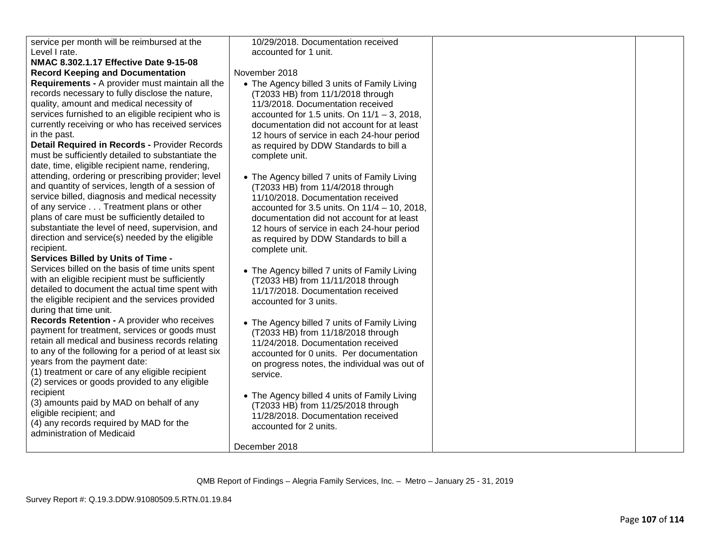| service per month will be reimbursed at the<br>10/29/2018. Documentation received<br>Level I rate.<br>accounted for 1 unit.<br>NMAC 8.302.1.17 Effective Date 9-15-08<br><b>Record Keeping and Documentation</b><br>November 2018<br>Requirements - A provider must maintain all the<br>• The Agency billed 3 units of Family Living<br>records necessary to fully disclose the nature,<br>(T2033 HB) from 11/1/2018 through<br>quality, amount and medical necessity of<br>11/3/2018. Documentation received<br>services furnished to an eligible recipient who is<br>accounted for 1.5 units. On $11/1 - 3$ , 2018,<br>currently receiving or who has received services<br>documentation did not account for at least<br>in the past.<br>12 hours of service in each 24-hour period<br>Detail Required in Records - Provider Records<br>as required by DDW Standards to bill a<br>must be sufficiently detailed to substantiate the<br>complete unit.<br>date, time, eligible recipient name, rendering,<br>attending, ordering or prescribing provider; level<br>• The Agency billed 7 units of Family Living<br>and quantity of services, length of a session of<br>(T2033 HB) from 11/4/2018 through<br>service billed, diagnosis and medical necessity<br>11/10/2018. Documentation received<br>of any service Treatment plans or other<br>accounted for 3.5 units. On $11/4 - 10$ , 2018,<br>plans of care must be sufficiently detailed to<br>documentation did not account for at least<br>substantiate the level of need, supervision, and<br>12 hours of service in each 24-hour period<br>direction and service(s) needed by the eligible<br>as required by DDW Standards to bill a<br>recipient.<br>complete unit.<br><b>Services Billed by Units of Time -</b><br>Services billed on the basis of time units spent<br>• The Agency billed 7 units of Family Living<br>with an eligible recipient must be sufficiently<br>(T2033 HB) from 11/11/2018 through<br>detailed to document the actual time spent with<br>11/17/2018. Documentation received<br>the eligible recipient and the services provided<br>accounted for 3 units.<br>during that time unit.<br>Records Retention - A provider who receives<br>• The Agency billed 7 units of Family Living<br>payment for treatment, services or goods must<br>(T2033 HB) from 11/18/2018 through<br>retain all medical and business records relating<br>11/24/2018. Documentation received<br>to any of the following for a period of at least six<br>accounted for 0 units. Per documentation<br>years from the payment date:<br>on progress notes, the individual was out of |                                                 |  |
|------------------------------------------------------------------------------------------------------------------------------------------------------------------------------------------------------------------------------------------------------------------------------------------------------------------------------------------------------------------------------------------------------------------------------------------------------------------------------------------------------------------------------------------------------------------------------------------------------------------------------------------------------------------------------------------------------------------------------------------------------------------------------------------------------------------------------------------------------------------------------------------------------------------------------------------------------------------------------------------------------------------------------------------------------------------------------------------------------------------------------------------------------------------------------------------------------------------------------------------------------------------------------------------------------------------------------------------------------------------------------------------------------------------------------------------------------------------------------------------------------------------------------------------------------------------------------------------------------------------------------------------------------------------------------------------------------------------------------------------------------------------------------------------------------------------------------------------------------------------------------------------------------------------------------------------------------------------------------------------------------------------------------------------------------------------------------------------------------------------------------------------------------------------------------------------------------------------------------------------------------------------------------------------------------------------------------------------------------------------------------------------------------------------------------------------------------------------------------------------------------------------------------------------------------------------------------------------------------------------------------------------------|-------------------------------------------------|--|
|                                                                                                                                                                                                                                                                                                                                                                                                                                                                                                                                                                                                                                                                                                                                                                                                                                                                                                                                                                                                                                                                                                                                                                                                                                                                                                                                                                                                                                                                                                                                                                                                                                                                                                                                                                                                                                                                                                                                                                                                                                                                                                                                                                                                                                                                                                                                                                                                                                                                                                                                                                                                                                                |                                                 |  |
|                                                                                                                                                                                                                                                                                                                                                                                                                                                                                                                                                                                                                                                                                                                                                                                                                                                                                                                                                                                                                                                                                                                                                                                                                                                                                                                                                                                                                                                                                                                                                                                                                                                                                                                                                                                                                                                                                                                                                                                                                                                                                                                                                                                                                                                                                                                                                                                                                                                                                                                                                                                                                                                |                                                 |  |
|                                                                                                                                                                                                                                                                                                                                                                                                                                                                                                                                                                                                                                                                                                                                                                                                                                                                                                                                                                                                                                                                                                                                                                                                                                                                                                                                                                                                                                                                                                                                                                                                                                                                                                                                                                                                                                                                                                                                                                                                                                                                                                                                                                                                                                                                                                                                                                                                                                                                                                                                                                                                                                                |                                                 |  |
|                                                                                                                                                                                                                                                                                                                                                                                                                                                                                                                                                                                                                                                                                                                                                                                                                                                                                                                                                                                                                                                                                                                                                                                                                                                                                                                                                                                                                                                                                                                                                                                                                                                                                                                                                                                                                                                                                                                                                                                                                                                                                                                                                                                                                                                                                                                                                                                                                                                                                                                                                                                                                                                |                                                 |  |
|                                                                                                                                                                                                                                                                                                                                                                                                                                                                                                                                                                                                                                                                                                                                                                                                                                                                                                                                                                                                                                                                                                                                                                                                                                                                                                                                                                                                                                                                                                                                                                                                                                                                                                                                                                                                                                                                                                                                                                                                                                                                                                                                                                                                                                                                                                                                                                                                                                                                                                                                                                                                                                                |                                                 |  |
|                                                                                                                                                                                                                                                                                                                                                                                                                                                                                                                                                                                                                                                                                                                                                                                                                                                                                                                                                                                                                                                                                                                                                                                                                                                                                                                                                                                                                                                                                                                                                                                                                                                                                                                                                                                                                                                                                                                                                                                                                                                                                                                                                                                                                                                                                                                                                                                                                                                                                                                                                                                                                                                |                                                 |  |
|                                                                                                                                                                                                                                                                                                                                                                                                                                                                                                                                                                                                                                                                                                                                                                                                                                                                                                                                                                                                                                                                                                                                                                                                                                                                                                                                                                                                                                                                                                                                                                                                                                                                                                                                                                                                                                                                                                                                                                                                                                                                                                                                                                                                                                                                                                                                                                                                                                                                                                                                                                                                                                                |                                                 |  |
|                                                                                                                                                                                                                                                                                                                                                                                                                                                                                                                                                                                                                                                                                                                                                                                                                                                                                                                                                                                                                                                                                                                                                                                                                                                                                                                                                                                                                                                                                                                                                                                                                                                                                                                                                                                                                                                                                                                                                                                                                                                                                                                                                                                                                                                                                                                                                                                                                                                                                                                                                                                                                                                |                                                 |  |
|                                                                                                                                                                                                                                                                                                                                                                                                                                                                                                                                                                                                                                                                                                                                                                                                                                                                                                                                                                                                                                                                                                                                                                                                                                                                                                                                                                                                                                                                                                                                                                                                                                                                                                                                                                                                                                                                                                                                                                                                                                                                                                                                                                                                                                                                                                                                                                                                                                                                                                                                                                                                                                                |                                                 |  |
|                                                                                                                                                                                                                                                                                                                                                                                                                                                                                                                                                                                                                                                                                                                                                                                                                                                                                                                                                                                                                                                                                                                                                                                                                                                                                                                                                                                                                                                                                                                                                                                                                                                                                                                                                                                                                                                                                                                                                                                                                                                                                                                                                                                                                                                                                                                                                                                                                                                                                                                                                                                                                                                |                                                 |  |
|                                                                                                                                                                                                                                                                                                                                                                                                                                                                                                                                                                                                                                                                                                                                                                                                                                                                                                                                                                                                                                                                                                                                                                                                                                                                                                                                                                                                                                                                                                                                                                                                                                                                                                                                                                                                                                                                                                                                                                                                                                                                                                                                                                                                                                                                                                                                                                                                                                                                                                                                                                                                                                                |                                                 |  |
|                                                                                                                                                                                                                                                                                                                                                                                                                                                                                                                                                                                                                                                                                                                                                                                                                                                                                                                                                                                                                                                                                                                                                                                                                                                                                                                                                                                                                                                                                                                                                                                                                                                                                                                                                                                                                                                                                                                                                                                                                                                                                                                                                                                                                                                                                                                                                                                                                                                                                                                                                                                                                                                |                                                 |  |
|                                                                                                                                                                                                                                                                                                                                                                                                                                                                                                                                                                                                                                                                                                                                                                                                                                                                                                                                                                                                                                                                                                                                                                                                                                                                                                                                                                                                                                                                                                                                                                                                                                                                                                                                                                                                                                                                                                                                                                                                                                                                                                                                                                                                                                                                                                                                                                                                                                                                                                                                                                                                                                                |                                                 |  |
|                                                                                                                                                                                                                                                                                                                                                                                                                                                                                                                                                                                                                                                                                                                                                                                                                                                                                                                                                                                                                                                                                                                                                                                                                                                                                                                                                                                                                                                                                                                                                                                                                                                                                                                                                                                                                                                                                                                                                                                                                                                                                                                                                                                                                                                                                                                                                                                                                                                                                                                                                                                                                                                |                                                 |  |
|                                                                                                                                                                                                                                                                                                                                                                                                                                                                                                                                                                                                                                                                                                                                                                                                                                                                                                                                                                                                                                                                                                                                                                                                                                                                                                                                                                                                                                                                                                                                                                                                                                                                                                                                                                                                                                                                                                                                                                                                                                                                                                                                                                                                                                                                                                                                                                                                                                                                                                                                                                                                                                                |                                                 |  |
|                                                                                                                                                                                                                                                                                                                                                                                                                                                                                                                                                                                                                                                                                                                                                                                                                                                                                                                                                                                                                                                                                                                                                                                                                                                                                                                                                                                                                                                                                                                                                                                                                                                                                                                                                                                                                                                                                                                                                                                                                                                                                                                                                                                                                                                                                                                                                                                                                                                                                                                                                                                                                                                |                                                 |  |
|                                                                                                                                                                                                                                                                                                                                                                                                                                                                                                                                                                                                                                                                                                                                                                                                                                                                                                                                                                                                                                                                                                                                                                                                                                                                                                                                                                                                                                                                                                                                                                                                                                                                                                                                                                                                                                                                                                                                                                                                                                                                                                                                                                                                                                                                                                                                                                                                                                                                                                                                                                                                                                                |                                                 |  |
|                                                                                                                                                                                                                                                                                                                                                                                                                                                                                                                                                                                                                                                                                                                                                                                                                                                                                                                                                                                                                                                                                                                                                                                                                                                                                                                                                                                                                                                                                                                                                                                                                                                                                                                                                                                                                                                                                                                                                                                                                                                                                                                                                                                                                                                                                                                                                                                                                                                                                                                                                                                                                                                |                                                 |  |
|                                                                                                                                                                                                                                                                                                                                                                                                                                                                                                                                                                                                                                                                                                                                                                                                                                                                                                                                                                                                                                                                                                                                                                                                                                                                                                                                                                                                                                                                                                                                                                                                                                                                                                                                                                                                                                                                                                                                                                                                                                                                                                                                                                                                                                                                                                                                                                                                                                                                                                                                                                                                                                                |                                                 |  |
|                                                                                                                                                                                                                                                                                                                                                                                                                                                                                                                                                                                                                                                                                                                                                                                                                                                                                                                                                                                                                                                                                                                                                                                                                                                                                                                                                                                                                                                                                                                                                                                                                                                                                                                                                                                                                                                                                                                                                                                                                                                                                                                                                                                                                                                                                                                                                                                                                                                                                                                                                                                                                                                |                                                 |  |
|                                                                                                                                                                                                                                                                                                                                                                                                                                                                                                                                                                                                                                                                                                                                                                                                                                                                                                                                                                                                                                                                                                                                                                                                                                                                                                                                                                                                                                                                                                                                                                                                                                                                                                                                                                                                                                                                                                                                                                                                                                                                                                                                                                                                                                                                                                                                                                                                                                                                                                                                                                                                                                                |                                                 |  |
|                                                                                                                                                                                                                                                                                                                                                                                                                                                                                                                                                                                                                                                                                                                                                                                                                                                                                                                                                                                                                                                                                                                                                                                                                                                                                                                                                                                                                                                                                                                                                                                                                                                                                                                                                                                                                                                                                                                                                                                                                                                                                                                                                                                                                                                                                                                                                                                                                                                                                                                                                                                                                                                |                                                 |  |
|                                                                                                                                                                                                                                                                                                                                                                                                                                                                                                                                                                                                                                                                                                                                                                                                                                                                                                                                                                                                                                                                                                                                                                                                                                                                                                                                                                                                                                                                                                                                                                                                                                                                                                                                                                                                                                                                                                                                                                                                                                                                                                                                                                                                                                                                                                                                                                                                                                                                                                                                                                                                                                                |                                                 |  |
|                                                                                                                                                                                                                                                                                                                                                                                                                                                                                                                                                                                                                                                                                                                                                                                                                                                                                                                                                                                                                                                                                                                                                                                                                                                                                                                                                                                                                                                                                                                                                                                                                                                                                                                                                                                                                                                                                                                                                                                                                                                                                                                                                                                                                                                                                                                                                                                                                                                                                                                                                                                                                                                |                                                 |  |
|                                                                                                                                                                                                                                                                                                                                                                                                                                                                                                                                                                                                                                                                                                                                                                                                                                                                                                                                                                                                                                                                                                                                                                                                                                                                                                                                                                                                                                                                                                                                                                                                                                                                                                                                                                                                                                                                                                                                                                                                                                                                                                                                                                                                                                                                                                                                                                                                                                                                                                                                                                                                                                                |                                                 |  |
|                                                                                                                                                                                                                                                                                                                                                                                                                                                                                                                                                                                                                                                                                                                                                                                                                                                                                                                                                                                                                                                                                                                                                                                                                                                                                                                                                                                                                                                                                                                                                                                                                                                                                                                                                                                                                                                                                                                                                                                                                                                                                                                                                                                                                                                                                                                                                                                                                                                                                                                                                                                                                                                |                                                 |  |
|                                                                                                                                                                                                                                                                                                                                                                                                                                                                                                                                                                                                                                                                                                                                                                                                                                                                                                                                                                                                                                                                                                                                                                                                                                                                                                                                                                                                                                                                                                                                                                                                                                                                                                                                                                                                                                                                                                                                                                                                                                                                                                                                                                                                                                                                                                                                                                                                                                                                                                                                                                                                                                                |                                                 |  |
|                                                                                                                                                                                                                                                                                                                                                                                                                                                                                                                                                                                                                                                                                                                                                                                                                                                                                                                                                                                                                                                                                                                                                                                                                                                                                                                                                                                                                                                                                                                                                                                                                                                                                                                                                                                                                                                                                                                                                                                                                                                                                                                                                                                                                                                                                                                                                                                                                                                                                                                                                                                                                                                |                                                 |  |
|                                                                                                                                                                                                                                                                                                                                                                                                                                                                                                                                                                                                                                                                                                                                                                                                                                                                                                                                                                                                                                                                                                                                                                                                                                                                                                                                                                                                                                                                                                                                                                                                                                                                                                                                                                                                                                                                                                                                                                                                                                                                                                                                                                                                                                                                                                                                                                                                                                                                                                                                                                                                                                                |                                                 |  |
|                                                                                                                                                                                                                                                                                                                                                                                                                                                                                                                                                                                                                                                                                                                                                                                                                                                                                                                                                                                                                                                                                                                                                                                                                                                                                                                                                                                                                                                                                                                                                                                                                                                                                                                                                                                                                                                                                                                                                                                                                                                                                                                                                                                                                                                                                                                                                                                                                                                                                                                                                                                                                                                |                                                 |  |
|                                                                                                                                                                                                                                                                                                                                                                                                                                                                                                                                                                                                                                                                                                                                                                                                                                                                                                                                                                                                                                                                                                                                                                                                                                                                                                                                                                                                                                                                                                                                                                                                                                                                                                                                                                                                                                                                                                                                                                                                                                                                                                                                                                                                                                                                                                                                                                                                                                                                                                                                                                                                                                                |                                                 |  |
|                                                                                                                                                                                                                                                                                                                                                                                                                                                                                                                                                                                                                                                                                                                                                                                                                                                                                                                                                                                                                                                                                                                                                                                                                                                                                                                                                                                                                                                                                                                                                                                                                                                                                                                                                                                                                                                                                                                                                                                                                                                                                                                                                                                                                                                                                                                                                                                                                                                                                                                                                                                                                                                |                                                 |  |
| service.                                                                                                                                                                                                                                                                                                                                                                                                                                                                                                                                                                                                                                                                                                                                                                                                                                                                                                                                                                                                                                                                                                                                                                                                                                                                                                                                                                                                                                                                                                                                                                                                                                                                                                                                                                                                                                                                                                                                                                                                                                                                                                                                                                                                                                                                                                                                                                                                                                                                                                                                                                                                                                       | (1) treatment or care of any eligible recipient |  |
| (2) services or goods provided to any eligible                                                                                                                                                                                                                                                                                                                                                                                                                                                                                                                                                                                                                                                                                                                                                                                                                                                                                                                                                                                                                                                                                                                                                                                                                                                                                                                                                                                                                                                                                                                                                                                                                                                                                                                                                                                                                                                                                                                                                                                                                                                                                                                                                                                                                                                                                                                                                                                                                                                                                                                                                                                                 |                                                 |  |
| recipient<br>• The Agency billed 4 units of Family Living                                                                                                                                                                                                                                                                                                                                                                                                                                                                                                                                                                                                                                                                                                                                                                                                                                                                                                                                                                                                                                                                                                                                                                                                                                                                                                                                                                                                                                                                                                                                                                                                                                                                                                                                                                                                                                                                                                                                                                                                                                                                                                                                                                                                                                                                                                                                                                                                                                                                                                                                                                                      |                                                 |  |
| (3) amounts paid by MAD on behalf of any<br>(T2033 HB) from 11/25/2018 through                                                                                                                                                                                                                                                                                                                                                                                                                                                                                                                                                                                                                                                                                                                                                                                                                                                                                                                                                                                                                                                                                                                                                                                                                                                                                                                                                                                                                                                                                                                                                                                                                                                                                                                                                                                                                                                                                                                                                                                                                                                                                                                                                                                                                                                                                                                                                                                                                                                                                                                                                                 |                                                 |  |
| eligible recipient; and<br>11/28/2018. Documentation received                                                                                                                                                                                                                                                                                                                                                                                                                                                                                                                                                                                                                                                                                                                                                                                                                                                                                                                                                                                                                                                                                                                                                                                                                                                                                                                                                                                                                                                                                                                                                                                                                                                                                                                                                                                                                                                                                                                                                                                                                                                                                                                                                                                                                                                                                                                                                                                                                                                                                                                                                                                  |                                                 |  |
| (4) any records required by MAD for the<br>accounted for 2 units.                                                                                                                                                                                                                                                                                                                                                                                                                                                                                                                                                                                                                                                                                                                                                                                                                                                                                                                                                                                                                                                                                                                                                                                                                                                                                                                                                                                                                                                                                                                                                                                                                                                                                                                                                                                                                                                                                                                                                                                                                                                                                                                                                                                                                                                                                                                                                                                                                                                                                                                                                                              |                                                 |  |
| administration of Medicaid                                                                                                                                                                                                                                                                                                                                                                                                                                                                                                                                                                                                                                                                                                                                                                                                                                                                                                                                                                                                                                                                                                                                                                                                                                                                                                                                                                                                                                                                                                                                                                                                                                                                                                                                                                                                                                                                                                                                                                                                                                                                                                                                                                                                                                                                                                                                                                                                                                                                                                                                                                                                                     |                                                 |  |
| December 2018                                                                                                                                                                                                                                                                                                                                                                                                                                                                                                                                                                                                                                                                                                                                                                                                                                                                                                                                                                                                                                                                                                                                                                                                                                                                                                                                                                                                                                                                                                                                                                                                                                                                                                                                                                                                                                                                                                                                                                                                                                                                                                                                                                                                                                                                                                                                                                                                                                                                                                                                                                                                                                  |                                                 |  |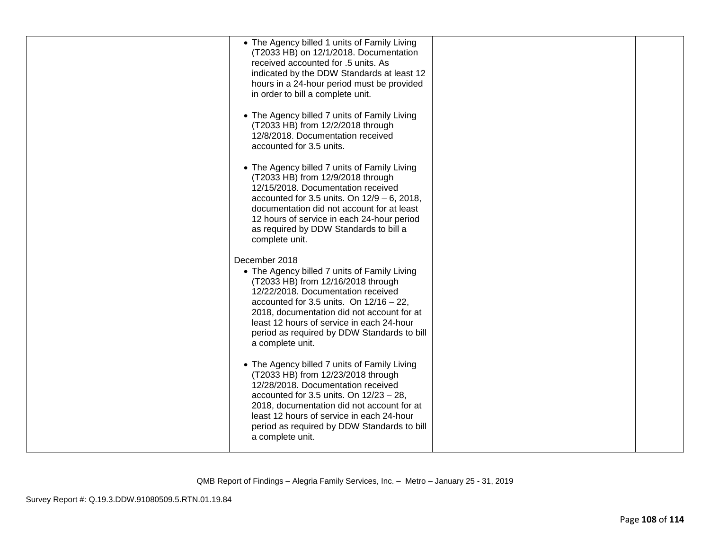| • The Agency billed 1 units of Family Living<br>(T2033 HB) on 12/1/2018. Documentation<br>received accounted for .5 units. As<br>indicated by the DDW Standards at least 12<br>hours in a 24-hour period must be provided<br>in order to bill a complete unit.<br>• The Agency billed 7 units of Family Living<br>(T2033 HB) from 12/2/2018 through<br>12/8/2018. Documentation received<br>accounted for 3.5 units.<br>• The Agency billed 7 units of Family Living<br>(T2033 HB) from 12/9/2018 through<br>12/15/2018. Documentation received<br>accounted for 3.5 units. On $12/9 - 6$ , 2018,<br>documentation did not account for at least<br>12 hours of service in each 24-hour period<br>as required by DDW Standards to bill a<br>complete unit. |  |
|-----------------------------------------------------------------------------------------------------------------------------------------------------------------------------------------------------------------------------------------------------------------------------------------------------------------------------------------------------------------------------------------------------------------------------------------------------------------------------------------------------------------------------------------------------------------------------------------------------------------------------------------------------------------------------------------------------------------------------------------------------------|--|
| December 2018<br>• The Agency billed 7 units of Family Living<br>(T2033 HB) from 12/16/2018 through<br>12/22/2018. Documentation received<br>accounted for 3.5 units. On $12/16 - 22$ ,<br>2018, documentation did not account for at<br>least 12 hours of service in each 24-hour<br>period as required by DDW Standards to bill<br>a complete unit.<br>• The Agency billed 7 units of Family Living<br>(T2033 HB) from 12/23/2018 through<br>12/28/2018. Documentation received<br>accounted for 3.5 units. On $12/23 - 28$ ,<br>2018, documentation did not account for at<br>least 12 hours of service in each 24-hour<br>period as required by DDW Standards to bill<br>a complete unit.                                                             |  |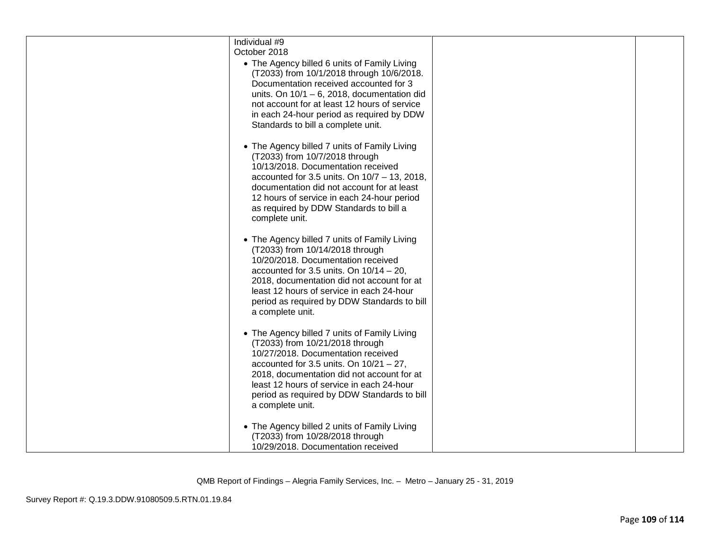| Individual #9<br>October 2018<br>• The Agency billed 6 units of Family Living<br>(T2033) from 10/1/2018 through 10/6/2018.<br>Documentation received accounted for 3<br>units. On $10/1 - 6$ , 2018, documentation did<br>not account for at least 12 hours of service<br>in each 24-hour period as required by DDW<br>Standards to bill a complete unit. |  |
|-----------------------------------------------------------------------------------------------------------------------------------------------------------------------------------------------------------------------------------------------------------------------------------------------------------------------------------------------------------|--|
| • The Agency billed 7 units of Family Living<br>(T2033) from 10/7/2018 through<br>10/13/2018. Documentation received<br>accounted for 3.5 units. On $10/7 - 13$ , 2018,<br>documentation did not account for at least<br>12 hours of service in each 24-hour period<br>as required by DDW Standards to bill a<br>complete unit.                           |  |
| • The Agency billed 7 units of Family Living<br>(T2033) from 10/14/2018 through<br>10/20/2018. Documentation received<br>accounted for 3.5 units. On $10/14 - 20$ ,<br>2018, documentation did not account for at<br>least 12 hours of service in each 24-hour<br>period as required by DDW Standards to bill<br>a complete unit.                         |  |
| • The Agency billed 7 units of Family Living<br>(T2033) from 10/21/2018 through<br>10/27/2018. Documentation received<br>accounted for 3.5 units. On $10/21 - 27$ ,<br>2018, documentation did not account for at<br>least 12 hours of service in each 24-hour<br>period as required by DDW Standards to bill<br>a complete unit.                         |  |
| • The Agency billed 2 units of Family Living<br>(T2033) from 10/28/2018 through<br>10/29/2018. Documentation received                                                                                                                                                                                                                                     |  |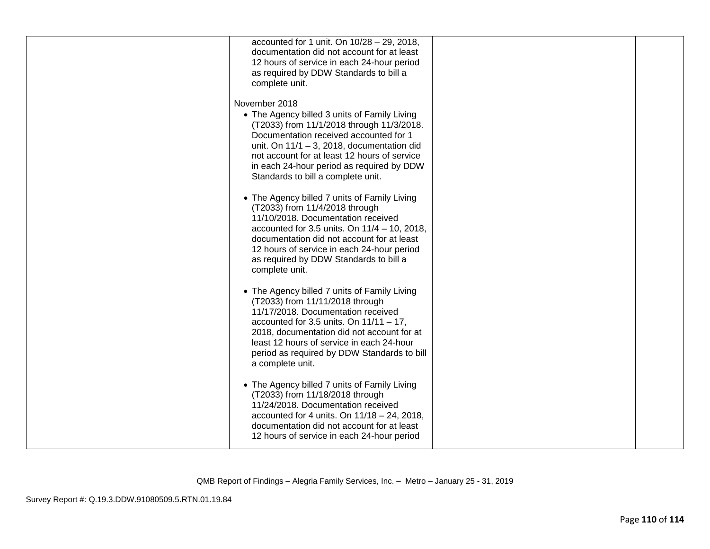| accounted for 1 unit. On 10/28 - 29, 2018,<br>documentation did not account for at least<br>12 hours of service in each 24-hour period<br>as required by DDW Standards to bill a<br>complete unit.                                                                                                                                       |  |
|------------------------------------------------------------------------------------------------------------------------------------------------------------------------------------------------------------------------------------------------------------------------------------------------------------------------------------------|--|
| November 2018<br>• The Agency billed 3 units of Family Living<br>(T2033) from 11/1/2018 through 11/3/2018.<br>Documentation received accounted for 1<br>unit. On $11/1 - 3$ , 2018, documentation did<br>not account for at least 12 hours of service<br>in each 24-hour period as required by DDW<br>Standards to bill a complete unit. |  |
| • The Agency billed 7 units of Family Living<br>(T2033) from 11/4/2018 through<br>11/10/2018. Documentation received<br>accounted for 3.5 units. On $11/4 - 10$ , 2018,<br>documentation did not account for at least<br>12 hours of service in each 24-hour period<br>as required by DDW Standards to bill a<br>complete unit.          |  |
| • The Agency billed 7 units of Family Living<br>(T2033) from 11/11/2018 through<br>11/17/2018. Documentation received<br>accounted for 3.5 units. On $11/11 - 17$ ,<br>2018, documentation did not account for at<br>least 12 hours of service in each 24-hour<br>period as required by DDW Standards to bill<br>a complete unit.        |  |
| • The Agency billed 7 units of Family Living<br>(T2033) from 11/18/2018 through<br>11/24/2018. Documentation received<br>accounted for 4 units. On $11/18 - 24$ , 2018,<br>documentation did not account for at least<br>12 hours of service in each 24-hour period                                                                      |  |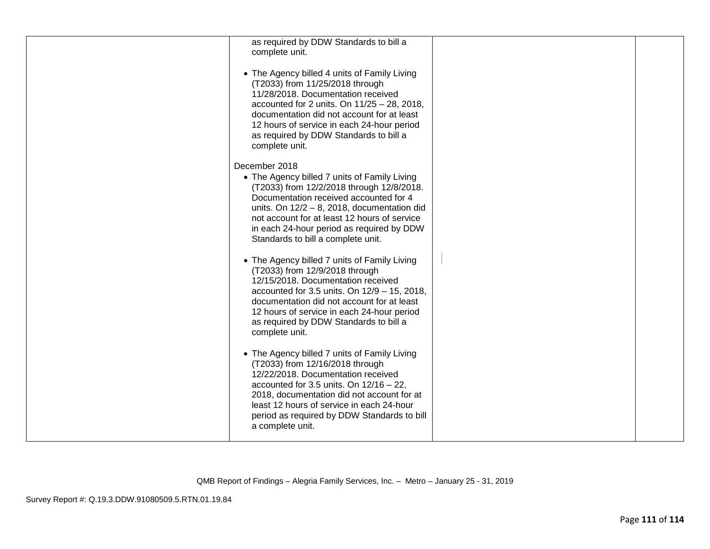| as required by DDW Standards to bill a<br>complete unit.                                                                                                                                                                                                                                                                                  |  |
|-------------------------------------------------------------------------------------------------------------------------------------------------------------------------------------------------------------------------------------------------------------------------------------------------------------------------------------------|--|
| • The Agency billed 4 units of Family Living<br>(T2033) from 11/25/2018 through<br>11/28/2018. Documentation received<br>accounted for 2 units. On $11/25 - 28$ , 2018,<br>documentation did not account for at least<br>12 hours of service in each 24-hour period<br>as required by DDW Standards to bill a<br>complete unit.           |  |
| December 2018<br>• The Agency billed 7 units of Family Living<br>(T2033) from 12/2/2018 through 12/8/2018.<br>Documentation received accounted for 4<br>units. On $12/2 - 8$ , 2018, documentation did<br>not account for at least 12 hours of service<br>in each 24-hour period as required by DDW<br>Standards to bill a complete unit. |  |
| • The Agency billed 7 units of Family Living<br>(T2033) from 12/9/2018 through<br>12/15/2018. Documentation received<br>accounted for 3.5 units. On 12/9 - 15, 2018,<br>documentation did not account for at least<br>12 hours of service in each 24-hour period<br>as required by DDW Standards to bill a<br>complete unit.              |  |
| • The Agency billed 7 units of Family Living<br>(T2033) from 12/16/2018 through<br>12/22/2018. Documentation received<br>accounted for 3.5 units. On $12/16 - 22$ ,<br>2018, documentation did not account for at<br>least 12 hours of service in each 24-hour<br>period as required by DDW Standards to bill<br>a complete unit.         |  |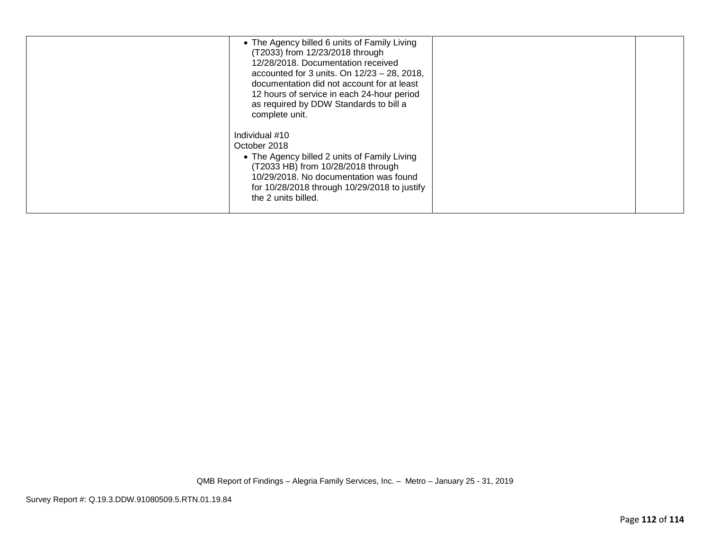| • The Agency billed 6 units of Family Living<br>(T2033) from 12/23/2018 through<br>12/28/2018. Documentation received<br>accounted for 3 units. On $12/23 - 28$ , 2018,<br>documentation did not account for at least<br>12 hours of service in each 24-hour period<br>as required by DDW Standards to bill a<br>complete unit. |  |
|---------------------------------------------------------------------------------------------------------------------------------------------------------------------------------------------------------------------------------------------------------------------------------------------------------------------------------|--|
| Individual #10<br>October 2018<br>• The Agency billed 2 units of Family Living<br>(T2033 HB) from 10/28/2018 through<br>10/29/2018. No documentation was found<br>for 10/28/2018 through 10/29/2018 to justify<br>the 2 units billed.                                                                                           |  |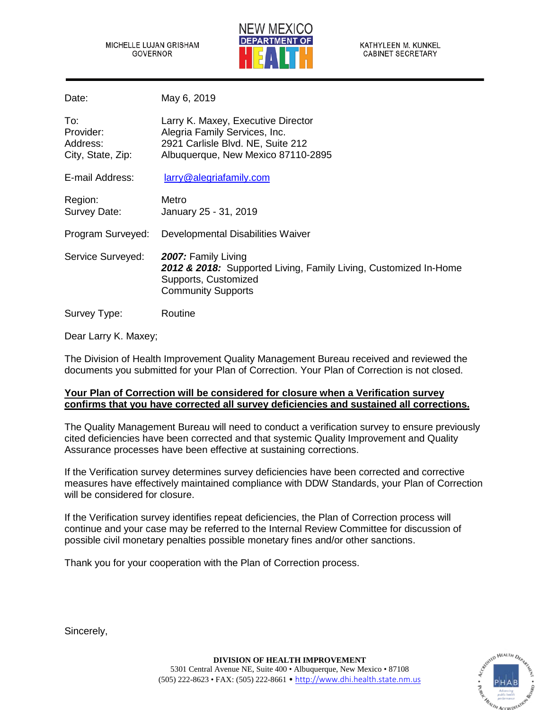MICHELLE LUJAN GRISHAM GOVERNOR



KATHYLEEN M. KUNKEL **CABINET SECRETARY** 

Date: May 6, 2019

| To:<br>Provider:<br>Address:<br>City, State, Zip: | Larry K. Maxey, Executive Director<br>Alegria Family Services, Inc.<br>2921 Carlisle Blvd. NE, Suite 212<br>Albuquerque, New Mexico 87110-2895 |
|---------------------------------------------------|------------------------------------------------------------------------------------------------------------------------------------------------|
| E-mail Address:                                   | larry@alegriafamily.com                                                                                                                        |
| Region:<br>Survey Date:                           | Metro<br>January 25 - 31, 2019                                                                                                                 |
| Program Surveyed:                                 | Developmental Disabilities Waiver                                                                                                              |
| Service Surveyed:                                 | 2007: Family Living<br>2012 & 2018: Supported Living, Family Living, Customized In-Home<br>Supports, Customized<br><b>Community Supports</b>   |
| Survey Type:                                      | Routine                                                                                                                                        |

Dear Larry K. Maxey;

The Division of Health Improvement Quality Management Bureau received and reviewed the documents you submitted for your Plan of Correction. Your Plan of Correction is not closed.

## **Your Plan of Correction will be considered for closure when a Verification survey confirms that you have corrected all survey deficiencies and sustained all corrections.**

The Quality Management Bureau will need to conduct a verification survey to ensure previously cited deficiencies have been corrected and that systemic Quality Improvement and Quality Assurance processes have been effective at sustaining corrections.

If the Verification survey determines survey deficiencies have been corrected and corrective measures have effectively maintained compliance with DDW Standards, your Plan of Correction will be considered for closure.

If the Verification survey identifies repeat deficiencies, the Plan of Correction process will continue and your case may be referred to the Internal Review Committee for discussion of possible civil monetary penalties possible monetary fines and/or other sanctions.

Thank you for your cooperation with the Plan of Correction process.

Sincerely,